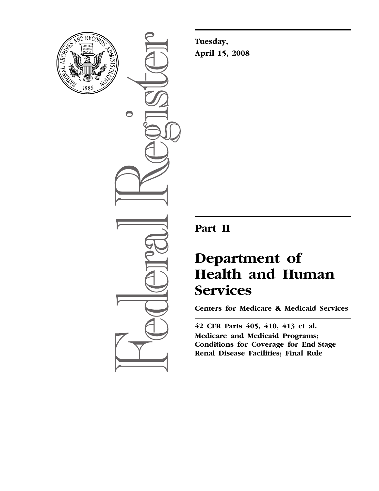

 $\bigcirc$ 

**Tuesday, April 15, 2008** 

# **Part II**

# **Department of Health and Human Services**

**Centers for Medicare & Medicaid Services** 

**42 CFR Parts 405, 410, 413 et al. Medicare and Medicaid Programs; Conditions for Coverage for End-Stage Renal Disease Facilities; Final Rule**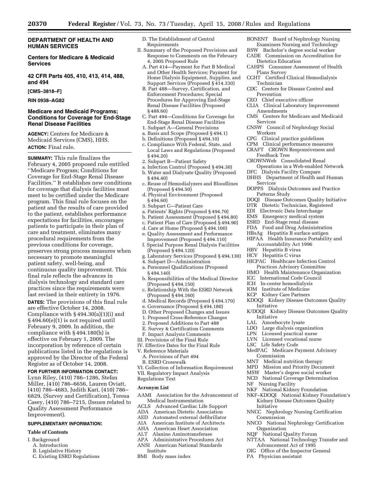# **DEPARTMENT OF HEALTH AND HUMAN SERVICES**

# **Centers for Medicare & Medicaid Services**

**42 CFR Parts 405, 410, 413, 414, 488, and 494** 

**[CMS–3818–F]** 

# **RIN 0938–AG82**

# **Medicare and Medicaid Programs; Conditions for Coverage for End-Stage Renal Disease Facilities**

**AGENCY:** Centers for Medicare & Medicaid Services (CMS), HHS. **ACTION:** Final rule.

# **SUMMARY:** This rule finalizes the February 4, 2005 proposed rule entitled ''Medicare Program; Conditions for Coverage for End-Stage Renal Disease Facilities.'' It establishes new conditions for coverage that dialysis facilities must meet to be certified under the Medicare program. This final rule focuses on the patient and the results of care provided to the patient, establishes performance expectations for facilities, encourages patients to participate in their plan of care and treatment, eliminates many procedural requirements from the previous conditions for coverage, preserves strong process measures when necessary to promote meaningful patient safety, well-being, and continuous quality improvement. This final rule reflects the advances in dialysis technology and standard care practices since the requirements were last revised in their entirety in 1976.

**DATES:** The provisions of this final rule are effective October 14, 2008. Compliance with § 494.30(a)(1)(i) and § 494.60(e)(1) is not required until February 9, 2009. In addition, the compliance with § 494.180(h) is effective on February 1, 2009. The incorporation by reference of certain publications listed in the regulations is approved by the Director of the Federal Register as of October 14, 2008.

# **FOR FURTHER INFORMATION CONTACT:**  Lynn Riley, (410) 786–1286, Stefan Miller, (410) 786–6656, Lauren Oviatt, (410) 786–4683, Judith Kari, (410) 786– 6829, (Survey and Certification), Teresa Casey, (410) 786–7215, (Issues related to Quality Assessment Performance Improvement).

#### **SUPPLEMENTARY INFORMATION:**

#### **Table of Contents**

- I. Background
	- A. Introduction
	- B. Legislative History
	- C. Existing ESRD Regulations

#### D. The Establishment of Central Requirements

- II. Summary of the Proposed Provisions and Response to Comments on the February 4, 2005 Proposed Rule
	- A. Part 414—Payment for Part B Medical and Other Health Services; Payment for Home Dialysis Equipment, Supplies, and Support Services (Proposed § 414.330)
	- B. Part 488—Survey, Certification, and Enforcement Procedures; Special Procedures for Approving End-Stage Renal Disease Facilities (Proposed § 488.60)
- C. Part 494—Conditions for Coverage for End-Stage Renal Disease Facilities
- 1. Subpart A—General Provisions
- a. Basis and Scope (Proposed § 494.1)
- b. Definitions (Proposed § 494.10)
- c. Compliance With Federal, State, and Local Laws and Regulations (Proposed § 494.20)
- 2. Subpart B—Patient Safety
- a. Infection Control (Proposed § 494.30) b. Water and Dialysate Quality (Proposed § 494.40)
- c. Reuse of Hemodialyzers and Bloodlines (Proposed § 494.50)
- d. Physical Environment (Proposed § 494.60)
- 3. Subpart C—Patient Care
- a. Patients' Rights (Proposed § 494.70)
- b. Patient Assessment (Proposed § 494.80)
- c. Patient Plan of Care (Proposed § 494.90)
- d. Care at Home (Proposed § 494.100)
- e. Quality Assessment and Performance Improvement (Proposed § 494.110)
- f. Special Purpose Renal Dialysis Facilities (Proposed § 494.120)
- g. Laboratory Services (Proposed § 494.130)
- 4. Subpart D—Administration
- a. Personnel Qualifications (Proposed § 494.140)
- b. Responsibilities of the Medical Director (Proposed § 494.150)
- c. Relationship With the ESRD Network (Proposed § 494.160)
- d. Medical Records (Proposed § 494.170)
- e. Governance (Proposed § 494.180)
- D. Other Proposed Changes and Issues
- 1. Proposed Cross-Reference Changes
- 2. Proposed Additions to Part 488
- E. Survey & Certification Comments
- F. Impact Analysis Comments
- III. Provisions of the Final Rule
- IV. Effective Dates for the Final Rule
- V. Reference Materials
- A. Provisions of Part 494
- B. ESRD Crosswalk
- VI. Collection of Information Requirement
- VII. Regulatory Impact Analysis
- Regulations Text

# **Acronym List**

- AAMI Association for the Advancement of Medical Instrumentation
- ACLS Advanced Cardiac Life Support
- ADA American Dietetic Association
- AED Automated external defibrillator
- AIA American Institute of Architects<br>AHA American Heart Association
- American Heart Association
- ALT Alanine Aminotransferase
- APA Administrative Procedures Act
- ANSI American National Standards
- Institute
- BMI Body mass index
- BONENT Board of Nephrology Nursing Examiners Nursing and Technology
- BSW Bachelor's degree social worker CADE Commission on Accreditation for
- Dietetics Education CAHPS Consumer Assessment of Health
- Plans Survey
- CCHT Certified Clinical Hemodialysis Technician
- CDC Centers for Disease Control and Prevention
- CEO Chief executive officer
- CLIA Clinical Laboratory Improvement Amendments
- CMS Centers for Medicare and Medicaid Services
- CNSW Council of Nephrology Social Workers
- CPG Clinical practice guidelines
- CPM Clinical performance measures
- CRAFT CROWN Responsiveness and Feedback Tree
- CROWNWeb Consolidated Renal Operations in a Web-enabled Network
- DFC Dialysis Facility Compare DHHS Department of Health and Human
- **Services**
- DOPPS Dialysis Outcomes and Practice Patterns Study
- DOQI Disease Outcomes Quality Initiative
- DTR Dietetic Technician, Registered
- EDI Electronic Data Interchange
- EMS Emergency medical system
- ESRD End-Stage renal disease
- FDA Food and Drug Administration
- HBsAg Hepatitis B surface antigen
- HIPAA Health Insurance Portability and Accountability Act 1996
- HBV Hepatitis B virus
- HCV Hepatitis C virus
- HICPAC Healthcare Infection Control Practices Advisory Committee
- HMO Health Maintenance Organization

KDOQI Kidney Disease Outcomes Quality

K/DOQI Kidney Disease Outcomes Quality

ICC International Code Council ICH In-center hemodialysis

LDO Large dialysis organization<br>LPN Licensed practical nurse Licensed practical nurse LVN Licensed vocational nurse

MNT Medical nutrition therapy<br>MPD Mission and Priority Docu MPD Mission and Priority Document<br>MSW Master's degree social worker Master's degree social worker NCD National Coverage Determination

NKF National Kidney Foundation

Advancement Act of 1995 OIG Office of the Inspector General

NKF–KDOQI National Kidney Foundation's Kidney Disease Outcomes Quality

NNCC Nephrology Nursing Certification

NNCO National Nephrology Certification

NTTAA National Technology Transfer and

MedPAC Medicare Payment Advisory

IOM Institute of Medicine KCP Kidney Care Partners

Initiative

Initiative LAL Amoebocyte lysate

LSC Life Safety Code

Commission

NF Nursing Facility

Initiative

Commission

Organization NQF National Quality Forum

PA Physician assistant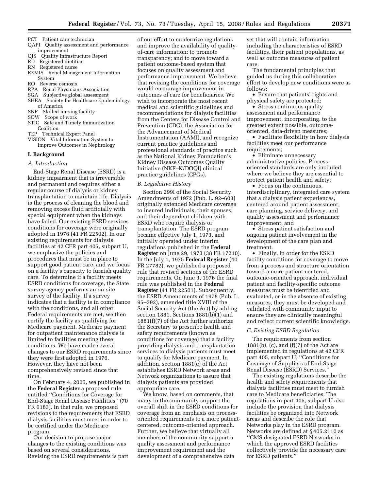- PCT Patient care technician
- QAPI Quality assessment and performance improvement
- QIS Quality Infrastructure Report
- RD Registered dietitian
- RN Registered nurse
- REMIS Renal Management Information System
- RO Reverse osmosis
- RPA Renal Physicians Association
- SGA Subjective global assessment
- SHEA Society for Healthcare Epidemiology of America
- SNF Skilled nursing facility
- SOW Scope of work
- STIC Safe and Timely Immunization Coalition
- TEP Technical Expert Panel
- VISION Vital Information System to Improve Outcomes in Nephrology

#### **I. Background**

#### *A. Introduction*

End-Stage Renal Disease (ESRD) is a kidney impairment that is irreversible and permanent and requires either a regular course of dialysis or kidney transplantation to maintain life. Dialysis is the process of cleaning the blood and removing excess fluid artificially with special equipment when the kidneys have failed. Our existing ESRD services conditions for coverage were originally adopted in 1976 (41 FR 22502). In our existing requirements for dialysis facilities at 42 CFR part 405, subpart U, we emphasize the policies and procedures that must be in place to support good patient care, and we focus on a facility's capacity to furnish quality care. To determine if a facility meets ESRD conditions for coverage, the State survey agency performs an on-site survey of the facility. If a survey indicates that a facility is in compliance with the conditions, and all other Federal requirements are met, we then certify the facility as qualifying for Medicare payment. Medicare payment for outpatient maintenance dialysis is limited to facilities meeting these conditions. We have made several changes to our ESRD requirements since they were first adopted in 1976. However, they have not been comprehensively revised since that time.

On February 4, 2005, we published in the **Federal Register** a proposed rule entitled ''Conditions for Coverage for End-Stage Renal Disease Facilities'' (70 FR 6183). In that rule, we proposed revisions to the requirements that ESRD dialysis facilities must meet in order to be certified under the Medicare program.

Our decision to propose major changes to the existing conditions was based on several considerations. Revising the ESRD requirements is part

of our effort to modernize regulations and improve the availability of qualityof-care information; to promote transparency; and to move toward a patient outcome-based system that focuses on quality assessment and performance improvement. We believe that revising the conditions for coverage would encourage improvement in outcomes of care for beneficiaries. We wish to incorporate the most recent medical and scientific guidelines and recommendations for dialysis facilities from the Centers for Disease Control and Prevention (CDC), the Association for the Advancement of Medical Instrumentation (AAMI), and recognize current practice guidelines and professional standards of practice such as the National Kidney Foundation's Kidney Disease Outcomes Quality Initiative (NKF–K/DOQI) clinical practice guidelines (CPGs).

#### *B. Legislative History*

Section 299I of the Social Security Amendments of 1972 (Pub. L. 92–603) originally extended Medicare coverage to insured individuals, their spouses, and their dependent children with ESRD who require dialysis or transplantation. The ESRD program became effective July 1, 1973, and initially operated under interim regulations published in the **Federal Register** on June 29, 1973 (38 FR 17210). In the July 1, 1975 **Federal Register** (40 FR 27782), we published a proposed rule that revised sections of the ESRD requirements. On June 3, 1976 the final rule was published in the **Federal Register** (41 FR 22501). Subsequently, the ESRD Amendments of 1978 (Pub. L. 95–292), amended title XVIII of the Social Security Act (the Act) by adding section 1881. Sections 1881(b)(1) and 1881(f)(7) of the Act further authorize the Secretary to prescribe health and safety requirements (known as conditions for coverage) that a facility providing dialysis and transplantation services to dialysis patients must meet to qualify for Medicare payment. In addition, section 1881(c) of the Act establishes ESRD Network areas and Network organizations to assure that dialysis patients are provided appropriate care.

We know, based on comments, that many in the community support the overall shift in the ESRD conditions for coverage from an emphasis on processoriented requirements to a more patientcentered, outcome-oriented approach. Further, we believe that virtually all members of the community support a quality assessment and performance improvement requirement and the development of a comprehensive data

set that will contain information including the characteristics of ESRD facilities, their patient populations, as well as outcome measures of patient care.

The fundamental principles that guided us during this collaborative effort to develop new conditions were as follows:

• Ensure that patients' rights and physical safety are protected;

• Stress continuous quality assessment and performance improvement, incorporating, to the greatest extent possible, outcomeoriented, data-driven measures;

• Facilitate flexibility in how dialysis facilities meet our performance requirements;

• Eliminate unnecessary administrative policies. Processoriented standards are only included where we believe they are essential to protect patient health and safety;

• Focus on the continuous, interdisciplinary, integrated care system that a dialysis patient experiences, centered around patient assessment, care planning, service delivery, and quality assessment and performance improvement; and

• Stress patient satisfaction and ongoing patient involvement in the development of the care plan and treatment.

• Finally, in order for the ESRD facility conditions for coverage to move from a process and structure orientation toward a more patient-centered, outcome-oriented approach, individual patient and facility-specific outcome measures must be identified and evaluated, or in the absence of existing measures, they must be developed and validated with community input to ensure they are clinically meaningful and reflect current scientific knowledge.

#### *C. Existing ESRD Regulation*

The requirements from section 1881(b), (c), and (f)(7) of the Act are implemented in regulations at 42 CFR part 405, subpart U, "Conditions for Coverage of Suppliers of End-Stage Renal Disease (ESRD) Services.''

The existing regulations describe the health and safety requirements that dialysis facilities must meet to furnish care to Medicare beneficiaries. The regulations in part 405, subpart U also include the provision that dialysis facilities be organized into Network areas and describe the role that Networks play in the ESRD program. Networks are defined at § 405.2110 as ''CMS designated ESRD Networks in which the approved ESRD facilities collectively provide the necessary care for ESRD patients.''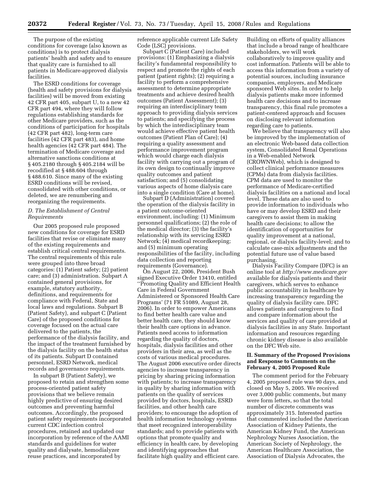The purpose of the existing conditions for coverage (also known as conditions) is to protect dialysis patients' health and safety and to ensure that quality care is furnished to all patients in Medicare-approved dialysis facilities.

The ESRD conditions for coverage (health and safety provisions for dialysis facilities) will be moved from existing 42 CFR part 405, subpart U, to a new 42 CFR part 494, where they will follow regulations establishing standards for other Medicare providers, such as the conditions of participation for hospitals (42 CFR part 482), long-term care facilities (42 CFR part 483), and home health agencies (42 CFR part 484). The termination of Medicare coverage and alternative sanctions conditions at § 405.2180 through § 405.2184 will be recodified at § 488.604 through § 488.610. Since many of the existing ESRD conditions will be revised, consolidated with other conditions, or deleted, we are renumbering and reorganizing the requirements.

# *D. The Establishment of Central Requirements*

Our 2005 proposed rule proposed new conditions for coverage for ESRD facilities that revise or eliminate many of the existing requirements and establish critical central requirements. The central requirements of this rule were grouped into three broad categories: (1) Patient safety; (2) patient care; and (3) administration. Subpart A contained general provisions, for example, statutory authority, definitions, and requirements for compliance with Federal, State and local laws and regulations. Subpart B (Patient Safety), and subpart C (Patient Care) of the proposed conditions for coverage focused on the actual care delivered to the patients, the performance of the dialysis facility, and the impact of the treatment furnished by the dialysis facility on the health status of its patients. Subpart D contained personnel, ESRD Network, medical records and governance requirements.

In subpart B (Patient Safety), we proposed to retain and strengthen some process-oriented patient safety provisions that we believe remain highly predictive of ensuring desired outcomes and preventing harmful outcomes. Accordingly, the proposed patient safety requirements incorporated current CDC infection control procedures, retained and updated our incorporation by reference of the AAMI standards and guidelines for water quality and dialysate, hemodialyzer reuse practices, and incorporated by

reference applicable current Life Safety Code (LSC) provisions.

Subpart C (Patient Care) included provisions: (1) Emphasizing a dialysis facility's fundamental responsibility to respect and promote the rights of each patient (patient rights); (2) requiring a facility to perform a comprehensive assessment to determine appropriate treatments and achieve desired health outcomes (Patient Assessment); (3) requiring an interdisciplinary team approach to providing dialysis services to patients; and specifying the process by which the interdisciplinary team would achieve effective patient health outcomes (Patient Plan of Care); (4) requiring a quality assessment and performance improvement program which would charge each dialysis facility with carrying out a program of its own design to continually improve quality outcomes and patient satisfaction; and (5) consolidating various aspects of home dialysis care into a single condition (Care at home).

Subpart D (Administration) covered the operation of the dialysis facility in a patient outcome-oriented environment, including: (1) Minimum personnel qualifications; (2) the role of the medical director; (3) the facility's relationship with its servicing ESRD Network; (4) medical recordkeeping; and (5) minimum operating responsibilities of the facility, including data collection and reporting requirements (Governance).

On August 22, 2006, President Bush signed Executive Order 13410, entitled ''Promoting Quality and Efficient Health Care in Federal Government Administered or Sponsored Health Care Programs' (71 FR 51089, August 28, 2006). In order to empower Americans to find better health care value and better health care, they should know their health care options in advance. Patients need access to information regarding the quality of doctors, hospitals, dialysis facilities and other providers in their area, as well as the costs of various medical procedures. The August 2006 executive order directs agencies to increase transparency in pricing by sharing pricing information with patients; to increase transparency in quality by sharing information with patients on the quality of services provided by doctors, hospitals, ESRD facilities, and other health care providers; to encourage the adoption of health information technology systems that meet recognized interoperability standards; and to provide patients with options that promote quality and efficiency in health care, by developing and identifying approaches that facilitate high quality and efficient care.

Building on efforts of quality alliances that include a broad range of healthcare stakeholders, we will work collaboratively to improve quality and cost information. Patients will be able to access this information from a variety of potential sources, including insurance companies, employers, and Medicare sponsored Web sites. In order to help dialysis patients make more informed health care decisions and to increase transparency, this final rule promotes a patient-centered approach and focuses on disclosing relevant information regarding care to patients.

We believe that transparency will also be improved by the implementation of an electronic Web-based data collection system, Consolidated Renal Operations in a Web-enabled Network (CROWNWeb), which is designed to collect clinical performance measures (CPMs) data from dialysis facilities. CPM data are used to monitor the performance of Medicare-certified dialysis facilities on a national and local level. These data are also used to provide information to individuals who have or may develop ESRD and their caregivers to assist them in making health care decisions; to allow the identification of opportunities for quality improvement at a national, regional, or dialysis facility-level; and to calculate case-mix adjustments and the potential future use of value based purchasing.

Dialysis Facility Compare (DFC) is an online tool at *<http://www.medicare.gov>* available for dialysis patients and their caregivers, which serves to enhance public accountability in healthcare by increasing transparency regarding the quality of dialysis facility care. DFC allows patients and caregivers to find and compare information about the services and quality of care provided at dialysis facilities in any State. Important information and resources regarding chronic kidney disease is also available on the DFC Web site.

# **II. Summary of the Proposed Provisions and Response to Comments on the February 4, 2005 Proposed Rule**

The comment period for the February 4, 2005 proposed rule was 90 days, and closed on May 5, 2005. We received over 3,000 public comments, but many were form letters, so that the total number of discrete comments was approximately 315. Interested parties that commented included the American Association of Kidney Patients, the American Kidney Fund, the American Nephrology Nurses Association, the American Society of Nephrology, the American Healthcare Association, the Association of Dialysis Advocates, the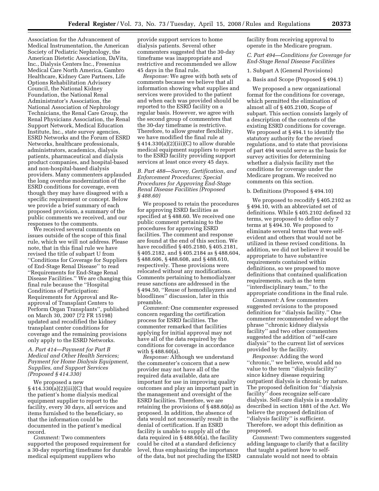Association for the Advancement of Medical Instrumentation, the American Society of Pediatric Nephrology, the American Dietetic Association, DaVita, Inc., Dialysis Centers Inc., Fresenius Medical Care North America, Gambro Healthcare, Kidney Care Partners, Life Options Rehabilitation Advisory Council, the National Kidney Foundation, the National Renal Administrator's Association, the National Association of Nephrology Technicians, the Renal Care Group, the Renal Physicians Association, the Renal Support Network, Medical Education Institute, Inc., state survey agencies, ESRD Networks and the Forum of ESRD Networks, healthcare professionals, administrators, academics, dialysis patients, pharmaceutical and dialysis product companies, and hospital-based and non-hospital-based dialysis providers. Many commenters applauded the long overdue modernization of the ESRD conditions for coverage, even though they may have disagreed with a specific requirement or concept. Below we provide a brief summary of each proposed provision, a summary of the public comments we received, and our responses to the comments.

We received several comments on issues outside of the scope of this final rule, which we will not address. Please note, that in this final rule we have revised the title of subpart U from ''Conditions for Coverage for Suppliers of End-Stage Renal Disease'' to read ''Requirements for End-Stage Renal Disease Facilities.'' We are changing this final rule because the ''Hospital Conditions of Participation: Requirements for Approval and Reapproval of Transplant Centers to Perform Organ Transplants'', published on March 30, 2007 (72 FR 15198) updated and recodified the kidney transplant center conditions for coverage and the remaining provisions only apply to the ESRD Networks.

# *A. Part 414—Payment for Part B Medical and Other Health Services; Payment for Home Dialysis Equipment, Supplies, and Support Services (Proposed § 414.330)*

We proposed a new § 414.330(a)(2)(iii)(C) that would require the patient's home dialysis medical equipment supplier to report to the facility, every 30 days, all services and items furnished to the beneficiary, so that the information could be documented in the patient's medical record.

*Comment:* Two commenters supported the proposed requirement for a 30-day reporting timeframe for durable medical equipment suppliers who

provide support services to home dialysis patients. Several other commenters suggested that the 30-day timeframe was inappropriate and restrictive and recommended we allow 45 days in the final rule.

*Response:* We agree with both sets of comments because we believe that all information showing what supplies and services were provided to the patient and when each was provided should be reported to the ESRD facility on a regular basis. However, we agree with the second group of commenters that the 30-day timeframe is restrictive. Therefore, to allow greater flexibility, we have modified the final rule at  $§ 414.330(a)(2)(iii)(C)$  to allow durable medical equipment suppliers to report to the ESRD facility providing support services at least once every 45 days.

# *B. Part 488—Survey, Certification, and Enforcement Procedures; Special Procedures for Approving End-Stage Renal Disease Facilities (Proposed § 488.60)*

We proposed to retain the procedures for approving ESRD facilities as specified at § 488.60. We received one public comment pertaining to the procedures for approving ESRD facilities. The comment and response are found at the end of this section. We have recodified § 405.2180, § 405.2181, § 405.2182, and § 405.2184 as § 488.604, § 488.606, § 488.608, and § 488.610, respectively. These provisions were relocated without any modifications. Comments pertaining to hemodialyzer reuse sanctions are addressed in the § 494.50, ''Reuse of hemodilayzers and bloodlines'' discussion, later in this preamble.

*Comment:* One commenter expressed concern regarding the certification process for ESRD facilities. The commenter remarked that facilities applying for initial approval may not have all of the data required by the conditions for coverage in accordance with § 488.60(a).

*Response:* Although we understand the commenter's concern that a new provider may not have all of the required data available, data are important for use in improving quality outcomes and play an important part in the management and oversight of the ESRD facilities. Therefore, we are retaining the provisions of § 488.60(a) as proposed. In addition, the absence of data would not necessarily result in the denial of certification. If an ESRD facility is unable to supply all of the data required in § 488.60(a), the facility could be cited at a standard deficiency level, thus emphasizing the importance of the data, but not precluding the ESRD

facility from receiving approval to operate in the Medicare program.

# *C. Part 494—Conditions for Coverage for End-Stage Renal Disease Facilities*

1. Subpart A (General Provisions)

a. Basis and Scope (Proposed § 494.1)

We proposed a new organizational format for the conditions for coverage, which permitted the elimination of almost all of § 405.2100, Scope of subpart. This section consists largely of a description of the contents of the existing ESRD conditions for coverage. We proposed at § 494.1 to identify the statutory authority for the revised regulations, and to state that provisions of part 494 would serve as the basis for survey activities for determining whether a dialysis facility met the conditions for coverage under the Medicare program. We received no comments on this section.

#### b. Definitions (Proposed § 494.10)

We proposed to recodify § 405.2102 as § 494.10, with an abbreviated set of definitions. While § 405.2102 defined 32 terms, we proposed to define only 7 terms at § 494.10. We proposed to eliminate several terms that were selfevident and others that would not be utilized in these revised conditions. In addition, we did not believe it would be appropriate to have substantive requirements contained within definitions, so we proposed to move definitions that contained qualification requirements, such as the term ''interdisciplinary team,'' to the appropriate conditions in the final rule.

*Comment:* A few commenters suggested revisions to the proposed definition for ''dialysis facility.'' One commenter recommended we adopt the phrase ''chronic kidney dialysis facility'' and two other commenters suggested the addition of ''self-care dialysis'' to the current list of services provided by the facility.

*Response:* Adding the word ''chronic,'' we believe, would add no value to the term ''dialysis facility'' since kidney disease requiring outpatient dialysis is chronic by nature. The proposed definition for ''dialysis facility'' does recognize self-care dialysis. Self-care dialysis is a modality described in section 1881 of the Act. We believe the proposed definition of ''dialysis facility'' is sufficient. Therefore, we adopt this definition as proposed.

*Comment:* Two commenters suggested adding language to clarify that a facility that taught a patient how to selfcannulate would not need to obtain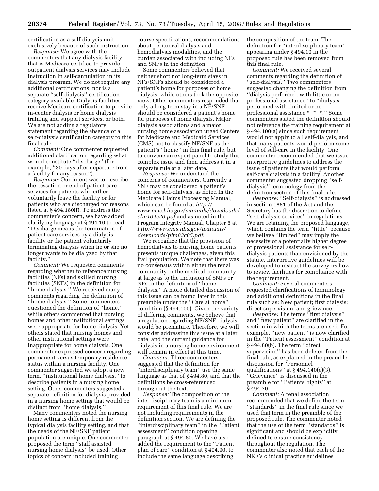certification as a self-dialysis unit exclusively because of such instruction.

*Response:* We agree with the commenters that any dialysis facility that is Medicare-certified to provide outpatient dialysis services may include instruction in self-cannulation in its dialysis program. We do not require any additional certifications, nor is a separate ''self-dialysis'' certification category available. Dialysis facilities receive Medicare certification to provide in-center dialysis or home dialysis training and support services, or both. We are not adding a regulatory statement regarding the absence of a self-dialysis certification category to this final rule.

*Comment:* One commenter requested additional clarification regarding what would constitute ''discharge'' (for example, ''30 days after departure from a facility for any reason'').

*Response:* Our intent was to describe the cessation or end of patient care services for patients who either voluntarily leave the facility or for patients who are discharged for reasons listed at § 494.180(f). To address the commenter's concern, we have added clarifying language at § 494.10 to read, ''Discharge means the termination of patient care services by a dialysis facility or the patient voluntarily terminating dialysis when he or she no longer wants to be dialyzed by that facility.''

*Comment:* We requested comments regarding whether to reference nursing facilities (NFs) and skilled nursing facilities (SNFs) in the definition for ''home dialysis.'' We received many comments regarding the definition of ''home dialysis.'' Some commenters questioned the definition of ''home,'' while others commented that nursing homes and other institutional settings were appropriate for home dialysis. Yet others stated that nursing homes and other institutional settings were inappropriate for home dialysis. One commenter expressed concern regarding permanent versus temporary residence status within a nursing facility. One commenter suggested we adopt a new term, ''institutional home dialysis,'' to describe patients in a nursing home setting. Other commenters suggested a separate definition for dialysis provided in a nursing home setting that would be distinct from ''home dialysis.''

Many commenters noted the nursing home setting is different from the typical dialysis facility setting, and that the needs of the NF/SNF patient population are unique. One commenter proposed the term ''staff assisted nursing home dialysis'' be used. Other topics of concern included training

course specifications, recommendations about peritoneal dialysis and hemodialysis modalities, and the burden associated with including NFs and SNFs in the definition.

Some commenters believed that neither short nor long-term stays in NFs/SNFs should be considered a patient's home for purposes of home dialysis, while others took the opposite view. Other commenters responded that only a long-term stay in a NF/SNF should be considered a patient's home for purposes of home dialysis. Major dialysis associations and a major nursing home association urged Centers for Medicare and Medicaid Services (CMS) not to classify NF/SNF as the patient's ''home'' in this final rule, but to convene an expert panel to study this complex issue and then address it in a separate rule at a later date.

*Response:* We understand the concerns of commenters. Currently a SNF may be considered a patient's home for self-dialysis, as noted in the Medicare Claims Processing Manual, which can be found at *http:// [www.cms.hhs.gov/manuals/downloads/](http://www.cms.hhs.gov/manuals/downloads/clm104c20.pdf)  clm104c20.pdf* and as noted in the Program Integrity Manual, Chapter 5 at *[http://www.cms.hhs.gov/manuals/](http://www.cms.hhs.gov/manuals/downloads/pim83c05.pdf)  downloads/pim83c05.pdf*.

We recognize that the provision of hemodialysis to nursing home patients presents unique challenges, given this frail population. We note that there was no consensus within either the renal community or the medical community at large as to the inclusion of SNFs or NFs in the definition of ''home dialysis.'' A more detailed discussion of this issue can be found later in this preamble under the ''Care at home'' condition (§ 494.100). Given the variety of differing comments, we believe that a regulation regarding NF/SNF dialysis would be premature. Therefore, we will consider addressing this issue at a later date, and the current guidance for dialysis in a nursing home environment will remain in effect at this time.

*Comment:* Three commenters suggested that the definition for ''interdisciplinary team'' use the same language as that of § 494.80, and that the definitions be cross-referenced throughout the text.

*Response:* The composition of the interdisciplinary team is a minimum requirement of this final rule. We are not including requirements in the definition section. We are defining the ''interdisciplinary team'' in the ''Patient assessment'' condition opening paragraph at § 494.80. We have also added the requirement to the ''Patient plan of care'' condition at § 494.90, to include the same language describing

the composition of the team. The definition for ''interdisciplinary team'' appearing under § 494.10 in the proposed rule has been removed from this final rule.

*Comment:* We received several comments regarding the definition of ''self-dialysis.'' Two commenters suggested changing the definition from ''dialysis performed with little or no professional assistance'' to ''dialysis performed with limited or no professional assistance \* \* \*.'' Some commenters stated the definition should not reference the training requirement at § 494.100(a) since such requirement would not apply to all self-dialysis, and that many patients would perform some level of self-care in the facility. One commenter recommended that we issue interpretive guidelines to address the issue of patients that would perform self-care dialysis in a facility. Another commenter suggested dropping ''selfdialysis'' terminology from the definition section of this final rule.

*Response:* ''Self-dialysis'' is addressed in section 1881 of the Act and the Secretary has the discretion to define ''self-dialysis services'' in regulations. We are retaining the proposed language, which contains the term ''little'' because we believe ''limited'' may imply the necessity of a potentially higher degree of professional assistance for selfdialysis patients than envisioned by the statute. Interpretive guidelines will be developed to instruct the surveyors how to review facilities for compliance with the requirement.

*Comment:* Several commenters requested clarifications of terminology and additional definitions in the final rule such as: New patient; first dialysis; direct supervision; and grievance.

*Response:* The terms "first dialysis" and ''new patient'' are clarified in the section in which the terms are used. For example, ''new patient'' is now clarified in the ''Patient assessment'' condition at § 494.80(b). The term ''direct supervision'' has been deleted from the final rule, as explained in the preamble discussion for ''Personnel qualifications" at  $\S 494.140(e)(3)$ . ''Grievance'' is discussed in the preamble for ''Patients' rights'' at § 494.70.

*Comment:* A renal association recommended that we define the term ''standards'' in the final rule since we used that term in the preamble of the proposed rule. The commenter noted that the use of the term ''standards'' is significant and should be explicitly defined to ensure consistency throughout the regulation. The commenter also noted that each of the NKF's clinical practice guidelines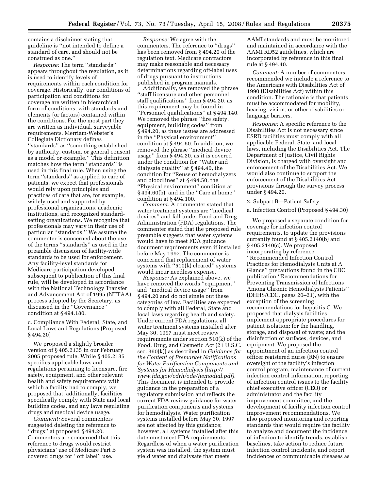contains a disclaimer stating that guideline is ''not intended to define a standard of care, and should not be construed as one.''

*Response:* The term ''standards'' appears throughout the regulation, as it is used to identify levels of requirements within each condition for coverage. Historically, our conditions of participation and conditions for coverage are written in hierarchical form of conditions, with standards and elements (or factors) contained within the conditions. For the most part they are written as individual, surveyable requirements. Merriam-Webster's Collegiate Dictionary defines ''standards'' as ''something established by authority, custom, or general consent as a model or example.'' This definition matches how the term ''standards'' is used in this final rule. When using the term ''standards'' as applied to care of patients, we expect that professionals would rely upon principles and practices of care that are, for example, widely used and supported by professional organizations, academic institutions, and recognized standardsetting organizations. We recognize that professionals may vary in their use of particular ''standards.'' We assume the commenter is concerned about the use of the terms ''standards'' as used in the preamble discussion of facility-wide standards to be used for enforcement. Any facility-level standards for Medicare participation developed subsequent to publication of this final rule, will be developed in accordance with the National Technology Transfer and Advancement Act of 1995 (NTTAA) process adopted by the Secretary, as discussed in the ''Governance'' condition at § 494.180.

c. Compliance With Federal, State, and Local Laws and Regulations (Proposed § 494.20)

We proposed a slightly broader version of § 405.2135 in our February 2005 proposed rule. While § 405.2135 specifies applicable laws and regulations pertaining to licensure, fire safety, equipment, and other relevant health and safety requirements with which a facility had to comply, we proposed that, additionally, facilities specifically comply with State and local building codes, and any laws regulating drugs and medical device usage.

*Comment:* Several commenters suggested deleting the reference to ''drugs'' at proposed § 494.20. Commenters are concerned that this reference to drugs would restrict physicians' use of Medicare Part B covered drugs for ''off label'' use.

*Response:* We agree with the commenters. The reference to ''drugs'' has been removed from § 494.20 of the regulation text. Medicare contractors may make reasonable and necessary determinations regarding off-label uses of drugs pursuant to instructions published in program manuals.

Additionally, we removed the phrase ''staff licensure and other personnel staff qualifications" from  $\frac{2}{5}$ 494.20, as this requirement may be found in ''Personnel qualifications'' at § 494.140. We removed the phrase "fire safety, equipment, building codes'' from § 494.20, as these issues are addressed in the ''Physical environment'' condition at § 494.60. In addition, we removed the phrase ''medical device usage'' from § 494.20, as it is covered under the condition for ''Water and dialysate quality'' at § 494.40, the condition for ''Reuse of hemodialyzers and bloodlines'' at § 494.50, the ''Physical environment'' condition at § 494.60(b), and in the ''Care at home'' condition at § 494.100.

*Comment:* A commenter stated that water treatment systems are ''medical devices'' and fall under Food and Drug Administration (FDA) regulations. The commenter stated that the proposed rule preamble suggests that water systems would have to meet FDA guidance document requirements even if installed before May 1997. The commenter is concerned that replacement of water systems with ''510(k) cleared'' systems would incur needless expense.

*Response:* As explained above, we have removed the words ''equipment'' and ''medical device usage'' from § 494.20 and do not single out these categories of law. Facilities are expected to comply with all Federal, State and local laws regarding health and safety. Under current FDA regulations, all water treatment systems installed after May 30, 1997 must meet review requirements under section 510(k) of the Food, Drug, and Cosmetic Act (21 U.S.C. sec. 360(k)) as described in *Guidance for the Content of Premarket Notifications for Water Purification Components and Systems for Hemodialysis (http:// [www.fda.gov/cdrh/ode/hemodial.pdf\).](http://www.fda.gov/cdrh/ode/hemodial.pdf)*  This document is intended to provide guidance in the preparation of a regulatory submission and reflects the current FDA review guidance for water purification components and systems for hemodialysis. Water purification systems installed before May 30, 1997 are not affected by this guidance; however, all systems installed after this date must meet FDA requirements. Regardless of when a water purification system was installed, the system must yield water and dialysate that meets

AAMI standards and must be monitored and maintained in accordance with the AAMI RD52 guidelines, which are incorporated by reference in this final rule at § 494.40.

*Comment:* A number of commenters recommended we include a reference to the Americans with Disabilities Act of 1990 (Disabilities Act) within this condition. The rationale is that patients must be accommodated for mobility, hearing, vision, or other disabilities or language barriers.

*Response:* A specific reference to the Disabilities Act is not necessary since ESRD facilities must comply with all applicable Federal, State, and local laws, including the Disabilities Act. The Department of Justice, Civil Rights Division, is charged with oversight and enforcement of the Disabilities Act. We would also continue to support the enforcement of the Disabilities Act provisions through the survey process under § 494.20.

2. Subpart B—Patient Safety

a. Infection Control (Proposed § 494.30)

We proposed a separate condition for coverage for infection control requirements, to update the provisions currently found at § 405.2140(b) and § 405.2140(c). We proposed incorporating by reference ''Recommended Infection Control Practices for Hemodialysis Units at A Glance'' precautions found in the CDC publication ''Recommendations for Preventing Transmission of Infections Among Chronic Hemodialysis Patients'' (DHHS/CDC, pages 20–21), with the exception of the screening recommendations for hepatitis C. We proposed that dialysis facilities implement appropriate procedures for patient isolation; for the handling, storage, and disposal of waste; and the disinfection of surfaces, devices, and equipment. We proposed the appointment of an infection control officer registered nurse (RN) to ensure oversight of the facility's infection control program, maintenance of current infection control information, reporting of infection control issues to the facility chief executive officer (CEO) or administrator and the facility improvement committee, and the development of facility infection control improvement recommendations. We also proposed monitoring and reporting standards that would require the facility to analyze and document the incidence of infection to identify trends, establish baselines, take action to reduce future infection control incidents, and report incidences of communicable diseases as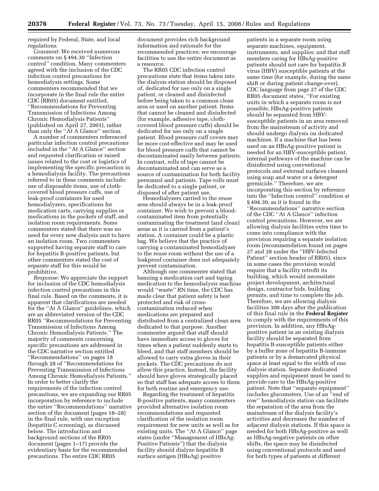required by Federal, State, and local regulations.

*Comment:* We received numerous comments on § 494.30 ''Infection control'' condition. Many commenters agreed with the inclusion of the CDC infection control precautions for hemodialysis settings. Some commenters recommended that we incorporate in the final rule the entire CDC (RR05) document entitled, ''Recommendations for Preventing Transmission of Infections Among Chronic Hemodialysis Patients'' (published on April 27, 2001), rather than only the ''At A Glance'' section.

A number of commenters referenced particular infection control precautions included in the ''At A Glance'' section and requested clarification or raised issues related to the cost or logistics of implementing the specific precaution in a hemodialysis facility. The precautions referred to in these comments include: use of disposable items, use of clothcovered blood pressure cuffs, use of leak-proof containers for used hemodialyzers, specifications for medication carts, carrying supplies or medications in the pockets of staff, and isolation room requirements. Some commenters stated that there was no need for every new dialysis unit to have an isolation room. Two commenters supported having separate staff to care for hepatitis B-positive patients, but other commenters stated the cost of separate staff for this would be prohibitive.

*Response:* We appreciate the support for inclusion of the CDC hemodialysis infection control precautions in this final rule. Based on the comments, it is apparent that clarifications are needed for the ''At A Glance'' guidelines, which are an abbreviated version of the CDC RR05 ''Recommendations for Preventing Transmission of Infections Among Chronic Hemodialysis Patients.'' The majority of comments concerning specific precautions are addressed in the CDC narrative section entitled ''Recommendations'' on pages 18 through 28 of ''Recommendations for Preventing Transmission of Infections Among Chronic Hemodialysis Patients.'' In order to better clarify the requirements of the infection control precautions, we are expanding our RR05 incorporation by reference to include the entire ''Recommendations'' narrative section of the document (pages 18–28) in the final rule, with one exception (hepatitis C screening), as discussed below. The introduction and background sections of the RR05 document (pages 1–17) provide the evidentiary basis for the recommended precautions. The entire CDC RR05

document provides rich background information and rationale for the recommended practices; we encourage facilities to use the entire document as a resource.

The RR05 CDC infection control precautions state that items taken into the dialysis station should be disposed of, dedicated for use only on a single patient, or cleaned and disinfected before being taken to a common clean area or used on another patient. Items that cannot be cleaned and disinfected (for example, adhesive tape, clothcovered blood pressure cuffs) should be dedicated for use only on a single patient. Blood pressure cuff covers may be more cost-effective and may be used for blood pressure cuffs that cannot be decontaminated easily between patients. In contrast, rolls of tape cannot be decontaminated and can serve as a source of contamination for both facility personnel and patients. Tape rolls must be dedicated to a single patient, or disposed of after patient use.

Hemodialyzers carried to the reuse area should always be in a leak-proof container. We wish to prevent a bloodcontaminated item from potentially contaminating the treatment (and clean) areas as it is carried from a patient's station. A container could be a plastic bag. We believe that the practice of carrying a contaminated hemodialyzer to the reuse room without the use of a leakproof container does not adequately prevent contamination.

Although one commenter stated that banning a medication cart and taping medication to the hemodialysis machine would ''waste'' RN time, the CDC has made clear that patient safety is best protected and risk of crosscontamination reduced when medications are prepared and distributed from a centralized clean area dedicated to that purpose. Another commenter argued that staff should have immediate access to gloves for times when a patient suddenly starts to bleed, and that staff members should be allowed to carry extra gloves in their pockets. The CDC precautions do not allow this practice. Instead, the facility should have gloves strategically placed so that staff has adequate access to them for both routine and emergency use.

Regarding the treatment of hepatitis B-positive patients, many commenters provided alternative isolation room recommendations and requested clarification of the isolation room requirement for new units as well as for existing units. The ''At A Glance'' page states (under ''Management of HBsAg-Positive Patients'') that the dialysis facility should dialyze hepatitis B surface antigen (HBsAg) positive

patients in a separate room using separate machines, equipment, instruments, and supplies; and that staff members caring for HBsAg-positive patients should not care for hepatitis B virus (HBV) susceptible patients at the same time (for example, during the same shift or during patient change-over). CDC language from page 27 of the CDC RR05 document states, ''For existing units in which a separate room is not possible, HBsAg-positive patients should be separated from HBVsusceptible patients in an area removed from the mainstream of activity and should undergo dialysis on dedicated machines. If a machine that has been used on an HBsAg-positive patient is needed for an HBV-susceptible patient, internal pathways of the machine can be disinfected using conventional protocols and external surfaces cleaned using soap and water or a detergent germicide.'' Therefore, we are incorporating this section by reference into the ''Infection control'' condition at § 494.30, as it is found in the ''Recommendations'' narrative section of the CDC ''At A Glance'' infection control precautions. However, we are allowing dialysis facilities extra time to come into compliance with the provision requiring a separate isolation room (recommendation found on pages 27 and 28 under the ''HBV-Infected Patient'' section header of RR05), since in some cases the provision would require that a facility retrofit its building, which would necessitate project development, architectural design, contractor bids, building permits, and time to complete the job. Therefore, we are allowing dialysis facilities 300 days after the publication of this final rule in the **Federal Register**  to comply with the requirements of this provision. In addition, any HBsAgpositive patient in an existing dialysis facility should be separated from hepatitis B-susceptible patients either by a buffer zone of hepatitis B-immune patients or by a demarcated physical space at least equal to the width of one dialysis station. Separate dedicated supplies and equipment must be used to provide care to the HBsAg-positive patient. Note that ''separate equipment'' includes glucometers. Use of an ''end of row'' hemodialysis station can facilitate the separation of the area from the mainstream of the dialysis facility's activities and decreases the number of adjacent dialysis stations. If this space is needed for both HBsAg-positive as well as HBsAg-negative patients on other shifts, the space may be disinfected using conventional protocols and used for both types of patients at different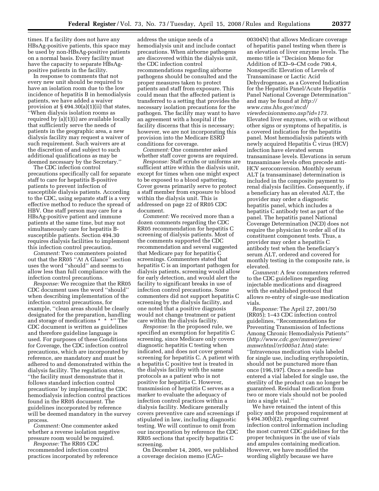times. If a facility does not have any HBsAg-positive patients, this space may be used by non-HBsAg-positive patients on a normal basis. Every facility must have the capacity to separate HBsAgpositive patients in the facility.

In response to comments that not every new unit should be required to have an isolation room due to the low incidence of hepatitis B in hemodialysis patients, we have added a waiver provision at § 494.30(a)(1)(ii) that states,

''When dialysis isolation rooms as required by (a)(1)(i) are available locally that sufficiently serve the needs of patients in the geographic area, a new dialysis facility may request a waiver of such requirement. Such waivers are at the discretion of and subject to such additional qualifications as may be deemed necessary by the Secretary.''

The CDC infection control precautions specifically call for separate staff to care for hepatitis B-positive patients to prevent infection of susceptible dialysis patients. According to the CDC, using separate staff is a very effective method to reduce the spread of HBV. One staff person may care for a HBsAg-positive patient and immune patients at the same time, but may not simultaneously care for hepatitis Bsusceptible patients. Section 494.30 requires dialysis facilities to implement this infection control precaution.

*Comment:* Two commenters pointed out that the RR05 ''At A Glance'' section uses the word ''should'' and seems to allow less than full compliance with the infection control precautions.

*Response:* We recognize that the RR05 CDC document uses the word ''should'' when describing implementation of the infection control precautions, for example, ''clean areas should be clearly designated for the preparation, handling and storage of medications \* \* \*'' The CDC document is written as guidelines and therefore guideline language is used. For purposes of these Conditions for Coverage, the CDC infection control precautions, which are incorporated by reference, are mandatory and must be adhered to and demonstrated within the dialysis facility. The regulation states, ''the facility must demonstrate that it follows standard infection control precautions' by implementing the CDC hemodialysis infection control practices found in the RR05 document. The guidelines incorporated by reference will be deemed mandatory in the survey process.

*Comment:* One commenter asked whether a reverse isolation negative pressure room would be required.

*Response:* The RR05 CDC recommended infection control practices incorporated by reference

address the unique needs of a hemodialysis unit and include contact precautions. When airborne pathogens are discovered within the dialysis unit, the CDC infection control recommendations regarding airborne pathogens should be consulted and the proper measures taken to protect patients and staff from exposure. This could mean that the affected patient is transferred to a setting that provides the necessary isolation precautions for the pathogen. The facility may want to have an agreement with a hospital if the facility discerns that this is necessary; however, we are not incorporating this provision into the Medicare ESRD conditions for coverage.

*Comment:* One commenter asked whether staff cover gowns are required.

*Response:* Staff scrubs or uniforms are sufficient attire within the dialysis unit, except for times when one might expect to be exposed to a blood spattering. Cover gowns primarily serve to protect a staff member from exposure to blood within the dialysis unit. This is addressed on page 22 of RR05 CDC document.

*Comment:* We received more than a dozen comments regarding the CDC RR05 recommendation for hepatitis C screening of dialysis patients. Most of the comments supported the CDC recommendation and several suggested that Medicare pay for hepatitis C screenings. Commenters stated that hepatitis C is an important pathogen for dialysis patients, screening would allow for early detection, and would alert the facility to significant breaks in use of infection control precautions. Some commenters did not support hepatitis C screening by the dialysis facility, and one noted that a positive diagnosis would not change treatment or patient care within the dialysis facility.

*Response:* In the proposed rule, we specified an exemption for hepatitis C screening, since Medicare only covers diagnostic hepatitis C testing when indicated, and does not cover general screening for hepatitis C. A patient with a hepatitis C positive test is treated in the dialysis facility with the same protocols as a patient who is not positive for hepatitis C. However, transmission of hepatitis C serves as a marker to evaluate the adequacy of infection control practices within a dialysis facility. Medicare generally covers preventive care and screenings if stipulated in law, including diagnostic testing. We will continue to omit from our incorporation by reference the CDC RR05 sections that specify hepatitis C screening.

On December 14, 2005, we published a coverage decision memo (CAG–

00304N) that allows Medicare coverage of hepatitis panel testing when there is an elevation of liver enzyme levels. The memo title is ''Decision Memo for Addition of ICD–9–CM code 790.4, Nonspecific Elevation of Levels of Transaminase or Lactic Acid Dehydrogenase, as a Covered Indication for the Hepatitis Panel/Acute Hepatitis Panel National Coverage Determination'' and may be found at *http:// www.cms.hhs.gov/mcd/ [viewdecisionmemo.asp?id=173.](http://www.cms.hhs.gov/mcd/viewdecisionmemo.asp?id=173)*  Elevated liver enzymes, with or without other signs or symptoms of hepatitis, is a covered indication for the hepatitis panel. Most hemodialysis patients with newly acquired Hepatitis C virus (HCV) infection have elevated serum transaminase levels. Elevations in serum transaminase levels often precede anti-HCV seroconversion. Monthly serum ALT (a transaminase) determination is included in the composite payment to renal dialysis facilities. Consequently, if a beneficiary has an elevated ALT, the provider may order a diagnostic hepatitis panel, which includes a hepatitis C antibody test as part of the panel. The hepatitis panel National Coverage Determination (NCD) does not require the physician to order all of its constituent component tests. Thus, a provider may order a hepatitis C antibody test when the beneficiary's serum ALT, ordered and covered for monthly testing in the composite rate, is elevated.

*Comment:* A few commenters referred to the CDC guidelines regarding injectable medications and disagreed with the established protocol that allows re-entry of single-use medication vials.

*Response:* The April 27, 2001/50 (RR05); 1–43 CDC infection control guidelines, ''Recommendations for Preventing Transmission of Infections Among Chronic Hemodialysis Patients'' (*[http://www.cdc.gov/mmwr/preview/](http://www.cdc.gov/mmwr/preview/mmwrhtml/rr5005a1.htm)  mmwrhtml/rr5005a1.htm*) state: ''Intravenous medication vials labeled for single use, including erythropoietin, should not be punctured more than once (196,197). Once a needle has entered a vial labeled for single use, the sterility of the product can no longer be guaranteed. Residual medication from two or more vials should not be pooled into a single vial.''

We have retained the intent of this policy and the proposed requirement at § 494.30(b)(2), regarding current infection control information including the most current CDC guidelines for the proper techniques in the use of vials and ampules containing medication. However, we have modified the wording slightly because we have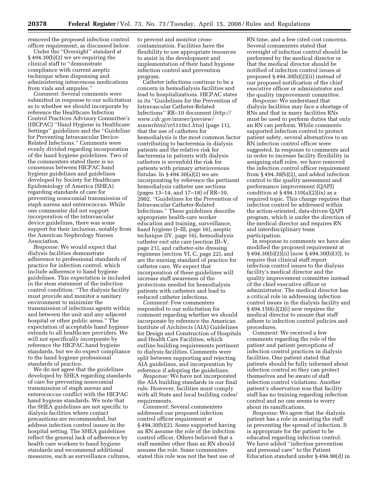removed the proposed infection control officer requirement, as discussed below.

Under the ''Oversight'' standard at § 494.30(b)(2) we are requiring the clinical staff to ''demonstrate compliance with current aseptic technique when dispensing and administering intravenous medications from vials and ampules.''

*Comment:* Several comments were submitted in response to our solicitation as to whether we should incorporate by reference the Healthcare Infection Control Practices Advisory Committee's (HICPAC) ''Hand Hygiene in Healthcare Settings'' guidelines and the ''Guideline for Preventing Intravascular Device-Related Infections.'' Comments were evenly divided regarding incorporation of the hand hygiene guidelines. Two of the commenters stated there is no consensus between HICPAC hand hygiene guidelines and guidelines developed by Society for Healthcare Epidemiology of America (SHEA) regarding standards of care for preventing nosocomial transmission of staph aureus and enterococcus. While one commenter did not support incorporation of the intravascular device guidelines, there was some support for their inclusion, notably from the American Nephrology Nurses Association.

*Response:* We would expect that dialysis facilities demonstrate adherence to professional standards of practice for infection control, which include adherence to hand hygiene guidelines. This expectation is included in the stem statement of the infection control condition: ''The dialysis facility must provide and monitor a sanitary environment to minimize the transmission of infectious agents within and between the unit and any adjacent hospital or other public areas.'' The expectation of acceptable hand hygiene extends to all healthcare providers. We will not specifically incorporate by reference the HICPAC hand hygiene standards, but we do expect compliance to the hand hygiene professional standards of practice.

We do not agree that the guidelines developed by SHEA regarding standards of care for preventing nosocomial transmission of staph aureus and enterococcus conflict with the HICPAC hand hygiene standards. We note that the SHEA guidelines are not specific to dialysis facilities where contact precautions are recommended, but address infection control issues in the hospital setting. The SHEA guidelines reflect the general lack of adherence by health care workers to hand hygiene standards and recommend additional measures, such as surveillance cultures,

to prevent and monitor crosscontamination. Facilities have the flexibility to use appropriate resources to assist in the development and implementation of their hand hygiene infection control and prevention program.

Catheter infections continue to be a concern in hemodialysis facilities and lead to hospitalizations. HICPAC states in its ''Guidelines for the Prevention of Intravascular Catheter-Related Infections'' RR–10 document (*http:// [www.cdc.gov/mmwr/preview/](http://www.cdc.gov/mmwr/preview/mmwrhtml/rr5110a1.htm)  mmwrhtml/rr5110a1.htm*) (page 11), that the use of catheters for hemodialysis is the most common factor contributing to bacteremia in dialysis patients and the relative risk for bacteremia in patients with dialysis catheters is sevenfold the risk for patients with primary arteriovenous fistulas. In § 494.30(a)(2) we are incorporating by reference the pertinent hemodialysis catheter use sections (pages 13–14, and 17–18) of RR–10, 2002, ''Guidelines for the Prevention of Intravascular Catheter-Related Infections.'' These guidelines describe appropriate health-care worker education and training, surveillance, hand hygiene (I–III, page 16), aseptic technique (IV, page 16), hemodialysis catheter exit site care (section III–V, page 21), and catheter-site dressing regimens (section VI, C, page 22), and are the nursing standard of practice for catheter care. We expect that incorporation of these guidelines will increase staff awareness of the protections needed for hemodialysis patients with catheters and lead to reduced catheter infections.

*Comment:* Few commenters responded to our solicitation for comment regarding whether we should incorporate by reference the American Institute of Architects (AIA) Guidelines for Design and Construction of Hospitals and Health Care Facilities, which outline building requirements pertinent to dialysis facilities. Comments were split between supporting and rejecting AIA guidelines, and incorporation by reference if adopting the guidelines.

*Response:* We have not incorporated the AIA building standards in our final rule. However, facilities must comply with all State and local building codes/ requirements.

*Comment:* Several commenters addressed our proposed infection control officer requirement at § 494.30(b)(2). Some supported having an RN assume the role of the infection control officer. Others believed that a staff member other than an RN should assume the role. Some commenters stated this role was not the best use of

RN time, and a few cited cost concerns. Several commenters stated that oversight of infection control should be performed by the medical director or that the medical director should be notified of infection control issues at proposed § 494.30(b)(2)(ii) instead of our proposed notification of the chief executive officer or administrator and the quality improvement committee.

*Response:* We understand that dialysis facilities may face a shortage of RNs and that in many facilities RNs must be used to perform duties that only an RN can perform. While comments supported infection control to protect patient safety, several alternatives to an RN infection control officer were suggested. In response to comments and in order to increase facility flexibility in assigning staff roles, we have removed the infection control officer requirement from § 494.30(b)(2), and added infection control to the quality assessment and performance improvement (QAPI) condition at  $\S 494.110(a)(2)(ix)$  as a required topic. This change requires that infection control be addressed within the action-oriented, data-driven QAPI program, which is under the direction of the medical director and requires RN and interdisciplinary team participation.

In response to comments we have also modified the proposed requirement at  $\S$  494.30(b)(2)(ii) (now  $\S$  494.30(b)(3)), to require that clinical staff report infection control issues to the dialysis facility's medical director and the quality improvement committee instead of the chief executive officer or administrator. The medical director has a critical role in addressing infection control issues in the dialysis facility and  $§ 494.150(c)(2)(i)$  now requires the medical director to ensure that staff adhere to infection control policies and procedures.

*Comment:* We received a few comments regarding the role of the patient and patient perceptions of infection control practices in dialysis facilities. One patient stated that patients should be fully informed about infection control so they can protect themselves and be aware of staff infection control violations. Another patient's observation was that facility staff has no training regarding infection control and no one seems to worry about its ramifications.

*Response:* We agree that the dialysis patient has a role in assisting the staff in preventing the spread of infection. It is appropriate for the patient to be educated regarding infection control. We have added "infection prevention and personal care'' to the Patient Education standard under § 494.90(d) in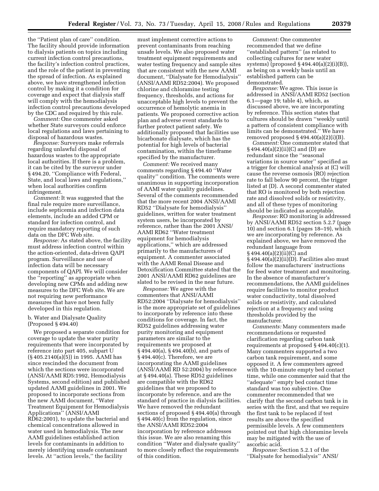the ''Patient plan of care'' condition. The facility should provide information to dialysis patients on topics including current infection control precautions, the facility's infection control practices, and the role of the patient in preventing the spread of infection. As explained above, we have strengthened infection control by making it a condition for coverage and expect that dialysis staff will comply with the hemodialysis infection control precautions developed by the CDC and required by this rule.

*Comment:* One commenter asked whether State surveyors could enforce local regulations and laws pertaining to disposal of hazardous wastes.

*Response:* Surveyors make referrals regarding unlawful disposal of hazardous wastes to the appropriate local authorities. If there is a problem, it can be cited by the surveyor under §494.20, "Compliance with Federal, State, and local laws and regulations,'' when local authorities confirm infringement.

*Comment:* It was suggested that the final rule require more surveillance, include septicemia and infection data elements, include an added CPM or standard for infection control, and require mandatory reporting of such data on the DFC Web site.

*Response:* As stated above, the facility must address infection control within the action-oriented, data-driven QAPI program. Surveillance and use of infection data will be necessary components of QAPI. We will consider the ''reporting'' as appropriate when developing new CPMs and adding new measures to the DFC Web site. We are not requiring new performance measures that have not been fully developed in this regulation.

## b. Water and Dialysate Quality (Proposed § 494.40)

We proposed a separate condition for coverage to update the water purity requirements that were incorporated by reference into part 405, subpart U (§ 405.2140(a)(5)) in 1995. AAMI has since rescinded the document from which the sections were incorporated (ANSI/AAMI RD5:1992, Hemodialysis Systems, second edition) and published updated AAMI guidelines in 2001. We proposed to incorporate sections from the new AAMI document, ''Water Treatment Equipment for Hemodialysis Applications'' (ANSI/AAMI RD62:2001), to update the bacterial and chemical concentrations allowed in water used in hemodialysis. The new AAMI guidelines established action levels for contaminants in addition to merely identifying unsafe contaminant levels. At ''action levels,'' the facility

must implement corrective actions to prevent contaminants from reaching unsafe levels. We also proposed water treatment equipment requirements and water testing frequency and sample sites that are consistent with the new AAMI document, ''Dialysate for Hemodialysis'' (ANSI/AAMI RD52:2004). We proposed chlorine and chloramine testing frequency, thresholds, and actions for unacceptable high levels to prevent the occurrence of hemolytic anemia in patients. We proposed corrective action plan and adverse event standards to further protect patient safety. We additionally proposed that facilities use bicarbonate dialysate, which has the potential for high levels of bacterial contamination, within the timeframe specified by the manufacturer.

*Comment:* We received many comments regarding § 494.40 ''Water quality'' condition. The comments were unanimous in supporting incorporation of AAMI water quality guidelines. Several of the comments recommended that the more recent 2004 ANSI/AAMI RD52 ''Dialysate for hemodialysis'' guidelines, written for water treatment system users, be incorporated by reference, rather than the 2001 ANSI/ AAMI RD62 ''Water treatment equipment for hemodialysis applications,'' which are addressed primarily to the manufacturers of equipment. A commenter associated with the AAMI Renal Disease and Detoxification Committee stated that the 2001 ANSI/AAMI RD62 guidelines are slated to be revised in the near future.

*Response:* We agree with the commenters that ANSI/AAMI RD52:2004 ''Dialysate for hemodialysis'' is the more appropriate set of guidelines to incorporate by reference into these conditions for coverage. In fact, the RD52 guidelines addressing water purity monitoring and equipment parameters are similar to the requirements we proposed at § 494.40(a), § 494.40(b), and parts of § 494.40(c). Therefore, we are incorporating the AAMI guidelines (ANSI/AAMI RD 52:2004) by reference at § 494.40(a). These RD52 guidelines are compatible with the RD62 guidelines that we proposed to incorporate by reference, and are the standard of practice in dialysis facilities. We have removed the redundant sections of proposed § 494.40(a) through § 494.40(c) from the regulation, since the ANSI/AAMI RD52:2004 incorporation by reference addresses this issue. We are also renaming this condition ''Water and dialysate quality'' to more closely reflect the requirements of this condition.

*Comment:* One commenter recommended that we define ''established pattern'' (as related to collecting cultures for new water systems) (proposed § 494.40(a)(2)(i)(B)), as being on a weekly basis until an established pattern can be demonstrated.

*Response:* We agree. This issue is addressed in ANSI/AAMI RD52 (section 6.1—page 19; table 4), which, as discussed above, we are incorporating by reference. This section states that cultures should be drawn ''weekly until a pattern of consistent compliance with limits can be demonstrated.'' We have removed proposed  $\S 494.40(a)(2)(i)(B)$ .

*Comment:* One commenter stated that § 494.40(a)(2)(ii)(C) and (D) are redundant since the ''seasonal variations in source water'' specified as a trigger for chemical analysis at (C) will cause the reverse osmosis (RO) rejection rate to fall below 90 percent, the trigger listed at (D). A second commenter stated that RO is monitored by both rejection rate and dissolved solids or resistivity, and all of these types of monitoring should be indicated as acceptable.

*Response:* RO monitoring is addressed by ANSI/AAMI RD52 section 5.2.7 (page 10) and section 6.1 (pages 18–19), which we are incorporating by reference. As explained above, we have removed the redundant language from § 494.40(a)(2)(ii)(C) and § 494.40(a)(2)(ii)(D). Facilities also must follow the manufacturers' instructions for feed water treatment and monitoring. In the absence of manufacturer's recommendations, the AAMI guidelines require facilities to monitor product water conductivity, total dissolved solids or resistivity, and calculated rejection at a frequency and using thresholds provided by the manufacturer.

*Comments:* Many commenters made recommendations or requested clarification regarding carbon tank requirements at proposed § 494.40(c)(1). Many commenters supported a two carbon tank requirement, and some opposed it. A few commenters agreed with the 10-minute empty bed contact time, while one commenter said that the ''adequate'' empty bed contact time standard was too subjective. One commenter recommended that we clarify that the second carbon tank is in series with the first, and that we require the first tank to be replaced if test results are above the specified permissible levels. A few commenters pointed out that high chloramine levels may be mitigated with the use of ascorbic acid.

*Response:* Section 5.2.1 of the ''Dialysate for hemodialysis'' ANSI/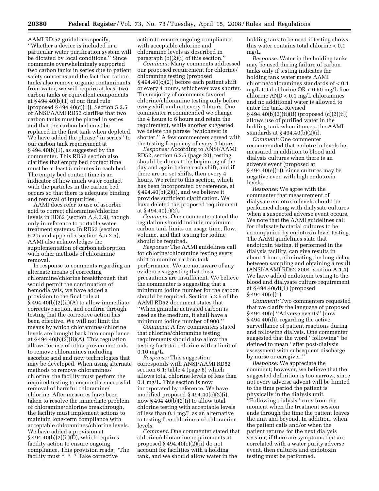AAMI RD:52 guidelines specify, ''Whether a device is included in a particular water purification system will be dictated by local conditions.'' Since comments overwhelmingly supported two carbon tanks in series due to patient safety concerns and the fact that carbon tanks also remove organic contaminants from water, we will require at least two carbon tanks or equivalent components at § 494.40(b)(1) of our final rule (proposed § 494.40(c)(1)). Section 5.2.5 of ANSI/AAMI RD52 clarifies that two carbon tanks must be placed in series and that the carbon bed must be replaced in the first tank when depleted. We have added the phrase ''in series'' to our carbon tank requirement at  $§$  494.40(b)(1), as suggested by the commenter. This RD52 section also clarifies that empty bed contact time must be at least 5 minutes in each bed. The empty bed contact time is an indicator of how much water contact with the particles in the carbon bed occurs so that there is adequate binding and removal of impurities.

AAMI does refer to use of ascorbic acid to correct chloramine/chlorine levels in RD62 (section A.4.3.9), though only in reference to portable water treatment systems. In RD52 (section 5.2.5 and appendix section A.5.2.5), AAMI also acknowledges the supplementation of carbon adsorption with other methods of chloramine removal.

In response to comments regarding an alternate means of correcting chloramine/chlorine breakthrough that would permit the continuation of hemodialysis, we have added a provision to the final rule at  $§ 494.40(b)(2)(ii)(A)$  to allow immediate corrective action, and confirm through testing that the corrective action has been effective. We will not limit the means by which chloramines/chlorine levels are brought back into compliance at  $§$  494.40(b)(2)(ii)(A). This regulation allows for use of other proven methods to remove chloramines including ascorbic acid and new technologies that may be developed. When using alternate methods to remove chloramines/ chlorine, the facility must perform the required testing to ensure the successful removal of harmful chloramine/ chlorine. After measures have been taken to resolve the immediate problem of chloramine/chlorine breakthrough, the facility must implement actions to maintain long-term compliance with acceptable chloramines/chlorine levels. We have added a provision at  $§494.40(b)(2)(ii)(D)$ , which requires facility action to ensure ongoing compliance. This provision reads, ''The facility must \* \* \* Take corrective

action to ensure ongoing compliance with acceptable chlorine and chloramine levels as described in paragraph (b)(2)(i) of this section.''

*Comment:* Many comments addressed our proposed requirement for chlorine/ chloramine testing (proposed § 494.40(c)(2)) before each patient shift or every 4 hours, whichever was shorter. The majority of comments favored chlorine/chloramine testing only before every shift and not every 4 hours. One commenter recommended we change the 4 hours to 6 hours and retain the requirement, while another suggested we delete the phrase ''whichever is shorter.'' A few commenters agreed with the testing frequency of every 4 hours.

*Response:* According to ANSI/AAMI RD52, section 6.2.5 (page 20), testing should be done at the beginning of the day and again before each shift, and if there are no set shifts, then every 4 hours. We refer to this section, which has been incorporated by reference, at § 494.40(b)(2)(i), and we believe it provides sufficient clarification. We have deleted the proposed requirement at § 494.40(c)(2).

*Comment:* One commenter stated the regulation should include maximum carbon tank limits on usage time, flow, volume, and that testing for iodine should be required.

*Response:* The AAMI guidelines call for chlorine/chloramine testing every shift to monitor carbon tank performance. We are not aware of any evidence suggesting that these precautions are insufficient. We believe the commenter is suggesting that a minimum iodine number for the carbon should be required. Section 5.2.5 of the AAMI RD52 document states that ''When granular activated carbon is used as the medium, it shall have a minimum iodine number of 900.''

*Comment:* A few commenters stated that chlorine/chloramine testing requirements should also allow the testing for total chlorine with a limit of 0.10 mg/L.

*Response:* This suggestion corresponds with ANSI/AAMI RD52 section 6.1; table 4 (page 8) which allows total chlorine levels of less than 0.1 mg/L. This section is now incorporated by reference. We have modified proposed  $\S 494.40(c)(2)(i)$ , now  $§$  494.40(b)(2)(i) to allow total chlorine testing with acceptable levels of less than 0.1 mg/L as an alternative to testing free chlorine and chloramine levels.

*Comment:* One commenter stated that chlorine/chloramine requirements at proposed § 494.40(c)(2)(ii) do not account for facilities with a holding tank, and we should allow water in the

holding tank to be used if testing shows this water contains total chlorine < 0.1 mg/L.

*Response:* Water in the holding tanks may be used during failure of carbon tanks only if testing indicates the holding tank water meets AAMI chlorine/chloramines standards of < 0.1 mg/L total chlorine OR < 0.50 mg/L free chlorine AND < 0.1 mg/L chloramines and no additional water is allowed to enter the tank. Revised § 494.40(b)(2)(ii)(B) (proposed (c)(2)(ii)) allows use of purified water in the holding tank when it meets the AAMI standards at § 494.40(b)(2)(i).

*Comment:* One commenter recommended that endotoxin levels be measured in addition to blood and dialysis cultures when there is an adverse event (proposed at  $§494.40(e)(1)$ , since cultures may be negative even with high endotoxin levels.

*Response:* We agree with the commenter that measurement of dialysate endotoxin levels should be performed along with dialysate cultures when a suspected adverse event occurs. We note that the AAMI guidelines call for dialysate bacterial cultures to be accompanied by endotoxin level testing. The AAMI guidelines state that endotoxin testing, if performed in the dialysis facility, can give results in about 1 hour, eliminating the long delay between sampling and obtaining a result (ANSI/AAMI RD52:2004, section A.1.4). We have added endotoxin testing to the blood and dialysate culture requirement at § 494.40(d)(1) (proposed  $§ 494.40(e)(1).$ 

*Comment:* Two commenters requested that we clarify the language of proposed § 494.40(e) ''Adverse events'' (now § 494.40(d)), regarding the active surveillance of patient reactions during and following dialysis. One commenter suggested that the word ''following'' be defined to mean ''after post-dialysis assessment with subsequent discharge by nurse or caregiver.''

*Response:* We appreciate the comment; however, we believe that the suggested definition is too narrow, since not every adverse advent will be limited to the time period the patient is physically in the dialysis unit. ''Following dialysis'' runs from the moment when the treatment session ends through the time the patient leaves the unit and beyond. In addition, when the patient calls and/or when the patient returns for the next dialysis session, if there are symptoms that are correlated with a water purity adverse event, then cultures and endotoxin testing must be performed.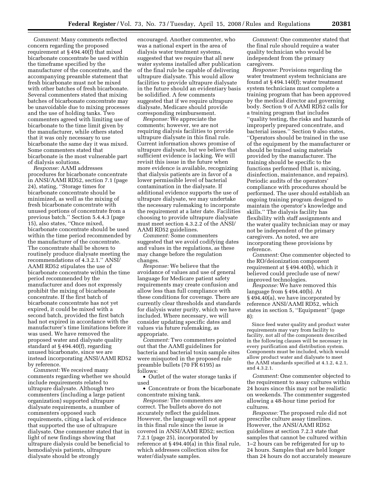*Comment:* Many comments reflected concern regarding the proposed requirement at § 494.40(f) that mixed bicarbonate concentrate be used within the timeframe specified by the manufacturer of the concentrate, and the accompanying preamble statement that fresh bicarbonate must not be mixed with other batches of fresh bicarbonate. Several commenters stated that mixing batches of bicarbonate concentrate may be unavoidable due to mixing processes and the use of holding tanks. Two commenters agreed with limiting use of bicarbonate to the time limit given by the manufacturer, while others stated that it was only necessary to use bicarbonate the same day it was mixed. Some commenters stated that bicarbonate is the most vulnerable part of dialysis solutions.

*Response:* AAMI addresses procedures for bicarbonate concentrate in ANSI/AAMI RD52, section 7.1 (page 24), stating, ''Storage times for bicarbonate concentrate should be minimized, as well as the mixing of fresh bicarbonate concentrate with unused portions of concentrate from a previous batch.'' Section 5.4.4.3 (page 15), also states, ''Once mixed, bicarbonate concentrate should be used within the time period recommended by the manufacturer of the concentrate. The concentrate shall be shown to routinely produce dialysate meeting the recommendations of 4.3.2.1.'' ANSI/ AAMI RD52 stipulates the use of bicarbonate concentrate within the time period recommended by the manufacturer and does not expressly prohibit the mixing of bicarbonate concentrate. If the first batch of bicarbonate concentrate has not yet expired, it could be mixed with a second batch, provided the first batch had not expired in accordance with the manufacturer's time limitations before it was used. We have removed the proposed water and dialysate quality standard at § 494.40(f), regarding unused bicarbonate, since we are instead incorporating ANSI/AAMI RD52 by reference.

*Comment:* We received many comments regarding whether we should include requirements related to ultrapure dialysate. Although two commenters (including a large patient organization) supported ultrapure dialysate requirements, a number of commenters opposed such requirements, citing a lack of evidence that supported the use of ultrapure dialysate. One commenter stated that in light of new findings showing that ultrapure dialysis could be beneficial to hemodialysis patients, ultrapure dialysate should be strongly

encouraged. Another commenter, who was a national expert in the area of dialysis water treatment systems, suggested that we require that all new water systems installed after publication of the final rule be capable of delivering ultrapure dialysate. This would allow facilities to provide ultrapure dialysate in the future should an evidentiary basis be solidified. A few comments suggested that if we require ultrapure dialysate, Medicare should provide corresponding reimbursement.

*Response:* We appreciate the comments; however, we are not requiring dialysis facilities to provide ultrapure dialysate in this final rule. Current information shows promise of ultrapure dialysate, but we believe that sufficient evidence is lacking. We will revisit this issue in the future when more evidence is available, recognizing that dialysis patients are in favor of a lower permissible level of bacterial contamination in the dialysate. If additional evidence supports the use of ultrapure dialysate, we may undertake the necessary rulemaking to incorporate the requirement at a later date. Facilities choosing to provide ultrapure dialysate must meet section 4.3.2.2 of the ANSI/ AAMI RD52 guidelines.

*Comment:* Some commenters suggested that we avoid codifying dates and values in the regulations, as these may change before the regulation changes.

*Response:* We believe that the avoidance of values and use of general language for Medicare patient safety requirements may create confusion and allow less than full compliance with these conditions for coverage. There are currently clear thresholds and standards for dialysis water purity, which we have included. Where necessary, we will consider updating specific dates and values via future rulemaking, as appropriate.

*Comment:* Two commenters pointed out that the AAMI guidelines for bacteria and bacterial toxin sample sites were misquoted in the proposed rule preamble bullets (70 FR 6195) as follows:

• Outlet of the water storage tanks if used

• Concentrate or from the bicarbonate concentrate mixing tank.

*Response:* The commenters are correct. The bullets above do not accurately reflect the guidelines. However, the language will not appear in this final rule since the issue is covered in ANSI/AAMI RD52; section 7.2.1 (page 25), incorporated by reference at § 494.40(a) in this final rule, which addresses collection sites for water/dialysate samples.

*Comment:* One commenter stated that the final rule should require a water quality technician who would be independent from the primary caregivers.

*Response:* Provisions regarding the water treatment system technicians are found at § 494.140(f); water treatment system technicians must complete a training program that has been approved by the medical director and governing body. Section 9 of AAMI RD52 calls for a training program that includes ''quality testing, the risks and hazards of improperly prepared concentrate, and bacterial issues.'' Section 9 also states, ''Operators should be trained in the use of the equipment by the manufacturer or should be trained using materials provided by the manufacturer. The training should be specific to the functions performed (that is, mixing, disinfection, maintenance, and repairs). Periodic audits of the operators' compliance with procedures should be performed. The user should establish an ongoing training program designed to maintain the operator's knowledge and skills.'' The dialysis facility has flexibility with staff assignments and the water quality technician may or may not be independent of the primary caregivers. As noted, we are incorporating these provisions by reference.

*Comment:* One commenter objected to the RO/deionization component requirement at § 494.40(b), which it believed could preclude use of new/ improved technologies.

*Response:* We have removed this language from § 494.40(b). At § 494.40(a), we have incorporated by reference ANSI/AAMI RD52, which states in section 5, ''Equipment'' (page 8):

Since feed water quality and product water requirements may vary from facility to facility, not all of the components described in the following clauses will be necessary in every purification and distribution system. Components must be included, which would allow product water and dialysate to meet the AAMI standards specified at 4.1.2, 4.2.1, and 4.3.2.1.

*Comment:* One commenter objected to the requirement to assay cultures within 24 hours since this may not be realistic on weekends. The commenter suggested allowing a 48-hour time period for cultures.

*Response:* The proposed rule did not prescribe culture assay timelines. However, the ANSI/AAMI RD52 guidelines at section 7.2.3 state that samples that cannot be cultured within 1–2 hours can be refrigerated for up to 24 hours. Samples that are held longer than 24 hours do not accurately measure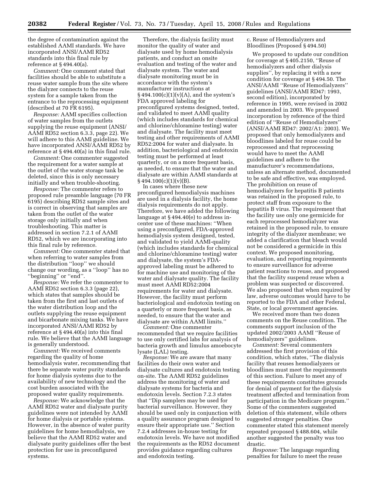the degree of contamination against the established AAMI standards. We have incorporated ANSI/AAMI RD52 standards into this final rule by reference at § 494.40(a).

*Comment:* One comment stated that facilities should be able to substitute a reuse water sample from the site where the dialyzer connects to the reuse system for a sample taken from the entrance to the reprocessing equipment (described at 70 FR 6195).

*Response:* AAMI specifies collection of water samples from the outlets supplying the reuse equipment (ANSI/ AAMI RD52 section 6.3.3, page 22). We will adhere to this AAMI guideline. We have incorporated ANSI/AAMI RD52 by reference at § 494.40(a) in this final rule.

*Comment:* One commenter suggested the requirement for a water sample at the outlet of the water storage tank be deleted, since this is only necessary initially and when trouble-shooting.

*Response:* The commenter refers to proposed rule preamble language (70 FR 6195) describing RD52 sample sites and is correct in observing that samples are taken from the outlet of the water storage only initially and when troubleshooting. This matter is addressed in section 7.2.1 of AAMI RD52, which we are incorporating into this final rule by reference.

*Comment:* One commenter stated that when referring to water samples from the distribution ''loop'' we should change our wording, as a ''loop'' has no ''beginning'' or ''end''.

*Response:* We refer the commenter to AAMI RD52 section 6.3.3 (page 22), which states that samples should be taken from the first and last outlets of the water distribution loop and the outlets supplying the reuse equipment and bicarbonate mixing tanks. We have incorporated ANSI/AAMI RD52 by reference at § 494.40(a) into this final rule. We believe that the AAMI language is generally understood.

*Comment:* We received comments regarding the quality of home hemodialysis water, recommending that there be separate water purity standards for home dialysis systems due to the availability of new technology and the cost burden associated with the proposed water quality requirements.

*Response:* We acknowledge that the AAMI RD52 water and dialysate purity guidelines were not intended by AAMI for home dialysis or portable systems. However, in the absence of water purity guidelines for home hemodialysis, we believe that the AAMI RD52 water and dialysate purity guidelines offer the best protection for use in preconfigured systems.

Therefore, the dialysis facility must monitor the quality of water and dialysate used by home hemodialysis patients, and conduct an onsite evaluation and testing of the water and dialysate system. The water and dialysate monitoring must be in accordance with the system's manufacturer instructions at  $\S 494.100(c)(1)(v)(A)$ , and the system's FDA approved labeling for preconfigured systems designed, tested, and validated to meet AAMI quality (which includes standards for chemical and chlorine/chloramine testing) water and dialysate. The facility must meet testing and other requirements of AAMI RD52:2004 for water and dialysate. In addition, bacteriological and endotoxin testing must be performed at least quarterly, or on a more frequent basis, as needed, to ensure that the water and dialysate are within AAMI standards at  $§ 494.100(c)(1)(v)(B).$ 

In cases where these new preconfigured hemodialysis machines are used in a dialysis facility, the home dialysis requirements do not apply. Therefore, we have added the following language at § 494.40(e) to address incenter use of these machines: ''When using a preconfigured, FDA-approved hemodialysis system designed, tested, and validated to yield AAMI-quality (which includes standards for chemical and chlorine/chloramine testing) water and dialysate, the system's FDAapproved labeling must be adhered to for machine use and monitoring of the water and dialysate quality. The facility must meet AAMI RD52:2004 requirements for water and dialysate. However, the facility must perform bacteriological and endotoxin testing on a quarterly or more frequent basis, as needed, to ensure that the water and dialysate are within AAMI limits.''

*Comment:* One commenter recommended that we require facilities to use only certified labs for analysis of bacteria growth and limulus amoebocyte lysate (LAL) testing.

*Response:* We are aware that many facilities do their own water and dialysate cultures and endotoxin testing on-site. The AAMI RD52 guidelines address the monitoring of water and dialysate systems for bacteria and endotoxin levels. Section 7.2.3 states that ''Dip samplers may be used for bacterial surveillance. However, they should be used only in conjunction with a quality assurance program designed to ensure their appropriate use.'' Section 7.2.4 addresses in-house testing for endotoxin levels. We have not modified the requirements as the RD52 document provides guidance regarding cultures and endotoxin testing.

c. Reuse of Hemodialyzers and Bloodlines (Proposed § 494.50)

We proposed to update our condition for coverage at § 405.2150, ''Reuse of hemodialyzers and other dialysis supplies'', by replacing it with a new condition for coverage at § 494.50. The ANSI/AAMI ''Reuse of Hemodialyzers'' guidelines (ANSI/AAMI RD47: 1993, second edition), incorporated by reference in 1995, were revised in 2002 and amended in 2003. We proposed incorporation by reference of the third edition of ''Reuse of Hemodialyzers'' (ANSI/AAMI RD47: 2002/A1: 2003). We proposed that only hemodialyzers and bloodlines labeled for reuse could be reprocessed and that reprocessing would have to meet the AAMI guidelines and adhere to the manufacturer's recommendations, unless an alternate method, documented to be safe and effective, was employed. The prohibition on reuse of hemodialyzers for hepatitis B patients was retained in the proposed rule, to protect staff from exposure to the hepatitis B virus. The requirement that the facility use only one germicide for each reprocessed hemodialyzer was retained in the proposed rule, to ensure integrity of the dialyzer membrane; we added a clarification that bleach would not be considered a germicide in this context. We proposed monitoring, evaluation, and reporting requirements to ensure surveillance for adverse patient reactions to reuse, and proposed that the facility suspend reuse when a problem was suspected or discovered. We also proposed that when required by law, adverse outcomes would have to be reported to the FDA and other Federal, State, or local government agencies.

We received more than two dozen comments on the Reuse condition. The comments support inclusion of the updated 2002/2003 AAMI ''Reuse of hemodialyzers'' guidelines.

*Comment:* Several commenters addressed the first provision of this condition, which states, ''The dialysis facility that reuses hemodialyzers or bloodlines must meet the requirements of this section. Failure to meet any of these requirements constitutes grounds for denial of payment for the dialysis treatment affected and termination from participation in the Medicare program.'' Some of the commenters suggested deletion of this statement, while others suggested stronger penalties. One commenter stated this statement merely repeated proposed § 488.604, while another suggested the penalty was too drastic.

*Response:* The language regarding penalties for failure to meet the reuse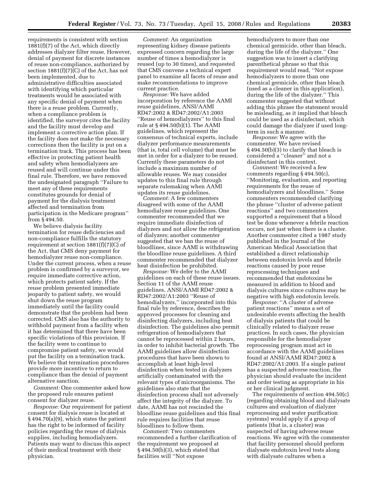requirements is consistent with section 1881(f)(7) of the Act, which directly addresses dialyzer filter reuse. However, denial of payment for discrete instances of reuse non-compliance, authorized by section  $1881(f)(7)(C)$  of the Act, has not been implemented, due to administrative difficulties associated with identifying which particular treatments would be associated with any specific denial of payment when there is a reuse problem. Currently, when a compliance problem is identified, the surveyor cites the facility and the facility must develop and implement a corrective action plan. If the facility does not make the necessary corrections then the facility is put on a termination track. This process has been effective in protecting patient health and safety when hemodialyzers are reused and will continue under this final rule. Therefore, we have removed the undesignated paragraph ''Failure to meet any of these requirements constitutes grounds for denial of payment for the dialysis treatment affected and termination from participation in the Medicare program'' from § 494.50.

We believe dialysis facility termination for reuse deficiencies and non-compliance fulfills the statutory requirement at section 1881(f)(7)(C) of the Act, that CMS deny payment for hemodialyzer reuse non-compliance. Under the current process, when a reuse problem is confirmed by a surveyor, we require immediate corrective action, which protects patient safety. If the reuse problem presented immediate jeopardy to patient safety, we would shut down the reuse program immediately until the facility could demonstrate that the problem had been corrected. CMS also has the authority to withhold payment from a facility when it has determined that there have been specific violations of this provision. If the facility were to continue to compromise patient safety, we would put the facility on a termination track. We believe that termination procedures provide more incentive to return to compliance than the denial of payment alternative sanction.

*Comment:* One commenter asked how the proposed rule ensures patient consent for dialyzer reuse.

*Response:* Our requirement for patient consent for dialysis reuse is located at § 494.70(a)(9), which states the patient has the right to be informed of facility policies regarding the reuse of dialysis supplies, including hemodialyzers. Patients may want to discuss this aspect of their medical treatment with their physician.

*Comment:* An organization representing kidney disease patients expressed concern regarding the large number of times a hemodialyzer is reused (up to 30 times), and requested that CMS convene a technical expert panel to examine all facets of reuse and make recommendations to improve current practice.

*Response:* We have added incorporation by reference the AAMI reuse guidelines, ANSI/AAMI RD47:2002 & RD47:2002/A1:2003 ''Reuse of hemodialyzers'' to this final rule at § 494.50(b)(1). The AAMI guidelines, which represent the consensus of technical experts, include dialyzer performance measurements (that is, total cell volume) that must be met in order for a dialyzer to be reused. Currently these parameters do not include a maximum number of allowable reuses. We may consider updates to this final rule through separate rulemaking when AAMI updates its reuse guidelines.

*Comment:* A few commenters disagreed with some of the AAMI hemodialyzer reuse guidelines. One commenter recommended that we require immediate disinfection of dialyzers and not allow the refrigeration of dialyzers; another commenter suggested that we ban the reuse of bloodlines, since AAMI is withdrawing the bloodline reuse guidelines. A third commenter recommended that dialyzer heat disinfection be prohibited.

*Response:* We defer to the AAMI guidelines on each of these reuse issues. Section 11 of the AAMI reuse guidelines, ANSI/AAMI RD47:2002 & RD47:2002/A1:2003 ''Reuse of hemodialyzers,'' incorporated into this final rule by reference, describes the approved processes for cleaning and disinfecting dialyzers, including heat disinfection. The guidelines also permit refrigeration of hemodialyzers that cannot be reprocessed within 2 hours, in order to inhibit bacterial growth. The AAMI guidelines allow disinfection procedures that have been shown to accomplish at least high-level disinfection when tested in dialyzers artificially contaminated with the relevant types of microorganisms. The guidelines also state that the disinfection process shall not adversely affect the integrity of the dialyzer. To date, AAMI has not rescinded the bloodline reuse guidelines and this final rule requires facilities that reuse bloodlines to follow them.

*Comment:* Two commenters recommended a further clarification of the requirement we proposed at § 494.50(b)(3), which stated that facilities will ''Not expose

hemodialyzers to more than one chemical germicide, other than bleach, during the life of the dialyzer.'' One suggestion was to insert a clarifying parenthetical phrase so that this requirement would read, ''Not expose hemodialyzers to more than one chemical germicide, other than bleach (used as a cleaner in this application), during the life of the dialyzer.'' This commenter suggested that without adding this phrase the statement would be misleading, as it implied that bleach could be used as a disinfectant, which could damage the dialyzer if used longterm in such a manner.

*Response:* We agree with the commenter. We have revised § 494.50(b)(3) to clarify that bleach is considered a ''cleaner'' and not a disinfectant in this context.

*Comment:* We received a few comments regarding § 494.50(c), ''Monitoring, evaluation, and reporting requirements for the reuse of hemodialyzers and bloodlines.'' Some commenters recommended clarifying the phrase ''cluster of adverse patient reactions'' and two commenters supported a requirement that a blood test be done whenever a febrile reaction occurs, not just when there is a cluster. Another commenter cited a 1987 study published in the Journal of the American Medical Association that established a direct relationship between endotoxin levels and febrile reactions caused by poor reuse reprocessing techniques and recommended that endotoxins be measured in addition to blood and dialysis cultures since cultures may be negative with high endotoxin levels.

*Response:* ''A cluster of adverse patient reactions'' means a set of undesirable events affecting the health of dialysis patients that could be clinically related to dialyzer reuse practices. In such cases, the physician responsible for the hemodialyzer reprocessing program must act in accordance with the AAMI guidelines found at ANSI/AAMI RD47:2002 & RD47:2002/A1:2003. If a single patient has a suspected adverse reaction, the physician should evaluate the incident and order testing as appropriate in his or her clinical judgment.

The requirements of section 494.50(c) (regarding obtaining blood and dialysate cultures and evaluation of dialyzer reprocessing and water purification systems) would apply if a group of patients (that is, a cluster) was suspected of having adverse reuse reactions. We agree with the commenter that facility personnel should perform dialysate endotoxin level tests along with dialysate cultures when a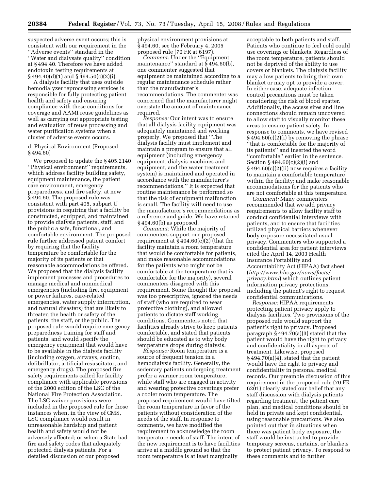suspected adverse event occurs; this is consistent with our requirement in the ''Adverse events'' standard in the ''Water and dialysate quality'' condition at § 494.40. Therefore we have added endotoxin testing requirements at  $\S$  494.40(d)(1) and  $\S$  494.50(c)(2)(i).

A dialysis facility that uses outside hemodialyzer reprocessing services is responsible for fully protecting patient health and safety and ensuring compliance with these conditions for coverage and AAMI reuse guidelines as well as carrying out appropriate testing and evaluation of reuse processing and water purification systems when a cluster of adverse events occurs.

# d. Physical Environment (Proposed § 494.60)

We proposed to update the § 405.2140 ''Physical environment'' requirements, which address facility building safety, equipment maintenance, the patient care environment, emergency preparedness, and fire safety, at new § 494.60. The proposed rule was consistent with part 405, subpart U provisions in requiring that a facility be constructed, equipped, and maintained to provide dialysis patients, staff, and the public a safe, functional, and comfortable environment. The proposed rule further addressed patient comfort by requiring that the facility temperature be comfortable for the majority of its patients or that reasonable accommodations be offered. We proposed that the dialysis facility implement processes and procedures to manage medical and nonmedical emergencies (including fire, equipment or power failures, care-related emergencies, water supply interruption, and natural disasters) that are likely to threaten the health or safety of the patients, the staff, or the public. The proposed rule would require emergency preparedness training for staff and patients, and would specify the emergency equipment that would have to be available in the dialysis facility (including oxygen, airways, suction, defibrillator, artificial resuscitator, and emergency drugs). The proposed fire safety requirements called for facility compliance with applicable provisions of the 2000 edition of the LSC of the National Fire Protection Association. The LSC waiver provisions were included in the proposed rule for those instances when, in the view of CMS, LSC compliance would result in unreasonable hardship and patient health and safety would not be adversely affected; or when a State had fire and safety codes that adequately protected dialysis patients. For a detailed discussion of our proposed

physical environment provisions at § 494.60, see the February 4, 2005 proposed rule (70 FR at 6197).

*Comment:* Under the ''Equipment maintenance'' standard at § 494.60(b), one commenter suggested that equipment be maintained according to a regular maintenance schedule rather than the manufacturer's recommendations. The commenter was concerned that the manufacturer might overstate the amount of maintenance required.

*Response:* Our intent was to ensure that all dialysis facility equipment was adequately maintained and working properly. We proposed that ''The dialysis facility must implement and maintain a program to ensure that all equipment (including emergency equipment, dialysis machines and equipment, and the water treatment system) is maintained and operated in accordance with the manufacturer's recommendations.'' It is expected that routine maintenance be performed so that the risk of equipment malfunction is small. The facility will need to use the manufacturer's recommendations as a reference and guide. We have retained § 494.60(b) as proposed.

*Comment:* While the majority of commenters support our proposed requirement at  $\S 494.60(c)(2)$  (that the facility maintain a room temperature that would be comfortable for patients, and make reasonable accommodations for the patients who might not be comfortable at the temperature that is comfortable for the majority), several commenters disagreed with this requirement. Some thought the proposal was too prescriptive, ignored the needs of staff (who are required to wear protective clothing), and allowed patients to dictate staff working conditions. Commenters noted that facilities already strive to keep patients comfortable, and stated that patients should be educated as to why body temperature drops during dialysis.

*Response:* Room temperature is a source of frequent tension in a hemodialysis facility. Generally, the sedentary patients undergoing treatment prefer a warmer room temperature, while staff who are engaged in activity and wearing protective coverings prefer a cooler room temperature. The proposed requirement would have tilted the room temperature in favor of the patients without consideration of the needs of the staff. In response to comments, we have modified the requirement to acknowledge the room temperature needs of staff. The intent of the new requirement is to have facilities arrive at a middle ground so that the room temperature is at least marginally

acceptable to both patients and staff. Patients who continue to feel cold could use coverings or blankets. Regardless of the room temperature, patients should not be deprived of the ability to use covers or blankets. The dialysis facility may allow patients to bring their own blanket or may opt to provide a cover. In either case, adequate infection control precautions must be taken considering the risk of blood spatter. Additionally, the access sites and line connections should remain uncovered to allow staff to visually monitor these areas to ensure patient safety. In response to comments, we have revised § 494.60(c)(2)(i) by removing the phrase ''that is comfortable for the majority of its patients'' and inserted the word ''comfortable'' earlier in the sentence. Section § 494.60(c)(2)(i) and § 494.60(c)(2)(ii) now requires a facility to maintain a comfortable temperature within the facility; and make reasonable accommodations for the patients who are not comfortable at this temperature.

*Comment:* Many commenters recommended that we add privacy requirements to allow facility staff to conduct confidential interviews with patients, and to ensure that facilities utilized physical barriers whenever body exposure necessitated usual privacy. Commenters who supported a confidential area for patient interviews cited the April 14, 2003 Health Insurance Portability and Accountability Act (HIPAA) fact sheet (*[http://www.hhs.gov/news/facts/](http://www.hhs.gov/news/facts/privacy.html)  privacy.html*) which outlines patient information privacy protections, including the patient's right to request confidential communications.

*Response:* HIPAA requirements protecting patient privacy apply to dialysis facilities. Two provisions of the proposed rule would support the patient's right to privacy. Proposed paragraph § 494.70(a)(3) stated that the patient would have the right to privacy and confidentiality in all aspects of treatment. Likewise, proposed § 494.70(a)(4), stated that the patient would have the right to privacy and confidentiality in personal medical records. Our preamble discussion of this requirement in the proposed rule (70 FR 6201) clearly stated our belief that any staff discussion with dialysis patients regarding treatment, the patient care plan, and medical conditions should be held in private and kept confidential, using reasonable precautions. We also pointed out that in situations when there was patient body exposure, the staff would be instructed to provide temporary screens, curtains, or blankets to protect patient privacy. To respond to these comments and to further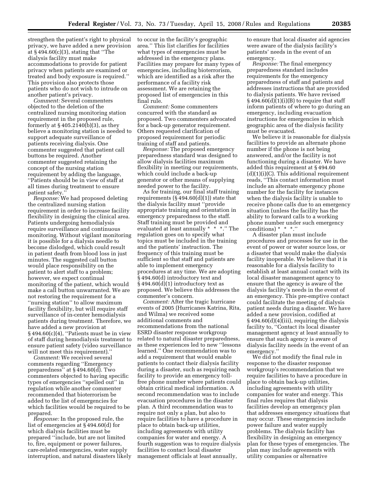strengthen the patient's right to physical privacy, we have added a new provision at  $§$  494.60(c)(3), stating that "The dialysis facility must make accommodations to provide for patient privacy when patients are examined or treated and body exposure is required.'' This provision also protects those patients who do not wish to intrude on another patient's privacy.

*Comment:* Several commenters objected to the deletion of the centralized nursing monitoring station requirement in the proposed rule, formerly at § 405.2140(b)(3), as they believe a monitoring station is needed to support adequate surveillance of patients receiving dialysis. One commenter suggested that patient call buttons be required. Another commenter suggested retaining the concept of the nursing station requirement by adding the language, ''Patients should be in view of staff at all times during treatment to ensure patient safety.''

*Response:* We had proposed deleting the centralized nursing station requirement in order to increase facility flexibility in designing the clinical area. Patients undergoing hemodialysis require surveillance and continuous monitoring. Without vigilant monitoring it is possible for a dialysis needle to become dislodged, which could result in patient death from blood loss in just minutes. The suggested call button would place responsibility on the patient to alert staff to a problem; however, we expect continual monitoring of the patient, which would make a call button unwarranted. We are not restoring the requirement for a ''nursing station'' to allow maximum facility flexibility, but will require staff surveillance of in-center hemodialysis patients during treatment. Therefore, we have added a new provision at § 494.60(c)(4), ''Patients must be in view of staff during hemodialysis treatment to ensure patient safety (video surveillance will not meet this requirement).''

*Comment:* We received several comments regarding ''Emergency preparedness'' at § 494.60(d). Two commenters objected to having specific types of emergencies ''spelled out'' in regulation while another commenter recommended that bioterrorism be added to the list of emergencies for which facilities would be required to be prepared.

*Response:* In the proposed rule, the list of emergencies at § 494.60(d) for which dialysis facilities must be prepared ''include, but are not limited to, fire, equipment or power failures, care-related emergencies, water supply interruption, and natural disasters likely to occur in the facility's geographic area.'' This list clarifies for facilities what types of emergencies must be addressed in the emergency plans. Facilities may prepare for many types of emergencies, including bioterrorism, which are identified as a risk after the performance of a facility risk assessment. We are retaining the proposed list of emergencies in this final rule.

*Comment:* Some commenters concurred with the standard as proposed. Two commenters advocated for a back-up generator requirement. Others requested clarification of proposed requirement for periodic training of staff and patients.

*Response:* The proposed emergency preparedness standard was designed to allow dialysis facilities maximum flexibility in meeting our requirements, which could include a back-up generator or other means of supplying needed power to the facility.

As for training, our final staff training requirements  $(\S 494.60(d)(1))$  state that the dialysis facility must ''provide appropriate training and orientation in emergency preparedness to the staff. Staff training must be provided and evaluated at least annually \* \* \*.'' The regulation goes on to specify what topics must be included in the training and the patients' instruction. The frequency of this training must be sufficient so that staff and patients are able to implement emergency procedures at any time. We are adopting § 494.60(d) introductory text and  $§$  494.60(d)(1) introductory text as proposed. We believe this addresses the commenter's concern.

*Comment:* After the tragic hurricane events of 2005 (Hurricanes Katrina, Rita, and Wilma) we received some additional comments and recommendations from the national ESRD disaster response workgroup related to natural disaster preparedness, as these experiences led to new ''lessons learned.'' One recommendation was to add a requirement that would enable patients to contact their dialysis facility during a disaster, such as requiring each facility to provide an emergency tollfree phone number where patients could obtain critical medical information. A second recommendation was to include evacuation procedures in the disaster plan. A third recommendation was to require not only a plan, but also to require facilities to have a procedure in place to obtain back-up utilities, including agreements with utility companies for water and energy. A fourth suggestion was to require dialysis facilities to contact local disaster management officials at least annually,

to ensure that local disaster aid agencies were aware of the dialysis facility's patients' needs in the event of an emergency.

*Response:* The final emergency preparedness standard includes requirements for the emergency preparedness of staff and patients and addresses instructions that are provided to dialysis patients. We have revised  $§ 494.60(d)(1)(i)(B)$  to require that staff inform patients of where to go during an emergency, including evacuation instructions for emergencies in which geographic area of the dialysis facility must be evacuated.

We believe it is reasonable for dialysis facilities to provide an alternate phone number if the phone is not being answered, and/or the facility is not functioning during a disaster. We have added this requirement at § 494.60  $(d)(1)(i)(C)$ . This additional requirement reads, ''This contact information must include an alternate emergency phone number for the facility for instances when the dialysis facility is unable to receive phone calls due to an emergency situation (unless the facility has the ability to forward calls to a working phone number under such emergency conditions) \* \* \*.''

A disaster plan must include procedures and processes for use in the event of power or water source loss, or a disaster that would make the dialysis facility inoperable. We believe that it is reasonable for a dialysis facility to establish at least annual contact with its local disaster management agency to ensure that the agency is aware of the dialysis facility's needs in the event of an emergency. This pre-emptive contact could facilitate the meeting of dialysis patient needs during a disaster. We have added a new provision, codified at § 494.60(d)(4)(iii), requiring the dialysis facility to, ''Contact its local disaster management agency at least annually to ensure that such agency is aware of dialysis facility needs in the event of an emergency.''

We did not modify the final rule in response to the disaster response workgroup's recommendation that we require facilities to have a procedure in place to obtain back-up utilities, including agreements with utility companies for water and energy. This final rules requires that dialysis facilities develop an emergency plan that addresses emergency situations that may occur. These emergencies include power failure and water supply problems. The dialysis facility has flexibility in designing an emergency plan for these types of emergencies. The plan may include agreements with utility companies or alternative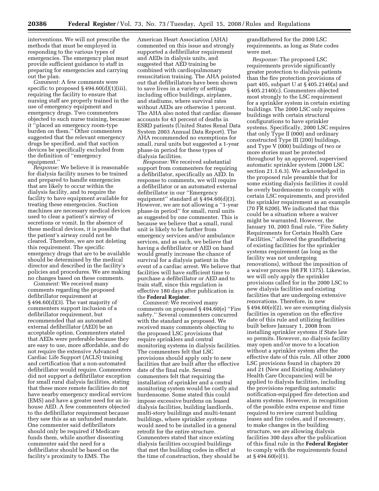interventions. We will not prescribe the methods that must be employed in responding to the various types of emergencies. The emergency plan must provide sufficient guidance to staff in preparing for emergencies and carrying out the plan.

*Comment:* A few comments were specific to proposed  $\S 494.60(d)(1)(iii)$ , requiring the facility to ensure that nursing staff are properly trained in the use of emergency equipment and emergency drugs. Two commenters objected to such nurse training, because it ''placed an emergency room-type burden on them.'' Other commenters suggested that the relevant emergency drugs be specified, and that suction devices be specifically excluded from the definition of ''emergency equipment.''

*Response:* We believe it is reasonable for dialysis facility nurses to be trained and prepared to handle emergencies that are likely to occur within the dialysis facility, and to require the facility to have equipment available for treating these emergencies. Suction machines are necessary medical devices used to clear a patient's airway of secretions or vomit. In the absence of these medical devices, it is possible that the patient's airway could not be cleared. Therefore, we are not deleting this requirement. The specific emergency drugs that are to be available should be determined by the medical director and described in the facility's policies and procedures. We are making no changes based on these comments.

*Comment:* We received many comments regarding the proposed defibrillator requirement at § 494.60(d)(3). The vast majority of commenters support inclusion of a defibrillator requirement, but recommended that an automated external defibrillator (AED) be an acceptable option. Commenters stated that AEDs were preferable because they are easy to use, more affordable, and do not require the extensive Advanced Cardiac Life Support (ACLS) training and certification that a non-automated defibrillator would require. Commenters did not support a defibrillator exception for small rural dialysis facilities, stating that these more remote facilities do not have nearby emergency medical services (EMS) and have a greater need for an inhouse AED. A few commenters objected to the defibrillator requirement because they saw this as an unfunded mandate. One commenter said defibrillators should only be required if Medicare funds them, while another dissenting commenter said the need for a defibrillator should be based on the facility's proximity to EMS. The

American Heart Association (AHA) commented on this issue and strongly supported a defibrillator requirement and AEDs in dialysis units, and suggested that AED training be combined with cardiopulmonary resuscitation training. The AHA pointed out that defibrillators have been shown to save lives in a variety of settings including office buildings, airplanes, and stadiums, where survival rates without AEDs are otherwise 1 percent. The AHA also noted that cardiac disease accounts for 43 percent of deaths in ESRD patients (United States Renal Data System 2003 Annual Data Report). The AHA recommended no exemptions for small, rural units but suggested a 1-year phase-in period for these types of dialysis facilities.

*Response:* We received substantial support from commenters for requiring a defibrillator, specifically an AED. In response to comments, we will require a defibrillator or an automated external defibrillator in our ''Emergency equipment'' standard at § 494.60(d)(3). However, we are not allowing a ''1-year phase-in period'' for small, rural units as suggested by one commenter. This is because we believe that a small, rural unit is likely to be further from emergency services and/or ambulance services, and as such, we believe that having a defibrillator or AED on hand would greatly increase the chance of survival for a dialysis patient in the event of a cardiac arrest. We believe that facilities will have sufficient time to purchase a defibrillator or AED and to train staff, since this regulation is effective 180 days after publication in the **Federal Register**.

*Comment:* We received many comments on proposed § 494.60(e) ''Fire safety.'' Several commenters concurred with the standard as proposed. We received many comments objecting to the proposed LSC provisions that require sprinklers and central monitoring systems in dialysis facilities. The commenters felt that LSC provisions should apply only to new facilities that are built after the effective date of the final rule. Several commenters felt that requiring the installation of sprinkler and a central monitoring system would be costly and burdensome. Some stated this could impose excessive burdens on leased dialysis facilities, building landlords, multi-story buildings and multi-tenant buildings, where sprinkler systems would need to be installed in a general retrofit for the entire structure. Commenters stated that since existing dialysis facilities occupied buildings that met the building codes in effect at the time of construction, they should be

grandfathered for the 2000 LSC requirements, as long as State codes were met.

*Response:* The proposed LSC requirements provide significantly greater protection to dialysis patients than the fire protection provisions of part 405, subpart U at § 405.2140(a) and § 405.2140(c). Commenters objected most strongly to the LSC requirement for a sprinkler system in certain existing buildings. The 2000 LSC only requires buildings with certain structural configurations to have sprinkler systems. Specifically, 2000 LSC requires that only Type II (000) and ordinary constructed Type III (200) buildings, and Type V (000) buildings of two or more stories must be protected throughout by an approved, supervised automatic sprinkler system (2000 LSC section 21.1.6.3). We acknowledged in the proposed rule preamble that for some existing dialysis facilities it could be overly burdensome to comply with certain LSC requirements, and provided the sprinkler requirement as an example (70 FR 6200). We indicated that this could be a situation where a waiver might be warranted. However, the January 10, 2003 final rule, ''Fire Safety Requirements for Certain Health Care Facilities,'' allowed the grandfathering of existing facilities for the sprinkler systems requirement (as long as the facility was not undergoing renovations), without the imposition of a waiver process (68 FR 1375). Likewise, we will only apply the sprinkler provisions called for in the 2000 LSC to new dialysis facilities and existing facilities that are undergoing extensive renovations. Therefore, in new § 494.60(e)(2), we are exempting dialysis facilities in operation on the effective date of this rule and utilizing facilities built before January 1, 2008 from installing sprinkler systems if State law so permits. However, no dialysis facility may open and/or move to a location without a sprinkler system after the effective date of this rule. All other 2000 LSC provisions found in chapters 20 and 21 (New and Existing Ambulatory Health Care Occupancies) will be applied to dialysis facilities, including the provisions regarding automatic notification-equipped fire detection and alarm systems. However, in recognition of the possible extra expense and time required to review current building leases and fire codes, and if necessary, to make changes in the building structure, we are allowing dialysis facilities 300 days after the publication of this final rule in the **Federal Register**  to comply with the requirements found at § 494.60(e)(1).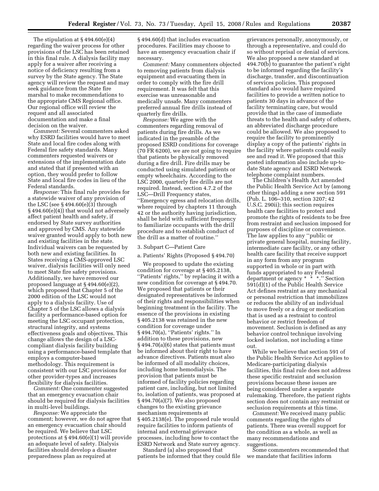The stipulation at § 494.60(e)(4) regarding the waiver process for other provisions of the LSC has been retained in this final rule. A dialysis facility may apply for a waiver after receiving a notice of deficiency resulting from a survey by the State agency. The State agency will review the request and may seek guidance from the State fire marshal to make recommendations to the appropriate CMS Regional office. Our regional office will review the request and all associated documentation and make a final decision on the waiver.

*Comment:* Several commenters asked why ESRD facilities would have to meet State and local fire codes along with Federal fire safety standards. Many commenters requested waivers or extensions of the implementation date and stated that if presented with an option, they would prefer to follow State and local fire codes in lieu of the Federal standards.

*Response:* This final rule provides for a statewide waiver of any provision of the LSC (see  $\S 494.60(e)(3)$  through § 494.60(e)(4)) that would not adversely affect patient health and safety, if endorsed by State survey authorities and approved by CMS. Any statewide waiver granted would apply to both new and existing facilities in the state. Individual waivers can be requested by both new and existing facilities. In States receiving a CMS-approved LSC waiver, dialysis facilities will only need to meet State fire safety provisions. Additionally, we have removed our proposed language at § 494.60(e)(2), which proposed that Chapter 5 of the 2000 edition of the LSC would not apply to a dialysis facility. Use of Chapter 5 of the LSC allows a dialysis facility a performance-based option for meeting the LSC occupant protection, structural integrity, and systems effectiveness goals and objectives. This change allows the design of a LSCcompliant dialysis facility building using a performance-based template that employs a computer-based methodology. This requirement is consistent with our LSC provisions for other provider-types and increases flexibility for dialysis facilities.

*Comment:* One commenter suggested that an emergency evacuation chair should be required for dialysis facilities in multi-level buildings.

*Response:* We appreciate the comment; however, we do not agree that an emergency evacuation chair should be required. We believe that LSC protections at § 494.60(e)(1) will provide an adequate level of safety. Dialysis facilities should develop a disaster preparedness plan as required at

§ 494.60(d) that includes evacuation procedures. Facilities may choose to have an emergency evacuation chair if necessary.

*Comment:* Many commenters objected to removing patients from dialysis equipment and evacuating them in order to comply with the fire drill requirement. It was felt that this exercise was unreasonable and medically unsafe. Many commenters preferred annual fire drills instead of quarterly fire drills.

*Response:* We agree with the commenters regarding removal of patients during fire drills. As we indicated in the preamble of the proposed ESRD conditions for coverage (70 FR 6200), we are not going to require that patients be physically removed during a fire drill. Fire drills may be conducted using simulated patients or empty wheelchairs. According to the LSC 2000, quarterly fire drills are not required. Instead, section 4.7.2 of the LSC—Drill Frequency states, ''Emergency egress and relocation drills, where required by chapters 11 through 42 or the authority having jurisdiction, shall be held with sufficient frequency to familiarize occupants with the drill procedure and to establish conduct of the drill as a matter of routine.''

#### 3. Subpart C—Patient Care

a. Patients' Rights (Proposed § 494.70)

We proposed to update the existing condition for coverage at § 405.2138, ''Patients' rights,'' by replacing it with a new condition for coverage at § 494.70. We proposed that patients or their designated representatives be informed of their rights and responsibilities when beginning treatment in the facility. The essence of the provisions in existing § 405.2138 was retained in the new condition for coverage under § 494.70(a), ''Patients' rights.'' In addition to these provisions, new § 494.70(a)(6) states that patients must be informed about their right to have advance directives. Patients must also be informed of all modality choices, including home hemodialysis. The provision that patients must be informed of facility policies regarding patient care, including, but not limited to, isolation of patients, was proposed at § 494.70(a)(7). We also proposed changes to the existing grievance mechanism requirements at § 405.2138(e). The proposed rule would require facilities to inform patients of internal and external grievance processes, including how to contact the ESRD Network and State survey agency.

Standard (a) also proposed that patients be informed that they could file

grievances personally, anonymously, or through a representative, and could do so without reprisal or denial of services. We also proposed a new standard at 494.70(b) to guarantee the patient's right to be informed regarding the facility's discharge, transfer, and discontinuation of services policies. This proposed standard also would have required facilities to provide a written notice to patients 30 days in advance of the facility terminating care, but would provide that in the case of immediate threats to the health and safety of others, an abbreviated discharge procedure could be allowed. We also proposed to require the facility to prominently display a copy of the patients' rights in the facility where patients could easily see and read it. We proposed that this posted information also include up-todate State agency and ESRD Network telephone complaint numbers.

The Children's Health Act amended the Public Health Service Act by (among other things) adding a new section 591 (Pub. L. 106–310, section 3207; 42 U.S.C. 290ii); this section requires health care facilities to protect and promote the rights of residents to be free from restraint and seclusion imposed for purposes of discipline or convenience. The law applies to any ''public or private general hospital, nursing facility, intermediate care facility, or any other health care facility that receive support in any form from any program supported in whole or in part with funds appropriated to any Federal department or agency \* \* \*.'' Section 591(d)(1) of the Public Health Service Act defines restraint as any mechanical or personal restriction that immobilizes or reduces the ability of an individual to move freely or a drug or medication that is used as a restraint to control behavior or restrict freedom of movement. Seclusion is defined as any behavior control technique involving locked isolation, not including a time out.

While we believe that section 591 of the Public Health Service Act applies to Medicare-participating dialysis facilities, this final rule does not address these specific restraint and seclusion provisions because these issues are being considered under a separate rulemaking. Therefore, the patient rights section does not contain any restraint or seclusion requirements at this time.

*Comment:* We received many public comments regarding the rights of patients. There was overall support for the condition as a whole, as well as many recommendations and suggestions.

Some commenters recommended that we mandate that facilities inform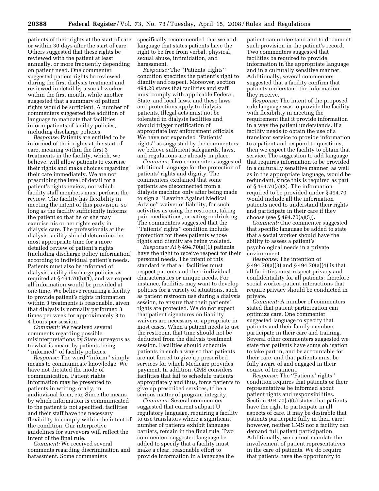patients of their rights at the start of care or within 30 days after the start of care. Others suggested that these rights be reviewed with the patient at least annually, or more frequently depending on patient need. One commenter suggested patient rights be reviewed during the first dialysis treatment and reviewed in detail by a social worker within the first month, while another suggested that a summary of patient rights would be sufficient. A number of commenters suggested the addition of language to mandate that facilities inform patients of facility policies, including discharge policies.

*Response:* Patients are entitled to be informed of their rights at the start of care, meaning within the first 3 treatments in the facility, which, we believe, will allow patients to exercise their rights and make choices regarding their care immediately. We are not prescribing the level of detail for a patient's rights review, nor which facility staff members must perform the review. The facility has flexibility in meeting the intent of this provision, so long as the facility sufficiently informs the patient so that he or she may exercise his or her rights early in dialysis care. The professionals at the dialysis facility should determine the most appropriate time for a more detailed review of patient's rights (including discharge policy information) according to individual patient's needs. Patients must also be informed of dialysis facility discharge policies as required at  $§$  494.70(b)(1), and we expect all information would be provided at one time. We believe requiring a facility to provide patient's rights information within 3 treatments is reasonable, given that dialysis is normally performed 3 times per week for approximately 3 to 4 hours per session.

*Comment:* We received several comments regarding possible misinterpretations by State surveyors as to what is meant by patients being ''informed'' of facility policies.

*Response:* The word ''inform'' simply means to communicate knowledge. We have not dictated the mode of communication. Patient rights information may be presented to patients in writing, orally, in audiovisual form, etc. Since the means by which information is communicated to the patient is not specified, facilities and their staff have the necessary flexibility to comply within the intent of the condition. Our interpretive guidelines for surveyors will reflect the intent of the final rule.

*Comment:* We received several comments regarding discrimination and harassment. Some commenters

specifically recommended that we add language that states patients have the right to be free from verbal, physical, sexual abuse, intimidation, and harassment.

*Response:* The ''Patients' rights'' condition specifies the patient's right to dignity and respect. Moreover, section 494.20 states that facilities and staff must comply with applicable Federal, State, and local laws, and these laws and protections apply to dialysis patients. Illegal acts must not be tolerated in dialysis facilities and should trigger notification of appropriate law enforcement officials. We have not expanded ''Patients' rights'' as suggested by the commenters; we believe sufficient safeguards, laws, and regulations are already in place.

*Comment:* Two commenters suggested additional language for the protection of patients' rights and dignity. The commenters explained that some patients are disconnected from a dialysis machine only after being made to sign a ''Leaving Against Medical Advice'' waiver of liability, for such activities as using the restroom, taking pain medications, or eating or drinking. The commenters suggested that the ''Patients' rights'' condition include protection for these patients whose rights and dignity are being violated.

*Response:* At § 494.70(a)(1) patients have the right to receive respect for their personal needs. The intent of this standard is that all facilities must respect patients and their individual characteristics or unique needs. For instance, facilities may want to develop policies for a variety of situations, such as patient restroom use during a dialysis session, to ensure that their patients' rights are protected. We do not expect that patient signatures on liability waivers are necessary or appropriate in most cases. When a patient needs to use the restroom, that time should not be deducted from the dialysis treatment session. Facilities should schedule patients in such a way so that patients are not forced to give up prescribed services for which Medicare provides payment. In addition, CMS considers facilities that fail to schedule patients appropriately and thus, force patients to give up prescribed services, to be a serious matter of program integrity.

*Comment:* Several commenters suggested that current subpart U regulatory language, requiring a facility to use translators where a significant number of patients exhibit language barriers, remain in the final rule. Two commenters suggested language be added to specify that a facility must make a clear, reasonable effort to provide information in a language the

patient can understand and to document such provision in the patient's record. Two commenters suggested that facilities be required to provide information in the appropriate language and in a culturally sensitive manner. Additionally, several commenters suggested that a facility confirm that patients understand the information they receive.

*Response:* The intent of the proposed rule language was to provide the facility with flexibility in meeting the requirement that it provide information in a way the patient understands. If a facility needs to obtain the use of a translator service to provide information to a patient and respond to questions, then we expect the facility to obtain that service. The suggestion to add language that requires information to be provided in a culturally sensitive manner, as well as in the appropriate language, would be redundant, since this is required as part of § 494.70(a)(2). The information required to be provided under § 494.70 would include all the information patients need to understand their rights and participate in their care if they choose (see § 494.70(a)(5)).

*Comment:* One commenter suggested that specific language be added to state that a social worker should have the ability to assess a patient's psychological needs in a private environment.

*Response:* The intention of § 494.70(a)(3) and § 494.70(a)(4) is that all facilities must respect privacy and confidentiality for all patients; therefore social worker-patient interactions that require privacy should be conducted in private.

*Comment:* A number of commenters stated that patient participation can optimize care. One commenter suggested language to specify that patients and their family members participate in their care and training. Several other commenters suggested we state that patients have some obligation to take part in, and be accountable for their care, and that patients must be fully aware of and engaged in their course of treatment.

*Response:* The ''Patients' rights'' condition requires that patients or their representatives be informed about patient rights and responsibilities. Section 494.70(a)(5) states that patients have the right to participate in all aspects of care. It may be desirable that patients participate fully in their care; however, neither CMS nor a facility can demand full patient participation. Additionally, we cannot mandate the involvement of patient representatives in the care of patients. We do require that patients have the opportunity to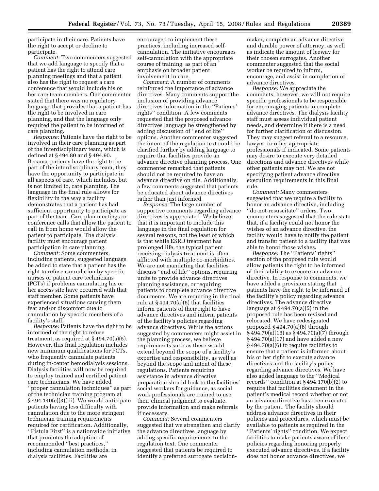participate in their care. Patients have the right to accept or decline to participate.

*Comment:* Two commenters suggested that we add language to specify that a patient has the right to attend care planning meetings and that a patient also has the right to request a care conference that would include his or her care team members. One commenter stated that there was no regulatory language that provides that a patient has the right to be involved in care planning, and that the language only required the patient to be informed of care planning.

*Response:* Patients have the right to be involved in their care planning as part of the interdisciplinary team, which is defined at § 494.80 and § 494.90. Because patients have the right to be part of the interdisciplinary team, they have the opportunity to participate in all aspects of care, which includes, but is not limited to, care planning. The language in the final rule allows for flexibility in the way a facility demonstrates that a patient has had sufficient opportunity to participate as part of the team. Care plan meetings or conference calls that allow the patient to call in from home would allow the patient to participate. The dialysis facility must encourage patient participation in care planning.

*Comment:* Some commenters, including patients, suggested language be added to state that a patient has the right to refuse cannulation by specific nurses or patient care technicians (PCTs) if problems cannulating his or her access site have occurred with that staff member. Some patients have experienced situations causing them fear and/or discomfort due to cannulation by specific members of a facility's staff.

*Response:* Patients have the right to be informed of the right to refuse treatment, as required at § 494.70(a)(5). However, this final regulation includes new minimum qualifications for PCTs, who frequently cannulate patients during in-center hemodialysis sessions. Dialysis facilities will now be required to employ trained and certified patient care technicians. We have added ''proper cannulation techniques'' as part of the technician training program at § 494.140(e)(3)(iii). We would anticipate patients having less difficulty with cannulation due to the more stringent technician training requirements required for certification. Additionally, ''Fistula First'' is a nationwide initiative that promotes the adoption of recommended ''best practices,'' including cannulation methods, in dialysis facilities. Facilities are

encouraged to implement these practices, including increased selfcannulation. The initiative encourages self-cannulation with the appropriate course of training, as part of an emphasis on broader patient involvement in care.

*Comment:* A number of comments reinforced the importance of advance directives. Many comments support the inclusion of providing advance directives information in the ''Patients' rights'' condition. A few comments requested that the proposed advance directives language be strengthened by adding discussion of ''end of life'' options. Another commenter suggested the intent of the regulation text could be clarified further by adding language to require that facilities provide an advance directive planning process. One commenter remarked that patients should not be required to have an advance directive on file. Additionally, a few comments suggested that patients be educated about advance directives rather than just informed.

*Response:* The large number of supportive comments regarding advance directives is appreciated. We believe that it is important to include this language in the final regulation for several reasons, not the least of which is that while ESRD treatment has prolonged life, the typical patient receiving dialysis treatment is often afflicted with multiple co-morbidities. We are not mandating that facilities discuss ''end of life'' options, requiring units to provide advance directives planning assistance, or requiring patients to complete advance directive documents. We are requiring in the final rule at § 494.70(a)(6) that facilities inform patients of their right to have advance directives and inform patients of the facility's policies regarding advance directives. While the actions suggested by commenters might assist in the planning process, we believe requirements such as these would extend beyond the scope of a facility's expertise and responsibility, as well as beyond the scope and intent of these regulations. Patients requiring assistance in advance directive preparation should look to the facilities' social workers for guidance, as social work professionals are trained to use their clinical judgment to evaluate, provide information and make referrals if necessary.

*Comment:* Several commenters suggested that we strengthen and clarify the advance directives language by adding specific requirements to the regulation text. One commenter suggested that patients be required to identify a preferred surrogate decisionmaker, complete an advance directive and durable power of attorney, as well as indicate the amount of leeway for their chosen surrogates. Another commenter suggested that the social worker be required to inform, encourage, and assist in completion of advance directives.

*Response:* We appreciate the comments; however, we will not require specific professionals to be responsible for encouraging patients to complete advance directives. The dialysis facility staff must assess individual patient needs, and determine if there is a need for further clarification or discussion. They may suggest referral to a resource, lawyer, or other appropriate professionals if indicated. Some patients may desire to execute very detailed directions and advance directives while other patients may not. We are not specifying patient advance directive execution requirements in this final rule.

*Comment:* Many commenters suggested that we require a facility to honor an advance directive, including ''do-not-resuscitate'' orders. Two commenters suggested that the rule state that, if a facility could not honor the wishes of an advance directive, the facility would have to notify the patient and transfer patient to a facility that was able to honor those wishes.

*Response:* The ''Patients' rights'' section of the proposed rule would allow patients the right to be informed of their ability to execute an advance directive. In response to comments, we have added a provision stating that patients have the right to be informed of the facility's policy regarding advance directives. The advance directive language at  $\S$  494.70(a)(5) in the proposed rule has been revised and relocated. We have redesignated proposed § 494.70(a)(6) through § 494.70(a)(16) as § 494.70(a)(7) through  $§ 494.70(a)(17)$  and have added a new § 494.70(a)(6) to require facilities to ensure that a patient is informed about his or her right to execute advance directives and the facility's policy regarding advance directives. We have also added language to the ''Medical records'' condition at § 494.170(b)(2) to require that facilities document in the patient's medical record whether or not an advance directive has been executed by the patient. The facility should address advance directives in their policies and procedures, which must be available to patients as required in the ''Patients' rights'' condition. We expect facilities to make patients aware of their policies regarding honoring properly executed advance directives. If a facility does not honor advance directives, we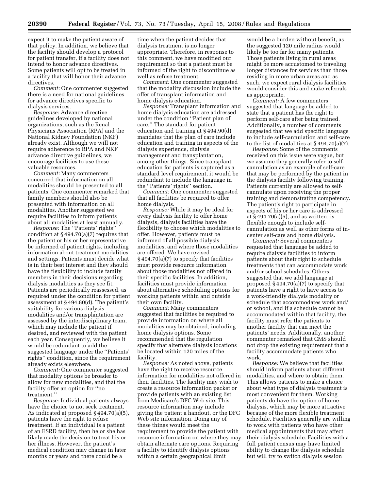expect it to make the patient aware of that policy. In addition, we believe that the facility should develop a protocol for patient transfer, if a facility does not intend to honor advance directives. Some patients will opt to be treated in a facility that will honor their advance directives.

*Comment:* One commenter suggested there is a need for national guidelines for advance directives specific to dialysis services.

*Response:* Advance directive guidelines developed by national organizations, such as the Renal Physicians Association (RPA) and the National Kidney Foundation (NKF) already exist. Although we will not require adherence to RPA and NKF advance directive guidelines, we encourage facilities to use these valuable resources.

*Comment:* Many commenters concurred that information on all modalities should be presented to all patients. One commenter remarked that family members should also be presented with information on all modalities. Another suggested we require facilities to inform patients about all modalities at least annually.

*Response:* The ''Patients' rights'' condition at  $§$  494.70(a)(7) requires that the patient or his or her representative be informed of patient rights, including information about treatment modalities and settings. Patients must decide what is in their best interest and they should have the flexibility to include family members in their decisions regarding dialysis modalities as they see fit. Patients are periodically reassessed, as required under the condition for patient assessment at § 494.80(d). The patient's suitability for various dialysis modalities and/or transplantation are assessed by the interdisciplinary team, which may include the patient if desired, and reviewed with the patient each year. Consequently, we believe it would be redundant to add the suggested language under the ''Patients' rights'' condition, since the requirement already exists elsewhere.

*Comment:* One commenter suggested that modality options be broader to allow for new modalities, and that the facility offer an option for ''no treatment.''

*Response:* Individual patients always have the choice to not seek treatment. As indicated at proposed § 494.70(a)(5), patients have the right to refuse treatment. If an individual is a patient of an ESRD facility, then he or she has likely made the decision to treat his or her illness. However, the patient's medical condition may change in later months or years and there could be a

time when the patient decides that dialysis treatment is no longer appropriate. Therefore, in response to this comment, we have modified our requirement so that a patient must be informed of the right to discontinue as well as refuse treatment.

*Comment:* One commenter suggested that the modality discussion include the offer of transplant information and home dialysis education.

*Response:* Transplant information and home dialysis education are addressed under the condition ''Patient plan of care.'' The standard for patient education and training at § 494.90(d) mandates that the plan of care include education and training in aspects of the dialysis experience, dialysis management and transplantation, among other things. Since transplant education for patients is captured as a standard level requirement, it would be redundant to include the language in the ''Patients' rights'' section.

*Comment:* One commenter suggested that all facilities be required to offer home dialysis.

*Response:* While it may be ideal for every dialysis facility to offer home dialysis, dialysis facilities have the flexibility to choose which modalities to offer. However, patients must be informed of all possible dialysis modalities, and where those modalities are offered. We have revised § 494.70(a)(7) to specify that facilities must provide resource information about those modalities not offered in their specific facilities. In addition, facilities must provide information about alternative scheduling options for working patients within and outside their own facility.

*Comment:* Many commenters suggested that facilities be required to provide information on where all modalities may be obtained, including home dialysis options. Some recommended that the regulation specify that alternate dialysis locations be located within 120 miles of the facility.

*Response:* As noted above, patients have the right to receive resource information for modalities not offered in their facilities. The facility may wish to create a resource information packet or provide patients with an existing list from Medicare's DFC Web site. This resource information may include giving the patient a handout, or the DFC Web site information. Doing any of these things would meet the requirement to provide the patient with resource information on where they may obtain alternate care options. Requiring a facility to identify dialysis options within a certain geographical limit

would be a burden without benefit, as the suggested 120 mile radius would likely be too far for many patients. Those patients living in rural areas might be more accustomed to traveling longer distances for services than those residing in more urban areas and as such, we expect rural dialysis facilities would consider this and make referrals as appropriate.

*Comment:* A few commenters suggested that language be added to state that a patient has the right to perform self-care after being trained. Additionally, a number of comments suggested that we add specific language to include self-cannulation and self-care to the list of modalities at § 494.70(a)(7).

*Response:* Some of the comments received on this issue were vague, but we assume they generally refer to selfcannulation as an example of self-care that may be performed by the patient in the dialysis facility following training. Patients currently are allowed to selfcannulate upon receiving the proper training and demonstrating competency. The patient's right to participate in aspects of his or her care is addressed at  $§$  494.70(a)(5), and as written, is flexible enough to include selfcannulation as well as other forms of incenter self-care and home dialysis.

*Comment:* Several commenters requested that language be added to require dialysis facilities to inform patients about their right to schedule treatments that can accommodate work and/or school schedules. Others suggested that we add language at proposed  $\S 494.70(a)(7)$  to specify that patients have a right to have access to a work-friendly dialysis modality or schedule that accommodates work and/ or school, and if a schedule cannot be accommodated within that facility, the facility must refer the patients to another facility that can meet the patients' needs. Additionally, another commenter remarked that CMS should not drop the existing requirement that a facility accommodate patients who work.

*Response:* We believe that facilities should inform patients about different modalities, and where to obtain them. This allows patients to make a choice about what type of dialysis treatment is most convenient for them. Working patients do have the option of home dialysis, which may be more attractive because of the more flexible treatment schedule. Facilities generally are willing to work with patients who have other medical appointments that may affect their dialysis schedule. Facilities with a full patient census may have limited ability to change the dialysis schedule but will try to switch dialysis session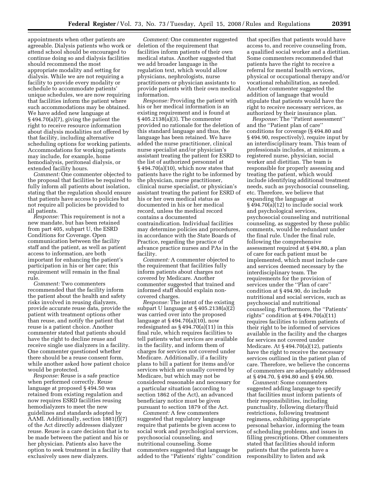appointments when other patients are agreeable. Dialysis patients who work or attend school should be encouraged to continue doing so and dialysis facilities should recommend the most appropriate modality and setting for dialysis. While we are not requiring a facility to provide every modality or schedule to accommodate patients' unique schedules, we are now requiring that facilities inform the patient where such accommodations may be obtained. We have added new language at § 494.70(a)(7), giving the patient the right to receive resource information about dialysis modalities not offered by that facility, including alternative scheduling options for working patients. Accommodations for working patients may include, for example, home hemodialysis, peritoneal dialysis, or extended facility hours.

*Comment:* One commenter objected to the proposal that facilities be required to fully inform all patients about isolation, stating that the regulation should ensure that patients have access to policies but not require all policies be provided to all patients.

*Response:* This requirement is not a new mandate, but has been retained from part 405, subpart U, the ESRD Conditions for Coverage. Open communication between the facility staff and the patient, as well as patient access to information, are both important for enhancing the patient's participation in his or her care; this requirement will remain in the final rule.

*Comment:* Two commenters recommended that the facility inform the patient about the health and safety risks involved in reusing dialyzers, provide accurate reuse data, provide the patient with treatment options other than reuse, and notify the patient that reuse is a patient choice. Another commenter stated that patients should have the right to decline reuse and receive single use dialyzers in a facility. One commenter questioned whether there should be a reuse consent form, while another asked how patient choice would be protected.

*Response:* Reuse is a safe practice when performed correctly. Reuse language at proposed § 494.50 was retained from existing regulation and now requires ESRD facilities reusing hemodialyzers to meet the new guidelines and standards adopted by AAMI. Additionally, section 1881(f)(7) of the Act directly addresses dialyzer reuse. Reuse is a care decision that is to be made between the patient and his or her physician. Patients also have the option to seek treatment in a facility that exclusively uses new dialyzers.

*Comment:* One commenter suggested deletion of the requirement that facilities inform patients of their own medical status. Another suggested that we add broader language in the regulation text, which would allow physicians, nephrologists, nurse practitioners or physician assistants to provide patients with their own medical information.

*Response:* Providing the patient with his or her medical information is an existing requirement and is found at § 405.2138(a)(3). The commenter provided no rationale for the deletion of this standard language and thus, the language has been retained. We have added the nurse practitioner, clinical nurse specialist and/or physician's assistant treating the patient for ESRD to the list of authorized personnel at  $\S 494.70(a)(10)$ , which now states that patients have the right to be informed by the physician, nurse practitioner, clinical nurse specialist, or physician's assistant treating the patient for ESRD of his or her own medical status as documented in his or her medical record, unless the medical record contains a documented contraindication. Individual facilities may determine policies and procedures, in accordance with the State Boards of Practice, regarding the practice of advance practice nurses and PAs in the facility.

*Comment:* A commenter objected to the requirement that facilities fully inform patients about charges not covered by Medicare. Another commenter suggested that trained and informed staff should explain noncovered charges.

*Response:* The intent of the existing subpart U language at § 405.2138(a)(2) was carried over into the proposed language at § 494.70(a)(10), now redesignated as  $§ 494.70(a)(11)$  in this final rule, which requires facilities to tell patients what services are available in the facility, and inform them of charges for services not covered under Medicare. Additionally, if a facility plans to bill a patient for items and/or services which are usually covered by Medicare, but which may not be considered reasonable and necessary for a particular situation (according to section 1862 of the Act), an advanced beneficiary notice must be given pursuant to section 1879 of the Act.

*Comment:* A few commenters suggested that regulatory language require that patients be given access to social work and psychological services, psychosocial counseling, and nutritional counseling. Some commenters suggested that language be added to the ''Patients' rights'' condition

that specifies that patients would have access to, and receive counseling from, a qualified social worker and a dietitian. Some commenters recommended that patients have the right to receive a referral for mental health services, physical or occupational therapy and/or vocational rehabilitation, as needed. Another commenter suggested the addition of language that would stipulate that patients would have the right to receive necessary services, as authorized by their insurance plan.

*Response:* The ''Patient assessment'' and the ''Patient plan of care'' conditions for coverage (§ 494.80 and § 494.90, respectively), require input by an interdisciplinary team. This team of professionals includes, at minimum, a registered nurse, physician, social worker and dietitian. The team is responsible for properly assessing and treating the patient, which would include identifying additional treatment needs, such as psychosocial counseling, etc. Therefore, we believe that expanding the language at § 494.70(a)(12) to include social work and psychological services, psychosocial counseling and nutritional counseling, as suggested by these public comments, would be redundant under the final rule. Under the final rule, following the comprehensive assessment required at § 494.80, a plan of care for each patient must be implemented, which must include care and services deemed necessary by the interdisciplinary team. The requirements for the provision of services under the ''Plan of care'' condition at § 494.90, do include nutritional and social services, such as psychosocial and nutritional counseling. Furthermore, the ''Patients' rights" condition at  $\S 494.70(a)(11)$ requires facilities to inform patients of their right to be informed of services available in the facility and the charges for services not covered under Medicare. At  $\S$  494.70(a)(12), patients have the right to receive the necessary services outlined in the patient plan of care. Therefore, we believe the concerns of commenters are adequately addressed at § 494.70, § 494.80 and § 494.90.

*Comment:* Some commenters suggested adding language to specify that facilities must inform patients of their responsibilities, including punctuality, following dietary/fluid restrictions, following treatment regimens, exhibiting appropriate personal behavior, informing the team of scheduling problems, and issues in filling prescriptions. Other commenters stated that facilities should inform patients that the patients have a responsibility to listen and ask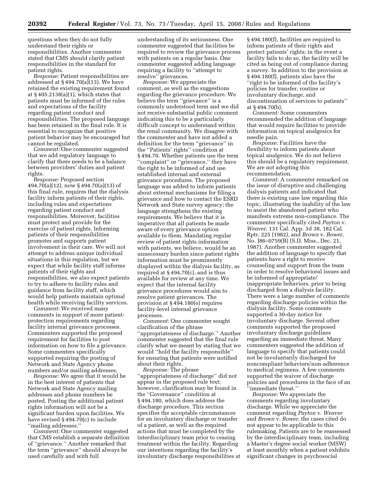questions when they do not fully understand their rights or responsibilities. Another commenter stated that CMS should clarify patient responsibilities in the standard for patient rights.

*Response:* Patient responsibilities are addressed at § 494.70(a)(13). We have retained the existing requirement found at  $§$  405.2138(a)(1), which states that patients must be informed of the rules and expectations of the facility regarding patient conduct and responsibilities. The proposed language has been retained in the final rule. It is essential to recognize that positive patient behavior may be encouraged but cannot be regulated.

*Comment:* One commenter suggested that we add regulatory language to clarify that there needs to be a balance between providers' duties and patient rights.

*Response:* Proposed section 494.70(a)(12), now § 494.70(a)(13) of this final rule, requires that the dialysis facility inform patients of their rights, including rules and expectations regarding patient conduct and responsibilities. Moreover, facilities must protect and provide for the exercise of patient rights. Informing patients of their responsibilities promotes and supports patient involvement in their care. We will not attempt to address unique individual situations in this regulation, but we expect that while facility staff informs patients of their rights and responsibilities, we also expect patients to try to adhere to facility rules and guidance from facility staff, which would help patients maintain optimal health while receiving facility services.

*Comment:* We received many comments in support of more patientprotection requirements regarding facility internal grievance processes. Commenters supported the proposed requirement for facilities to post information on how to file a grievance. Some commenters specifically supported requiring the posting of Network and State Agency phone numbers and/or mailing addresses.

*Response:* We agree that it would be in the best interest of patients that Network and State Agency mailing addresses and phone numbers be posted. Posting the additional patient rights information will not be a significant burden upon facilities. We have revised § 494.70(c) to include ''mailing addresses.''

*Comment:* One commenter suggested that CMS establish a separate definition of ''grievance.'' Another remarked that the term ''grievance'' should always be used carefully and with full

understanding of its seriousness. One commenter suggested that facilities be required to review the grievance process with patients on a regular basis. One commenter suggested adding language requiring a facility to ''attempt to resolve'' grievances.

*Response:* We appreciate the comment, as well as the suggestions regarding the grievance procedure. We believe the term ''grievance'' is a commonly understood term and we did not receive substantial public comment indicating this to be a particularly difficult concept to understand within the renal community. We disagree with the commenter and have not added a definition for the term ''grievance'' in the ''Patients' rights'' condition at § 494.70. Whether patients use the term ''complaint'' or ''grievance,'' they have the right to be informed of and use established internal and external grievance procedures. The proposed language was added to inform patients about external mechanisms for filing a grievance and how to contact the ESRD Network and State survey agency; the language strengthens the existing requirements. We believe that it is imperative that all patients be made aware of every grievance option available to them. Mandating regular review of patient rights information with patients, we believe, would be an unnecessary burden since patient rights information must be prominently displayed within the dialysis facility, as required at § 494.70(c), and is thus available for review at any time. We expect that the internal facility grievance procedures would aim to resolve patient grievances. The provision at § 494.180(e) requires facility-level internal grievance processes.

*Comment:* One commenter sought clarification of the phrase ''appropriateness of discharge.'' Another commenter suggested that the final rule clarify what we meant by stating that we would ''hold the facility responsible'' for ensuring that patients were notified about their rights.

*Response:* The phrase ''appropriateness of discharge'' did not appear in the proposed rule text; however, clarification may be found in the ''Governance'' condition at § 494.180, which does address the discharge procedure. This section specifies the acceptable circumstances for an involuntary discharge or transfer of a patient, as well as the required actions that must be completed by the interdisciplinary team prior to ceasing treatment within the facility. Regarding our intentions regarding the facility's involuntary discharge responsibilities at

§ 494.180(f), facilities are required to inform patients of their rights and protect patients' rights; in the event a facility fails to do so, the facility will be cited as being out of compliance during a survey. In addition to the provision at § 494.180(f), patients also have the ''right to be informed of the facility's policies for transfer, routine or involuntary discharge, and discontinuation of services to patients'' at § 494.70(b).

*Comment:* Some commenters recommended the addition of language that would require facilities to provide information on topical analgesics for needle pain.

*Response:* Facilities have the flexibility to inform patients about topical analgesics. We do not believe this should be a regulatory requirement. We are not adopting this recommendation.

*Comment:* A commenter remarked on the issue of disruptive and challenging dialysis patients and indicated that there is existing case law regarding this topic, illustrating the inability of the law to assist the abandoned patient who manifests extreme non-compliance. The commenter specifically cited *Payton* v. *Weaver,* 131 Cal. App. 3d 38, 182 Cal. Rptr. 225 (1982), and *Brown* v. *Bower,*  No. J86–0759(B) (S.D. Miss., Dec. 21, 1987). Another commenter suggested the addition of language to specify that patients have a right to receive counseling and support from the team in order to resolve behavioral issues and be informed of appropriate/ inappropriate behaviors, prior to being discharged from a dialysis facility. There were a large number of comments regarding discharge policies within the dialysis facility. Some comments supported a 30-day notice for involuntary discharge. Several other comments supported the proposed involuntary discharge guidelines regarding an immediate threat. Many commenters suggested the addition of language to specify that patients could not be involuntarily discharged for noncompliant behaviors/non-adherence to medical regimens. A few comments supported the waiver of discharge policies and procedures in the face of an ''immediate threat.''

*Response:* We appreciate the comments regarding involuntary discharge. While we appreciate the comment regarding *Payton* v. *Weaver*  and *Brown* v. *Bower,* the cases cited do not appear to be applicable to this rulemaking. Patients are to be reassessed by the interdisciplinary team, including a Master's degree social worker (MSW) at least monthly when a patient exhibits significant changes in psychosocial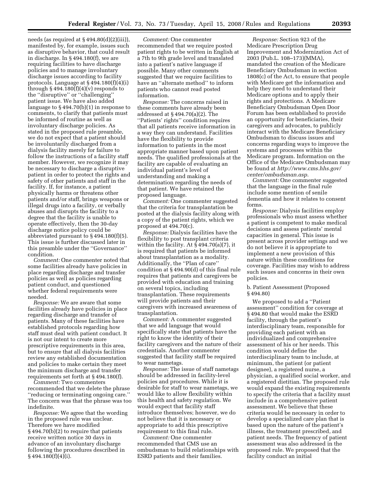needs (as required at  $\S 494.80(d)(2)(iii)$ ), manifested by, for example, issues such as disruptive behavior, that could result in discharge. In § 494.180(f), we are requiring facilities to have discharge policies and to manage involuntary discharge issues according to facility protocols. Language at § 494.180(f)(4)(i) through  $§$  494.180(f)(4)(v) responds to the ''disruptive'' or ''challenging'' patient issue. We have also added language to § 494.70(b)(1) in response to comments, to clarify that patients must be informed of routine as well as involuntary discharge policies. As stated in the proposed rule preamble, we do not expect that a patient should be involuntarily discharged from a dialysis facility merely for failure to follow the instructions of a facility staff member. However, we recognize it may be necessary to discharge a disruptive patient in order to protect the rights and safety of other patients and staff in the facility. If, for instance, a patient physically harms or threatens other patients and/or staff, brings weapons or illegal drugs into a facility, or verbally abuses and disrupts the facility to a degree that the facility is unable to operate effectively, then the 30-day discharge notice policy could be abbreviated pursuant to § 494.180(f)(5). This issue is further discussed later in this preamble under the ''Governance'' condition.

*Comment:* One commenter noted that some facilities already have policies in place regarding discharge and transfer policies as well as policies regarding patient conduct, and questioned whether federal requirements were needed.

*Response:* We are aware that some facilities already have policies in place regarding discharge and transfer of patients. Many of these facilities have established protocols regarding how staff must deal with patient conduct. It is not our intent to create more prescriptive requirements in this area, but to ensure that all dialysis facilities review any established documentation and policies to make certain they meet the minimum discharge and transfer requirements set forth at § 494.180(f).

*Comment:* Two commenters recommended that we delete the phrase ''reducing or terminating ongoing care.'' The concern was that the phrase was too indefinite.

*Response:* We agree that the wording in the proposed rule was unclear. Therefore we have modified § 494.70(b)(2) to require that patients receive written notice 30 days in advance of an involuntary discharge following the procedures described in § 494.180(f)(4)(i).

*Comment:* One commenter recommended that we require posted patient rights to be written in English at a 7th to 9th grade level and translated into a patient's native language if possible. Many other comments suggested that we require facilities to have an ''alternate method'' to inform patients who cannot read posted information.

*Response:* The concerns raised in these comments have already been addressed at § 494.70(a)(2). The ''Patients' rights'' condition requires that all patients receive information in a way they can understand. Facilities have the flexibility to provide information to patients in the most appropriate manner based upon patient needs. The qualified professionals at the facility are capable of evaluating an individual patient's level of understanding and making a determination regarding the needs of that patient. We have retained the proposed language.

*Comment:* One commenter suggested that the criteria for transplantation be posted at the dialysis facility along with a copy of the patient rights, which we proposed at 494.70(c).

*Response:* Dialysis facilities have the flexibility to post transplant criteria within the facility. At § 494.70(a)(7), it is required that patients be informed about transplantation as a modality. Additionally, the ''Plan of care'' condition at § 494.90(d) of this final rule requires that patients and caregivers be provided with education and training on several topics, including transplantation. These requirements will provide patients and their caregivers with increased awareness of transplantation.

*Comment:* A commenter suggested that we add language that would specifically state that patients have the right to know the identity of their facility caregivers and the nature of their credentials. Another commenter suggested that facility staff be required to wear nametags.

*Response:* The issue of staff nametags should be addressed in facility-level policies and procedures. While it is desirable for staff to wear nametags, we would like to allow flexibility within this health and safety regulation. We would expect that facility staff introduce themselves; however, we do not believe that it is necessary or appropriate to add this prescriptive requirement to this final rule.

*Comment:* One commenter recommended that CMS use an ombudsman to build relationships with ESRD patients and their families.

*Response:* Section 923 of the Medicare Prescription Drug Improvement and Modernization Act of 2003 (Pub.L. 108–173)(MMA), mandated the creation of the Medicare Beneficiary Ombudsman in section 1808(c) of the Act, to ensure that people with Medicare get the information and help they need to understand their Medicare options and to apply their rights and protections. A Medicare Beneficiary Ombudsman Open Door Forum has been established to provide an opportunity for beneficiaries, their caregivers and advocates, to publicly interact with the Medicare Beneficiary Ombudsman to discuss issues and concerns regarding ways to improve the systems and processes within the Medicare program. Information on the Office of the Medicare Ombudsman may be found at *[http://www.cms.hhs.gov/](http://www.cms.hhs.gov/center/ombudsman.asp)  center/ombudsman.asp*.

*Comment:* One commenter suggested that the language in the final rule include some mention of senile dementia and how it relates to consent forms.

*Response:* Dialysis facilities employ professionals who must assess whether a patient is competent to make medical decisions and assess patients' mental capacities in general. This issue is present across provider settings and we do not believe it is appropriate to implement a new provision of this nature within these conditions for coverage. Facilities may wish to address such issues and concerns in their own policies.

# b. Patient Assessment (Proposed § 494.80)

We proposed to add a ''Patient assessment'' condition for coverage at § 494.80 that would make the ESRD facility, through the patient's interdisciplinary team, responsible for providing each patient with an individualized and comprehensive assessment of his or her needs. This condition would define the interdisciplinary team to include, at minimum, the patient (or patient designee), a registered nurse, a physician, a qualified social worker, and a registered dietitian. The proposed rule would expand the existing requirements to specify the criteria that a facility must include in a comprehensive patient assessment. We believe that these criteria would be necessary in order to develop a specialized care plan that is based upon the nature of the patient's illness, the treatment prescribed, and patient needs. The frequency of patient assessment was also addressed in the proposed rule. We proposed that the facility conduct an initial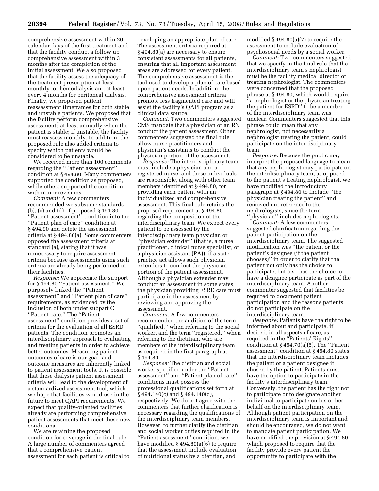comprehensive assessment within 20 calendar days of the first treatment and that the facility conduct a follow up comprehensive assessment within 3 months after the completion of the initial assessment. We also proposed that the facility assess the adequacy of the treatment prescription at least monthly for hemodialysis and at least every 4 months for peritoneal dialysis. Finally, we proposed patient reassessment timeframes for both stable and unstable patients. We proposed that the facility perform comprehensive assessments at least annually when the patient is stable; if unstable, the facility must reassess monthly. In addition, the proposed rule also added criteria to specify which patients would be considered to be unstable.

We received more than 100 comments regarding the ''Patient assessment'' condition at § 494.80. Many commenters supported the condition as proposed, while others supported the condition with minor revisions.

*Comment:* A few commenters recommended we subsume standards (b), (c) and (d) of proposed § 494.80 ''Patient assessment'' condition into the ''Patient plan of care'' condition at § 494.90 and delete the assessment criteria at § 494.80(a). Some commenters opposed the assessment criteria at standard (a), stating that it was unnecessary to require assessment criteria because assessments using such criteria are already being performed in their facilities.

*Response:* We appreciate the support for § 494.80 ''Patient assessment.'' We purposely linked the ''Patient assessment'' and ''Patient plan of care'' requirements, as evidenced by the inclusion of both under subpart C ''Patient care.'' The ''Patient assessment'' condition provides a set of criteria for the evaluation of all ESRD patients. The condition promotes an interdisciplinary approach to evaluating and treating patients in order to achieve better outcomes. Measuring patient outcomes of care is our goal, and outcome measures are inherently linked to patient assessment tools. It is possible that these dialysis patient assessment criteria will lead to the development of a standardized assessment tool, which we hope that facilities would use in the future to meet QAPI requirements. We expect that quality-oriented facilities already are performing comprehensive patient assessments that meet these new conditions.

We are retaining the proposed condition for coverage in the final rule. A large number of commenters agreed that a comprehensive patient assessment for each patient is critical to

developing an appropriate plan of care. The assessment criteria required at § 494.80(a) are necessary to ensure consistent assessments for all patients, ensuring that all important assessment areas are addressed for every patient. The comprehensive assessment is the tool used to develop a plan of care based upon patient needs. In addition, the comprehensive assessment criteria promote less fragmented care and will assist the facility's QAPI program as a clinical data source.

*Comment:* Two commenters suggested CMS mandate that a physician or an RN conduct the patient assessment. Other commenters suggested the final rule allow nurse practitioners and physician's assistants to conduct the physician portion of the assessment.

*Response:* The interdisciplinary team must include a physician and a registered nurse, and these individuals are responsible, along with other team members identified at § 494.80, for providing each patient with an individualized and comprehensive assessment. This final rule retains the proposed requirement at § 494.80 regarding the composition of the interdisciplinary team. We expect every patient to be assessed by the interdisciplinary team physician or ''physician extender'' (that is, a nurse practitioner, clinical nurse specialist, or a physician assistant (PA)), if a state practice act allows such physician extenders to conduct the physician portion of the patient assessment. Although a physician extender may conduct an assessment in some states, the physician providing ESRD care must participate in the assessment by reviewing and approving the assessment.

*Comment:* A few commenters recommended the addition of the term ''qualified,'' when referring to the social worker, and the term ''registered,'' when referring to the dietitian, who are members of the interdisciplinary team as required in the first paragraph at § 494.80.

*Response:* The dietitian and social worker specified under the ''Patient assessment'' and ''Patient plan of care'' conditions must possess the professional qualifications set forth at § 494.140(c) and § 494.140(d), respectively. We do not agree with the commenters that further clarification is necessary regarding the qualifications of the interdisciplinary team members. However, to further clarify the dietitian and social worker duties required in the ''Patient assessment'' condition, we have modified § 494.80(a)(6) to require that the assessment include evaluation of nutritional status by a dietitian, and

modified § 494.80(a)(7) to require the assessment to include evaluation of psychosocial needs by a social worker.

*Comment:* Two commenters suggested that we specify in the final rule that the interdisciplinary team's nephrologist must be the facility medical director or treating nephrologist. The commenters were concerned that the proposed phrase at § 494.80, which would require ''a nephrologist or the physician treating the patient for ESRD'' to be a member of the interdisciplinary team was unclear. Commenters suggested that this phrase could mean that any nephrologist, not necessarily a nephrologist treating the patient, could participate on the interdisciplinary team.

*Response:* Because the public may interpret the proposed language to mean that any nephrologist may participate on the interdisciplinary team, as opposed to the patient's treating nephrologist, we have modified the introductory paragraph at § 494.80 to include ''the physician treating the patient'' and removed our reference to the nephrologists, since the term ''physician'' includes nephrologists.

*Comment:* A few commenters suggested clarification regarding the patient participation on the interdisciplinary team. The suggested modification was ''the patient or the patient's designee (if the patient chooses)'' in order to clarify that the patient not only has the choice to participate, but also has the choice to have a designee participate as part of the interdisciplinary team. Another commenter suggested that facilities be required to document patient participation and the reasons patients do not participate on the interdisciplinary team.

*Response:* Patients have the right to be informed about and participate, if desired, in all aspects of care, as required in the ''Patients' Rights'' condition at § 494.70(a)(5). The ''Patient assessment'' condition at § 494.80 states that the interdisciplinary team includes the patient or a patient designee if chosen by the patient. Patients must have the option to participate in the facility's interdisciplinary team. Conversely, the patient has the right not to participate or to designate another individual to participate on his or her behalf on the interdisciplinary team. Although patient participation on the interdisciplinary team is important and should be encouraged, we do not want to mandate patient participation. We have modified the provision at § 494.80, which proposed to require that the facility provide every patient the opportunity to participate with the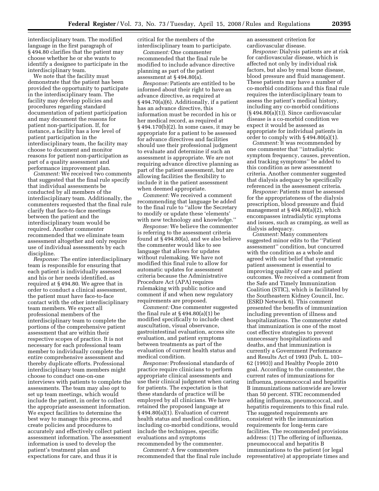interdisciplinary team. The modified language in the first paragraph of § 494.80 clarifies that the patient may choose whether he or she wants to identify a designee to participate in the interdisciplinary team.

We note that the facility must demonstrate that the patient has been provided the opportunity to participate in the interdisciplinary team. The facility may develop policies and procedures regarding standard documentation of patient participation and may document the reasons for patient non-participation. If, for instance, a facility has a low level of patient participation in the interdisciplinary team, the facility may choose to document and monitor reasons for patient non-participation as part of a quality assessment and performance improvement plan.

*Comment:* We received two comments that suggested that the final rule specify that individual assessments be conducted by all members of the interdisciplinary team. Additionally, the commenters requested that the final rule clarify that face-to-face meetings between the patient and the interdisciplinary team would be required. Another commenter recommended that we eliminate team assessment altogether and only require use of individual assessments by each discipline.

*Response:* The entire interdisciplinary team is responsible for ensuring that each patient is individually assessed and his or her needs identified, as required at § 494.80. We agree that in order to conduct a clinical assessment, the patient must have face-to-face contact with the other interdisciplinary team members. We expect all professional members of the interdisciplinary team to complete the portions of the comprehensive patient assessment that are within their respective scopes of practice. It is not necessary for each professional team member to individually complete the entire comprehensive assessment and thereby duplicate efforts. Professional interdisciplinary team members might choose to conduct one-on-one interviews with patients to complete the assessments. The team may also opt to set up team meetings, which would include the patient, in order to collect the appropriate assessment information. We expect facilities to determine the best way to manage this process, and create policies and procedures to accurately and effectively collect patient assessment information. The assessment information is used to develop the patient's treatment plan and expectations for care, and thus it is

critical for the members of the interdisciplinary team to participate.

*Comment:* One commenter recommended that the final rule be modified to include advance directive planning as part of the patient assessment at § 494.80(a).

*Response:* Patients are entitled to be informed about their right to have an advance directive, as required at § 494.70(a)(6). Additionally, if a patient has an advance directive, this information must be recorded in his or her medical record, as required at § 494.170(b)(2). In some cases, it may be appropriate for a patient to be assessed for advance directives and facilities should use their professional judgment to evaluate and determine if such an assessment is appropriate. We are not requiring advance directive planning as part of the patient assessment, but are allowing facilities the flexibility to include it in the patient assessment when deemed appropriate.

*Comment:* We received a comment recommending that language be added to the final rule to ''allow the Secretary to modify or update these 'elements' with new technology and knowledge.''

*Response:* We believe the commenter is referring to the assessment criteria found at § 494.80(a), and we also believe the commenter would like to see language that allows for updates without rulemaking. We have not modified this final rule to allow for automatic updates for assessment criteria because the Administrative Procedure Act (APA) requires rulemaking with public notice and comment if and when new regulatory requirements are proposed.

*Comment:* One commenter suggested the final rule at  $\S 494.80(a)(1)$  be modified specifically to include chest auscultation, visual observance, gastrointestinal evaluation, access site evaluation, and patient symptoms between treatments as part of the evaluation of current health status and medical condition.

*Response:* Professional standards of practice require clinicians to perform appropriate clinical assessments and use their clinical judgment when caring for patients. The expectation is that these standards of practice will be employed by all clinicians. We have retained the proposed language at § 494.80(a)(1). Evaluation of current health status and medical condition, including co-morbid conditions, would include the techniques, specific evaluations and symptoms recommended by the commenter.

*Comment:* A few commenters recommended that the final rule include an assessment criterion for cardiovascular disease.

*Response:* Dialysis patients are at risk for cardiovascular disease, which is affected not only by individual risk factors, but also by renal bone disease, blood pressure and fluid management. These patients may have a number of co-morbid conditions and this final rule requires the interdisciplinary team to assess the patient's medical history, including any co-morbid conditions (§ 494.80(a)(1)). Since cardiovascular disease is a co-morbid condition we expect it would be assessed as appropriate for individual patients in order to comply with § 494.80(a)(1).

*Comment:* It was recommended by one commenter that ''intradialytic symptom frequency, causes, prevention, and tracking symptoms'' be added to this condition as new assessment criteria. Another commenter suggested that dialysis adequacy be specifically referenced in the assessment criteria.

*Response:* Patients must be assessed for the appropriateness of the dialysis prescription, blood pressure and fluid management at  $\S$  494.80(a)(2), which encompasses intradialytic symptoms and issues, such as cramping, as well as dialysis adequacy.

*Comment:* Many commenters suggested minor edits to the ''Patient assessment'' condition, but concurred with the condition as a whole and agreed with our belief that systematic patient assessment is essential to improving quality of care and patient outcomes. We received a comment from the Safe and Timely Immunization Coalition (STIC), which is facilitated by the Southeastern Kidney Council, Inc. (ESRD Network 6). This comment presented the benefits of immunization including prevention of illness and hospitalizations. The commenter stated that immunization is one of the most cost effective strategies to prevent unnecessary hospitalizations and deaths, and that immunization is currently a Government Performance and Results Act of 1993 (Pub. L. 103– 62 (1993)) and Healthy People 2010 goal. According to the commenter, the current rates of immunizations for influenza, pneumococcal and hepatitis B immunizations nationwide are lower than 50 percent. STIC recommended adding influenza, pneumococcal, and hepatitis requirements to this final rule. The suggested requirements are consistent with the immunization requirements for long-term care facilities. The recommended provisions address: (1) The offering of influenza, pneumococcal and hepatitis B immunizations to the patient (or legal representative) at appropriate times and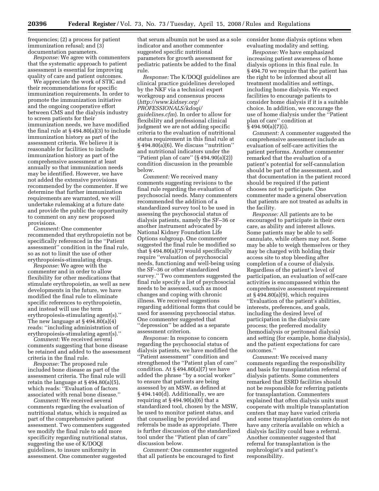frequencies; (2) a process for patient immunization refusal; and (3) documentation parameters.

*Response:* We agree with commenters that the systematic approach to patient assessment is essential for improving quality of care and patient outcomes.

We appreciate the work of STIC and their recommendations for specific immunization requirements. In order to promote the immunization initiative and the ongoing cooperative effort between CMS and the dialysis industry to screen patients for their immunization needs, we have modified the final rule at § 494.80(a)(3) to include immunization history as part of the assessment criteria. We believe it is reasonable for facilities to include immunization history as part of the comprehensive assessment at least annually so that immunization needs may be identified. However, we have not added the extensive provisions recommended by the commenter. If we determine that further immunization requirements are warranted, we will undertake rulemaking at a future date and provide the public the opportunity to comment on any new proposed provisions.

*Comment:* One commenter recommended that erythropoietin not be specifically referenced in the ''Patient assessment'' condition in the final rule, so as not to limit the use of other erythropoiesis-stimulating drugs.

*Response:* We agree with the commenter and in order to allow flexibility for other medications that stimulate erythropoietin, as well as new developments in the future, we have modified the final rule to eliminate specific references to erythropoietin, and instead will use the term erythropoiesis-stimulating agent(s).'' The new language at § 494.80(a)(4) reads: ''including administration of erythropoiesis-stimulating agent(s).''

*Comment:* We received several comments suggesting that bone disease be retained and added to the assessment criteria in the final rule.

*Response:* The proposed rule included bone disease as part of the assessment criteria. The final rule will retain the language at § 494.80(a)(5), which reads: ''Evaluation of factors associated with renal bone disease.''

*Comment:* We received several comments regarding the evaluation of nutritional status, which is required as part of the comprehensive patient assessment. Two commenters suggested we modify the final rule to add more specificity regarding nutritional status, suggesting the use of K/DOQI guidelines, to insure uniformity in assessment. One commenter suggested

that serum albumin not be used as a sole indicator and another commenter suggested specific nutritional parameters for growth assessment for pediatric patients be added to the final rule.

*Response:* The K/DOQI guidelines are clinical practice guidelines developed by the NKF via a technical expert workgroup and consensus process (*http://www.kidney.org/ [PROFESSIONALS/kdoqi/](http://www.kidney.org/PROFESSIONALS/kdoqi/guidelines.cfm)  guidelines.cfm*). In order to allow for flexibility and professional clinical judgment we are not adding specific criteria to the evaluation of nutritional status requirement in this final rule at § 494.80(a)(6). We discuss ''nutrition'' and nutritional indicators under the "Patient plan of care"  $(\S 494.90(a)(2))$ condition discussion in the preamble below.

*Comment:* We received many comments suggesting revisions to the final rule regarding the evaluation of psychosocial needs. Many commenters recommended the addition of a standardized survey tool to be used in assessing the psychosocial status of dialysis patients, namely the SF–36 or another instrument advocated by National Kidney Foundation Life Options subgroup. One commenter suggested the final rule be modified so that § 494.80(a)(7) would specifically require ''evaluation of psychosocial needs, functioning and well-being using the SF–36 or other standardized survey.'' Two commenters suggested the final rule specify a list of psychosocial needs to be assessed, such as mood changes and coping with chronic illness. We received suggestions regarding additional forms that could be used for assessing psychosocial status. One commenter suggested that ''depression'' be added as a separate assessment criterion.

*Response:* In response to concern regarding the psychosocial status of dialysis patients, we have modified the ''Patient assessment'' condition and strengthened the ''Patient plan of care'' condition. At  $\S 494.80(a)(7)$  we have added the phrase ''by a social worker'' to ensure that patients are being assessed by an MSW, as defined at § 494.140(d). Additionally, we are requiring at § 494.90(a)(6) that a standardized tool, chosen by the MSW, be used to monitor patient status, and that counseling be provided and referrals be made as appropriate. There is further discussion of the standardized tool under the ''Patient plan of care'' discussion below.

*Comment:* One commenter suggested that all patients be encouraged to first

consider home dialysis options when evaluating modality and setting.

*Response:* We have emphasized increasing patient awareness of home dialysis options in this final rule. In § 494.70 we require that the patient has the right to be informed about all treatment modalities and settings, including home dialysis. We expect facilities to encourage patients to consider home dialysis if it is a suitable choice. In addition, we encourage the use of home dialysis under the ''Patient plan of care'' condition at  $§ 494.90(a)(7)(i).$ 

*Comment:* A commenter suggested the comprehensive assessment include an evaluation of self-care activities the patient performs. Another commenter remarked that the evaluation of a patient's potential for self-cannulation should be part of the assessment, and that documentation in the patient record should be required if the patient chooses not to participate. One commenter made a general observation that patients are not treated as adults in the facility.

*Response:* All patients are to be encouraged to participate in their own care, as ability and interest allows. Some patients may be able to selfcannulate, while others may not. Some may be able to weigh themselves or they may be charged with holding their access site to stop bleeding after completion of a course of dialysis. Regardless of the patient's level of participation, an evaluation of self-care activities is encompassed within the comprehensive assessment requirement at § 494.80(a)(9), which requires ''Evaluation of the patient's abilities, interests, preferences, and goals, including the desired level of participation in the dialysis care process; the preferred modality (hemodialysis or peritoneal dialysis) and setting (for example, home dialysis), and the patient expectations for care outcomes.''

*Comment:* We received many comments regarding the responsibility and basis for transplantation referral of dialysis patients. Some commenters remarked that ESRD facilities should not be responsible for referring patients for transplantation. Commenters explained that often dialysis units must cooperate with multiple transplantation centers that may have varied criteria and some transplantation centers do not have any criteria available on which a dialysis facility could base a referral. Another commenter suggested that referral for transplantation is the nephrologist's and patient's responsibility.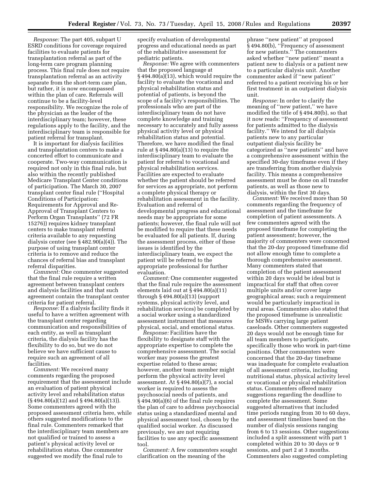*Response:* The part 405, subpart U ESRD conditions for coverage required facilities to evaluate patients for transplantation referral as part of the long-term care program planning process. This final rule does not require transplantation referral as an activity separate from the short-term care plan, but rather, it is now encompassed within the plan of care. Referrals will continue to be a facility-level responsibility. We recognize the role of the physician as the leader of the interdisciplinary team; however, these regulations apply to the facility, and the interdisciplinary team is responsible for patient referral for transplant.

It is important for dialysis facilities and transplantation centers to make a concerted effort to communicate and cooperate. Two-way communication is required not only in this final rule, but also within the recently published Medicare Transplant Center conditions of participation. The March 30, 2007 transplant center final rule (''Hospital Conditions of Participation: Requirements for Approval and Re-Approval of Transplant Centers to Perform Organ Transplants'' (72 FR 15276)) requires kidney transplant centers to make transplant referral criteria available to any requesting dialysis center (see § 482.90(a)(4)). The purpose of using transplant center criteria is to remove and reduce the chances of referral bias and transplant referral disparities.

*Comment:* One commenter suggested that the final rule require a written agreement between transplant centers and dialysis facilities and that such agreement contain the transplant center criteria for patient referral.

*Response:* If a dialysis facility finds it useful to have a written agreement with the transplant center regarding communication and responsibilities of each entity, as well as transplant criteria, the dialysis facility has the flexibility to do so, but we do not believe we have sufficient cause to require such an agreement of all facilities.

*Comment:* We received many comments regarding the proposed requirement that the assessment include an evaluation of patient physical activity level and rehabilitation status (§ 494.80(a)(12) and § 494.80(a)(13)). Some commenters agreed with the proposed assessment criteria here, while others suggested modifications to the final rule. Commenters remarked that the interdisciplinary team members are not qualified or trained to assess a patient's physical activity level or rehabilitation status. One commenter suggested we modify the final rule to

specify evaluation of developmental progress and educational needs as part of the rehabilitative assessment for pediatric patients.

*Response:* We agree with commenters that the proposed language at § 494.80(a)(13), which would require the facility to evaluate the vocational and physical rehabilitation status and potential of patients, is beyond the scope of a facility's responsibilities. The professionals who are part of the interdisciplinary team do not have complete knowledge and training necessary to accurately and fully assess physical activity level or physical rehabilitation status and potential. Therefore, we have modified the final rule at § 494.80(a)(13) to require the interdisciplinary team to evaluate the patient for referral to vocational and physical rehabilitation services. Facilities are expected to evaluate whether the patient should be referred for services as appropriate, not perform a complete physical therapy or rehabilitation assessment in the facility. Evaluation and referral of developmental progress and educational needs may be appropriate for some patients; however, the final rule will not be modified to require that these needs be evaluated for all patients. If, during the assessment process, either of these issues is identified by the interdisciplinary team, we expect the patient will be referred to the appropriate professional for further evaluation.

*Comment:* One commenter suggested that the final rule require the assessment elements laid out at § 494.80(a)(11) through § 494.80(a)(13) (support systems, physical activity level, and rehabilitation services) be completed by a social worker using a standardized assessment instrument that measures physical, social, and emotional status.

*Response:* Facilities have the flexibility to designate staff with the appropriate expertise to complete the comprehensive assessment. The social worker may possess the greatest expertise related to these areas; however, another team member might perform the physical activity level assessment. At § 494.80(a)(7), a social worker is required to assess the psychosocial needs of patients, and § 494.90(a)(6) of the final rule requires the plan of care to address psychosocial status using a standardized mental and physical assessment tool, chosen by the qualified social worker. As discussed previously, we are not requiring facilities to use any specific assessment tool.

*Comment:* A few commenters sought clarification on the meaning of the

phrase ''new patient'' at proposed § 494.80(b), ''Frequency of assessment for new patients.'' The commenters asked whether ''new patient'' meant a patient new to dialysis or a patient new to a particular dialysis unit. Another commenter asked if ''new patient'' referred to a patient receiving his or her first treatment in an outpatient dialysis unit.

*Response:* In order to clarify the meaning of ''new patient,'' we have modified the title of § 494.80(b), so that it now reads: ''Frequency of assessment for patients admitted to the dialysis facility.'' We intend for all dialysis patients new to any particular outpatient dialysis facility be categorized as ''new patients'' and have a comprehensive assessment within the specified 30-day timeframe even if they are transferring from another dialysis facility. This means a comprehensive assessment must be done on all transfer patients, as well as those new to dialysis, within the first 30 days.

*Comment:* We received more than 50 comments regarding the frequency of assessment and the timeframe for completion of patient assessments. A few commenters agreed with the proposed timeframe for completing the patient assessment; however, the majority of commenters were concerned that the 20-day proposed timeframe did not allow enough time to complete a thorough comprehensive assessment. Many commenters stated that completion of the patient assessment within 20 days would be ideal but is impractical for staff that often cover multiple units and/or cover large geographical areas; such a requirement would be particularly impractical in rural areas. Commenters also stated that the proposed timeframe is unrealistic for MSWs carrying large patient caseloads. Other commenters suggested 20 days would not be enough time for all team members to participate, specifically those who work in part-time positions. Other commenters were concerned that the 20-day timeframe was inadequate for complete evaluation of all assessment criteria, including nutritional status, physical activity level or vocational or physical rehabilitation status. Commenters offered many suggestions regarding the deadline to complete the assessment. Some suggested alternatives that included time periods ranging from 30 to 60 days, and assessment timelines based on the number of dialysis sessions ranging from 6 to 13 sessions. Other suggestions included a split assessment with part 1 completed within 20 to 30 days or 9 sessions, and part 2 at 3 months. Commenters also suggested completing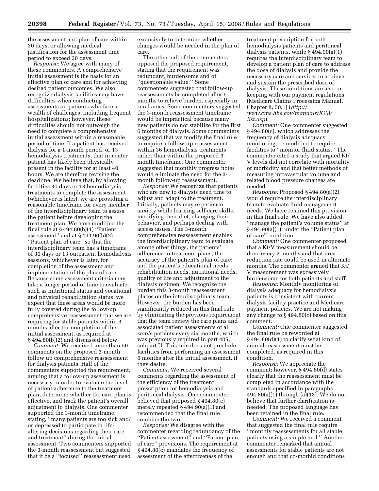the assessment and plan of care within 30 days, or allowing medical justification for the assessment time period to exceed 30 days.

*Response:* We agree with many of these commenters. A comprehensive initial assessment is the basis for an effective plan of care and for achieving desired patient outcomes. We also recognize dialysis facilities may have difficulties when conducting assessments on patients who face a wealth of challenges, including frequent hospitalizations; however, these difficulties should not outweigh the need to complete a comprehensive initial assessment within a reasonable period of time. If a patient has received dialysis for a 1-month period, or 13 hemodialysis treatments, that in-center patient has likely been physically present in the facility for at least 40 hours. We are therefore revising the deadline. We believe that, by allowing facilities 30 days or 13 hemodialysis treatments to complete the assessment (whichever is later), we are providing a reasonable timeframe for every member of the interdisciplinary team to assess the patient before developing the treatment plan. We have modified the final rule at  $\S 494.80(b)(1)$  "Patient" assessment'' and at § 494.90(b)(2) ''Patient plan of care'' so that the interdisciplinary team has a timeframe of 30 days or 13 outpatient hemodialysis sessions, whichever is later, for completion of the assessment and implementation of the plan of care. Because some assessment criteria may take a longer period of time to evaluate, such as nutritional status and vocational and physical rehabilitation status, we expect that these areas would be more fully covered during the follow-up comprehensive reassessment that we are requiring for stable patients within 3 months after the completion of the initial assessment, as required at § 494.80(b)(2) and discussed below.

*Comment:* We received more than 50 comments on the proposed 3-month follow up comprehensive reassessment for dialysis patients. Half of the commenters supported the requirement, arguing that a follow-up assessment is necessary in order to evaluate the level of patient adherence to the treatment plan, determine whether the care plan is effective, and track the patient's overall adjustment to dialysis. One commenter supported the 3-month timeframe, stating, ''many patients are too sick and/ or depressed to participate in lifealtering decisions regarding their care and treatment'' during the initial assessment. Two commenters supported the 3-month reassessment but suggested that it be a ''focused'' reassessment used

exclusively to determine whether changes would be needed in the plan of care.

The other half of the commenters opposed the proposed requirement, stating that the requirement was redundant, burdensome and of ''questionable value.'' Some commenters suggested that follow-up reassessments be completed after 6 months to relieve burden, especially in rural areas. Some commenters suggested the 3-month reassessment timeframe would be impractical because many new patients do not stabilize for the first 6 months of dialysis. Some commenters suggested that we modify the final rule to require a follow-up reassessment within 36 hemodialysis treatments rather than within the proposed 3 month timeframe. One commenter suggested that monthly progress notes would eliminate the need for the 3 month follow-up reassessment.

*Response:* We recognize that patients who are new to dialysis need time to adjust and adapt to the treatment. Initially, patients may experience anxiety while learning self-care skills, modifying their diet, changing their behavior, and perhaps dealing with access issues. The 3-month comprehensive reassessment enables the interdisciplinary team to evaluate, among other things, the patients' adherence to treatment plans; the accuracy of the patient's plan of care; and the patient's educational needs, rehabilitation needs, nutritional needs, quality of life and adjustment to the dialysis regimen. We recognize the burden this 3-month reassessment places on the interdisciplinary team. However, the burden has been significantly reduced in this final rule by eliminating the previous requirement that the team review the care plans and associated patient assessments of all *stable* patients every six months, which was previously required in part 405, subpart U. This rule does not preclude facilities from performing an assessment 6 months after the initial assessment, if they desire.

*Comment:* We received several comments regarding the assessment of the efficiency of the treatment prescription for hemodialysis and peritoneal dialysis. One commenter believed that proposed § 494.80(c) merely repeated § 494.90(a)(1) and recommended that the final rule combine the two.

*Response:* We disagree with the commenter regarding redundancy of the ''Patient assessment'' and ''Patient plan of care'' provisions. The requirement at § 494.80(c) mandates the frequency of assessment of the effectiveness of the

treatment prescription for both hemodialysis patients and peritoneal dialysis patients, while § 494.90(a)(1) requires the interdisciplinary team to develop a patient plan of care to address the dose of dialysis and provide the necessary care and services to achieve and sustain the prescribed dose of dialysis. These conditions are also in keeping with our payment regulations (Medicare Claims Processing Manual, Chapter 8, 50.1) (*http:// [www.cms.hhs.gov/manuals/IOM/](http://www.cms.hhs.gov/manuals/IOM/list.asp)  list.asp*).

*Comment:* One commenter suggested § 494.80(c), which addresses the frequency of dialysis adequacy monitoring, be modified to require facilities to ''monitor fluid status.'' The commenter cited a study that argued Kt/ V levels did not correlate with mortality or morbidity and that better methods of measuring intravascular volume and related blood pressure changes are needed.

*Response:* Proposed § 494.80(a)(2) would require the interdisciplinary team to evaluate fluid management needs. We have retained this provision in this final rule. We have also added, ''manage the patient's volume status'' at § 494.90(a)(1), under the ''Patient plan of care'' condition.

*Comment:* One commenter proposed that a Kt/V measurement should be done every 2 months and that urea reduction rate could be used in alternate months. The commenter argued that Kt/ V measurement was excessively burdensome for both patients and staff.

*Response:* Monthly monitoring of dialysis adequacy for hemodialysis patients is consistent with current dialysis facility practice and Medicare payment policies. We are not making any change to § 494.80(c) based on this comment.

*Comment:* One commenter suggested the final rule be reworded at § 494.80(d)(1) to clarify what kind of annual reassessment must be completed, as required in this condition.

*Response:* We appreciate the comment; however, § 494.80(d) states clearly that the reassessment must be completed in accordance with the standards specified in paragraphs 494.80(a)(1) through (a)(13). We do not believe that further clarification is needed. The proposed language has been retained in the final rule.

*Comment:* We received a comment that suggested the final rule require ''monthly reassessments for all stable patients using a simple tool.'' Another commenter remarked that annual assessments for stable patients are not enough and that co-morbid conditions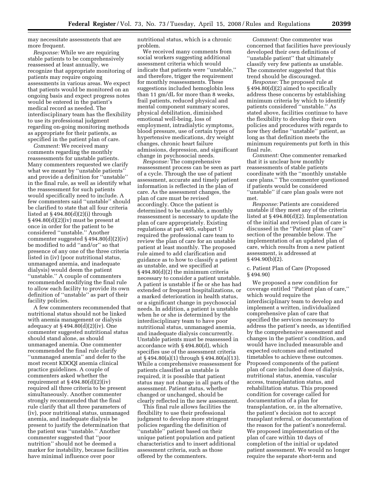may necessitate assessments that are more frequent.

*Response:* While we are requiring stable patients to be comprehensively reassessed at least annually, we recognize that appropriate monitoring of patients may require ongoing assessments in various areas. We expect that patients would be monitored on an ongoing basis and expect progress notes would be entered in the patient's medical record as needed. The interdisciplinary team has the flexibility to use its professional judgment regarding on-going monitoring methods as appropriate for their patients, as specified in the patient plan of care.

*Comment:* We received many comments regarding the monthly reassessments for unstable patients. Many commenters requested we clarify what we meant by ''unstable patients'' and provide a definition for ''unstable'' in the final rule, as well as identify what the reassessment for such patients would specifically need to include. A few commenters said ''unstable'' should be clarified to state that all four criteria listed at  $§$  494.80 $(d)(2)(i)$  through  $§$  494.80(d)(2)(iv) must be present at once in order for the patient to be considered ''unstable.'' Another commenter suggested § 494.80(d)(2)(iv) be modified to add ''and/or'' so that presence of any one of the three criteria listed in (iv) (poor nutritional status, unmanaged anemia, and inadequate dialysis) would deem the patient ''unstable.'' A couple of commenters recommended modifying the final rule to allow each facility to provide its own definition of ''unstable'' as part of their facility policies.

A few commenters recommended that nutritional status should not be linked with anemia management or dialysis adequacy at § 494.80(d)(2)(iv). One commenter suggested nutritional status should stand alone, as should unmanaged anemia. One commenter recommended the final rule clarify ''unmanaged anemia'' and defer to the most recent KDOQI anemia clinical practice guidelines. A couple of commenters asked whether the requirement at  $§$  494.80(d)(2)(iv) required all three criteria to be present simultaneously. Another commenter strongly recommended that the final rule clarify that all three parameters of (iv), poor nutritional status, unmanaged anemia, and inadequate dialysis be present to justify the determination that the patient was ''unstable.'' Another commenter suggested that ''poor nutrition'' should not be deemed a marker for instability, because facilities have minimal influence over poor

nutritional status, which is a chronic problem.

We received many comments from social workers suggesting additional assessment criteria which would indicate that patients were ''unstable,'' and therefore, trigger the requirement for monthly reassessments. These suggestions included hemoglobin less than 11 gm/dL for more than 8 weeks, frail patients, reduced physical and mental component summary scores, physical debilitation, diminished emotional well-being, loss of employment, intradialytic symptoms, blood pressure, use of certain types of hypertensive medications, dry weight changes, chronic heart failure admissions, depression, and significant change in psychosocial needs.

*Response:* The comprehensive reassessment process can be seen as part of a cycle. Through the use of patient assessment, accurate and timely patient information is reflected in the plan of care. As the assessment changes, the plan of care must be revised accordingly. Once the patient is determined to be unstable, a monthly reassessment is necessary to update the plan of care appropriately. Existing regulations at part 405, subpart U required the professional care team to review the plan of care for an unstable patient at least monthly. The proposed rule aimed to add clarification and guidance as to how to classify a patient as unstable, and we specified at § 494.80(d)(2) the minimum criteria necessary to consider a patient unstable. A patient is unstable if he or she has had extended or frequent hospitalizations, or a marked deterioration in health status, or a significant change in psychosocial needs. In addition, a patient is unstable when he or she is determined by the interdisciplinary team to have poor nutritional status, unmanaged anemia, and inadequate dialysis concurrently. Unstable patients must be reassessed in accordance with § 494.80(d), which specifies use of the assessment criteria at § 494.80(a)(1) through § 494.80(a)(13). While a comprehensive reassessment for patients classified as unstable is required, it is possible that patient status may not change in all parts of the assessment. Patient status, whether changed or unchanged, should be clearly reflected in the new assessment.

This final rule allows facilities the flexibility to use their professional judgment to develop more stringent policies regarding the definition of ''unstable'' patient based on their unique patient population and patient characteristics and to insert additional assessment criteria, such as those offered by the commenters.

*Comment:* One commenter was concerned that facilities have previously developed their own definitions of ''unstable patient'' that ultimately classify very few patients as unstable. The commenter suggested that this trend should be discouraged.

*Response:* The proposed rule at § 494.80(d)(2) aimed to specifically address these concerns by establishing minimum criteria by which to identify patients considered ''unstable.'' As stated above, facilities continue to have the flexibility to develop their own policies and procedures with regards to how they define ''unstable'' patient, as long as that definition meets the minimum requirements put forth in this final rule.

*Comment:* One commenter remarked that it is unclear how monthly reassessments of stable patients coordinate with the ''monthly unstable care plans.'' The commenter questioned if patients would be considered ''unstable'' if care plan goals were not met.

*Response:* Patients are considered unstable if they meet any of the criteria listed at § 494.80(d)(2). Implementation of the initial and revised plan of care is discussed in the ''Patient plan of care'' section of the preamble below. The implementation of an updated plan of care, which results from a new patient assessment, is addressed at  $§ 494.90(b)(2).$ 

c. Patient Plan of Care (Proposed § 494.90)

We proposed a new condition for coverage entitled ''Patient plan of care,'' which would require the interdisciplinary team to develop and implement a written, individualized comprehensive plan of care that specified the services necessary to address the patient's needs, as identified by the comprehensive assessment and changes in the patient's condition, and would have included measurable and expected outcomes and estimated timetables to achieve these outcomes. Proposed components of the patient plan of care included dose of dialysis, nutritional status, anemia, vascular access, transplantation status, and rehabilitation status. This proposed condition for coverage called for documentation of a plan for transplantation, or, in the alternative, the patient's decision not to accept transplant referral, or documentation of the reason for the patient's nonreferral. We proposed implementation of the plan of care within 10 days of completion of the initial or updated patient assessment. We would no longer require the separate short-term and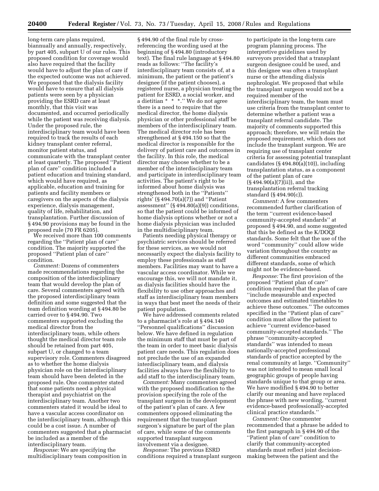long-term care plans required, biannually and annually, respectively, by part 405, subpart U of our rules. This proposed condition for coverage would also have required that the facility would have to adjust the plan of care if the expected outcome was not achieved. We proposed that the dialysis facility would have to ensure that all dialysis patients were seen by a physician providing the ESRD care at least monthly, that this visit was documented, and occurred periodically while the patient was receiving dialysis. Under the proposed rule, the interdisciplinary team would have been required to track the results of each kidney transplant center referral, monitor patient status, and communicate with the transplant center at least quarterly. The proposed ''Patient plan of care'' condition included a patient education and training standard, which would have required, as applicable, education and training for patients and facility members or caregivers on the aspects of the dialysis experience, dialysis management, quality of life, rehabilitation, and transplantation. Further discussion of § 494.90 provisions may be found in the proposed rule (70 FR 6205).

We received more than 100 comments regarding the ''Patient plan of care'' condition. The majority supported the proposed ''Patient plan of care'' condition.

*Comment:* Dozens of commenters made recommendations regarding the composition of the interdisciplinary team that would develop the plan of care. Several commenters agreed with the proposed interdisciplinary team definition and some suggested that the team definition wording at § 494.80 be carried over to § 494.90. Two commenters supported excluding the medical director from the interdisciplinary team, while others thought the medical director team role should be retained from part 405, subpart U, or changed to a team supervisory role. Commenters disagreed as to whether the home dialysis physician role on the interdisciplinary team should have been deleted in the proposed rule. One commenter stated that some patients need a physical therapist and psychiatrist on the interdisciplinary team. Another two commenters stated it would be ideal to have a vascular access coordinator on the interdisciplinary team, although this could be a cost issue. A number of commenters suggested that a pharmacist be included as a member of the interdisciplinary team.

*Response:* We are specifying the multidisciplinary team composition in

§ 494.90 of the final rule by crossreferencing the wording used at the beginning of § 494.80 (introductory text). The final rule language at § 494.80 reads as follows: ''The facility's interdisciplinary team consists of, at a minimum, the patient or the patient's designee (if the patient chooses), a registered nurse, a physician treating the patient for ESRD, a social worker, and a dietitian  $* * *$ .'' We do not agree there is a need to require that the medical director, the home dialysis physician or other professional staff be members of the interdisciplinary team. The medical director role has been strengthened at § 494.150 so that the medical director is responsible for the delivery of patient care and outcomes in the facility. In this role, the medical director may choose whether to be a member of the interdisciplinary team and participate in interdisciplinary team activities. The patient's right to be informed about home dialysis was strengthened both in the ''Patients'' rights' (§ 494.70(a)(7)) and ''Patient assessment'' (§ 494.80(a)(9)) conditions, so that the patient could be informed of home dialysis options whether or not a home dialysis physician was included in the multidisciplinary team.

Patients needing physical therapy or psychiatric services should be referred for these services, as we would not necessarily expect the dialysis facility to employ these professionals as staff members. Facilities may want to have a vascular access coordinator. While we encourage this, we will not mandate it, as dialysis facilities should have the flexibility to use other approaches and staff as interdisciplinary team members in ways that best meet the needs of their patient population.

We have addressed comments related to a pharmacist's role at § 494.140 ''Personnel qualifications'' discussion below. We have defined in regulation the minimum staff that must be part of the team in order to meet basic dialysis patient care needs. This regulation does not preclude the use of an expanded interdisciplinary team, and dialysis facilities always have the flexibility to add staff to the interdisciplinary team.

*Comment:* Many commenters agreed with the proposed modification to the provision specifying the role of the transplant surgeon in the development of the patient's plan of care. A few commenters opposed eliminating the requirement that the transplant surgeon's signature be part of the plan of care, while some of the comments supported transplant surgeon involvement via a designee.

*Response:* The previous ESRD conditions required a transplant surgeon

to participate in the long-term care program planning process. The interpretive guidelines used by surveyors provided that a transplant surgeon designee could be used, and this designee was often a transplant nurse or the attending dialysis nephrologist. We proposed that while the transplant surgeon would not be a required member of the interdisciplinary team, the team must use criteria from the transplant center to determine whether a patient was a transplant referral candidate. The majority of comments supported this approach; therefore, we will retain the proposed requirement, which does not include the transplant surgeon. We are requiring use of transplant center criteria for assessing potential transplant candidates (§ 494.80(a)(10)), including transplantation status, as a component of the patient plan of care (§ 494.90(a)(7)(ii)), and the transplantation referral tracking standard (§ 494.90(c)).

*Comment:* A few commenters recommended further clarification of the term ''current evidence-based community-accepted standards'' at proposed § 494.90, and some suggested that this be defined as the K/DOQI standards. Some felt that the use of the word ''community'' could allow wide variation throughout the country as different communities embraced different standards, some of which might not be evidence-based.

*Response:* The first provision of the proposed ''Patient plan of care'' condition required that the plan of care ''include measurable and expected outcomes and estimated timetables to achieve these outcomes.'' The outcomes specified in the ''Patient plan of care'' condition must allow the patient to achieve ''current evidence-based community-accepted standards.'' The phrase ''community-accepted standards'' was intended to mean nationally-accepted professional standards of practice accepted by the renal community at large. ''Community'' was not intended to mean small local geographic groups of people having standards unique to that group or area. We have modified § 494.90 to better clarify our meaning and have replaced the phrase with new wording, ''current evidence-based professionally-accepted clinical practice standards.''

*Comment:* One commenter recommended that a phrase be added to the first paragraph in § 494.90 of the ''Patient plan of care'' condition to clarify that community-accepted standards must reflect joint decisionmaking between the patient and the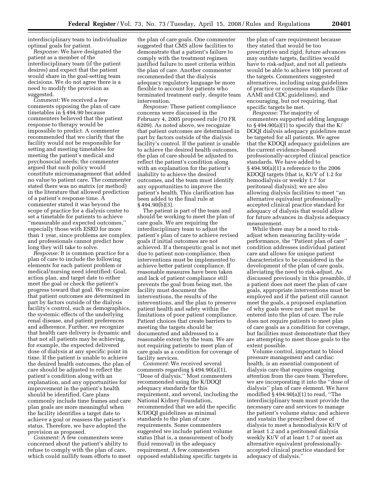interdisciplinary team to individualize optimal goals for patient.

*Response:* We have designated the patient as a member of the interdisciplinary team (if the patient desires) and expect that the patient would share in the goal-setting team decisions. We do not agree there is a need to modify the provision as suggested.

*Comment:* We received a few comments opposing the plan of care timetables in § 494.90 because commenters believed that the patient response to therapy would be impossible to predict. A commenter recommended that we clarify that the facility would not be responsible for setting and meeting timetables for meeting the patient's medical and psychosocial needs; the commenter argued that such policy would constitute micromanagement that added no value to patient care. The commenter stated there was no matrix (or method) in the literature that allowed prediction of a patient's response time. A commenter stated it was beyond the scope of practice for a dialysis center to set a timetable for patients to achieve ''measurable and expected outcomes,'' especially those with ESRD for more than 1 year, since problems are complex and professionals cannot predict how long they will take to solve.

*Response:* It is common practice for a plan of care to include the following elements for each patient problem or medical/nursing need identified: Goal, action plan, and target date to either meet the goal or check the patient's progress toward that goal. We recognize that patient outcomes are determined in part by factors outside of the dialysis facility's control, such as demographics, the systemic effects of the underlying renal disease, and patient preferences and adherence. Further, we recognize that health care delivery is dynamic and that not all patients may be achieving, for example, the expected delivered dose of dialysis at any specific point in time. If the patient is unable to achieve the desired health outcomes, the plan of care should be adjusted to reflect the patient's condition along with an explanation, and any opportunities for improvement in the patient's health should be identified. Care plans commonly include time frames and care plan goals are more meaningful when the facility identifies a target date to achieve a goal or reassess the patient's status. Therefore, we have adopted the provision as proposed.

*Comment:* A few commenters were concerned about the patient's ability to refuse to comply with the plan of care, which could nullify team efforts to meet the plan of care goals. One commenter suggested that CMS allow facilities to demonstrate that a patient's failure to comply with the treatment regimen justified failure to meet criteria within the plan of care. Another commenter recommended that the dialysis adequacy regulatory language be more flexible to account for patients who terminated treatment early, despite team intervention.

*Response:* These patient compliance concerns were discussed in the February 4, 2005 proposed rule (70 FR 6209). As noted above, we recognize that patient outcomes are determined in part by factors outside of the dialysis facility's control. If the patient is unable to achieve the desired health outcomes, the plan of care should be adjusted to reflect the patient's condition along with an explanation for the patient's inability to achieve the desired outcomes, and the team must identify any opportunities to improve the patient's health. This clarification has been added to the final rule at § 494.90(b)(3).

The patient is part of the team and should be working to meet the plan of care goals. We are requiring the interdisciplinary team to adjust the patient's plan of care to achieve revised goals if initial outcomes are not achieved. If a therapeutic goal is not met due to patient non-compliance, then interventions must be implemented to achieve better patient compliance. If reasonable measures have been taken and lack of patient compliance still prevents the goal from being met, the facility must document the interventions, the results of the interventions, and the plan to preserve patient health and safety within the limitations of poor patient compliance. Patient choices that create barriers to meeting the targets should be documented and addressed to a reasonable extent by the team. We are not requiring patients to meet plan of care goals as a condition for coverage of facility services.

*Comment:* We received several comments regarding § 494.90(a)(1), ''Dose of dialysis.'' Most commenters recommended using the K/DOQI adequacy standards for this requirement, and several, including the National Kidney Foundation, recommended that we add the specific K/DOQI guidelines as minimal standards to the plan of care requirements. Some commenters suggested we include patient volume status (that is, a measurement of body fluid removal) in the adequacy requirement. A few commenters opposed establishing specific targets in

the plan of care requirement because they stated that would be too prescriptive and rigid, future advances may outdate targets, facilities would have to risk-adjust, and not all patients would be able to achieve 100 percent of the targets. Commenters suggested alternatives, including using guidelines of practice or consensus standards (like AAMI and CDC guidelines), and encouraging, but not requiring, that specific targets be met.

*Response:* The majority of commenters supported adding language to  $\S 494.90(a)(1)$  to specify that the K/ DOQI dialysis adequacy guidelines must be targeted for all patients. We agree that the KDOQI adequacy guidelines are the current evidence-based professionally-accepted clinical practice standards. We have added to § 494.90(a)(1) a reference to the 2006 KDOQI targets (that is, Kt/V of 1.2 for hemodialysis or weekly 1.7 for peritoneal dialysis); we are also allowing dialysis facilities to meet ''an alternative equivalent professionallyaccepted clinical practice standard for adequacy of dialysis that would allow for future advances in dialysis adequacy measurement.

While there may be a need to riskadjust when measuring facility-wide performance, the ''Patient plan of care'' condition addresses individual patient care and allows for unique patient characteristics to be considered in the development of the plan of care goals, alleviating the need to risk-adjust. As discussed previously in this preamble, if a patient does not meet the plan of care goals, appropriate interventions must be employed and if the patient still cannot meet the goals, a proposed explanation of why goals were not met must be entered into the plan of care. The rule does not require patients to meet plan of care goals as a condition for coverage, but facilities must demonstrate that they are attempting to meet those goals to the extent possible.

Volume control, important to blood pressure management and cardiac health, is an essential component of dialysis care that requires ongoing attention from the care team. Therefore, we are incorporating it into the ''dose of dialysis'' plan of care element. We have modified  $\S$  494.90(a)(1) to read, "The interdisciplinary team must provide the necessary care and services to manage the patient's volume status; and achieve and sustain the prescribed dose of dialysis to meet a hemodialysis Kt/V of at least 1.2 and a peritoneal dialysis weekly Kt/V of at least 1.7 or meet an alternative equivalent professionallyaccepted clinical practice standard for adequacy of dialysis.''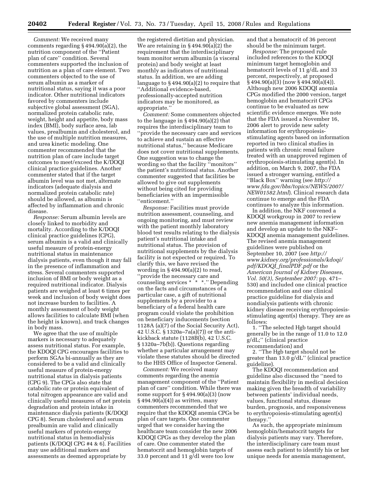*Comment:* We received many comments regarding § 494.90(a)(2), the nutrition component of the ''Patient plan of care'' condition. Several commenters supported the inclusion of nutrition as a plan of care element. Two commenters objected to the use of serum albumin as a marker of nutritional status, saying it was a poor indicator. Other nutritional indicators favored by commenters include subjective global assessment (SGA), normalized protein catabolic rate, weight, height and appetite, body mass index (BMI), body surface area, lab values, prealbumin and cholesterol, and the use of multiple nutrition measures, and urea kinetic modeling. One commenter recommended that the nutrition plan of care include target outcomes to meet/exceed the K/DOQI clinical practice guidelines. Another commenter stated that if the target albumin level was not met, alternate indicators (adequate dialysis and normalized protein catabolic rate) should be allowed, as albumin is affected by inflammation and chronic disease.

*Response:* Serum albumin levels are closely linked to morbidity and mortality. According to the K/DOQI clinical practice guidelines (CPG), serum albumin is a valid and clinically useful measure of protein-energy nutritional status in maintenance dialysis patients, even though it may fall in the presence of inflammation and stress. Several commenters supported inclusion of BMI or body weight as a required nutritional indicator. Dialysis patients are weighed at least 6 times per week and inclusion of body weight does not increase burden to facilities. A monthly assessment of body weight allows facilities to calculate BMI (when the height is known), and track changes in body mass.

We agree that the use of multiple markers is necessary to adequately assess nutritional status. For example, the KDOQI CPG encourages facilities to perform SGAs bi-annually as they are considered to be a valid and clinically useful measure of protein-energy nutritional status in dialysis patients (CPG 9). The CPGs also state that catabolic rate or protein equivalent of total nitrogen appearance are valid and clinically useful measures of net protein degradation and protein intake in maintenance dialysis patients (K/DOQI CPG 8). Serum cholesterol and serum prealbumin are valid and clinically useful markers of protein-energy nutritional status in hemodialysis patients (K/DOQI CPG #4 & 6). Facilities may use additional markers and assessments as deemed appropriate by

the registered dietitian and physician. We are retaining in § 494.90(a)(2) the requirement that the interdisciplinary team monitor serum albumin (a visceral protein) and body weight at least monthly as indicators of nutritional status. In addition, we are adding language to § 494.90(a)(2) to require that ''Additional evidence-based, professionally-accepted nutrition indicators may be monitored, as appropriate.''

*Comment:* Some commenters objected to the language in § 494.90(a)(2) that requires the interdisciplinary team to ''provide the necessary care and services to achieve and sustain an effective nutritional status,'' because Medicare does not cover nutritional supplements. One suggestion was to change the wording so that the facility ''monitors'' the patient's nutritional status. Another commenter suggested that facilities be allowed to give out supplements without being cited for providing beneficiaries with an impermissible ''enticement.''

*Response:* Facilities must provide nutrition assessment, counseling, and ongoing monitoring, and must review with the patient monthly laboratory blood test results relating to the dialysis patient's nutritional intake and nutritional status. The provision of nutritional supplements by the dialysis facility is not expected or required. To clarify this, we have revised the wording in  $\S 494.90(a)(2)$  to read, ''provide the necessary care and counseling services \* \* \*.'' Depending on the facts and circumstances of a particular case, a gift of nutritional supplements by a provider to a beneficiary of a federal health care program could violate the prohibition on beneficiary inducements (section 1128A (a)(7) of the Social Security Act), 42 U.S.C. § 1320a–7a(a)(7)) or the antikickback statute (1128B(b), 42 U.S.C. § 1320a–7b(b)). Questions regarding whether a particular arrangement may violate these statutes should be directed to the HHS Office of Inspector General.

*Comment:* We received many comments regarding the anemia management component of the ''Patient plan of care'' condition. While there was some support for  $\S 494.90(a)(3)$  (now  $\S$  494.90(a)(4)) as written, many commenters recommended that we require that the KDOQI anemia CPGs be plan of care targets. One commenter urged that we consider having the healthcare team consider the new 2006 KDOQI CPGs as they develop the plan of care. One commenter stated the hematocrit and hemoglobin targets of 33.0 percent and 11 g/dl were too low

and that a hematocrit of 36 percent should be the minimum target.

*Response:* The proposed rule included references to the KDOQI minimum target hemoglobin and hematocrit levels of 11 g/dL and 33 percent, respectively, at proposed § 494.90(a)(3) (now § 494.90(a)(4)). Although new 2006 KDOQI anemia CPGs modified the 2000 version, target hemoglobin and hematocrit CPGs continue to be evaluated as new scientific evidence emerges. We note that the FDA issued a November 16, 2006 alert to provide new safety information for erythropoiesisstimulating agents based on information reported in two clinical studies in patients with chronic renal failure treated with an unapproved regimen of erythropoiesis-stimulating agent(s). In addition, on March 9, 2007, the FDA issued a stronger warning, entitled a ''Black Box'' warning (see *http:// [www.fda.gov/bbs/topics/NEWS/2007/](http://www.fda.gov/bbs/topics/NEWS/2007/NEW01582.html)  NEW01582.html*). Clinical research data continue to emerge and the FDA continues to analyze this information.

In addition, the NKF convened a KDOQI workgroup in 2007 to review new anemia management information and develop an update to the NKF– KDOQI anemia management guidelines. The revised anemia management guidelines were published on September 10, 2007 (see *http:// [www.kidney.org/professionals/kdoqi/](http://www.kidney.org/professionals/kdoqi/pdf/KDOQI_finalPDF.pdf)  pdf/KDOQI*\_*finalPDF.pdf* or the *American Journal of Kidney Diseases*, *Vol. 50(3)*, *September 2007:* pp. 471– 530) and included one clinical practice recommendation and one clinical practice guideline for dialysis and nondialysis patients with chronic kidney disease receiving erythropoiesisstimulating agent(s) therapy. They are as follows:

1. ''The selected Hgb target should generally be in the range of 11.0 to 12.0 g/dL;'' (clinical practice recommendation) and

2. ''The Hgb target should not be greater than 13.0 g/dL'' (clinical practice guideline).

The KDOQI recommendation and guideline also discussed the ''need to maintain flexibility in medical decision making given the breadth of variability between patients' individual needs, values, functional status, disease burden, prognosis, and responsiveness to erythropoiesis-stimulating agent(s) therapy.''

As such, the appropriate minimum hemoglobin/hematocrit targets for dialysis patients may vary. Therefore, the interdisciplinary care team must assess each patient to identify his or her unique needs for anemia management,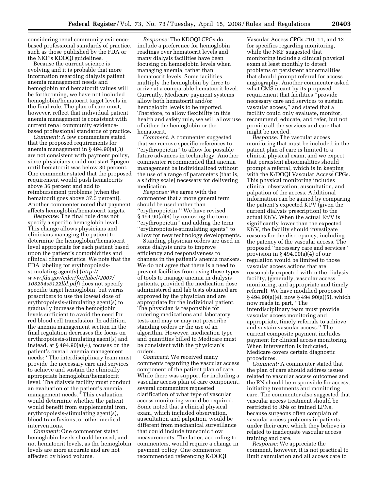considering renal community evidencebased professional standards of practice, such as those published by the FDA or the NKF's KDOQI guidelines.

Because the current science is evolving and it is probable that more information regarding dialysis patient anemia management needs and hemoglobin and hematocrit values will be forthcoming, we have not included hemoglobin/hematocrit target levels in the final rule. The plan of care must, however, reflect that individual patient anemia management is consistent with current renal community evidencebased professional standards of practice.

*Comment:* A few commenters stated that the proposed requirements for anemia management in § 494.90(a)(3) are not consistent with payment policy, since physicians could not start Epogen until hematocrit was below 30 percent. One commenter stated that the proposed requirement would push hematocrits above 36 percent and add to reimbursement problems (when the hematocrit goes above 37.5 percent). Another commenter noted that payment affects hemoglobin/hematocrit targets.

*Response:* The final rule does not specify a specific hemoglobin level. This change allows physicians and clinicians managing the patient to determine the hemoglobin/hematocrit level appropriate for each patient based upon the patient's comorbidities and clinical characteristics. We note that the FDA labeling for erythropoiesisstimulating agent(s) (*http:// [www.fda.gov/cder/foi/label/2007/](http://www.fda.gov/cder/foi/label/2007/103234s5122lbl.pdf)  103234s5122lbl.pdf*) does not specify specific target hemoglobin, but warns prescribers to use the lowest dose of erythropoiesis-stimulating agent(s) to gradually increase the hemoglobin levels sufficient to avoid the need for red blood cell transfusion. In addition, the anemia management section in the final regulation decreases the focus on erythropoiesis-stimulating agent(s) and instead, at § 494.90(a)(4), focuses on the patient's overall anemia management needs: ''The interdisciplinary team must provide the necessary care and services to achieve and sustain the clinically appropriate hemoglobin/hematocrit level. The dialysis facility must conduct an evaluation of the patient's anemia management needs.'' This evaluation would determine whether the patient would benefit from supplemental iron, erythropoiesis-stimulating agent(s), blood transfusions, or other medical interventions.

*Comment:* One commenter stated hemoglobin levels should be used, and not hematocrit levels, as the hemoglobin levels are more accurate and are not affected by blood volume.

*Response:* The KDOQI CPGs do include a preference for hemoglobin readings over hematocrit levels and many dialysis facilities have been focusing on hemoglobin levels when managing anemia, rather than hematocrit levels. Some facilities multiply the hemoglobin by three to arrive at a comparable hematocrit level. Currently, Medicare payment systems allow both hematocrit and/or hemoglobin levels to be reported. Therefore, to allow flexibility in this health and safety rule, we will allow use of either the hemoglobin or the hematocrit.

*Comment:* A commenter suggested that we remove specific references to ''erythropoietin'' to allow for possible future advances in technology. Another commenter recommended that anemia management be individualized without the use of a range of parameters (that is, a sliding scale) necessary for delivering medication.

*Response:* We agree with the commenter that a more general term should be used rather than ''erythropoietin.'' We have revised  $§$  494.90(a)(4) by removing the term 'erythropoietin'' and adding the term ''erythropoiesis-stimulating agents'' to allow for new technology developments.

Standing physician orders are used in some dialysis units to improve efficiency and responsiveness to changes in the patient's anemia markers. We do not agree that there is a need to prevent facilities from using these types of tools to manage anemia in dialysis patients, provided the medication dose administered and lab tests obtained are approved by the physician and are appropriate for the individual patient. The physician is responsible for ordering medications and laboratory tests and may or may not prescribe standing orders or the use of an algorithm. However, medication type and quantities billed to Medicare must be consistent with the physician's orders.

*Comment:* We received many comments regarding the vascular access component of the patient plan of care. While there was support for including a vascular access plan of care component, several commenters requested clarification of what type of vascular access monitoring would be required. Some noted that a clinical physical exam, which included observation, auscultation and palpation, would be different from mechanical surveillance that could include transonic flow measurements. The latter, according to commenters, would require a change in payment policy. One commenter recommended referencing K/DOQI

Vascular Access CPGs #10, 11, and 12 for specifics regarding monitoring, while the NKF suggested that monitoring include a clinical physical exam at least monthly to detect problems or persistent abnormalities that should prompt referral for access angiography. Another commenter asked what CMS meant by its proposed requirement that facilities ''provide necessary care and services to sustain vascular access,'' and stated that a facility could only evaluate, monitor, recommend, educate, and refer, but not provide all the services and care that might be needed.

*Response:* The vascular access monitoring that must be included in the patient plan of care is limited to a clinical physical exam, and we expect that persistent abnormalities should prompt a referral, which is in keeping with the K/DOQI Vascular Access CPGs. This physical monitoring includes clinical observation, auscultation, and palpation of the access. Additional information can be gained by comparing the patient's expected Kt/V (given the current dialysis prescription) to the actual Kt/V. When the actual Kt/V is significantly lower than the expected Kt/V, the facility should investigate reasons for the discrepancy, including the patency of the vascular access. The proposed ''necessary care and services'' provision in  $\S 494.90(a)(4)$  of our regulation would be limited to those vascular access actions that are reasonably expected within the dialysis facility, (generally, vascular access monitoring, and appropriate and timely referral). We have modified proposed § 494.90(a)(4), now § 494.90(a)(5), which now reads in part, ''The interdisciplinary team must provide vascular access monitoring and appropriate, timely referrals to achieve and sustain vascular access.'' The current composite payment includes payment for clinical access monitoring. When intervention is indicated, Medicare covers certain diagnostic procedures.

*Comment:* A commenter stated that the plan of care should address issues related to vascular access outcomes and the RN should be responsible for access, initiating treatments and monitoring care. The commenter also suggested that vascular access treatment should be restricted to RNs or trained LPNs, because surgeons often complain of vascular access problems in patients under their care, which they believe is related to inadequate vascular access training and care.

*Response:* We appreciate the comment, however, it is not practical to limit cannulation and all access care to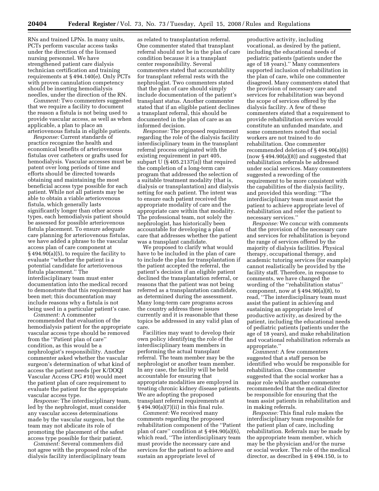RNs and trained LPNs. In many units, PCTs perform vascular access tasks under the direction of the licensed nursing personnel. We have strengthened patient care dialysis technician certification and training requirements at § 494.140(e). Only PCTs with proven cannulation competency should be inserting hemodialysis needles, under the direction of the RN.

*Comment:* Two commenters suggested that we require a facility to document the reason a fistula is not being used to provide vascular access, as well as when applicable, a plan to place an arteriovenous fistula in eligible patients.

*Response:* Current standards of practice recognize the health and economical benefits of arteriovenous fistulas over catheters or grafts used for hemodialysis. Vascular accesses must be patent over long periods of time and efforts should be directed towards obtaining and maintaining the most beneficial access type possible for each patient. While not all patients may be able to obtain a viable arteriovenous fistula, which generally lasts significantly longer than other access types, each hemodialysis patient should be assessed for possible arteriovenous fistula placement. To ensure adequate care planning for arteriovenous fistulas, we have added a phrase to the vascular access plan of care component at § 494.90(a)(5), to require the facility to evaluate ''whether the patient is a potential candidate for arteriovenous fistula placement.'' The interdisciplinary team must enter documentation into the medical record to demonstrate that this requirement has been met; this documentation may include reasons why a fistula is not being used in a particular patient's case.

*Comment:* A commenter recommended that evaluation of the hemodialysis patient for the appropriate vascular access type should be removed from the ''Patient plan of care'' condition, as this would be a nephrologist's responsibility. Another commenter asked whether the vascular surgeon's determination of what kind of access the patient needs (per K/DOQI Vascular Access CPG #10) would meet the patient plan of care requirement to evaluate the patient for the appropriate vascular access type.

*Response:* The interdisciplinary team, led by the nephrologist, must consider any vascular access determinations made by the vascular surgeon, but the team may not abdicate its role of promoting the placement of the safest access type possible for their patient.

*Comment:* Several commenters did not agree with the proposed role of the dialysis facility interdisciplinary team

as related to transplantation referral. One commenter stated that transplant referral should not be in the plan of care condition because it is a transplant center responsibility. Several commenters stated that accountability for transplant referral rests with the nephrologist. Two commenters stated that the plan of care should simply include documentation of the patient's transplant status. Another commenter stated that if an eligible patient declines a transplant referral, this should be documented in the plan of care as an informed decision.

*Response:* The proposed requirement regarding the role of the dialysis facility interdisciplinary team in the transplant referral process originated with the existing requirement in part 405, subpart U (§ 405.2137(a)) that required the completion of a long-term care program that addressed the selection of a suitable treatment modality (that is, dialysis or transplantation) and dialysis setting for each patient. The intent was to ensure each patient received the appropriate modality of care and the appropriate care within that modality. The professional team, not solely the nephrologist, has historically been accountable for developing a plan of care that addresses whether the patient was a transplant candidate.

We proposed to clarify what would have to be included in the plan of care to include the plan for transplantation if the patient accepted the referral, the patient's decision if an eligible patient declined the transplantation referral, or reasons that the patient was not being referred as a transplantation candidate, as determined during the assessment. Many long-term care programs across the country address these issues currently and it is reasonable that these topics be addressed in any valid plan of care.

Facilities may want to develop their own policy identifying the role of the interdisciplinary team members in performing the actual transplant referral. The team member may be the nephrologist or another team member. In any case, the facility will be held accountable for ensuring that appropriate modalities are employed in treating chronic kidney disease patients. We are adopting the proposed transplant referral requirements at § 494.90(a)(7)(ii) in this final rule.

*Comment:* We received many comments regarding the proposed rehabilitation component of the ''Patient plan of care'' condition at § 494.90(a)(6), which read, ''The interdisciplinary team must provide the necessary care and services for the patient to achieve and sustain an appropriate level of

productive activity, including vocational, as desired by the patient, including the educational needs of pediatric patients (patients under the age of 18 years).'' Many commenters supported inclusion of rehabilitation in the plan of care, while one commenter disagreed. Many commenters stated that the provision of necessary care and services for rehabilitation was beyond the scope of services offered by the dialysis facility. A few of these commenters stated that a requirement to provide rehabilitation services would constitute an unfunded mandate, and some commenters noted that social workers are not trained to do rehabilitation. One commenter recommended deletion of § 494.90(a)(6)  $(now \text{ } $494.90(a)(8))$  and suggested that rehabilitation referrals be addressed under social services. Many commenters suggested a rewording of the requirement to be more consistent with the capabilities of the dialysis facility, and provided this wording: ''The interdisciplinary team must assist the patient to achieve appropriate level of rehabilitation and refer the patient to necessary services.''

*Response:* We concur with comments that the provision of the necessary care and services for rehabilitation is beyond the range of services offered by the majority of dialysis facilities. Physical therapy, occupational therapy, and academic tutoring services (for example) cannot realistically be provided by the facility staff. Therefore, in response to comments, we have changed the wording of the ''rehabilitation status'' component, now at  $\S 494.90(a)(8)$ , to read, ''The interdisciplinary team must assist the patient in achieving and sustaining an appropriate level of productive activity, as desired by the patient, including the educational needs of pediatric patients (patients under the age of 18 years), and make rehabilitation and vocational rehabilitation referrals as appropriate.''

*Comment:* A few commenters suggested that a staff person be identified who would be responsible for rehabilitation. One commenter suggested that the social worker has a major role while another commenter recommended that the medical director be responsible for ensuring that the team assist patients in rehabilitation and in making referrals.

*Response:* This final rule makes the interdisciplinary team responsible for the patient plan of care, including rehabilitation. Referrals may be made by the appropriate team member, which may be the physician and/or the nurse or social worker. The role of the medical director, as described in § 494.150, is to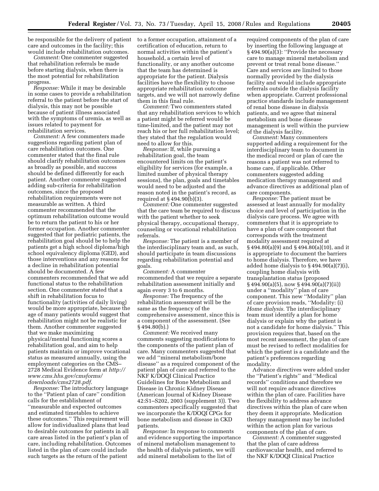be responsible for the delivery of patient care and outcomes in the facility; this would include rehabilitation outcomes.

*Comment:* One commenter suggested that rehabilitation referrals be made before starting dialysis, when there is the most potential for rehabilitation progress.

*Response:* While it may be desirable in some cases to provide a rehabilitation referral to the patient before the start of dialysis, this may not be possible because of patient illness associated with the symptoms of uremia, as well as issues related to payment for rehabilitation services.

*Comment:* A few commenters made suggestions regarding patient plan of care rehabilitation outcomes. One commenter stated that the final rule should clarify rehabilitation outcomes as broadly as possible, and success should be defined differently for each patient. Another commenter suggested adding sub-criteria for rehabilitation outcomes, since the proposed rehabilitation requirements were not measurable as written. A third commenter recommended that the optimum rehabilitation outcome would be to return the patient to his or her former occupation. Another commenter suggested that for pediatric patients, the rehabilitation goal should be to help the patients get a high school diploma/high school equivalency diploma (GED), and those interventions and any reasons for a decline in rehabilitation potential should be documented. A few commenters recommended that we add functional status to the rehabilitation section. One commenter stated that a shift in rehabilitation focus to functionality (activities of daily living) would be more appropriate, because the age of many patients would suggest that rehabilitation might not be realistic for them. Another commenter suggested that we make maximizing physical/mental functioning scores a rehabilitation goal, and aim to help patients maintain or improve vocational status as measured annually, using the employment categories on the CMS– [2728 Medical Evidence form at](http://www.cms.hhs.gov/cmsforms/downloads/cms2728.pdf) *http:// www.cms.hhs.gov/cmsforms/ downloads/cms2728.pdf*.

*Response:* The introductory language to the ''Patient plan of care'' condition calls for the establishment of ''measurable and expected outcomes and estimated timetables to achieve these outcomes.'' This requirement will allow for individualized plans that lead to desirable outcomes for patients in all care areas listed in the patient's plan of care, including rehabilitation. Outcomes listed in the plan of care could include such targets as the return of the patient

to a former occupation, attainment of a certification of education, return to normal activities within the patient's household, a certain level of functionality, or any another outcome that the team has determined is appropriate for the patient. Dialysis facilities have the flexibility to choose appropriate rehabilitation outcome targets, and we will not narrowly define them in this final rule.

*Comment:* Two commenters stated that any rehabilitation services to which a patient might be referred would be time-limited, and the patient may not reach his or her full rehabilitation level; they stated that the regulation would need to allow for this.

*Response:* If, while pursuing a rehabilitation goal, the team encountered limits on the patient's eligibility for services (for example, a limited number of physical therapy sessions), the plan, goals and timetables would need to be adjusted and the reason noted in the patient's record, as required at § 494.90(b)(3).

*Comment:* One commenter suggested that the care team be required to discuss with the patient whether to seek physical therapy, occupational therapy, counseling or vocational rehabilitation referrals.

*Response:* The patient is a member of the interdisciplinary team and, as such, should participate in team discussions regarding rehabilitation potential and goals.

*Comment:* A commenter recommended that we require a separate rehabilitation assessment initially and again every 3 to 6 months.

*Response:* The frequency of the rehabilitation assessment will be the same as the frequency of the comprehensive assessment, since this is a component of the assessment. (See § 494.80(b).)

*Comment:* We received many comments suggesting modifications to the components of the patient plan of care. Many commenters suggested that we add ''mineral metabolism/bone disease'' as a required component of the patient plan of care and referred to the NKF K/DOQI Clinical Practice Guidelines for Bone Metabolism and Disease in Chronic Kidney Disease (American Journal of Kidney Disease 42:S1–S202, 2003 (supplement 3)). Two commenters specifically suggested that we incorporate the K/DOQI CPGs for bone metabolism and disease in CKD patients.

*Response:* In response to comments and evidence supporting the importance of mineral metabolism management to the health of dialysis patients, we will add mineral metabolism to the list of

required components of the plan of care by inserting the following language at § 494.90(a)(3): ''Provide the necessary care to manage mineral metabolism and prevent or treat renal bone disease.'' Care and services are limited to those normally provided by the dialysis facility and would include appropriate referrals outside the dialysis facility when appropriate. Current professional practice standards include management of renal bone disease in dialysis patients, and we agree that mineral metabolism and bone disease management is well within the purview of the dialysis facility.

*Comment:* Many commenters supported adding a requirement for the interdisciplinary team to document in the medical record or plan of care the reasons a patient was not referred to home care, if applicable. Other commenters suggested adding medication therapy management and advance directives as additional plan of care components.

*Response:* The patient must be assessed at least annually for modality choice and level of participation in the dialysis care process. We agree with commenters that it is appropriate to have a plan of care component that corresponds with the treatment modality assessment required at § 494.80(a)(9) and § 494.80(a)(10), and it is appropriate to document the barriers to home dialysis. Therefore, we have added home dialysis to § 494.90(a)(7)(i), coupling home dialysis with transplantation status (proposed  $\S 494.90(a)(5)$ , now  $\S 494.90(a)(7)(ii)$ under a ''modality'' plan of care component. This new ''Modality'' plan of care provision reads, ''Modality: (i) *Home dialysis.* The interdisciplinary team must identify a plan for home dialysis or explain why the patient is not a candidate for home dialysis.'' This provision requires that, based on the most recent assessment, the plan of care must be revised to reflect modalities for which the patient is a candidate and the patient's preferences regarding modality.

Advance directives were added under the ''Patient's rights'' and ''Medical records'' conditions and therefore we will not require advance directives within the plan of care. Facilities have the flexibility to address advance directives within the plan of care when they deem it appropriate. Medication therapy management may be included within the action plan for various components of the plan of care.

*Comment:* A commenter suggested that the plan of care address cardiovascular health, and referred to the NKF K/DOQI Clinical Practice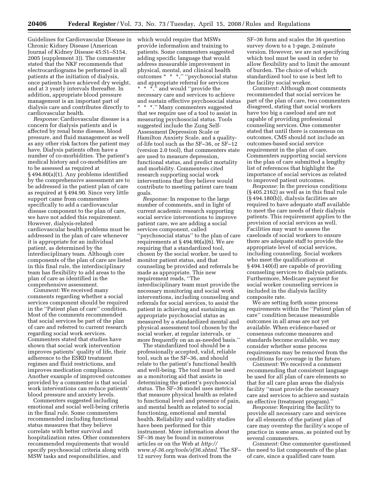Guidelines for Cardiovascular Disease in which would require that MSWs Chronic Kidney Disease (American Journal of Kidney Disease 45:S1–S154, 2005 (supplement 3)). The commenter stated that the NKF recommends that electrocardiograms be performed in all patients at the initiation of dialysis, once patients have achieved dry weight, and at 3 yearly intervals thereafter. In addition, appropriate blood pressure management is an important part of dialysis care and contributes directly to cardiovascular health.

*Response:* Cardiovascular disease is a concern for dialysis patients and is affected by renal bone disease, blood pressure, and fluid management as well as any other risk factors the patient may have. Dialysis patients often have a number of co-morbidities. The patient's medical history and co-morbidities are to be assessed as required at § 494.80(a)(1). Any problems identified by the comprehensive assessment are to be addressed in the patient plan of care as required at § 494.90. Since very little support came from commenters specifically to add a cardiovascular disease component to the plan of care, we have not added this requirement. However, dialysis-related cardiovascular health problems must be addressed in the plan of care whenever it is appropriate for an individual patient, as determined by the interdisciplinary team. Although core components of the plan of care are listed in this final rule, the interdisciplinary team has flexibility to add areas to the plan of care as identified in the comprehensive assessment.

*Comment:* We received many comments regarding whether a social services component should be required in the ''Patient plan of care'' condition. Most of the comments recommended that social services be part of the plan of care and referred to current research regarding social work services. Commenters stated that studies have shown that social work intervention improves patients' quality of life, their adherence to the ESRD treatment regimes and fluid restrictions, and improves medication compliance. Another example of improved outcomes provided by a commenter is that social work interventions can reduce patients' blood pressure and anxiety levels.

Commenters suggested including emotional and social well-being criteria in the final rule. Some commenters recommended including functional status measures that they believe correlate with better survival and hospitalization rates. Other commenters recommended requirements that would specify psychosocial criteria along with MSW tasks and responsibilities, and

provide information and training to patients. Some commenters suggested adding specific language that would address measurable improvement in physical, mental, and clinical health outcomes \* \* \*,'' ''psychosocial status and appropriate referral for services \* \* \*,'' and would ''provide the necessary care and services to achieve and sustain effective psychosocial status \* \* \*.'' Many commenters suggested that we require use of a tool to assist in measuring psychosocial status. Tools suggested include the Zung Self-Assessment Depression Scale or Hamilton Anxiety Scale, and a qualityof-life tool such as the SF–36, or SF–12 (version 2.0 tool), that commenters state are used to measure depression, functional status, and predict mortality and morbidity. Commenters cited research supporting social work interventions that they believe would contribute to meeting patient care team goals.

*Response:* In response to the large number of comments, and in light of current academic research supporting social service interventions to improve patient care, we are adding a social services component, called ''psychosocial status'' to the plan of care requirements at  $\S 494.90(a)(6)$ . We are requiring that a standardized tool, chosen by the social worker, be used to monitor patient status, and that counseling be provided and referrals be made as appropriate. This new requirement reads, ''The interdisciplinary team must provide the necessary monitoring and social work interventions, including counseling and referrals for social services, to assist the patient in achieving and sustaining an appropriate psychosocial status as measured by a standardized mental and physical assessment tool chosen by the social worker, at regular intervals, or more frequently on an as-needed basis.''

The standardized tool should be a professionally accepted, valid, reliable tool, such as the SF–36, and should relate to the patient's functional health and well-being. The tool must be used as a monitoring aid that assists in determining the patient's psychosocial status. The SF–36 model uses metrics that measure physical health as related to functional level and presence of pain, and mental health as related to social functioning, emotional and mental health. Reliability and validity studies have been performed for this instrument. More information about the SF–36 may be found in numerous articles or on the Web at *http:// [www.sf-36.org/tools/sf36.shtml.](http://www.sf-36.org/tools/sf36.shtml)* The SF– 12 survey form was derived from the

SF–36 form and scales the 36 question survey down to a 1-page, 2-minute version. However, we are not specifying which tool must be used in order to allow flexibility and to limit the amount of burden. The choice of which standardized tool to use is best left to the facility social worker.

*Comment:* Although most comments recommended that social services be part of the plan of care, two commenters disagreed, stating that social workers have too big a caseload and are not capable of providing professional counseling services. One commenter stated that until there is consensus on outcomes, CMS should not include an outcomes-based social service requirement in the plan of care. Commenters supporting social services in the plan of care submitted a lengthy list of references that highlight the importance of social services as related to improved patient outcomes.

*Response:* In the previous conditions (§ 405.2162) as well as in this final rule (§ 494.180(b)), dialysis facilities are required to have adequate staff available to meet the care needs of their dialysis patients. This requirement applies to the provision of social services as well. Facilities may want to assess the caseloads of social workers to ensure there are adequate staff to provide the appropriate level of social services, including counseling. Social workers who meet the qualifications at § 494.140(d) are capable of providing counseling services to dialysis patients. Furthermore, Medicare payment for social worker counseling services is included in the dialysis facility composite rate.

We are setting forth some process requirements within the ''Patient plan of care'' condition because measurable outcomes in all areas are not yet available. When evidence-based or consensus outcome measures and standards become available, we may consider whether some process requirements may be removed from the conditions for coverage in the future.

*Comment:* We received a comment recommending that consistent language be used for all plan of care elements so that for all care plan areas the dialysis facility ''must provide the necessary care and services to achieve and sustain an effective (treatment program).''

*Response:* Requiring the facility to provide all necessary care and services for all elements of the patient plan of care may overstep the facility's scope of practice in some areas, as pointed out by several commenters.

*Comment:* One commenter questioned the need to list components of the plan of care, since a qualified care team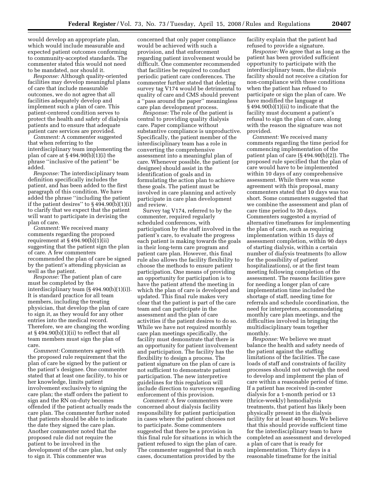would develop an appropriate plan, which would include measurable and expected patient outcomes conforming to community-accepted standards. The commenter stated this would not need to be mandated, nor should it.

*Response:* Although quality-oriented facilities may develop meaningful plans of care that include measurable outcomes, we do not agree that all facilities adequately develop and implement such a plan of care. This patient-centered condition serves to protect the health and safety of dialysis patients and to ensure that adequate patient care services are provided.

*Comment:* A commenter suggested that when referring to the interdisciplinary team implementing the plan of care at § 494.90(b)(1)(i) the phrase ''inclusive of the patient'' be added.

*Response:* The interdisciplinary team definition specifically includes the patient, and has been added to the first paragraph of this condition. We have added the phrase ''including the patient if the patient desires" to  $\S 494.90(b)(1)(i)$ to clarify that we expect that the patient will want to participate in devising the plan of care.

*Comment:* We received many comments regarding the proposed requirement at  $\S 494.90(b)(1)(ii)$ suggesting that the patient sign the plan of care. A few commenters recommended the plan of care be signed by the patient's attending physician as well as the patient.

*Response:* The patient plan of care must be completed by the interdisciplinary team (§ 494.90(b)(1)(i)). It is standard practice for all team members, including the treating physician, that develop the plan of care to sign it, as they would for any other entries into the medical record. Therefore, we are changing the wording at § 494.90(b)(1)(ii) to reflect that all team members must sign the plan of care.

*Comment:* Commenters agreed with the proposed rule requirement that the plan of care be signed by the patient or the patient's designee. One commenter stated that at least one facility, to his or her knowledge, limits patient involvement exclusively to signing the care plan; the staff orders the patient to sign and the RN on-duty becomes offended if the patient actually reads the care plan. The commenter further noted that patients should be able to indicate the date they signed the care plan. Another commenter noted that the proposed rule did not require the patient to be involved in the development of the care plan, but only to sign it. This commenter was

concerned that only paper compliance would be achieved with such a provision, and that enforcement regarding patient involvement would be difficult. One commenter recommended that facilities be required to conduct periodic patient care conferences. The commenter further stated that deleting survey tag V174 would be detrimental to quality of care and CMS should prevent a ''pass around the paper'' meaningless care plan development process.

*Response:* The role of the patient is central to providing quality dialysis care. Paper compliance without substantive compliance is unproductive. Specifically, the patient member of the interdisciplinary team has a role in converting the comprehensive assessment into a meaningful plan of care. Whenever possible, the patient (or designee) should assist in the identification of goals and in formulating the action plan to achieve these goals. The patient must be involved in care planning and actively participate in care plan development and review.

Survey tag V174, referred to by the commenter, required regularly scheduled conferences, with participation by the staff involved in the patient's care, to evaluate the progress each patient is making towards the goals in their long-term care program and patient care plan. However, this final rule also allows the facility flexibility to choose the methods to ensure patient participation. One means of providing an opportunity for participation is to have the patient attend the meeting in which the plan of care is developed and updated. This final rule makes very clear that the patient is part of the care team and can participate in the assessment and the plan of care activities if the patient desires to do so. While we have not required monthly care plan meetings specifically, the facility must demonstrate that there is an opportunity for patient involvement and participation. The facility has the flexibility to design a process. The patient signature on the plan of care is not sufficient to demonstrate patient participation. The new interpretive guidelines for this regulation will include direction to surveyors regarding enforcement of this provision.

*Comment:* A few commenters were concerned about dialysis facility responsibility for patient participation in cases where the patient chooses not to participate. Some commenters suggested that there be a provision in this final rule for situations in which the patient refused to sign the plan of care. The commenter suggested that in such cases, documentation provided by the

facility explain that the patient had refused to provide a signature.

*Response:* We agree that as long as the patient has been provided sufficient opportunity to participate with the interdisciplinary team, the dialysis facility should not receive a citation for non-compliance with these conditions when the patient has refused to participate or sign the plan of care. We have modified the language at § 494.90(b)(1)(ii) to indicate that the facility must document a patient's refusal to sign the plan of care, along with the reason the signature was not provided.

*Comment:* We received many comments regarding the time period for commencing implementation of the patient plan of care (§ 494.90(b)(2)). The proposed rule specified that the plan of care would have to be implemented within 10 days of any comprehensive assessment. While there was some agreement with this proposal, many commenters stated that 10 days was too short. Some commenters suggested that we combine the assessment and plan of care time period to 30 days. Commenters suggested a myriad of alternative timeframes for implementing the plan of care, such as requiring implementation within 15 days of assessment completion, within 90 days of starting dialysis, within a certain number of dialysis treatments (to allow for the possibility of patient hospitalizations), or at the first team meeting following completion of the assessment. The reasons facilities gave for needing a longer plan of care implementation time included the shortage of staff, needing time for referrals and schedule coordination, the need for interpreters, accommodating monthly care plan meetings, and the difficulties involved in bringing the multidisciplinary team together monthly.

*Response:* We believe we must balance the health and safety needs of the patient against the staffing limitations of the facilities. The case loads of staff and constraints of facility processes should not outweigh the need to develop and implement the plan of care within a reasonable period of time. If a patient has received in-center dialysis for a 1-month period or 13 (thrice-weekly) hemodialysis treatments, that patient has likely been physically present in the dialysis facility for at least 40 hours. We believe that this should provide sufficient time for the interdisciplinary team to have completed an assessment and developed a plan of care that is ready for implementation. Thirty days is a reasonable timeframe for the initial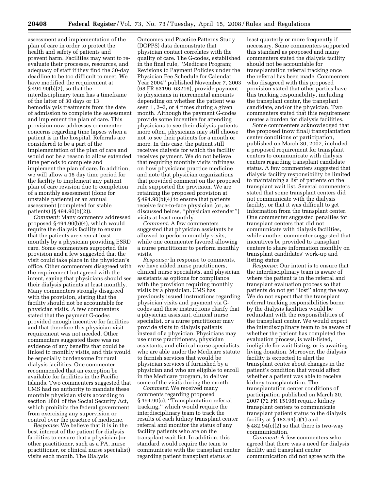assessment and implementation of the plan of care in order to protect the health and safety of patients and prevent harm. Facilities may want to reevaluate their processes, resources, and adequacy of staff if they find the 30-day deadline to be too difficult to meet. We have modified the requirement at § 494.90(b)(2), so that the interdisciplinary team has a timeframe of the latter of 30 days or 13 hemodialysis treatments from the date of admission to complete the assessment and implement the plan of care. This provision now addresses commenter concerns regarding time lapses when a patient is in the hospital. Referrals are considered to be a part of the implementation of the plan of care and would not be a reason to allow extended time periods to complete and implement the plan of care. In addition, we will allow a 15 day time period for the facility to implement any patient plan of care revision due to completion of a monthly assessment (done for unstable patients) or an annual assessment (completed for stable patients) (§ 494.90(b)(2)).

*Comment:* Many comments addressed proposed § 494.90(b)(4), which would require the dialysis facility to ensure that the patients are seen at least monthly by a physician providing ESRD care. Some commenters supported this provision and a few suggested that the visit could take place in the physician's office. Other commenters disagreed with the requirement but agreed with the intent, saying that physicians should see their dialysis patients at least monthly. Many commenters strongly disagreed with the provision, stating that the facility should not be accountable for physician visits. A few commenters stated that the payment G-codes provided enough incentive for facilities and that therefore this physician visit requirement was not needed. Other commenters suggested there was no evidence of any benefits that could be linked to monthly visits, and this would be especially burdensome for rural dialysis facilities. One commenter recommended that an exception be available for facilities in the Pacific Islands. Two commenters suggested that CMS had no authority to mandate these monthly physician visits according to section 1801 of the Social Security Act, which prohibits the federal government from exercising any supervision or control over the practice of medicine.

*Response:* We believe that it is in the best interest of the patient for dialysis facilities to ensure that a physician (or other practitioner, such as a PA, nurse practitioner, or clinical nurse specialist) visits each month. The Dialysis

Outcomes and Practice Patterns Study (DOPPS) data demonstrate that physician contact correlates with the quality of care. The G-codes, established in the final rule, ''Medicare Program; Revisions to Payment Policies under the Physician Fee Schedule for Calendar Year 2004'' published November 7, 2003 (68 FR 63196, 63216), provide payment to physicians in incremental amounts depending on whether the patient was seen 1, 2–3, or 4 times during a given month. Although the payment G-codes provide some incentive for attending physicians to see their dialysis patients more often, physicians may still choose not to see their patients for a month or more. In this case, the patient still receives dialysis for which the facility receives payment. We do not believe that requiring monthly visits infringes on how physicians practice medicine and note that physician organizations that provided comment on the proposed rule supported the provision. We are retaining the proposed provision at § 494.90(b)(4) to ensure that patients receive face-to-face physician (or, as discussed below, ''physician extender'') visits at least monthly.

*Comment:* A few commenters suggested that physician assistants be allowed to perform monthly visits, while one commenter favored allowing a nurse practitioner to perform monthly visits.

*Response:* In response to comments, we have added nurse practitioners, clinical nurse specialists, and physician assistants as options for compliance with the provision requiring monthly visits by a physician. CMS has previously issued instructions regarding physician visits and payment via Gcodes and these instructions clarify that a physician assistant, clinical nurse specialist, or a nurse practitioner may provide visits to dialysis patients instead of a physician. Physicians may use nurse practitioners, physician assistants, and clinical nurse specialists, who are able under the Medicare statute to furnish services that would be physician services if furnished by a physician and who are eligible to enroll in the Medicare program, to deliver some of the visits during the month.

*Comment:* We received many comments regarding proposed § 494.90(c), ''Transplantation referral tracking,'' which would require the interdisciplinary team to track the results of each kidney transplant center referral and monitor the status of any facility patients who are on the transplant wait list. In addition, this standard would require the team to communicate with the transplant center regarding patient transplant status at

least quarterly or more frequently if necessary. Some commenters supported this standard as proposed and many commenters stated the dialysis facility should not be accountable for transplantation referral tracking once the referral has been made. Commenters who disagreed with this proposed provision stated that other parties have this tracking responsibility, including the transplant center, the transplant candidate, and/or the physician. Two commenters stated that this requirement creates a burden for dialysis facilities.

Some commenters acknowledged that the proposed (now final) transplantation center conditions of participation, published on March 30, 2007, included a proposed requirement for transplant centers to communicate with dialysis centers regarding transplant candidate status. A few commenters suggested that dialysis facility responsibility be limited to maintaining a list of patients on the transplant wait list. Several commenters stated that some transplant centers did not communicate with the dialysis facility, or that it was difficult to get information from the transplant center. One commenter suggested penalties for transplant centers that did not communicate with dialysis facilities, while another commenter suggested that incentives be provided to transplant centers to share information monthly on transplant candidates' work-up and listing status.

*Response:* Our intent is to ensure that the interdisciplinary team is aware of where the patient is in the referral and transplant evaluation process so that patients do not get ''lost'' along the way. We do not expect that the transplant referral tracking responsibilities borne by the dialysis facilities would be redundant with the responsibilities of the transplant center. We would expect the interdisciplinary team to be aware of whether the patient has completed the evaluation process, is wait-listed, ineligible for wait listing, or is awaiting living donation. Moreover, the dialysis facility is expected to alert the transplant center about changes in the patient's condition that would affect whether a patient was able to receive kidney transplantation. The transplantation center conditions of participation published on March 30, 2007 (72 FR 15198) require kidney transplant centers to communicate transplant patient status to the dialysis facility at  $§$  482.94(c)(1) and  $§$  482.94(c)(2) so that there is two-way communication.

*Comment:* A few commenters who agreed that there was a need for dialysis facility and transplant center communication did not agree with the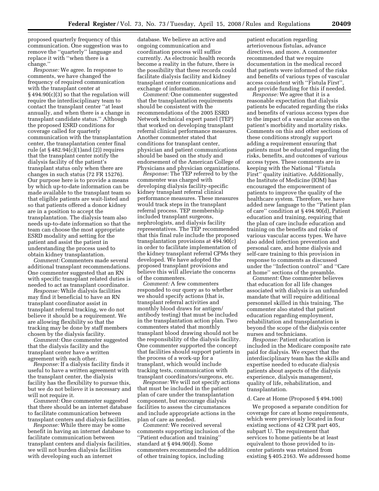proposed quarterly frequency of this communication. One suggestion was to remove the ''quarterly'' language and replace it with ''when there is a change.''

*Response:* We agree. In response to comments, we have changed the frequency of required communication with the transplant center at § 494.90(c)(3) so that the regulation will require the interdisciplinary team to contact the transplant center ''at least annually, and when there is a change in transplant candidate status.'' Although the proposed ESRD conditions for coverage called for quarterly communication with the transplantation center, the transplantation center final rule (at § 482.94(c)(1)and (2)) requires that the transplant center notify the dialysis facility of the patient's transplant status only when there are changes in such status (72 FR 15276). Our purpose here is to provide a means by which up-to-date information can be made available to the transplant team so that eligible patients are wait-listed and so that patients offered a donor kidney are in a position to accept the transplantation. The dialysis team also needs up-to-date information so that the team can choose the most appropriate ESRD modality and setting for the patient and assist the patient in understanding the process used to obtain kidney transplantation.

*Comment:* Commenters made several additional transplant recommendations. One commenter suggested that an RN with specific transplant related duties is needed to act as transplant coordinator.

*Response:* While dialysis facilities may find it beneficial to have an RN transplant coordinator assist in transplant referral tracking, we do not believe it should be a requirement. We are allowing flexibility so that the tracking may be done by staff members chosen by the dialysis facility.

*Comment:* One commenter suggested that the dialysis facility and the transplant center have a written agreement with each other.

*Response:* If a dialysis facility finds it useful to have a written agreement with the transplant center, the dialysis facility has the flexibility to pursue this, but we do not believe it is necessary and will not require it.

*Comment:* One commenter suggested that there should be an internet database to facilitate communication between transplant centers and dialysis facilities.

*Response:* While there may be some benefit in having an internet database to facilitate communication between transplant centers and dialysis facilities, we will not burden dialysis facilities with developing such an internet

database. We believe an active and ongoing communication and coordination process will suffice currently. As electronic health records become a reality in the future, there is the possibility that these records could facilitate dialysis facility and kidney transplant center communications and exchange of information.

*Comment:* One commenter suggested that the transplantation requirements should be consistent with the recommendations of the 2005 ESRD Network technical expert panel (TEP) that worked on developing transplant referral clinical performance measures. Another commenter stated that conditions for transplant center, physician and patient communications should be based on the study and endorsement of the American College of Physicians and physician organizations.

*Response:* The TEP referred to by the commenter was charged with developing dialysis facility-specific kidney transplant referral clinical performance measures. These measures would track steps in the transplant referral process. TEP membership included transplant surgeons, nephrologists, and dialysis facility representatives. The TEP recommended that this final rule include the proposed transplantation provisions at 494.90(c) in order to facilitate implementation of the kidney transplant referral CPMs they developed. We have adopted the proposed transplant provisions and believe this will alleviate the concerns of the commenters.

*Comment:* A few commenters responded to our query as to whether we should specify actions (that is, transplant referral activities and monthly blood draws for antigen/ antibody testing) that must be included in the transplantation action plan. Two commenters stated that monthly transplant blood drawing should not be the responsibility of the dialysis facility. One commenter supported the concept that facilities should support patients in the process of a work-up for a transplant, which would include tracking tests, communication with transplant coordinators/surgeons, etc.

*Response:* We will not specify actions that must be included in the patient plan of care under the transplantation component, but encourage dialysis facilities to assess the circumstances and include appropriate actions in the plan of care as needed.

*Comment:* We received several comments supporting inclusion of the ''Patient education and training'' standard at § 494.90(d). Some commenters recommended the addition of other training topics, including

patient education regarding arteriovenous fistulas, advance directives, and more. A commenter recommended that we require documentation in the medical record that patients were informed of the risks and benefits of various types of vascular access consistent with ''Fistula First'', and provide funding for this if needed.

*Response:* We agree that it is a reasonable expectation that dialysis patients be educated regarding the risks and benefits of various access types due to the impact of a vascular access on the patient's morbidity and mortality risks. Comments on this and other sections of these conditions strongly support adding a requirement ensuring that patients must be educated regarding the risks, benefits, and outcomes of various access types. These comments are in keeping with the National ''Fistula First'' quality initiative. Additionally, the Institute of Medicine (IOM) has encouraged the empowerment of patients to improve the quality of the healthcare system. Therefore, we have added new language to the ''Patient plan of care'' condition at § 494.90(d), Patient education and training, requiring that the plan of care include education and training on the benefits and risks of various vascular access types. We have also added infection prevention and personal care, and home dialysis and self-care training to this provision in response to comments as discussed under the ''Infection control'' and ''Care at home'' sections of the preamble.

*Comment:* One commenter believes that education for all life changes associated with dialysis is an unfunded mandate that will require additional personnel skilled in this training. The commenter also stated that patient education regarding employment, rehabilitation and transplantation is beyond the scope of the dialysis center nurses and technicians.

*Response:* Patient education is included in the Medicare composite rate paid for dialysis. We expect that the interdisciplinary team has the skills and expertise needed to educate dialysis patients about aspects of the dialysis experience, dialysis management, quality of life, rehabilitation, and transplantation.

## d. Care at Home (Proposed § 494.100)

We proposed a separate condition for coverage for care at home requirements, which were previously located in four existing sections of 42 CFR part 405, subpart U. The requirement that services to home patients be at least equivalent to those provided to incenter patients was retained from existing § 405.2163. We addressed home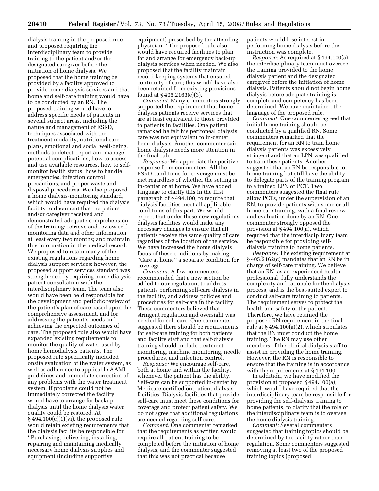dialysis training in the proposed rule and proposed requiring the interdisciplinary team to provide training to the patient and/or the designated caregiver before the initiation of home dialysis. We proposed that the home training be provided by a facility approved to provide home dialysis services and that home and self-care training would have to be conducted by an RN. The proposed training would have to address specific needs of patients in several subject areas, including the nature and management of ESRD, techniques associated with the treatment modality, nutritional care plans, emotional and social well-being, methods to detect, report and manage potential complications, how to access and use available resources, how to selfmonitor health status, how to handle emergencies, infection control precautions, and proper waste and disposal procedures. We also proposed a home dialysis-monitoring standard, which would have required the dialysis facility to document that the patient and/or caregiver received and demonstrated adequate comprehension of the training; retrieve and review selfmonitoring data and other information at least every two months; and maintain this information in the medical record. We proposed to retain many of the existing regulations regarding home dialysis support services; however, the proposed support services standard was strengthened by requiring home dialysis patient consultation with the interdisciplinary team. The team also would have been held responsible for the development and periodic review of the patient's plan of care based upon the comprehensive assessment, and for addressing the patient's needs and achieving the expected outcomes of care. The proposed rule also would have expanded existing requirements to monitor the quality of water used by home hemodialysis patients. The proposed rule specifically included onsite evaluation of the water system, as well as adherence to applicable AAMI guidelines and immediate correction of any problems with the water treatment system. If problems could not be immediately corrected the facility would have to arrange for backup dialysis until the home dialysis water quality could be restored. At  $§ 494.100(c)(1)(vi)$ , the proposed rule would retain existing requirements that the dialysis facility be responsible for ''Purchasing, delivering, installing, repairing and maintaining medically necessary home dialysis supplies and equipment (including supportive

equipment) prescribed by the attending physician.'' The proposed rule also would have required facilities to plan for and arrange for emergency back-up dialysis services when needed. We also proposed that the facility maintain record-keeping systems that ensured continuity of care; this would have also been retained from existing provisions found at § 405.2163(e)(3).

*Comment:* Many commenters strongly supported the requirement that home dialysis patients receive services that are at least equivalent to those provided to patients in facilities. One patient remarked he felt his peritoneal dialysis care was not equivalent to in-center hemodialysis. Another commenter said home dialysis needs more attention in the final rule.

*Response:* We appreciate the positive response from commenters. All the ESRD conditions for coverage must be met regardless of whether the setting is in-center or at home. We have added language to clarify this in the first paragraph of § 494.100, to require that dialysis facilities meet all applicable conditions of this part. We would expect that under these new regulations, dialysis facilities would make any necessary changes to ensure that all patients receive the same quality of care regardless of the location of the service. We have increased the home dialysis focus of these conditions by making ''Care at home'' a separate condition for coverage.

*Comment:* A few commenters recommended that a new section be added to our regulation, to address patients performing self-care dialysis in the facility, and address policies and procedures for self-care in the facility. These commenters believed that stringent regulation and oversight was needed for self-care. One commenter suggested there should be requirements for self-care training for both patients and facility staff and that self-dialysis training should include treatment monitoring, machine monitoring, needle procedures, and infection control.

*Response:* We encourage self-care, both at home and within the facility, whenever the patient has the ability. Self-care can be supported in-center by Medicare-certified outpatient dialysis facilities. Dialysis facilities that provide self-care must meet these conditions for coverage and protect patient safety. We do not agree that additional regulations are needed regarding self-care.

*Comment:* One commenter remarked that the requirements as written would require all patient training to be completed before the initiation of home dialysis, and the commenter suggested that this was not practical because

patients would lose interest in performing home dialysis before the instruction was complete.

*Response:* As required at § 494.100(a), the interdisciplinary team must oversee the training provided to the home dialysis patient and the designated caregiver before the initiation of home dialysis. Patients should not begin home dialysis before adequate training is complete and competency has been determined. We have maintained the language of the proposed rule.

*Comment:* One commenter agreed that initial home training should be conducted by a qualified RN. Some commenters remarked that the requirement for an RN to train home dialysis patients was excessively stringent and that an LPN was qualified to train these patients. Another suggested that an RN be responsible for home training but still have the ability to delegate parts of the training program to a trained LPN or PCT. Two commenters suggested the final rule allow PCTs, under the supervision of an RN, to provide patients with some or all home care training, with a final review and evaluation done by an RN. One commenter strongly opposed the provision at § 494.100(a), which required that the interdisciplinary team be responsible for providing selfdialysis training to home patients.

*Response:* The existing requirement at § 405.2162(c) mandates that an RN be in charge of self-care training. We believe that an RN, as an experienced health professional, fully understands the complexity and rationale for the dialysis process, and is the best-suited expert to conduct self-care training to patients. The requirement serves to protect the health and safety of the patient. Therefore, we have retained the proposed RN requirement in the final rule at § 494.100(a)(2), which stipulates that the RN must conduct the home training. The RN may use other members of the clinical dialysis staff to assist in providing the home training. However, the RN is responsible to ensure that the training is in accordance with the requirements at § 494.100.

In addition, we have modified the provision at proposed § 494.100(a), which would have required that the interdisciplinary team be responsible for providing the self-dialysis training to home patients, to clarify that the role of the interdisciplinary team is to oversee the home dialysis training.

*Comment:* Several commenters suggested that training topics should be determined by the facility rather than regulation. Some commenters suggested removing at least two of the proposed training topics (proposed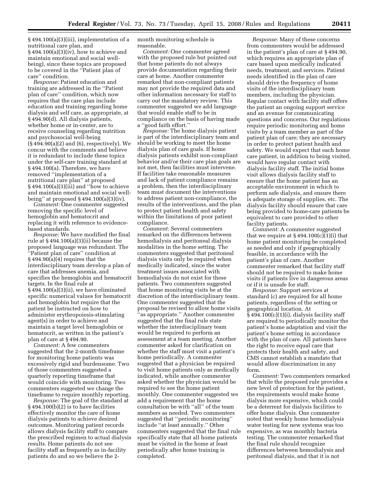§ 494.100(a)(3)(iii), implementation of a nutritional care plan, and § 494.100(a)(3)(iv), how to achieve and maintain emotional and social wellbeing), since these topics are proposed to be covered in the ''Patient plan of care'' condition.

*Response:* Patient education and training are addressed in the ''Patient plan of care'' condition, which now requires that the care plan include education and training regarding home dialysis and self care, as appropriate, at § 494.90(d). All dialysis patients, whether home or in-center, are to receive counseling regarding nutrition and psychosocial well-being (§ 494.90(a)(2) and (6), respectively). We concur with the comments and believe it is redundant to include these topics under the self-care training standard at § 494.100(a). Therefore, we have removed ''implementation of a nutritional care plan'' at proposed  $§ 494.100(a)(3)(iii)$  and "how to achieve and maintain emotional and social wellbeing'' at proposed § 494.100(a)(3)(iv).

*Comment:* One commenter suggested removing the specific level of hemoglobin and hematocrit and replacing it with reference to evidencebased standards.

*Response:* We have modified the final rule at  $§ 494.100(a)(3)(ii)$  because the proposed language was redundant. The ''Patient plan of care'' condition at § 494.90(a)(4) requires that the interdisciplinary team develop a plan of care that addresses anemia, and specifies the hemoglobin and hematocrit targets. In the final rule at § 494.100(a)(3)(ii), we have eliminated specific numerical values for hematocrit and hemoglobin but require that the patient be instructed on how to administer erythropoiesis-stimulating agent(s) in order to achieve and maintain a target level hemoglobin or hematocrit, as written in the patient's plan of care at § 494.90.

*Comment:* A few commenters suggested that the 2-month timeframe for monitoring home patients was excessively rigid and burdensome. Two of those commenters suggested a quarterly reporting timeframe that would coincide with monitoring. Two commenters suggested we change the timeframe to require monthly reporting.

*Response:* The goal of the standard at § 494.100(b)(2) is to have facilities effectively monitor the care of home dialysis patients to achieve desired outcomes. Monitoring patient records allows dialysis facility staff to compare the prescribed regimen to actual dialysis results. Home patients do not see facility staff as frequently as in-facility patients do and so we believe the 2month monitoring schedule is reasonable.

*Comment:* One commenter agreed with the proposed rule but pointed out that home patients do not always provide documentation regarding their care at home. Another commenter remarked that non-compliant patients may not provide the required data and other information necessary for staff to carry out the mandatory review. This commenter suggested we add language that would enable staff to be in compliance on the basis of having made a ''good faith effort.''

*Response:* The home dialysis patient is part of the interdisciplinary team and should be working to meet the home dialysis plan of care goals. If home dialysis patients exhibit non-compliant behavior and/or their care plan goals are not met, then facilities must intervene. If facilities take reasonable measures and lack of patient compliance remains a problem, then the interdisciplinary team must document the interventions to address patient non-compliance, the results of the interventions, and the plan to protect patient health and safety within the limitations of poor patient compliance.

*Comment:* Several commenters remarked on the differences between hemodialysis and peritoneal dialysis modalities in the home setting. The commenters suggested that peritoneal dialysis visits only be required when medically indicated, since the water treatment issues associated with hemodialysis do not exist for these patients. Two commenters suggested that home monitoring visits be at the discretion of the interdisciplinary team. One commenter suggested that the proposal be revised to allow home visits ''as appropriate.'' Another commenter suggested that the final rule state whether the interdisciplinary team would be required to perform an assessment at a team meeting. Another commenter asked for clarification on whether the staff must visit a patient's home periodically. A commenter suggested that a physician be required to visit home patients only as medically indicated, while another commenter asked whether the physician would be required to see the home patient monthly. One commenter suggested we add a requirement that the home consultation be with ''all'' of the team members as needed. Two commenters suggested that ''periodic monitoring'' include ''at least annually.'' Other commenters suggested that the final rule specifically state that all home patients must be visited in the home at least periodically after home training is completed.

*Response:* Many of these concerns from commenters would be addressed in the patient's plan of care at § 494.90, which requires an appropriate plan of care based upon medically indicated needs, treatment, and services. Patient needs identified in the plan of care should drive the frequency of home visits of the interdisciplinary team members, including the physician. Regular contact with facility staff offers the patient an ongoing support service and an avenue for communicating questions and concerns. Our regulations require periodic monitoring and home visits by a team member as part of the patient plan of care; they are necessary in order to protect patient health and safety. We would expect that each home care patient, in addition to being visited, would have regular contact with dialysis facility staff. The initial home visit allows dialysis facility staff to ensure that the home patient has an acceptable environment in which to perform safe dialysis, and ensure there is adequate storage of supplies, etc. The dialysis facility should ensure that care being provided to home-care patients be equivalent to care provided to other facility patients.

*Comment:* A commenter suggested that we require at  $§ 494.100(c)(1)(i)$  that home patient monitoring be completed as needed and only if geographically feasible, in accordance with the patient's plan of care. Another commenter remarked that facility staff should not be required to make home visits if patients live in dangerous areas or if it is unsafe for staff.

*Response:* Support services at standard (c) are required for all home patients, regardless of the setting or geographical location. At  $\S 494.100(c)(1)(i)$ , dialysis facility staff are required to periodically monitor the patient's home adaptation and visit the patient's home setting in accordance with the plan of care. All patients have the right to receive equal care that protects their health and safety, and CMS cannot establish a mandate that would allow discrimination in any form.

*Comment:* Two commenters remarked that while the proposed rule provides a new level of protection for the patient, the requirements would make home dialysis more expensive, which could be a deterrent for dialysis facilities to offer home dialysis. One commenter noted that weekly home hemodialysis water testing for new systems was too expensive, as was monthly bacteria testing. The commenter remarked that the final rule should recognize differences between hemodialysis and peritoneal dialysis, and that it is not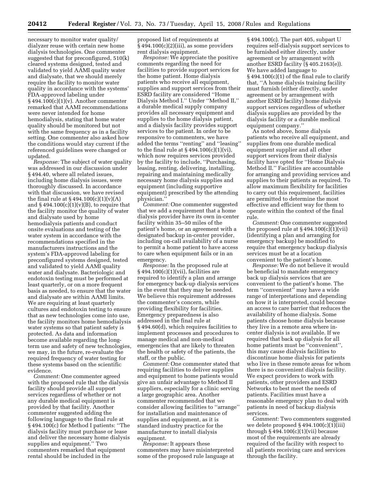necessary to monitor water quality/ dialyzer reuse with certain new home dialysis technologies. One commenter suggested that for preconfigured, 510(k) cleared systems designed, tested and validated to yield AAMI quality water and dialysate, that we should merely require the facility to monitor water quality in accordance with the systems' FDA-approved labeling under  $§$  494.100(c)(1)(v). Another commenter remarked that AAMI recommendations were never intended for home hemodialysis, stating that home water quality should be monitored but not with the same frequency as in a facility setting. One commenter also asked how the conditions would stay current if the referenced guidelines were changed or updated.

*Response:* The subject of water quality was addressed in our discussion under § 494.40, where all related issues, including home dialysis issues, were thoroughly discussed. In accordance with that discussion, we have revised the final rule at  $\S 494.100(c)(1)(v)(A)$ and  $§$  494.100(c)(1)(v)(B), to require that the facility monitor the quality of water and dialysate used by home hemodialysis patients and conduct onsite evaluations and testing of the water system in accordance with the recommendations specified in the manufacturers instructions and the system's FDA-approved labeling for preconfigured systems designed, tested and validated to yield AAMI quality water and dialysate. Bacteriologic and endotoxin testing must be performed at least quarterly, or on a more frequent basis as needed, to ensure that the water and dialysate are within AAMI limits. We are requiring at least quarterly cultures and endotoxin testing to ensure that as new technologies come into use, the facility monitors home hemodialysis water systems so that patient safety is protected. As data and information become available regarding the longterm use and safety of new technologies, we may, in the future, re-evaluate the required frequency of water testing for these systems based on the scientific evidence.

*Comment:* One commenter agreed with the proposed rule that the dialysis facility should provide all support services regardless of whether or not any durable medical equipment is provided by that facility. Another commenter suggested adding the following language to the final rule at § 494.100(c) for Method I patients: ''The dialysis facility must purchase or lease and deliver the necessary home dialysis supplies and equipment.'' Two commenters remarked that equipment rental should be included in the

proposed list of requirements at  $§ 494.100(c)(2)(iii)$ , as some providers rent dialysis equipment.

*Response:* We appreciate the positive comments regarding the need for facilities to provide support services for the home patient. Home dialysis patients who receive all equipment, supplies and support services from their ESRD facility are considered ''Home Dialysis Method I.'' Under ''Method II,'' a durable medical supply company provides all necessary equipment and supplies to the home dialysis patient, and a dialysis facility provides support services to the patient. In order to be responsive to commenters, we have added the terms ''renting'' and ''leasing'' to the final rule at  $\S 494.100(c)(1)(vi)$ , which now requires services provided by the facility to include, ''Purchasing, leasing, renting, delivering, installing, repairing and maintaining medically necessary home dialysis supplies and equipment (including supportive equipment) prescribed by the attending physician.''

*Comment:* One commenter suggested that we add a requirement that a home dialysis provider have its own in-center facility within 35–50 miles of the patient's home, or an agreement with a designated backup in-center provider, including on-call availability of a nurse to permit a home patient to have access to care when equipment fails or in an emergency.

*Response:* In the proposed rule at  $§ 494.100(c)(1)(vii)$ , facilities are required to identify a plan and arrange for emergency back-up dialysis services in the event that they may be needed. We believe this requirement addresses the commenter's concern, while providing flexibility for facilities. Emergency preparedness is also addressed in the final rule at § 494.60(d), which requires facilities to implement processes and procedures to manage medical and non-medical emergencies that are likely to threaten the health or safety of the patients, the staff, or the public.

*Comment:* One commenter stated that requiring facilities to deliver supplies and equipment to home patients would give an unfair advantage to Method II suppliers, especially for a clinic serving a large geographic area. Another commenter recommended that we consider allowing facilities to ''arrange'' for installation and maintenance of supplies and equipment, as it is standard industry practice for the manufacturer to install dialysis equipment.

*Response:* It appears these commenters may have misinterpreted some of the proposed rule language at

§ 494.100(c). The part 405, subpart U requires self-dialysis support services to be furnished either directly, under agreement or by arrangement with another ESRD facility (§ 405.2163(e)). We have added language to  $\S$  494.100(c)(1) of the final rule to clarify that, ''A home dialysis training facility must furnish (either directly, under agreement or by arrangement with another ESRD facility) home dialysis support services regardless of whether dialysis supplies are provided by the dialysis facility or a durable medical equipment company.''

As noted above, home dialysis patients who receive all equipment, and supplies from one durable medical equipment supplier and all other support services from their dialysis facility have opted for ''Home Dialysis Method II.'' Facilities are accountable for arranging and providing services and supplies to their patients as required. To allow maximum flexibility for facilities to carry out this requirement, facilities are permitted to determine the most effective and efficient way for them to operate within the context of the final rule.

*Comment:* One commenter suggested the proposed rule at  $\S 494.100(c)(1)(vii)$ (identifying a plan and arranging for emergency backup) be modified to require that emergency backup dialysis services must be at a location convenient to the patient's home.

*Response:* We do not believe it would be beneficial to mandate emergency back up dialysis services that are convenient to the patient's home. The term ''convenient'' may have a wide range of interpretations and depending on how it is interpreted, could become an access to care barrier that reduces the availability of home dialysis. Some patients choose home dialysis because they live in a remote area where incenter dialysis is not available. If we required that back up dialysis for all home patients must be ''convenient'', this may cause dialysis facilities to discontinue home dialysis for patients who live in these remote areas for whom there is no convenient dialysis facility. We expect providers to work with patients, other providers and ESRD Networks to best meet the needs of patients. Facilities must have a reasonable emergency plan to deal with patients in need of backup dialysis services.

*Comment:* Two commenters suggested we delete proposed  $\S 494.100(c)(1)(iii)$ through  $\S$  494.100(c)(1)(vii) because most of the requirements are already required of the facility with respect to all patients receiving care and services through the facility.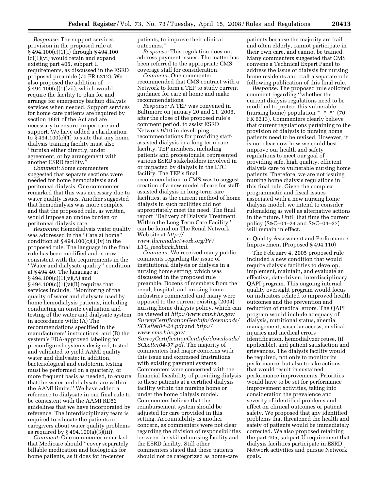*Response:* The support services provision in the proposed rule at § 494.100(c)(1)(i) through § 494.100 (c)(1)(vi) would retain and expand existing part 405, subpart U requirements, as discussed in the ESRD proposed preamble (70 FR 6212). We also proposed the addition of § 494.100(c)(1)(vii), which would require the facility to plan for and arrange for emergency backup dialysis services when needed. Support services for home care patients are required by section 1881 of the Act and are necessary to ensure proper care and support. We have added a clarification to  $\S 494.100(c)(1)$  to state that any home dialysis training facility must also ''furnish either directly, under agreement, or by arrangement with another ESRD facility.''

*Comment:* Some commenters suggested that separate sections were needed for home hemodialysis and peritoneal dialysis. One commenter remarked that this was necessary due to water quality issues. Another suggested that hemodialysis was more complex and that the proposed rule, as written, would impose an undue burden on peritoneal dialysis care.

*Response:* Hemodialysis water quality was addressed in the ''Care at home'' condition at  $\S 494.100(c)(1)(v)$  in the proposed rule. The language in the final rule has been modified and is now consistent with the requirements in the ''Water and dialysate quality'' condition at § 494.40. The language at  $§$  494.100(c)(1)(v)(A) and  $§ 494.100(c)(1)(v)(B)$  requires that services include, ''Monitoring of the quality of water and dialysate used by home hemodialysis patients, including conducting an onsite evaluation and testing of the water and dialysate system in accordance with: (A) The recommendations specified in the manufacturers' instructions; and (B) the system's FDA-approved labeling for preconfigured systems designed, tested, and validated to yield AAMI quality water and dialysate; in addition, bacteriological and endotoxin testing must be performed on a quarterly, or more frequent basis as needed, to ensure that the water and dialysate are within the AAMI limits.'' We have added a reference to dialysate in our final rule to be consistent with the AAMI RD52 guidelines that we have incorporated by reference. The interdisciplinary team is required to educate the patients or caregivers about water quality problems as required by  $\S$  494.100(a)(3)(iii).

*Comment:* One commenter remarked that Medicare should ''cover separately billable medication and biologicals for home patients, as it does for in-center

patients, to improve their clinical outcomes.''

*Response:* This regulation does not address payment issues. The matter has been referred to the appropriate CMS coverage staff for consideration.

*Comment:* One commenter recommended that CMS contract with a Network to form a TEP to study current guidance for care at home and make recommendations.

*Response:* A TEP was convened in Baltimore on January 20 and 21, 2006, after the close of the proposed rule's comment period, to assist ESRD Network 9/10 in developing recommendations for providing staffassisted dialysis in a long-term care facility. TEP members, including patients and professionals, represented various ESRD stakeholders involved in or impacted by dialysis in the LTC facility. The TEP's final recommendation to CMS was to suggest creation of a new model of care for staffassisted dialysis in long-term care facilities, as the current method of home dialysis in such facilities did not appropriately meet the need. The final report ''Delivery of Dialysis Treatment Within the Long Term Care Facility'' can be found on The Renal Network Web site at *http:// [www.therenalnetwork.org/PF/](http://www.therenalnetwork.org/PF/LTC_feedback.html)  LTC*\_*feedback.html*.

*Comment:* We received many public comments regarding the issue of institutional dialysis or dialysis in a nursing home setting, which was discussed in the proposed rule preamble. Dozens of members from the renal, hospital, and nursing home industries commented and many were opposed to the current existing (2004) nursing home dialysis policy, which can be viewed at *http://www.cms.hhs.gov/ [SurveyCertificationGenInfo/downloads/](http://www.cms.hhs.gov/SurveyCertificationGenInfo/downloads/SCLetter04-24.pdf)  [SCLetter04-24.pdf](http://www.cms.hhs.gov/SurveyCertificationGenInfo/downloads/SCLetter04-24.pdf)* and *[http://](http://www.cms.hhs.gov/SurveyCertificationGenInfo/downloads/SCLetter04-37.pdf)  www.cms.hhs.gov/ [SurveyCertificationGenInfo/downloads/](http://www.cms.hhs.gov/SurveyCertificationGenInfo/downloads/SCLetter04-37.pdf)* 

*SCLetter04-37.pdf*. The majority of commenters had major concerns with this issue and expressed frustrations with existing payment systems. Commenters were concerned with the financial feasibility of providing dialysis to these patients at a certified dialysis facility within the nursing home or under the home dialysis model. Commenters believe that the reimbursement system should be adjusted for care provided in this setting. Accountability is another concern, as commenters were not clear regarding the division of responsibilities between the skilled nursing facility and the ESRD facility. Still other commenters stated that these patients should not be categorized as home-care

patients because the majority are frail and often elderly, cannot participate in their own care, and cannot be trained. Many commenters suggested that CMS convene a Technical Expert Panel to address the issue of dialysis for nursing home residents and craft a separate rule following publication of this final rule.

*Response:* The proposed rule solicited comment regarding ''whether the current dialysis regulations need to be modified to protect this vulnerable (nursing home) population \* \* \*'' (70 FR 6213). Commenters clearly believe that current regulations pertaining to the provision of dialysis to nursing home patients need to be revised. However, it is not clear now how we could best improve our health and safety regulations to meet our goal of providing safe, high quality, efficient dialysis care to vulnerable nursing home patients. Therefore, we are not issuing nursing home dialysis regulations in this final rule. Given the complex programmatic and fiscal issues associated with a new nursing home dialysis model, we intend to consider rulemaking as well as alternative actions in the future. Until that time the current policy (S&C–04–24 and S&C–04–37) will remain in effect.

e. Quality Assessment and Performance Improvement (Proposed § 494.110)

The February 4, 2005 proposed rule included a new condition that would require dialysis facilities to develop, implement, maintain, and evaluate an effective, data-driven, interdisciplinary QAPI program. This ongoing internal quality oversight program would focus on indicators related to improved health outcomes and the prevention and reduction of medical errors. The QAPI program would include adequacy of dialysis, nutritional status, anemia management, vascular access, medical injuries and medical errors identification, hemodialyzer reuse, (if applicable), and patient satisfaction and grievances. The dialysis facility would be required, not only to monitor its performance, but also to take actions that would result in sustained performance improvements. Priorities would have to be set for performance improvement activities, taking into consideration the prevalence and severity of identified problems and affect on clinical outcomes or patient safety. We proposed that any identified problems that threatened the health and safety of patients would be immediately corrected. We also proposed retaining the part 405, subpart U requirement that dialysis facilities participate in ESRD Network activities and pursue Network goals.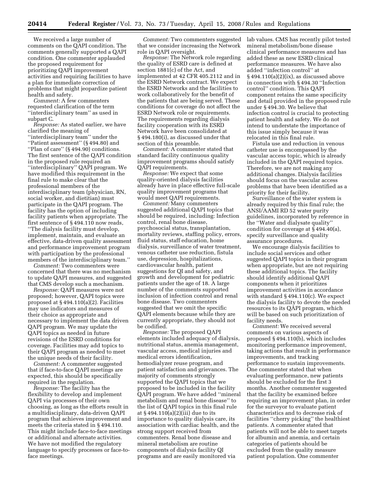We received a large number of comments on the QAPI condition. The comments generally supported a QAPI condition. One commenter applauded the proposed requirement for prioritizing QAPI improvement activities and requiring facilities to have a plan for immediate correction of problems that might jeopardize patient health and safety.

*Comment:* A few commenters requested clarification of the term ''interdisciplinary team'' as used in subpart C.

*Response:* As stated earlier, we have clarified the meaning of ''interdisciplinary team'' under the ''Patient assessment'' (§ 494.80) and ''Plan of care'' (§ 494.90) conditions. The first sentence of the QAPI condition in the proposed rule required an ''interdisciplinary'' QAPI program. We have modified this requirement in the final rule to make clear that the professional members of the interdisciplinary team (physician, RN, social worker, and dietitian) must participate in the QAPI program. The facility has the option of including facility patients when appropriate. The first sentence of § 494.110 now reads, ''The dialysis facility must develop, implement, maintain, and evaluate an effective, data-driven quality assessment and performance improvement program with participation by the professional members of the interdisciplinary team.''

*Comment:* Two commenters were concerned that there was no mechanism to update QAPI measures, and suggested that CMS develop such a mechanism.

*Response:* QAPI measures were not proposed; however, QAPI topics were proposed at § 494.110(a)(2). Facilities may use indicators and measures of their choice as appropriate and necessary to implement the data driven QAPI program. We may update the QAPI topics as needed in future revisions of the ESRD conditions for coverage. Facilities may add topics to their QAPI program as needed to meet the unique needs of their facility.

*Comment:* A commenter suggested that if face-to-face QAPI meetings are expected, this should be specifically required in the regulation.

*Response:* The facility has the flexibility to develop and implement QAPI via processes of their own choosing, as long as the efforts result in a multidisciplinary, data-driven QAPI program that achieves improvement and meets the criteria stated in § 494.110. This might include face-to-face meetings or additional and alternate activities. We have not modified the regulatory language to specify processes or face-toface meetings.

*Comment:* Two commenters suggested that we consider increasing the Network role in QAPI oversight.

*Response:* The Network role regarding the quality of ESRD care is defined at section 1881(c) of the Act, and implemented at 42 CFR 405.2112 and in the ESRD Network contract. We expect the ESRD Networks and the facilities to work collaboratively for the benefit of the patients that are being served. These conditions for coverage do not affect the ESRD Network role or requirements. The requirements regarding dialysis facility cooperation with its ESRD Network have been consolidated at § 494.180(i), as discussed under that section of this preamble.

*Comment:* A commenter stated that standard facility continuous quality improvement programs should satisfy QAPI requirements.

*Response:* We expect that some quality-oriented dialysis facilities already have in place effective full-scale quality improvement programs that would meet QAPI requirements.

*Comment:* Many commenters suggested additional QAPI topics that should be required, including: Infection control, renal bone disease, psychosocial status, transplantation, mortality reviews, staffing policy, errors, fluid status, staff education, home dialysis, surveillance of water treatment, venous catheter use reduction, fistula use, depression, hospitalizations, cardiovascular health, patient suggestions for QI and safety, and growth and development for pediatric patients under the age of 18. A large number of the comments supported inclusion of infection control and renal bone disease. Two commenters suggested that we omit the specific QAPI elements because while they are currently appropriate, they should not be codified.

*Response:* The proposed QAPI elements included adequacy of dialysis, nutritional status, anemia management, vascular access, medical injuries and medical errors identification, hemodialyzer reuse program, and patient satisfaction and grievances. The majority of comments strongly supported the QAPI topics that we proposed to be included in the facility QAPI program. We have added ''mineral metabolism and renal bone disease'' to the list of QAPI topics in this final rule at § 494.110(a)(2)(iii) due to its importance to quality dialysis care, its association with cardiac health, and the strong support received from commenters. Renal bone disease and mineral metabolism are routine components of dialysis facility QI programs and are easily monitored via

lab values. CMS has recently pilot tested mineral metabolism/bone disease clinical performance measures and has added these as new ESRD clinical performance measures. We have also added ''infection control'' at  $\S 494.110(a)(2)(ix)$ , as discussed above in connection with § 494.30 ''Infection control'' condition. This QAPI component retains the same specificity and detail provided in the proposed rule under § 494.30. We believe that infection control is crucial to protecting patient health and safety. We do not intend to understate the importance of this issue simply because it was relocated in this final rule.

Fistula use and reduction in venous catheter use is encompassed by the vascular access topic, which is already included in the QAPI required topics. Therefore, we are not making any additional changes. Dialysis facilities should focus on the vascular access problems that have been identified as a priority for their facility.

Surveillance of the water system is already required by this final rule; the ANSI/AAMI RD 52 water purity guidelines, incorporated by reference in the ''Water and dialysate quality'' condition for coverage at § 494.40(a), specify surveillance and quality assurance procedures.

We encourage dialysis facilities to include social services and other suggested QAPI topics in their program when appropriate, but are not requiring these additional topics. The facility should identify additional QAPI components when it prioritizes improvement activities in accordance with standard § 494.110(c). We expect the dialysis facility to devote the needed resources to its QAPI program, which will be based on such prioritization of facility needs.

*Comment:* We received several comments on various aspects of proposed § 494.110(b), which includes monitoring performance improvement, taking actions that result in performance improvements, and tracking performance to sustain improvements. One commenter stated that when evaluating performance, new patients should be excluded for the first 3 months. Another commenter suggested that the facility be examined before requiring an improvement plan, in order for the surveyor to evaluate patient characteristics and to decrease risk of facilities ''cherry picking'' the healthiest patients. A commenter stated that patients will not be able to meet targets for albumin and anemia, and certain categories of patients should be excluded from the quality measure patient population. One commenter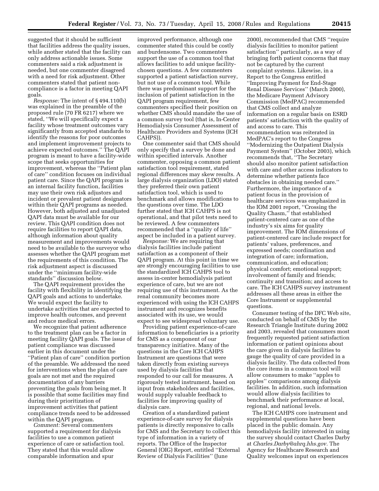suggested that it should be sufficient that facilities address the quality issues, while another stated that the facility can only address actionable issues. Some commenters said a risk adjustment is needed, but one commenter disagreed with a need for risk adjustment. Other commenters stated that patient noncompliance is a factor in meeting QAPI goals.

*Response:* The intent of § 494.110(b) was explained in the preamble of the proposed rule (70 FR 6217) where we stated, ''We will specifically expect a facility whose treatment outcomes vary significantly from accepted standards to identify the reasons for poor outcomes and implement improvement projects to achieve expected outcomes.'' The QAPI program is meant to have a facility-wide scope that seeks opportunities for improvement, whereas the ''Patient plan of care'' condition focuses on individual patient care. Since the QAPI program is an internal facility function, facilities may use their own risk adjustors and incident or prevalent patient designators within their QAPI programs as needed. However, both adjusted and unadjusted QAPI data must be available for our review. This QAPI condition does not require facilities to report QAPI data, although information about quality measurement and improvements would need to be available to the surveyor who assesses whether the QAPI program met the requirements of this condition. The risk adjustment aspect is discussed under the ''minimum facility-wide standards'' discussion below.

The QAPI requirement provides the facility with flexibility in identifying the QAPI goals and actions to undertake. We would expect the facility to undertake activities that are expected to improve health outcomes, and prevent and reduce medical errors.

We recognize that patient adherence to the treatment plan can be a factor in meeting facility QAPI goals. The issue of patient compliance was discussed earlier in this document under the ''Patient plan of care'' condition portion of the preamble. We addressed the need for interventions when the plan of care goals are not met and the required documentation of any barriers preventing the goals from being met. It is possible that some facilities may find during their prioritization of improvement activities that patient compliance trends need to be addressed within the QAPI program.

*Comment:* Several commenters supported a requirement for dialysis facilities to use a common patient experience of care or satisfaction tool. They stated that this would allow comparable information and spur

improved performance, although one commenter stated this could be costly and burdensome. Two commenters support the use of a common tool that allows facilities to add unique facilitychosen questions. A few commenters supported a patient satisfaction survey, but not use of a common tool. While there was predominant support for the inclusion of patient satisfaction in the QAPI program requirement, few commenters specified their position on whether CMS should mandate the use of a common survey tool (that is, In-Center Hemodialysis Consumer Assessment of Healthcare Providers and Systems (ICH CAHPS)).

One commenter said that CMS should only specify that a survey be done and within specified intervals. Another commenter, opposing a common patient satisfaction tool requirement, stated regional differences may skew results. A large dialysis organization (LDO) stated they preferred their own patient satisfaction tool, which is used to benchmark and allows modifications to the questions over time. The LDO further stated that ICH CAHPS is not operational, and that pilot tests need to be reviewed. A few commenters recommended that a ''quality of life'' aspect be included in a patient survey.

*Response:* We are requiring that dialysis facilities include patient satisfaction as a component of their QAPI program. At this point in time we are strongly encouraging facilities to use the standardized ICH CAHPS tool to assess in-center hemodialysis patient experience of care, but we are not requiring use of this instrument. As the renal community becomes more experienced with using the ICH CAHPS instrument and recognizes benefits associated with its use, we would expect to see widespread voluntary use.

Providing patient experience-of-care information to beneficiaries is a priority for CMS as a component of our transparency initiative. Many of the questions in the Core ICH CAHPS Instrument are questions that were taken directly from existing surveys used by dialysis facilities that responded to our call for measures. A rigorously tested instrument, based on input from stakeholders and facilities, would supply valuable feedback to facilities for improving quality of dialysis care.

Creation of a standardized patient experience-of-care survey for dialysis patients is directly responsive to calls for CMS and the Secretary to collect this type of information in a variety of reports. The Office of the Inspector General (OIG) Report, entitled ''External Review of Dialysis Facilities'' (June

2000), recommended that CMS ''require dialysis facilities to monitor patient satisfaction'' particularly, as a way of bringing forth patient concerns that may not be captured by the current complaint systems. Likewise, in a Report to the Congress entitled ''Improving Payment for End-Stage Renal Disease Services'' (March 2000), the Medicare Payment Advisory Commission (MedPAC) recommended that CMS collect and analyze information on a regular basis on ESRD patients' satisfaction with the quality of and access to care. This recommendation was reiterated in MedPAC's report to the Congress ''Modernizing the Outpatient Dialysis Payment System'' (October 2003), which recommends that, ''The Secretary should also monitor patient satisfaction with care and other access indicators to determine whether patients face obstacles in obtaining needed care.'' Furthermore, the importance of a patient focus in the provision of healthcare services was emphasized in the IOM 2001 report, ''Crossing the Quality Chasm,'' that established patient-centered care as one of the industry's six aims for quality improvement. The IOM dimensions of patient-centered care include respect for patients' values, preferences, and expressed needs; coordination and integration of care; information, communication, and education; physical comfort; emotional support; involvement of family and friends; continuity and transition; and access to care. The ICH CAHPS survey instrument addresses all these areas in either the Core Instrument or supplemental questions.

Consumer testing of the DFC Web site, conducted on behalf of CMS by the Research Triangle Institute during 2002 and 2003, revealed that consumers most frequently requested patient satisfaction information or patient opinions about the care given in dialysis facilities to gauge the quality of care provided in a dialysis facility. The data collected from the core items in a common tool will allow consumers to make ''apples to apples'' comparisons among dialysis facilities. In addition, such information would allow dialysis facilities to benchmark their performance at local, regional, and national levels.

The ICH CAHPS core instrument and supplemental questions have been placed in the public domain. Any hemodialysis facility interested in using the survey should contact Charles Darby at *[Charles.Darby@ahrq.hhs.gov.](mailto:Charles.Darby@ahrq.hhs.gov)* The Agency for Healthcare Research and Quality welcomes input on experiences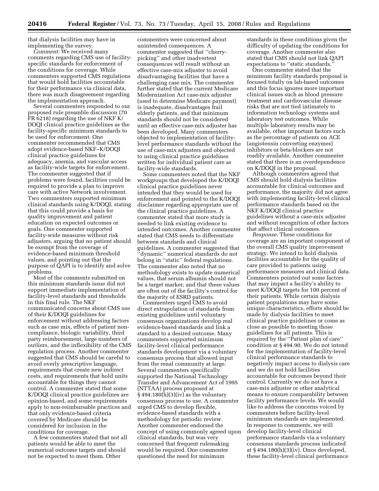that dialysis facilities may have in implementing the survey.

*Comment:* We received many comments regarding CMS use of facilityspecific standards for enforcement of the conditions for coverage. While commenters supported CMS regulations that would hold facilities accountable for their performance via clinical data, there was much disagreement regarding the implementation approach.

Several commenters responded to our proposed rule preamble discussion (70 FR 6218) regarding the use of NKF K/ DOQI clinical practice guidelines as the facility-specific minimum standards to be used for enforcement. One commenter recommended that CMS adopt evidence-based NKF–K/DOQI clinical practice guidelines for adequacy, anemia, and vascular access as facility-wide targets for enforcement. The commenter suggested that if problems were found, facilities could be required to provide a plan to improve care with active Network involvement. Two commenters supported minimum clinical standards using K/DOQI, stating that this could provide a basis for quality improvement and patient education on expected outcomes or goals. One commenter supported facility-wide measures without risk adjusters, arguing that no patient should be exempt from the coverage of evidence-based minimum threshold values, and pointing out that the purpose of QAPI is to identify and solve problems.

Most of the comments submitted on this minimum standards issue did not support immediate implementation of facility-level standards and thresholds in this final rule. The NKF communicated concerns about CMS use of their K/DOQI guidelines for enforcement without addressing factors such as case mix, effects of patient noncompliance, biologic variability, third party reimbursement, large numbers of outliers, and the inflexibility of the CMS regulation process. Another commenter suggested that CMS should be careful to avoid overly prescriptive language, requirements that create new indirect costs, and requirements that hold units accountable for things they cannot control. A commenter stated that some K/DOQI clinical practice guidelines are opinion-based, and some requirements apply to non-reimbursable practices and that only evidence-based criteria covered by Medicare should be considered for inclusion in the conditions for coverage.

A few commenters stated that not all patients would be able to meet the numerical outcome targets and should not be expected to meet them. Other

commenters were concerned about unintended consequences. A commenter suggested that ''cherrypicking'' and other inadvertent consequences will result without an effective case-mix adjuster to avoid disadvantaging facilities that have a challenging case mix. The commenter further stated that the current Medicare Modernization Act case-mix adjuster (used to determine Medicare payment) is inadequate, disadvantages frail elderly patients, and that minimum standards should not be considered until an effective case-mix adjuster has been developed. Many commenters objected to implementation of facilitylevel performance standards without the use of case-mix adjusters and objected to using clinical practice guidelines written for individual patient care as facility-wide standards.

Some commenters noted that the NKF workgroups that developed the K/DOQI clinical practice guidelines never intended that they would be used for enforcement and pointed to the K/DOQI disclaimer regarding appropriate use of the clinical practice guidelines. A commenter stated that more study is needed to link existing evidence to intended outcomes. Another commenter stated that CMS needs to differentiate between standards and clinical guidelines. A commenter suggested that ''dynamic'' numerical standards do not belong in ''static'' federal regulations. The commenter also noted that no methodology exists to update numerical values, that serum albumin should not be a target marker, and that these values are often out of the facility's control for the majority of ESRD patients.

Commenters urged CMS to avoid direct extrapolation of standards from existing guidelines until voluntary consensus organizations develop real evidence-based standards and link a standard to a desired outcome. Many commenters supported minimum facility-level clinical performance standards development via a voluntary consensus process that allowed input from the renal community at large. Several commenters specifically supported the National Technology Transfer and Advancement Act of 1995 (NTTAA) process proposed at  $§ 494.180(h)(3)(iv)$  as the voluntary consensus process to use. A commenter urged CMS to develop flexible, evidence-based standards with a methodology for periodic review. Another commenter endorsed the concept of using commonly agreed upon clinical standards, but was very concerned that frequent rulemaking would be required. One commenter questioned the need for minimum

standards in these conditions given the difficulty of updating the conditions for coverage. Another commenter also stated that CMS should not link QAPI expectations to ''static standards.''

One commenter stated that the minimum facility standards proposal is focused totally on lab-based outcomes and this focus ignores more important clinical issues such as blood pressure treatment and cardiovascular disease risks that are not tied intimately to information technology systems and laboratory test outcomes. While multiple laboratory results may be available, other important factors such as the percentage of patients on ACE (angiotensin converting enzymes) inhibitors or beta-blockers are not readily available. Another commenter stated that there is an overdependence on K/DOQI in the proposal.

Although commenters agreed that CMS should hold dialysis facilities accountable for clinical outcomes and performance, the majority did not agree with implementing facility-level clinical performance standards based on the NKF K/DOQI clinical practice guidelines without a case-mix adjuster and without recognition of other factors that affect clinical outcomes.

*Response:* These conditions for coverage are an important component of the overall CMS quality improvement strategy. We intend to hold dialysis facilities accountable for the quality of care provided to patients using performance measures and clinical data. Commenters pointed out some factors that may impact a facility's ability to meet K/DOQI targets for 100 percent of their patients. While certain dialysis patient populations may have some unique characteristics, efforts should be made by dialysis facilities to meet clinical practice guidelines or come as close as possible to meeting those guidelines for all patients. This is required by the ''Patient plan of care'' condition at § 494.90. We do not intend for the implementation of facility-level clinical performance standards to negatively impact access to dialysis care and we do not hold facilities accountable for outcomes beyond their control. Currently we do not have a case-mix adjuster or other analytical means to ensure comparability between facility performance levels. We would like to address the concerns voiced by commenters before facility-level minimum standards are implemented. In response to comments, we will develop facility-level clinical performance standards via a voluntary consensus standards process indicated at § 494.180(h)(3)(iv). Once developed, these facility-level clinical performance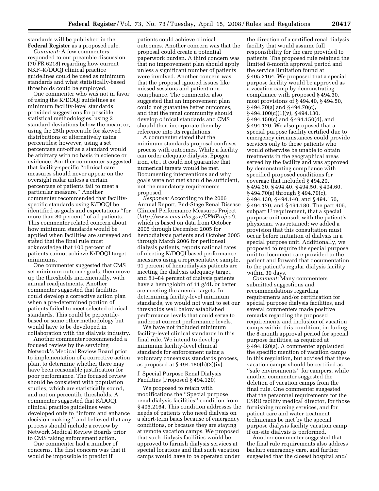standards will be published in the **Federal Register** as a proposed rule.

*Comment:* A few commenters responded to our preamble discussion (70 FR 6218) regarding how current NKF–K/DOQI clinical practice guidelines could be used as minimum standards and what statistically-based thresholds could be employed.

One commenter who was not in favor of using the K/DOQI guidelines as minimum facility-level standards provided suggestions for possible statistical methodologies: using 2 standard deviations below the mean; or, using the 25th percentile for skewed distributions or alternatively using percentiles; however, using a set percentage cut-off as a standard would be arbitrary with no basis in science or evidence. Another commenter suggested that facility-specific ''clinical care measures should never appear on the oversight radar unless a certain percentage of patients fail to meet a particular measure.'' Another commenter recommended that facilityspecific standards using K/DOQI be identified as goals and expectations ''for more than 80 percent'' of all patients. This commenter related concern about how minimum standards would be applied when facilities are surveyed and stated that the final rule must acknowledge that 100 percent of patients cannot achieve K/DOQI target minimums.

One commenter suggested that CMS set minimum outcome goals, then move up the thresholds incrementally, with annual readjustments. Another commenter suggested that facilities could develop a corrective action plan when a pre-determined portion of patients failed to meet selected clinical standards. This could be percentilebased or some other methodology but would have to be developed in collaboration with the dialysis industry.

Another commenter recommended a focused review by the servicing Network's Medical Review Board prior to implementation of a corrective action plan, to determine whether there may have been reasonable justification for poor performance. The focused review should be consistent with population studies, which are statistically sound, and not on percentile thresholds. A commenter suggested that K/DOQI clinical practice guidelines were developed only to ''inform and enhance decision-making,'' and believed that any process should include a review by Network Medical Review Boards prior to CMS taking enforcement action.

One commenter had a number of concerns. The first concern was that it would be impossible to predict if

patients could achieve clinical outcomes. Another concern was that the proposal could create a potential paperwork burden. A third concern was that no improvement plan should apply unless a significant number of patients were involved. Another concern was that the proposal ignored issues like missed sessions and patient noncompliance. The commenter also suggested that an improvement plan could not guarantee better outcomes, and that the renal community should develop clinical standards and CMS should then incorporate them by reference into its regulations.

A commenter stated that the minimum standards proposal confuses process with outcomes. While a facility can order adequate dialysis, Epogen, iron, etc., it could not guarantee that numerical targets would be met. Documenting interventions and why goals were not met should be sufficient, not the mandatory requirements proposed.

*Response:* According to the 2006 Annual Report, End-Stage Renal Disease Clinical Performance Measures Project (*<http://www.cms.hhs.gov/CPMProject>*), which is based on data from October 2005 through December 2005 for hemodialysis patients and October 2005 through March 2006 for peritoneal dialysis patients, reports national rates of meeting K/DOQI based performance measures using a representative sample, 91 percent of hemodialysis patients are meeting the dialysis adequacy target, and 81–84 percent of dialysis patients have a hemoglobin of 11 g/dL or better are meeting the anemia targets. In determining facility-level minimum standards, we would not want to set our thresholds well below established performance levels that could serve to undercut current performance levels.

We have not included minimum facility-level clinical standards in this final rule. We intend to develop minimum facility-level clinical standards for enforcement using a voluntary consensus standards process, as proposed at § 494.180(h)(3)(iv).

f. Special Purpose Renal Dialysis Facilities (Proposed § 494.120)

We proposed to retain with modifications the ''Special purpose renal dialysis facilities'' condition from § 405.2164. This condition addresses the needs of patients who need dialysis on a short-term basis because of emergency conditions, or because they are staying at remote vacation camps. We proposed that such dialysis facilities would be approved to furnish dialysis services at special locations and that such vacation camps would have to be operated under

the direction of a certified renal dialysis facility that would assume full responsibility for the care provided to patients. The proposed rule retained the limited 8-month approval period and the service limitation found at § 405.2164. We proposed that a special purpose facility would be approved as a vacation camp by demonstrating compliance with proposed § 494.30, most provisions of § 494.40, § 494.50, § 494.70(a) and § 494.70(c),  $\S$  494.100(c)(1)(v),  $\S$  494.130, § 494.150(c) and § 494.150(d), and § 494.170. We also proposed that a special purpose facility certified due to emergency circumstances could provide services only to those patients who would otherwise be unable to obtain treatments in the geographical areas served by the facility and was approved by demonstrating compliance with specified proposed conditions for coverage that included § 494.20, § 494.30, § 494.40, § 494.50, § 494.60, § 494.70(a) through § 494.70(c), § 494.130, § 494.140, and § 494.150, § 494.170, and § 494.180. The part 405, subpart U requirement, that a special purpose unit consult with the patient's physician, was retained; we added a provision that this consultation must occur before initiation of dialysis in a special purpose unit. Additionally, we proposed to require the special purpose unit to document care provided to the patient and forward that documentation to the patient's regular dialysis facility within 30 days.

*Comment:* Many commenters submitted suggestions and recommendations regarding requirements and/or certification for special purpose dialysis facilities, and several commenters made positive remarks regarding the proposed requirements and inclusion of vacation camps within this condition, including the 8-month approval period for special purpose facilities, as required at § 494.120(a). A commenter applauded the specific mention of vacation camps in this regulation, but advised that these vacation camps should be certified as ''safe environments'' for campers, while another commenter suggested the deletion of vacation camps from the final rule. One commenter suggested that the personnel requirements for the ESRD facility medical director, for those furnishing nursing services, and for patient care and water treatment technicians be met by the special purpose dialysis facility vacation camp if on-site dialysis is performed.

Another commenter suggested that the final rule requirements also address backup emergency care, and further suggested that the closest hospital and/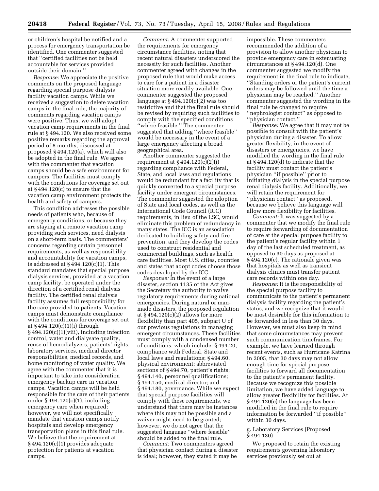or children's hospital be notified and a process for emergency transportation be identified. One commenter suggested that ''certified facilities not be held accountable for services provided outside their domain.''

*Response:* We appreciate the positive comments on the proposed language regarding special purpose dialysis facility vacation camps. While we received a suggestion to delete vacation camps in the final rule, the majority of comments regarding vacation camps were positive. Thus, we will adopt vacation camp requirements in the final rule at § 494.120. We also received some positive remarks regarding the approval period of 8 months, discussed at proposed § 494.120(a), which will also be adopted in the final rule. We agree with the commenter that vacation camps should be a safe environment for campers. The facilities must comply with the conditions for coverage set out at § 494.120(c) to ensure that the vacation camp environment protects the health and safety of campers.

This condition addresses the possible needs of patients who, because of emergency conditions, or because they are staying at a remote vacation camp providing such services, need dialysis on a short-term basis. The commenters' concerns regarding certain personnel requirements, as well as responsibility and accountability for vacation camps, is addressed at § 494.120(c)(1). This standard mandates that special purpose dialysis services, provided at a vacation camp facility, be operated under the direction of a certified renal dialysis facility. The certified renal dialysis facility assumes full responsibility for the care provided to patients. Vacation camps must demonstrate compliance with the conditions for coverage set out at § 494.120(c)(1)(i) through § 494.120(c)(1)(viii), including infection control, water and dialysate quality, reuse of hemodialyzers, patients' rights, laboratory services, medical director responsibilities, medical records, and home monitoring of water quality. We agree with the commenter that it is important to take into consideration emergency backup care in vacation camps. Vacation camps will be held responsible for the care of their patients under § 494.120(c)(1), including emergency care when required; however, we will not specifically mandate that vacation camps notify hospitals and develop emergency transportation plans in this final rule. We believe that the requirement at § 494.120(c)(1) provides adequate protection for patients at vacation camps.

*Comment:* A commenter supported the requirements for emergency circumstance facilities, noting that recent natural disasters underscored the necessity for such facilities. Another commenter agreed with changes in the proposed rule that would make access to care for a patient in a disaster situation more readily available. One commenter suggested the proposed language at  $\S 494.120(c)(2)$  was too restrictive and that the final rule should be revised by requiring such facilities to comply with the specified conditions ''where feasible.'' The commenter suggested that adding ''where feasible'' would be necessary in the event of a large emergency affecting a broad geographical area.

Another commenter suggested the requirement at  $§$  494.120(c)(2)(i) regarding compliance with Federal, State, and local laws and regulations would be redundant for a facility that is quickly converted to a special purpose facility under emergent circumstances. The commenter suggested the adoption of State and local codes, as well as the International Code Council (ICC) requirements, in lieu of the LSC, would eliminate this problem of redundancy in many states. The ICC is an association dedicated to building safety and fire prevention, and they develop the codes used to construct residential and commercial buildings, such as health care facilities. Most U.S. cities, counties and states that adopt codes choose those codes developed by the ICC.

*Response:* In the event of a large disaster, section 1135 of the Act gives the Secretary the authority to waive regulatory requirements during national emergencies. During natural or manmade disasters, the proposed regulation at  $\S 494.120(c)(2)$  allows for more flexibility than part 405, subpart U of our previous regulations in managing emergent circumstances. These facilities must comply with a condensed number of conditions, which include: § 494.20, compliance with Federal, State and local laws and regulations; § 494.60, physical environment; abbreviated sections of § 494.70, patient's rights; § 494.140, personnel qualifications; § 494.150, medical director; and § 494.180, governance. While we expect that special purpose facilities will comply with these requirements, we understand that there may be instances where this may not be possible and a waiver might need to be granted; however, we do not agree that the suggested language ''where feasible'' should be added to the final rule.

*Comment:* Two commenters agreed that physician contact during a disaster is ideal; however, they stated it may be

impossible. These commenters recommended the addition of a provision to allow another physician to provide emergency care in extenuating circumstances at § 494.120(d). One commenter suggested we modify the requirement in the final rule to indicate, ''Standing orders or the patient's current orders may be followed until the time a physician may be reached.'' Another commenter suggested the wording in the final rule be changed to require ''nephrologist contact'' as opposed to ''physician contact.''

*Response:* We agree that it may not be possible to consult with the patient's physician during a disaster. To allow greater flexibility, in the event of disasters or emergencies, we have modified the wording in the final rule at § 494.120(d) to indicate that the facility must contact the patient's physician ''if possible'' prior to initiating dialysis in the special purpose renal dialysis facility. Additionally, we will retain the requirement for ''physician contact'' as proposed, because we believe this language will allow more flexibility for facilities.

*Comment:* It was suggested by a commenter that we modify the final rule to require forwarding of documentation of care at the special purpose facility to the patient's regular facility within 1 day of the last scheduled treatment, as opposed to 30 days as proposed at § 494.120(e). The rationale given was that hospitals as well as transient dialysis clinics must transfer patient care records within one day.

*Response:* It is the responsibility of the special purpose facility to communicate to the patient's permanent dialysis facility regarding the patient's status, and we recognize that it would be most desirable for this information to be forwarded in less than 30 days. However, we must also keep in mind that some circumstances may prevent such communication timeframes. For example, we have learned through recent events, such as Hurricane Katrina in 2005, that 30 days may not allow enough time for special purpose facilities to forward all documentation to the patient's permanent facility. Because we recognize this possible limitation, we have added language to allow greater flexibility for facilities. At § 494.120(e) the language has been modified in the final rule to require information be forwarded ''if possible'' within 30 days.

# g. Laboratory Services (Proposed § 494.130)

We proposed to retain the existing requirements governing laboratory services previously set out at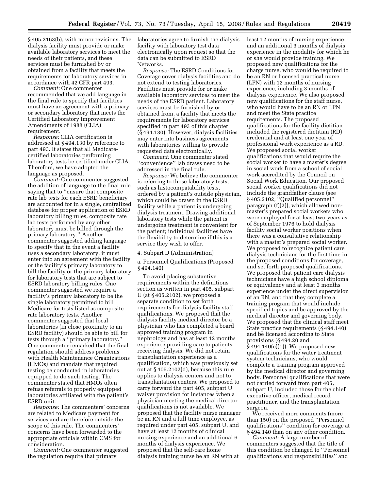§ 405.2163(b), with minor revisions. The dialysis facility must provide or make available laboratory services to meet the needs of their patients, and these services must be furnished by or obtained from a facility that meets the requirements for laboratory services in accordance with 42 CFR part 493.

*Comment:* One commenter recommended that we add language in the final rule to specify that facilities must have an agreement with a primary or secondary laboratory that meets the Certified Laboratory Improvement Amendments of 1988 (CLIA) requirement.

*Response:* CLIA certification is addressed at § 494.130 by reference to part 493. It states that all Medicarecertified laboratories performing laboratory tests be certified under CLIA. Therefore, we have adopted the language as proposed.

*Comment:* One commenter suggested the addition of language to the final rule saying that to ''ensure that composite rate lab tests for each ESRD beneficiary are accounted for in a single, centralized database for proper application of ESRD laboratory billing rules, composite rate lab tests performed by any other laboratory must be billed through the primary laboratory.'' Another commenter suggested adding language to specify that in the event a facility uses a secondary laboratory, it must enter into an agreement with the facility or the facility's primary laboratory to bill the facility or the primary laboratory for laboratory tests that are subject to ESRD laboratory billing rules. One commenter suggested we require a facility's primary laboratory to be the single laboratory permitted to bill Medicare for tests listed as composite rate laboratory tests. Another commenter suggested that local laboratories (in close proximity to an ESRD facility) should be able to bill for tests through a ''primary laboratory.'' One commenter remarked that the final regulation should address problems with Health Maintenance Organizations (HMOs) and mandate that required testing be conducted in laboratories equipped to do such testing. The commenter stated that HMOs often refuse referrals to properly equipped laboratories affiliated with the patient's ESRD unit.

*Response:* The commenters' concerns are related to Medicare payment for services and are therefore outside the scope of this rule. The commenters' concerns have been forwarded to the appropriate officials within CMS for consideration.

*Comment:* One commenter suggested the regulation require that primary

laboratories agree to furnish the dialysis facility with laboratory test data electronically upon request so that the data can be submitted to ESRD Networks.

*Response:* The ESRD Conditions for Coverage cover dialysis facilities and do not extend to testing laboratories. Facilities must provide for or make available laboratory services to meet the needs of the ESRD patient. Laboratory services must be furnished by or obtained from, a facility that meets the requirements for laboratory services specified in part 493 of this chapter (§ 494.130). However, dialysis facilities may enter into business agreements with laboratories willing to provide requested data electronically.

*Comment:* One commenter stated ''convenience'' lab draws need to be addressed in the final rule.

*Response:* We believe the commenter is referring to those laboratory tests, such as histocompatability tests, ordered by a patient's outside physician, which could be drawn in the ESRD facility while a patient is undergoing dialysis treatment. Drawing additional laboratory tests while the patient is undergoing treatment is convenient for the patient; individual facilities have the flexibility to determine if this is a service they wish to offer.

4. Subpart D (Administration)

a. Personnel Qualifications (Proposed § 494.140)

To avoid placing substantive requirements within the definitions section as written in part 405, subpart U (at § 405.2102), we proposed a separate condition to set forth requirements for dialysis facility staff qualifications. We proposed that the dialysis facility medical director be a physician who has completed a board approved training program in nephrology and has at least 12 months experience providing care to patients receiving dialysis. We did not retain transplantation experience as a qualification, which was previously set out at § 405.2102(d), because this rule applies to dialysis centers and not to transplantation centers. We proposed to carry forward the part 405, subpart U waiver provision for instances when a physician meeting the medical director qualifications is not available. We proposed that the facility nurse manager be an RN and a full time employee, as required under part 405, subpart U, and have at least 12 months of clinical nursing experience and an additional 6 months of dialysis experience. We proposed that the self-care home dialysis training nurse be an RN with at

least 12 months of nursing experience and an additional 3 months of dialysis experience in the modality for which he or she would provide training. We proposed new qualifications for the charge nurse, who would be required to be an RN or licensed practical nurse (LPN) with 12 months of nursing experience, including 3 months of dialysis experience. We also proposed new qualifications for the staff nurse, who would have to be an RN or LPN and meet the State practice requirements. The proposed qualifications for the facility dietitian included the registered dietitian (RD) credential and at least one year of professional work experience as a RD. We proposed social worker qualifications that would require the social worker to have a master's degree in social work from a school of social work accredited by the Council on Social Work Education. Our proposed social worker qualifications did not include the grandfather clause (see § 405.2102, "Qualified personnel" paragraph (f)(2)), which allowed nonmaster's prepared social workers who were employed for at least two-years as of September 1976 to hold dialysis facility social worker positions when there was a consultative relationship with a master's prepared social worker. We proposed to recognize patient care dialysis technicians for the first time in the proposed conditions for coverage, and set forth proposed qualifications. We proposed that patient care dialysis technicians have a high school diploma or equivalency and at least 3 months experience under the direct supervision of an RN, and that they complete a training program that would include specified topics and be approved by the medical director and governing body. We proposed that the clinical staff meet State practice requirements (§ 494.140) and be licensed according to State provisions (§ 494.20 and § 494.140(e)(1)). We proposed new qualifications for the water treatment system technicians, who would complete a training program approved by the medical director and governing body. Personnel qualifications that were not carried forward from part 405, subpart U, included those for the chief executive officer, medical record practitioner, and the transplantation surgeon.

We received more comments (more than 150) on the proposed ''Personnel qualifications'' condition for coverage at § 494.140 than on any other condition.

*Comment:* A large number of commenters suggested that the title of this condition be changed to ''Personnel qualifications and responsibilities'' and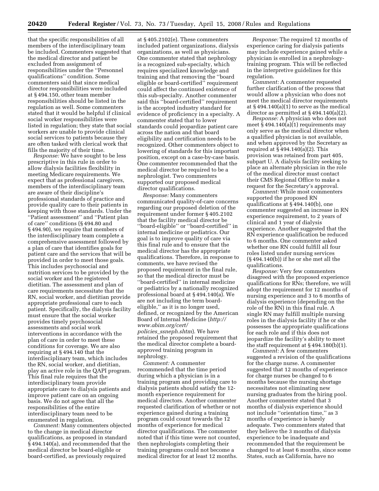that the specific responsibilities of all members of the interdisciplinary team be included. Commenters suggested that the medical director and patient be excluded from assignment of responsibilities under the ''Personnel qualifications'' condition. Some commenters said that since medical director responsibilities were included at § 494.150, other team member responsibilities should be listed in the regulation as well. Some commenters stated that it would be helpful if clinical social worker responsibilities were listed in regulation; they state that social workers are unable to provide clinical social services to patients because they are often tasked with clerical work that fills the majority of their time.

*Response:* We have sought to be less prescriptive in this rule in order to allow dialysis facilities flexibility in meeting Medicare requirements. We expect that as professional caregivers, members of the interdisciplinary team are aware of their discipline's professional standards of practice and provide quality care to their patients in keeping with those standards. Under the ''Patient assessment'' and ''Patient plan of care'' conditions (§ 494.80 and § 494.90), we require that members of the interdisciplinary team complete a comprehensive assessment followed by a plan of care that identifies goals for patient care and the services that will be provided in order to meet those goals. This includes psychosocial and nutrition services to be provided by the social worker and the registered dietitian. The assessment and plan of care requirements necessitate that the RN, social worker, and dietitian provide appropriate professional care to each patient. Specifically, the dialysis facility must ensure that the social worker provides timely psychosocial assessments and social work interventions in accordance with the plan of care in order to meet these conditions for coverage. We are also requiring at § 494.140 that the interdisciplinary team, which includes the RN, social worker, and dietitian, play an active role in the QAPI program. This final rule requires that the interdisciplinary team provide appropriate care to dialysis patients and improve patient care on an ongoing basis. We do not agree that all the responsibilities of the entire interdisciplinary team need to be enumerated in regulation.

*Comment:* Many commenters objected to the change in medical director qualifications, as proposed in standard § 494.140(a), and recommended that the medical director be board-eligible or board-certified, as previously required

at § 405.2102(e). These commenters included patient organizations, dialysis organizations, as well as physicians. One commenter stated that nephrology is a recognized sub-specialty, which requires specialized knowledge and training and that removing the ''board eligible or board-certified'' requirement could affect the continued existence of this sub-specialty. Another commenter said this ''board-certified'' requirement is the accepted industry standard for evidence of proficiency in a specialty. A commenter stated that to lower standards could jeopardize patient care across the nation and that board eligibility and certification needs to be recognized. Other commenters object to lowering of standards for this important position, except on a case-by-case basis. One commenter recommended that the medical director be required to be a nephrologist. Two commenters supported our proposed medical director qualifications.

*Response:* Many commenters communicated quality-of-care concerns regarding our proposed deletion of the requirement under former § 405.2102 that the facility medical director be ''board-eligible'' or ''board-certified'' in internal medicine or pediatrics. Our goal is to improve quality of care via this final rule and to ensure that the medical director has the appropriate qualifications. Therefore, in response to comments, we have revised the proposed requirement in the final rule, so that the medical director must be ''board-certified'' in internal medicine or pediatrics by a nationally recognized professional board at § 494.140(a). We are not including the term boardeligible,'' as it is no longer used, defined, or recognized by the American [Board of Internal Medicine \(](http://www.abim.org/cert/policies_ssneph.shtm)*http:// www.abim.org/cert/ policies*\_*ssneph.shtm*). We have retained the proposed requirement that the medical director complete a boardapproved training program in nephrology.

*Comment:* A commenter recommended that the time period during which a physician is in a training program and providing care to dialysis patients should satisfy the 12 month experience requirement for medical directors. Another commenter requested clarification of whether or not experience gained during a training program could count towards the 12 months of experience for medical director qualifications. The commenter noted that if this time were not counted, then nephrologists completing their training programs could not become a medical director for at least 12 months.

*Response:* The required 12 months of experience caring for dialysis patients may include experience gained while a physician is enrolled in a nephrologytraining program. This will be reflected in the interpretive guidelines for this regulation.

*Comment:* A commenter requested further clarification of the process that would allow a physician who does not meet the medical director requirements at  $\S 494.140(a)(1)$  to serve as the medical director as permitted at § 494.140(a)(2).

*Response:* A physician who does not meet § 494.140(a)(1) requirements may only serve as the medical director when a qualified physician is not available, and when approved by the Secretary as required at  $§$  494.140(a)(2). This provision was retained from part 405, subpart U. A dialysis facility seeking to place an alternate physician in the role of the medical director must contact their CMS Regional Office to make a request for the Secretary's approval.

*Comment:* While most commenters supported the proposed RN qualifications at § 494.140(b), one commenter suggested an increase in RN experience requirement, to 2 years of clinical and 1 year of dialysis experience. Another suggested that the RN experience qualification be reduced to 6 months. One commenter asked whether one RN could fulfill all four roles listed under nursing services (§ 494.140(b)) if he or she met all the qualifications.

*Response:* Very few commenters disagreed with the proposed experience qualifications for RNs; therefore, we will adopt the requirement for 12 months of nursing experience and 3 to 6 months of dialysis experience (depending on the role of the RN) in this final rule. A single RN may fulfill multiple nursing roles in the dialysis facility if he or she possesses the appropriate qualifications for each role and if this does not jeopardize the facility's ability to meet the staff requirement at  $\S 494.180(b)(1)$ .

*Comment:* A few commenters suggested a revision of the qualifications for the charge nurse. A commenter suggested that 12 months of experience for charge nurses be changed to 6 months because the nursing shortage necessitates not eliminating new nursing graduates from the hiring pool. Another commenter stated that 3 months of dialysis experience should not include ''orientation time,'' as 3 months of experience is barely adequate. Two commenters stated that they believe the 3 months of dialysis experience to be inadequate and recommended that the requirement be changed to at least 6 months, since some States, such as California, have no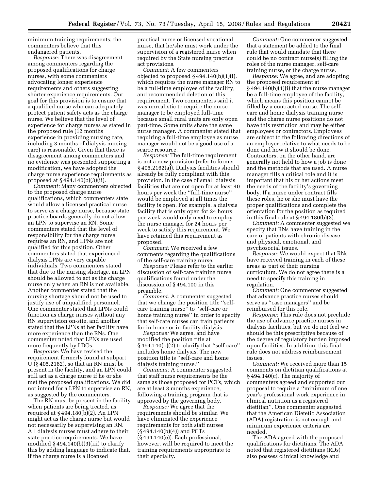minimum training requirements; the commenters believe that this endangered patients.

*Response:* There was disagreement among commenters regarding the proposed qualifications for charge nurses, with some commenters advocating longer experience requirements and others suggesting shorter experience requirements. Our goal for this provision is to ensure that a qualified nurse who can adequately protect patient safety acts as the charge nurse. We believe that the level of experience for charge nurses as stated in the proposed rule (12 months experience in providing nursing care, including 3 months of dialysis nursing care) is reasonable. Given that there is disagreement among commenters and no evidence was presented supporting a modification, we have adopted the charge nurse experience requirements as proposed at  $\S 494.140(b)(3)(ii)$ .

*Comment:* Many commenters objected to the proposed charge nurse qualifications, which commenters state would allow a licensed practical nurse to serve as a charge nurse, because state practice boards generally do not allow an LPN to supervise an RN. Some commenters stated that the level of responsibility for the charge nurse requires an RN, and LPNs are not qualified for this position. Other commenters stated that experienced dialysis LPNs are very capable individuals. Two commenters stated that due to the nursing shortage, an LPN should be allowed to act as the charge nurse only when an RN is not available. Another commenter stated that the nursing shortage should not be used to justify use of unqualified personnel. One commenter stated that LPNs could function as charge nurses without any RN supervision on-site, and another stated that the LPNs at her facility have more experience than the RNs. One commenter noted that LPNs are used more frequently by LDOs.

*Response:* We have revised the requirement formerly found at subpart U (§ 405.2162), so that an RN must be present in the facility, and an LPN could still act as a charge nurse if he or she met the proposed qualifications. We did not intend for a LPN to supervise an RN, as suggested by the commenters.

The RN must be present in the facility when patients are being treated, as required at § 494.180(b)(2). An LPN might act as the charge nurse but would not necessarily be supervising an RN. All dialysis nurses must adhere to their state practice requirements. We have modified § 494.140(b)(3)(iii) to clarify this by adding language to indicate that, if the charge nurse is a licensed

practical nurse or licensed vocational nurse, that he/she must work under the supervision of a registered nurse when required by the State nursing practice act provisions.

*Comment:* A few commenters objected to proposed § 494.140(b)(1)(i), which requires the nurse manager RN to be a full-time employee of the facility, and recommended deletion of this requirement. Two commenters said it was unrealistic to require the nurse manager to be employed full-time because small rural units are only open part-time. Some units share the same nurse manager. A commenter stated that requiring a full-time employee as nurse manager would not be a good use of a scarce resource.

*Response:* The full-time requirement is not a new provision (refer to former § 405.2162(a)). Dialysis facilities should already be fully compliant with this provision. In the case of small dialysis facilities that are not open for at least 40 hours per week the ''full-time nurse'' would be employed at all times the facility is open. For example, a dialysis facility that is only open for 24 hours per week would only need to employ the nurse manager for 24 hours per week to satisfy this requirement. We have retained this requirement as proposed.

*Comment:* We received a few comments regarding the qualifications of the self-care training nurse.

*Response:* Please refer to the earlier discussion of self-care training nurse qualifications found under the discussion of § 494.100 in this preamble.

*Comment:* A commenter suggested that we change the position title ''selfcare training nurse'' to ''self-care or home training nurse'' in order to specify that self-care nurses can train patients for in-home or in-facility dialysis.

*Response:* We agree, and have modified the position title at § 494.140(b)(2) to clarify that ''self-care'' includes home dialysis. The new position title is ''self-care and home dialysis training nurse.''

*Comment:* A commenter suggested that staff nurse requirements be the same as those proposed for PCTs, which are at least 3 months experience, following a training program that is approved by the governing body.

*Response:* We agree that the requirements should be similar. We have eliminated the experience requirements for both staff nurses (§ 494.140(b)(4)) and PCTs (§ 494.140(e)). Each professional, however, will be required to meet the training requirements appropriate to their specialty.

*Comment:* One commenter suggested that a statement be added to the final rule that would mandate that there could be no contract nurse(s) filling the roles of the nurse manager, self-care training nurse, or the charge nurse.

*Response:* We agree, and are adopting the proposed requirement at § 494.140(b)(1)(i) that the nurse manager be a full-time employee of the facility, which means this position cannot be filled by a contracted nurse. The selfcare and home dialysis training nurse and the charge nurse positions do not have this restriction and may be either employees or contractors. Employees are subject to the following directions of an employer relative to what needs to be done and how it should be done. Contractors, on the other hand, are generally not held to how a job is done and the methods that are used. A nurse manager fills a critical role and it is important that his or her actions meet the needs of the facility's governing body. If a nurse under contract fills these roles, he or she must have the proper qualifications and complete the orientation for the position as required in this final rule at § 494.180(b)(3).

*Comment:* A commenter suggested we specify that RNs have training in the care of patients with chronic disease and physical, emotional, and psychosocial issues.

*Response:* We would expect that RNs have received training in each of these areas as part of their nursing curriculum. We do not agree there is a need to specify this training in regulation.

*Comment:* One commenter suggested that advance practice nurses should serve as ''case managers'' and be reimbursed for this role.

*Response:* This rule does not preclude the use of advance practice nurses in dialysis facilities, but we do not feel we should be this prescriptive because of the degree of regulatory burden imposed upon facilities. In addition, this final rule does not address reimbursement issues.

*Comment:* We received more than 15 comments on dietitian qualifications at § 494.140(c). The majority of commenters agreed and supported our proposal to require a ''minimum of one year's professional work experience in clinical nutrition as a registered dietitian''. One commenter suggested that the American Dietetic Association (ADA) registration is not enough and minimum experience criteria are needed.

The ADA agreed with the proposed qualifications for dietitians. The ADA noted that registered dietitians (RDs) also possess clinical knowledge and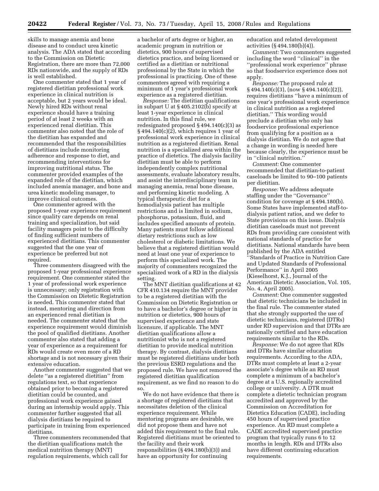skills to manage anemia and bone disease and to conduct urea kinetic analysis. The ADA stated that according to the Commission on Dietetic Registration, there are more than 72,000 RDs nationwide, and the supply of RDs is well established.

One commenter stated that 1 year of registered dietitian professional work experience in clinical nutrition is acceptable, but 2 years would be ideal. Newly hired RDs without renal experience should have a training period of at least 2 weeks with an experienced renal dietitian. This commenter also noted that the role of the dietitian has expanded and recommended that the responsibilities of dietitians include monitoring adherence and response to diet, and recommending interventions for improving nutritional status. The commenter provided examples of the expanded role of the dietitian, which included anemia manager, and bone and urea kinetic modeling manager, to improve clinical outcomes.

One commenter agreed with the proposed 1-year experience requirement since quality care depends on renal training and specialization, but said facility managers point to the difficulty of finding sufficient numbers of experienced dietitians. This commenter suggested that the one year of experience be preferred but not required.

Three commenters disagreed with the proposed 1-year professional experience requirement. One commenter stated the 1 year of professional work experience is unnecessary; only registration with the Commission on Dietetic Registration is needed. This commenter stated that instead, mentoring and direction from an experienced renal dietitian is needed. The commenter stated that the experience requirement would diminish the pool of qualified dietitians. Another commenter also stated that adding a year of experience as a requirement for RDs would create even more of a RD shortage and is not necessary given their extensive education.

Another commenter suggested that we delete ''as a registered dietitian'' from regulations text, so that experience obtained prior to becoming a registered dietitian could be counted, and professional work experience gained during an internship would apply. This commenter further suggested that all dialysis dietitians be required to participate in training from experienced dietitians.

Three commenters recommended that the dietitian qualifications match the medical nutrition therapy (MNT) regulation requirements, which call for

a bachelor of arts degree or higher, an academic program in nutrition or dietetics, 900 hours of supervised dietetics practice, and being licensed or certified as a dietitian or nutritional professional by the State in which the professional is practicing. One of these commenters agreed with requiring a minimum of 1 year's professional work experience as a registered dietitian.

*Response:* The dietitian qualifications in subpart U at § 405.2102(b) specify at least 1-year experience in clinical nutrition. In this final rule, we redesignated proposed § 494.140(c)(3) as  $§$  494.140(c)(2), which requires 1 year of professional work experience in clinical nutrition as a registered dietitian. Renal nutrition is a specialized area within the practice of dietetics. The dialysis facility dietitian must be able to perform independently complex nutritional assessments, evaluate laboratory results, and assist the interdisciplinary team in managing anemia, renal bone disease, and performing kinetic modeling. A typical therapeutic diet for a hemodialysis patient has multiple restrictions and is limited in sodium, phosphorus, potassium, fluid, and includes specified amounts of protein. Many patients must follow additional dietary restrictions such as low cholesterol or diabetic limitations. We believe that a registered dietitian would need at least one year of experience to perform this specialized work. The majority of commenters recognized the specialized work of a RD in the dialysis setting.

The MNT dietitian qualifications at 42 CFR 410.134 require the MNT provider to be a registered dietitian with the Commission on Dietetic Registration or to have a bachelor's degree or higher in nutrition or dietetics, 900 hours of supervised experience and state licensure, if applicable. The MNT dietitian qualifications allow a nutritionist who is not a registered dietitian to provide medical nutrition therapy. By contrast, dialysis dietitians must be registered dietitians under both the previous ESRD regulations and the proposed rule. We have not removed the registered dietitian qualification requirement, as we find no reason to do so.

We do not have evidence that there is a shortage of registered dietitians that necessitates deletion of the clinical experience requirement. While mentoring programs are desirable, we did not propose them and have not added this requirement to the final rule. Registered dietitians must be oriented to the facility and their work responsibilities (§ 494.180(b)(3)) and have an opportunity for continuing

education and related development activities (§ 494.180(b)(4)).

*Comment:* Two commenters suggested including the word ''clinical'' in the ''professional work experience'' phrase so that foodservice experience does not apply.

*Response:* The proposed rule at  $\S 494.140(c)(3)$ , (now  $\S 494.140(c)(2)$ ), requires dietitians ''have a minimum of one year's professional work experience in clinical nutrition as a registered dietitian.'' This wording would preclude a dietitian who only has foodservice professional experience from qualifying for a position as a dialysis dietitian. We do not agree that a change in wording is needed here because clearly, the experience must be in ''clinical nutrition.''

*Comment:* One commenter recommended that dietitian-to-patient caseloads be limited to 90–100 patients per dietitian.

*Response:* We address adequate staffing under the ''Governance'' condition for coverage at § 494.180(b). Some States have implemented staff-todialysis patient ratios, and we defer to State provisions on this issue. Dialysis dietitian caseloads must not prevent RDs from providing care consistent with national standards of practice for dietitians. National standards have been published by the ADA entitled ''Standards of Practice in Nutrition Care and Updated Standards of Professional Performance'' in April 2005 (Kieselhorst, K.J., Journal of the American Dietetic Association, Vol. 105, No. 4, April 2005).

*Comment:* One commenter suggested that dietetic technicians be included in the final rule. The commenter stated that she strongly supported the use of dietetic technicians, registered (DTRs) under RD supervision and that DTRs are nationally certified and have education requirements similar to the RDs.

*Response:* We do not agree that RDs and DTRs have similar education requirements. According to the ADA, DTRs must complete at least a 2-year associate's degree while an RD must complete a minimum of a bachelor's degree at a U.S. regionally accredited college or university. A DTR must complete a dietetic technician program accredited and approved by the Commission on Accreditation for Dietetics Education (CADE), including 450 hours of supervised practice experience. An RD must complete a CADE accredited supervised practice program that typically runs 6 to 12 months in length. RDs and DTRs also have different continuing education requirements.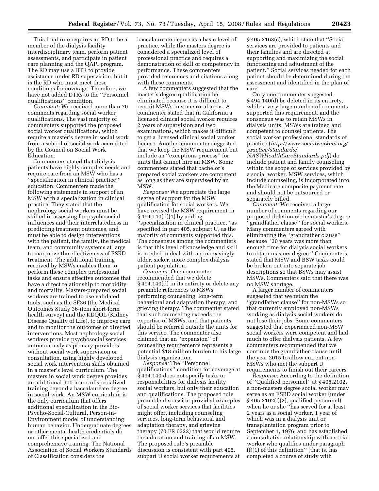This final rule requires an RD to be a member of the dialysis facility interdisciplinary team, perform patient assessments, and participate in patient care planning and the QAPI program. The RD may use a DTR to provide assistance under RD supervision, but it is the RD who must meet these conditions for coverage. Therefore, we have not added DTRs to the ''Personnel qualifications'' condition.

*Comment:* We received more than 70 comments regarding social worker qualifications. The vast majority of commenters supported the proposed social worker qualifications, which require a master's degree in social work from a school of social work accredited by the Council on Social Work Education.

Commenters stated that dialysis patients have highly complex needs and require care from an MSW who has a ''specialization in clinical practice'' education. Commenters made the following statements in support of an MSW with a specialization in clinical practice. They stated that the nephrology social workers must be skilled in assessing for psychosocial influences and their interrelatedness in predicting treatment outcomes, and must be able to design interventions with the patient, the family, the medical team, and community systems at large to maximize the effectiveness of ESRD treatment. The additional training received by MSWs enables them to perform these complex professional tasks and ensure effective outcomes that have a direct relationship to morbidity and mortality. Masters-prepared social workers are trained to use validated tools, such as the SF36 (the Medical Outcomes Study 36-item short-form health survey) and the KDQOL (Kidney Disease Quality of Life), to improve care and to monitor the outcomes of directed interventions. Most nephrology social workers provide psychosocial services autonomously as primary providers without social work supervision or consultation, using highly developed social work intervention skills obtained in a master's level curriculum. The masters in social work degree provides an additional 900 hours of specialized training beyond a baccalaureate degree in social work. An MSW curriculum is the only curriculum that offers additional specialization in the Bio-Psycho-Social-Cultural, Person-in-Environment model of understanding human behavior. Undergraduate degrees or other mental health credentials do not offer this specialized and comprehensive training. The National Association of Social Workers Standards of Classification considers the

baccalaureate degree as a basic level of practice, while the masters degree is considered a specialized level of professional practice and requires a demonstration of skill or competency in performance. These commenters provided references and citations along with these comments.

A few commenters suggested that the master's degree qualification be eliminated because it is difficult to recruit MSWs in some rural areas. A commenter stated that in California a licensed clinical social worker requires 2 years of supervision and two examinations, which makes it difficult to get a licensed clinical social worker license. Another commenter suggested that we keep the MSW requirement but include an ''exceptions process'' for units that cannot hire an MSW. Some commenters stated that bachelor's prepared social workers are competent as long as they are supervised by an MSW.

*Response:* We appreciate the large degree of support for the MSW qualification for social workers. We have revised the MSW requirement in § 494.140(d)(1) by adding 'specialization in clinical practice," as specified in part 405, subpart U, as the majority of comments supported this. The consensus among the commenters is that this level of knowledge and skill is needed to deal with an increasingly older, sicker, more complex dialysis patient population.

*Comment:* One commenter recommended that we delete § 494.140(d) in its entirety or delete any preamble references to MSWs performing counseling, long-term behavioral and adaptation therapy, and grieving therapy. The commenter stated that such counseling exceeds the expertise of MSWs, and that patients should be referred outside the units for this service. The commenter also claimed that an ''expansion'' of counseling requirements represents a potential \$18 million burden to his large dialysis organization.

*Response:* The ''Personnel qualifications'' condition for coverage at § 494.140 does not specify tasks or responsibilities for dialysis facility social workers, but only their education and qualifications. The proposed rule preamble discussion provided examples of social worker services that facilities might offer, including counseling services, long-term behavioral and adaptation therapy, and grieving therapy (70 FR 6222) that would require the education and training of an MSW. The proposed rule's preamble discussion is consistent with part 405, subpart U social worker requirements at

§ 405.2163(c), which state that ''Social services are provided to patients and their families and are directed at supporting and maximizing the social functioning and adjustment of the patient.'' Social services needed for each patient should be determined during the assessment and identified in the plan of care.

Only one commenter suggested § 494.140(d) be deleted in its entirety, while a very large number of comments supported this requirement, and the consensus was to retain MSWs in dialysis units. MSWs are trained and competent to counsel patients. The social worker professional standards of practice (*http://www.socialworkers.org/ practice/standards/* 

*[NASWHealthCareStandards.pdf](http://www.socialworkers.org/practice/standards/NASWHealthCareStandards.pdf)*) do include patient and family counseling within the scope of services provided by a social worker. MSW services, which include counseling, is incorporated into the Medicare composite payment rate and should not be outsourced or separately billed.

*Comment:* We received a large number of comments regarding our proposed deletion of the master's degree ''grandfather clause'' for social workers. Many commenters agreed with eliminating the ''grandfather clause'' because ''30 years was more than enough time for dialysis social workers to obtain masters degree.'' Commenters stated that MSW and BSW tasks could be broken out into separate job descriptions so that BSWs may assist MSWs. Commenters said that there was no MSW shortage.

A larger number of commenters suggested that we retain the ''grandfather clause'' for non-MSWs so that currently employed non-MSWs working as dialysis social workers do not lose their jobs. Some commenters suggested that experienced non-MSW social workers were competent and had much to offer dialysis patients. A few commenters recommended that we continue the grandfather clause until the year 2015 to allow current non-MSWs who met the subpart U requirements to finish out their careers.

*Response:* According to the definition of ''Qualified personnel'' at § 405.2102, a non-masters degree social worker may serve as an ESRD social worker (under § 405.2102(f)(2), qualified personnel) when he or she ''has served for at least 2 years as a social worker, 1 year of which was in a dialysis unit or transplantation program prior to September 1, 1976, and has established a consultative relationship with a social worker who qualifies under paragraph (f)(1) of this definition'' (that is, has completed a course of study with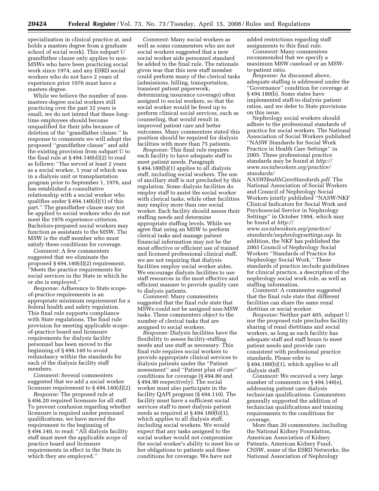specialization in clinical practice at, and holds a masters degree from a graduate school of social work). This subpart U grandfather clause only applies to non-MSWs who have been practicing social work since 1974, and any ESRD social workers who do not have 2 years of experience prior 1976 must have a masters degree.

While we believe the number of nonmasters-degree social workers still practicing over the past 32 years is small, we do not intend that these longtime employees should become unqualified for their jobs because of deletion of the ''grandfather clause.'' In response to comments we will adopt the proposed ''grandfather clause'' and add the existing provision from subpart U to the final rule at § 494.140(d)(2) to read as follows: ''Has served at least 2 years as a social worker, 1 year of which was in a dialysis unit or transplantation program prior to September 1, 1976, and has established a consultative relationship with a social worker who qualifies under  $\S 494.140(d)(1)$  of this part.'' The grandfather clause may not be applied to social workers who do not meet the 1976 experience criterion. Bachelors-prepared social workers may function as assistants to the MSW. The MSW is the staff member who must satisfy these conditions for coverage.

*Comment:* A few commenters suggested that we eliminate the proposed § 494.140(d)(2) requirement, ''Meets the practice requirements for social services in the State in which he or she is employed.''

*Response:* Adherence to State scopeof-practice requirements is an appropriate minimum requirement for a federal health and safety regulation. This final rule supports compliance with State regulations. The final rule provision for meeting applicable scopeof-practice board and licensure requirements for dialysis facility personnel has been moved to the beginning of § 494.140 to avoid redundancy within the standards for each of the dialysis facility staff members.

*Comment:* Several commenters suggested that we add a social worker licensure requirement to § 494.140(d)(2).

*Response:* The proposed rule at § 494.20 required licensure for all staff. To prevent confusion regarding whether licensure is required under personnel qualifications, we have moved the requirement to the beginning of § 494.140, to read: ''All dialysis facility staff must meet the applicable scope of practice board and licensure requirements in effect in the State in which they are employed.''

*Comment:* Many social workers as well as some commenters who are not social workers suggested that a new social worker aide personnel standard be added to the final rule. The rationale given was that this new staff member could perform many of the clerical tasks (admissions, billing, transportation, transient patient paperwork, determining insurance coverage) often assigned to social workers, so that the social worker would be freed up to perform clinical social services, such as counseling, that would result in improved patient care and better outcomes. Many commenters stated this position should be required for dialysis facilities with more than 75 patients.

*Response:* This final rule requires each facility to have adequate staff to meet patient needs. Paragraph § 494.180(b)(1) applies to all dialysis staff, including social workers. The use of ancillary staff is not precluded by this regulation. Some dialysis facilities do employ staff to assist the social worker with clerical tasks, while other facilities may employ more than one social worker. Each facility should assess their staffing needs and determine appropriate staffing levels. While we agree that using an MSW to perform clerical tasks and manage patient financial information may not be the most effective or efficient use of trained and licensed professional clinical staff, we are not requiring that dialysis facilities employ social worker aides. We encourage dialysis facilities to use staff resources in the most effective and efficient manner to provide quality care to dialysis patients.

*Comment:* Many commenters suggested that the final rule state that MSWs could not be assigned non-MSW tasks. These commenters object to the number of clerical tasks that are assigned to social workers.

*Response:* Dialysis facilities have the flexibility to assess facility-staffing needs and use staff as necessary. This final rule requires social workers to provide appropriate clinical services to dialysis patients under the ''Patient assessment'' and ''Patient plan of care'' conditions for coverage (§ 494.80 and § 494.90 respectively). The social worker must also participate in the facility QAPI program (§ 494.110). The facility must have a sufficient social services staff to meet dialysis patient needs as required at § 494.180(b)(1), which applies to all dialysis staff, including social workers. We would expect that any tasks assigned to the social worker would not compromise the social worker's ability to meet his or her obligations to patients and these conditions for coverage. We have not

added restrictions regarding staff assignments to this final rule.

*Comment:* Many commenters recommended that we specify a maximum MSW caseload or an MSWto-patient ratio.

*Response:* As discussed above, adequate staffing is addressed under the ''Governance'' condition for coverage at § 494.180(b). Some states have implemented staff-to-dialysis patient ratios, and we defer to State provisions on this issue.

Nephrology social workers should adhere to the professional standards of practice for social workers. The National Association of Social Workers published ''NASW Standards for Social Work Practice in Health Care Settings'' in 2005. These professional practice standards may be found at *http:// [www.socialworkers.org/practice/](http://www.socialworkers.org/practice/standards/NASWHealthCareStandards.pdf)  standards/* 

*NASWHealthCareStandards.pdf*. The National Association of Social Workers and Council of Nephrology Social Workers jointly published ''NASW/NKF Clinical Indicators for Social Work and Psychosocial Service in Nephrology Settings'' in October 1994, which may be found at *http://* 

*www.socialworkers.org/practice/ [standards/nephrologysettings.asp](http://www.socialworkers.org/practice/standards/nephrologysettings.asp)*. In addition, the NKF has published the 2003 Council of Nephrology Social Workers ''Standards of Practice for Nephrology Social Work.'' These standards of practice include guidelines for clinical practice, a description of the nephrology social work role, as well as staffing information.

*Comment:* A commenter suggested that the final rule state that different facilities can share the same renal dietitian or social worker.

*Response:* Neither part 405, subpart U nor the proposed rule precludes facility sharing of renal dietitians and social workers, as long as each facility has adequate staff and staff hours to meet patient needs and provide care consistent with professional practice standards. Please refer to § 494.180(b)(1), which applies to all dialysis staff.

*Comment:* We received a very large number of comments on § 494.140(e), addressing patient care dialysis technician qualifications. Commenters generally supported the addition of technician qualifications and training requirements to the conditions for coverage.

More than 20 commenters, including the National Kidney Foundation, American Association of Kidney Patients, American Kidney Fund, CNSW, some of the ESRD Networks, the National Association of Nephrology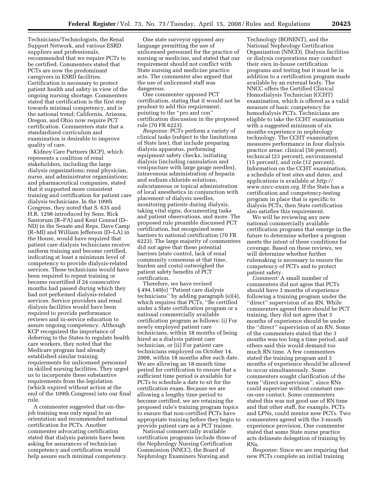Technicians/Technologists, the Renal Support Network, and various ESRD suppliers and professionals, recommended that we require PCTs to be certified. Commenters stated that PCTs are now the predominant caregivers in ESRD facilities. Certification is necessary to protect patient health and safety in view of the ongoing nursing shortage. Commenters stated that certification is the first step towards minimal competency, and is the national trend; California, Arizona, Oregon, and Ohio now require PCT certification. Commenters state that a standardized curriculum and examination is desirable to improve quality of care.

Kidney Care Partners (KCP), which represents a coalition of renal stakeholders, including the large dialysis organizations; renal physician, nurse, and administrator organizations; and pharmaceutical companies, stated that it supported more consistent training and certification for patient care dialysis technicians. In the 109th Congress, they noted that S. 635 and H.R. 1298 introduced by Sens. Rick Santorum (R–PA) and Kent Conrad (D– ND) in the Senate and Reps. Dave Camp (R–MI) and William Jefferson (D–LA) in the House, would have required that patient care dialysis technicians receive uniform training and become certified, indicating at least a minimum level of competency to provide dialysis-related services. These technicians would have been required to repeat training or become recertified if 24 consecutive months had passed during which they had not performed dialysis-related services. Service providers and renal dialysis facilities would have been required to provide performance reviews and in-service education to assure ongoing competency. Although KCP recognized the importance of deferring to the States to regulate health care workers, they noted that the Medicare program had already established similar training requirements for unlicensed personnel in skilled nursing facilities. They urged us to incorporate these substantive requirements from the legislation (which expired without action at the end of the 109th Congress) into our final rule.

A commenter suggested that on-thejob training was only equal to an orientation and recommended national certification for PCTs. Another commenter advocating certification stated that dialysis patients have been asking for assurances of technician competency and certification would help assure such minimal competency.

One state surveyor opposed any language permitting the use of unlicensed personnel for the practice of nursing or medicine, and stated that our requirement should not conflict with State nursing and medicine practice acts. The commenter also argued that the use of unlicensed staff was dangerous.

One commenter opposed PCT certification, stating that it would not be prudent to add this requirement, pointing to the ''pro and con'' certification discussion in the proposed rule (70 FR 6223).

*Response:* PCTs perform a variety of clinical tasks (subject to the limitations of State law), that include preparing dialysis apparatus, performing equipment safety checks, initiating dialysis (including cannulation and venipucture with large gauge needles), intravenous administration of heparin and sodium chloride solutions, subcutaneous or topical administration of local anesthetics in conjunction with placement of dialysis needles, monitoring patients during dialysis, taking vital signs, documenting tasks and patient observations, and more. The proposed rule preamble discussed PCT certification, but recognized some barriers to national certification (70 FR 6223). The large majority of commenters did not agree that these potential barriers (state control, lack of renal community consensus at that time, burden and costs) outweighed the patient safety benefits of PCT certification.

Therefore, we have revised § 494.140(e) ''Patient care dialysis technicians'' by adding paragraph (e)(4), which requires that PCTs, ''Be certified under a State certification program or a national commercially available certification program as follows: (i) For newly employed patient care technicians, within 18 months of being hired as a dialysis patient care technician, or (ii) For patient care technicians employed on October 14, 2008, within 18 months after such date. We are allowing an 18-month time period for certification to ensure that a sufficient time period is available for PCTs to schedule a date to sit for the certification exam. Because we are allowing a lengthy time period to become certified, we are retaining the proposed rule's training program topics to ensure that non-certified PCTs have appropriate training before they begin to provide patient care as a PCT trainee.

National commercially available certification programs include those of the Nephrology Nursing Certification Commission (NNCC), the Board of Nephrology Examiners Nursing and

Technology (BONENT), and the National Nephrology Certification Organization (NNCO). Dialysis facilities or dialysis corporations may conduct their own in-house certification programs and testing but it must be in addition to a certification program made available by an external body. The NNCC offers the Certified Clinical Hemodialysis Technician (CCHT) examination, which is offered as a valid measure of basic competency for hemodialysis PCTs. Technicians are eligible to take the CCHT examination with a suggested minimum of six months experience in nephrology technology. The CCHT examination measures performance in four dialysis practice areas: clinical (50 percent), technical (23 percent), environmental (15 percent), and role (12 percent). Information on the CCHT examination, a schedule of test sites and dates, and [applications is available at](http://www.nncc-exam.org) *http:// www.nncc-exam.org*. If the State has a certification and competency-testing program in place that is specific to dialysis PCTs, then State certification also satisfies this requirement.

We will be reviewing any new national commercially available certification programs that emerge in the future to determine whether a program meets the intent of these conditions for coverage. Based on these reviews, we will determine whether further rulemaking is necessary to ensure the competency of PCTs and to protect patient safety.

*Comment:* A small number of commenters did not agree that PCTs should have 3 months of experience following a training program under the ''direct'' supervision of an RN. While commenters agreed there should be PCT training, they did not agree that 3 months of experience should be under the ''direct'' supervision of an RN. Some of the commenters stated that the 3 months was too long a time period, and others said this would demand too much RN time. A few commenters stated the training program and 3 months of experience should be allowed to occur simultaneously. Some commenters sought clarification of the term ''direct supervision'', since RNs could supervise without constant oneon-one contact. Some commenters stated this was not good use of RN time and that other staff, for example, PCTs and LPNs, could mentor new PCTs. Two commenters agreed with the 3-month experience provision. One commenter stated that some State nurse practice acts delineate delegation of training by RNs.

*Response:* Since we are requiring that new PCTs complete an initial training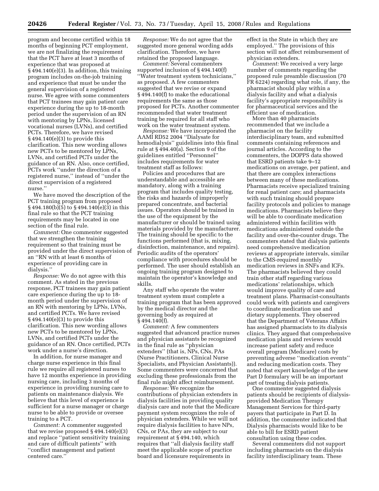program and become certified within 18 months of beginning PCT employment, we are not finalizing the requirement that the PCT have at least 3 months of experience that was proposed at § 494.140(e)(3). In addition, this training program includes on-the-job training and experience that must be under the general supervision of a registered nurse. We agree with some commenters that PCT trainees may gain patient care experience during the up to 18-month period under the supervision of an RN with mentoring by LPNs, licensed vocational nurses (LVNs), and certified PCTs. Therefore, we have revised  $§ 494.140(e)(3)$  to provide this clarification. This new wording allows new PCTs to be mentored by LPNs, LVNs, and certified PCTs under the guidance of an RN. Also, once certified, PCTs work ''under the direction of a registered nurse,'' instead of ''under the direct supervision of a registered nurse.''

We have moved the description of the PCT training program from proposed § 494.180(b)(5) to § 494.140(e)(3) in this final rule so that the PCT training requirements may be located in one section of the final rule.

*Comment:* One commenter suggested that we strengthen the training requirement so that training must be provided under the direct supervision of an ''RN with at least 6 months of experience of providing care in dialysis.''

*Response:* We do not agree with this comment. As stated in the previous response, PCT trainees may gain patient care experience during the up to 18 month period under the supervision of an RN with mentoring by LPNs, LVNs, and certified PCTs. We have revised § 494.140(e)(3) to provide this clarification. This new wording allows new PCTs to be mentored by LPNs, LVNs, and certified PCTs under the guidance of an RN. Once certified, PCTs work under a nurse's direction.

In addition, for nurse manager and charge nurse experience in this final rule we require all registered nurses to have 12 months experience in providing nursing care, including 3 months of experience in providing nursing care to patients on maintenance dialysis. We believe that this level of experience is sufficient for a nurse manager or charge nurse to be able to provide or oversee training to a PCT.

*Comment:* A commenter suggested that we revise proposed § 494.140(e)(3) and replace ''patient sensitivity training and care of difficult patients'' with ''conflict management and patient centered care.''

*Response:* We do not agree that the suggested more general wording adds clarification. Therefore, we have retained the proposed language.

*Comment:* Several commenters supported inclusion of § 494.140(f) ''Water treatment system technicians,'' as proposed. A few commenters suggested that we revise or expand § 494.140(f) to make the educational requirements the same as those proposed for PCTs. Another commenter recommended that water treatment training be required for all staff who work on the water treatment system.

*Response:* We have incorporated the AAMI RD52 2004 ''Dialysate for hemodialysis'' guidelines into this final rule at § 494.40(a). Section 9 of the guidelines entitled ''Personnel'' includes requirements for water treatment staff as follows:

Policies and procedures that are understandable and accessible are mandatory, along with a training program that includes quality testing, the risks and hazards of improperly prepared concentrate, and bacterial issues. Operators should be trained in the use of the equipment by the manufacturer or should be trained using materials provided by the manufacturer. The training should be specific to the functions performed (that is, mixing, disinfection, maintenance, and repairs). Periodic audits of the operators' compliance with procedures should be performed. The user should establish an ongoing training program designed to maintain the operator's knowledge and skills.

Any staff who operate the water treatment system must complete a training program that has been approved by the medical director and the governing body as required at § 494.140(f).

*Comment:* A few commenters suggested that advanced practice nurses and physician assistants be recognized in the final rule as ''physician extenders'' (that is, NPs, CNs, PAs (Nurse Practitioners, Clinical Nurse Specialists, and Physician Assistants)). Some commenters were concerned that excluding these professionals from the final rule might affect reimbursement.

*Response:* We recognize the contributions of physician extenders in dialysis facilities in providing quality dialysis care and note that the Medicare payment system recognizes the role of physician extenders. While we will not require dialysis facilities to have NPs, CNs, or PAs, they are subject to our requirement at § 494.140, which requires that ''all dialysis facility staff meet the applicable scope of practice board and licensure requirements in

effect in the State in which they are employed.'' The provisions of this section will not affect reimbursement of physician extenders.

*Comment:* We received a very large number of comments regarding the proposed rule preamble discussion (70 FR 6224) regarding what role, if any, the pharmacist should play within a dialysis facility and what a dialysis facility's appropriate responsibility is for pharmaceutical services and the efficient use of medication.

More than 40 pharmacists recommended that we include a pharmacist on the facility interdisciplinary team, and submitted comments containing references and journal articles. According to the commenters, the DOPPS data showed that ESRD patients take 9–12 medications on average, per patient, and that there are complex interactions between many of these medications. Pharmacists receive specialized training for renal patient care; and pharmacists with such training should prepare facility protocols and policies to manage medications. Pharmacists believe they will be able to coordinate medication administered within facilities with medications administered outside the facility and over-the-counter drugs. The commenters stated that dialysis patients need comprehensive medication reviews at appropriate intervals, similar to the CMS-required monthly medication reviews in SNFs and ICFs. The pharmacists believed they could train other staff regarding various medications' relationships, which would improve quality of care and treatment plans. Pharmacist-consultants could work with patients and caregivers to coordinate medication use and dietary supplements. They observed that the Department of Veterans Affairs has assigned pharmacists to its dialysis clinics. They argued that comprehensive medication plans and reviews would increase patient safety and reduce overall program (Medicare) costs by preventing adverse ''medication events'' and reducing medication costs. They noted that expert knowledge of the new Part D formulary will be an important part of treating dialysis patients.

One commenter suggested dialysis patients should be recipients of dialysisprovided Medication Therapy Management Services for third-party payers that participate in Part D. In addition, the commenter indicated that Dialysis pharmacists would like to be able to bill for ESRD patient consultation using these codes.

Several commenters did not support including pharmacists on the dialysis facility interdisciplinary team. These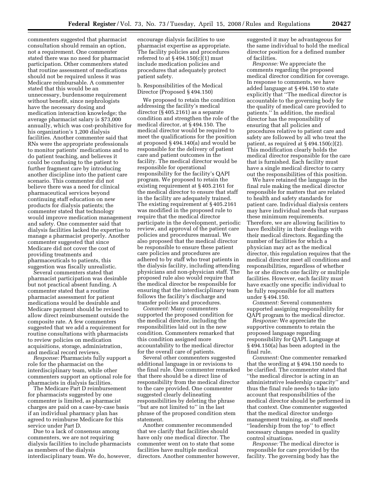commenters suggested that pharmacist consultation should remain an option, not a requirement. One commenter stated there was no need for pharmacist participation. Other commenters stated that routine assessment of medications should not be required unless it was Medicare reimbursable. A commenter stated that this would be an unnecessary, burdensome requirement without benefit, since nephrologists have the necessary dosing and medication interaction knowledge; the average pharmacist salary is \$73,000 annually, which was cost-prohibitive for his organization's 1,200 dialysis facilities. Another commenter said that RNs were the appropriate professionals to monitor patients' medications and to do patient teaching, and believes it could be confusing to the patient to further fragment care by introducing another discipline into the patient care scenario. This commenter did not believe there was a need for clinical pharmaceutical services beyond continuing staff education on new products for dialysis patients; the commenter stated that technology would improve medication management and safety. One commenter said that dialysis facilities lacked the expertise to manage a pharmacist properly. Another commenter suggested that since Medicare did not cover the cost of providing treatments and pharmaceuticals to patients, this suggestion was fiscally unrealistic.

Several commenters stated that pharmacist participation was desirable but not practical absent funding. A commenter stated that a routine pharmacist assessment for patient medications would be desirable and Medicare payment should be revised to allow direct reimbursement outside the composite rate. A few commenters suggested that we add a requirement for routine consultations with pharmacists to review policies on medication acquisitions, storage, administration, and medical record reviews.

*Response:* Pharmacists fully support a role for the pharmacist on the interdisciplinary team, while other commenters support an optional role for pharmacists in dialysis facilities.

The Medicare Part D reimbursement for pharmacists suggested by one commenter is limited, as pharmacist charges are paid on a case-by-case basis if an individual pharmacy plan has agreed to reimburse Medicare for this service under Part D.

Due to a lack of consensus among commenters, we are not requiring dialysis facilities to include pharmacists as members of the dialysis interdisciplinary team. We do, however,

encourage dialysis facilities to use pharmacist expertise as appropriate. The facility policies and procedures referred to at  $\S 494.150(c)(1)$  must include medication policies and procedures that adequately protect patient safety.

b. Responsibilities of the Medical Director (Proposed § 494.150)

We proposed to retain the condition addressing the facility's medical director (§ 405.2161) as a separate condition and strengthen the role of the medical director, at § 494.150. The medical director would be required to meet the qualifications for the position at proposed § 494.140(a) and would be responsible for the delivery of patient care and patient outcomes in the facility. The medical director would be responsible for operational responsibility for the facility's QAPI program. We proposed to retain the existing requirement at § 405.2161 for the medical director to ensure that staff in the facility are adequately trained. The existing requirement at § 405.2161 was modified in the proposed rule to require that the medical director participate in the development, periodic review, and approval of the patient care policies and procedures manual. We also proposed that the medical director be responsible to ensure these patient care policies and procedures are adhered to by staff who treat patients in the dialysis facility, including attending physicians and non-physician staff. The proposed rule also would require that the medical director be responsible for ensuring that the interdisciplinary team follows the facility's discharge and transfer policies and procedures.

*Comment:* Many commenters supported the proposed condition for the medical director, including the responsibilities laid out in the new condition. Commenters remarked that this condition assigned more accountability to the medical director for the overall care of patients.

Several other commenters suggested additional language in or revisions to the final rule. One commenter remarked that there should be a direct line of responsibility from the medical director to the care provided. One commenter suggested clearly delineating responsibilities by deleting the phrase ''but are not limited to'' in the last phrase of the proposed condition stem statement.

Another commenter recommended that we clarify that facilities should have only one medical director. The commenter went on to state that some facilities have multiple medical directors. Another commenter however, suggested it may be advantageous for the same individual to hold the medical director position for a defined number of facilities.

*Response:* We appreciate the comments regarding the proposed medical director condition for coverage. In response to comments, we have added language at § 494.150 to state explicitly that ''The medical director is accountable to the governing body for the quality of medical care provided to patients.'' In addition, the medical director has the responsibility of ensuring that all policies and procedures relative to patient care and safety are followed by all who treat the patient, as required at  $\S 494.150(c)(2)$ . This modification clearly holds the medical director responsible for the care that is furnished. Each facility must have a single medical director to carry out the responsibilities of this position.

We have retained the language in the final rule making the medical director responsible for matters that are related to health and safety standards for patient care. Individual dialysis centers may have individual needs that surpass these minimum requirements. Therefore, we are allowing facilities to have flexibility in their dealings with their medical directors. Regarding the number of facilities for which a physician may act as the medical director, this regulation requires that the medical director meet all conditions and responsibilities, regardless of whether he or she directs one facility or multiple facilities. However, each facility must have exactly one specific individual to be fully responsible for all matters under § 494.150.

*Comment:* Several commenters supported assigning responsibility for QAPI program to the medical director.

*Response:* We appreciate the supportive comments to retain the proposed language regarding responsibility for QAPI. Language at § 494.150(a) has been adopted in the final rule.

*Comment:* One commenter remarked that the wording at § 494.150 needs to be clarified. The commenter stated that ''the medical director is acting in an administrative leadership capacity'' and thus the final rule needs to take into account that responsibilities of the medical director should be performed in that context. One commenter suggested that the medical director undergo management training, as staff needs ''leadership from the top'' to effect necessary changes needed in quality control situations.

*Response:* The medical director is responsible for care provided by the facility. The governing body has the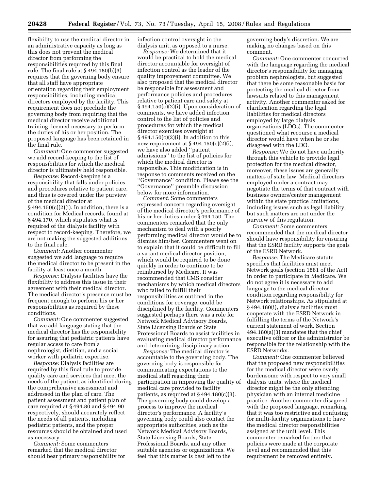flexibility to use the medical director in an administrative capacity as long as this does not prevent the medical director from performing the responsibilities required by this final rule. The final rule at § 494.180(b)(3) requires that the governing body ensure that all staff have appropriate orientation regarding their employment responsibilities, including medical directors employed by the facility. This requirement does not preclude the governing body from requiring that the medical director receive additional training deemed necessary to perform the duties of his or her position. The proposed language has been retained in the final rule.

*Comment:* One commenter suggested we add record-keeping to the list of responsibilities for which the medical director is ultimately held responsible.

*Response:* Record-keeping is a responsibility that falls under policies and procedures relative to patient care, and thus is covered under the purview of the medical director at  $\S 494.150(c)(2)(i)$ . In addition, there is a condition for Medical records, found at § 494.170, which stipulates what is required of the dialysis facility with respect to record-keeping. Therefore, we are not making the suggested additions to the final rule.

*Comment:* Another commenter suggested we add language to require the medical director to be present in the facility at least once a month.

*Response:* Dialysis facilities have the flexibility to address this issue in their agreement with their medical director. The medical director's presence must be frequent enough to perform his or her responsibilities as required by these conditions.

*Comment:* One commenter suggested that we add language stating that the medical director has the responsibility for assuring that pediatric patients have regular access to care from a nephrologist, dietitian, and a social worker with pediatric expertise.

*Response:* Dialysis facilities are required by this final rule to provide quality care and services that meet the needs of the patient, as identified during the comprehensive assessment and addressed in the plan of care. The patient assessment and patient plan of care required at § 494.80 and § 494.90 respectively, should accurately reflect the needs of all patients, including pediatric patients, and the proper resources should be obtained and used as necessary.

*Comment:* Some commenters remarked that the medical director should bear primary responsibility for infection control oversight in the dialysis unit, as opposed to a nurse.

*Response:* We determined that it would be practical to hold the medical director accountable for oversight of infection control as the leader of the quality improvement committee. We also proposed that the medical director be responsible for assessment and performance policies and procedures relative to patient care and safety at § 494.150(c)(2)(i). Upon consideration of comments, we have added infection control to the list of policies and procedures for which the medical director exercises oversight at § 494.150(c)(2)(i). In addition to this new requirement at  $\S 494.150(c)(2)(i)$ , we have also added ''patient admissions'' to the list of policies for which the medical director is responsible. This modification is in response to comments received on the ''Governance'' condition. Please see the ''Governance'' preamble discussion below for more information.

*Comment:* Some commenters expressed concern regarding oversight of the medical director's performance of his or her duties under § 494.150. The commenters remarked that the only mechanism to deal with a poorly performing medical director would be to dismiss him/her. Commenters went on to explain that it could be difficult to fill a vacant medical director position, which would be required to be done quickly in order to continue to be reimbursed by Medicare. It was recommended that CMS consider mechanisms by which medical directors who failed to fulfill their responsibilities as outlined in the conditions for coverage, could be disciplined by the facility. Commenters suggested perhaps there was a role for Network Medical Advisory Boards, State Licensing Boards or State Professional Boards to assist facilities in evaluating medical director performance and determining disciplinary action.

*Response:* The medical director is accountable to the governing body. The governing body is responsible for communicating expectations to the medical staff regarding their participation in improving the quality of medical care provided to facility patients, as required at  $\S 494.180(c)(3)$ . The governing body could develop a process to improve the medical director's performance. A facility's governing body could also contact the appropriate authorities, such as the Network Medical Advisory Boards, State Licensing Boards, State Professional Boards, and any other suitable agencies or organizations. We feel that this matter is best left to the

governing body's discretion. We are making no changes based on this comment.

*Comment:* One commenter concurred with the language regarding the medical director's responsibility for managing problem nephrologists, but suggested that there be some reasonable basis for protecting the medical director from lawsuits related to this management activity. Another commenter asked for clarification regarding the legal liabilities for medical directors employed by large dialysis organizations (LDOs). The commenter questioned what recourse a medical director would have when he or she disagreed with the LDO.

*Response:* We do not have authority through this vehicle to provide legal protection for the medical director, moreover, these issues are generally matters of state law. Medical directors employed under a contract may negotiate the terms of that contract with business owners/center management within the state practice limitations, including issues such as legal liability, but such matters are not under the purview of this regulation.

*Comment:* Some commenters recommended that the medical director should have responsibility for ensuring that the ESRD facility supports the goals of the ESRD Network.

*Response:* The Medicare statute specifies that facilities must meet Network goals (section 1881 of the Act) in order to participate in Medicare. We do not agree it is necessary to add language to the medical director condition regarding responsibility for Network relationships. As stipulated at § 494.180(i), dialysis facilities must cooperate with the ESRD Network in fulfilling the terms of the Network's current statement of work. Section 494.180(a)(3) mandates that the chief executive officer or the administrator be responsible for the relationship with the ESRD Networks.

*Comment:* One commenter believed that the proposed new responsibilities for the medical director were overly burdensome with respect to very small dialysis units, where the medical director might be the only attending physician with an internal medicine practice. Another commenter disagreed with the proposed language, remarking that it was too restrictive and confusing for multi-facility organizations to have the medical director responsibilities assigned at the unit level. This commenter remarked further that policies were made at the corporate level and recommended that this requirement be removed entirely.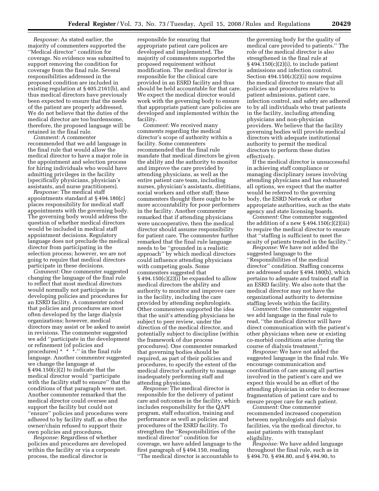*Response:* As stated earlier, the majority of commenters supported the ''Medical director'' condition for coverage. No evidence was submitted to support removing the condition for coverage from the final rule. Several responsibilities addressed in the proposed condition are included in existing regulation at § 405.2161(b), and thus medical directors have previously been expected to ensure that the needs of the patient are properly addressed. We do not believe that the duties of the medical director are too burdensome, therefore, the proposed language will be retained in the final rule.

*Comment:* A commenter recommended that we add language in the final rule that would allow the medical director to have a major role in the appointment and selection process for hiring individuals who would have admitting privileges in the facility (specifically physicians, physician's assistants, and nurse practitioners).

*Response:* The medical staff appointments standard at § 494.180(c) places responsibility for medical staff appointments with the governing body. The governing body would address the question of whether medical directors would be included in medical staff appointment decisions. Regulatory language does not preclude the medical director from participating in the selection process; however, we are not going to require that medical directors participate in these decisions.

*Comment:* One commenter suggested changing the language of the final rule to reflect that most medical directors would normally not participate in developing policies and procedures for an ESRD facility. A commenter noted that policies and procedures are most often developed by the large dialysis organizations; however, medical directors may assist or be asked to assist in revisions. The commenter suggested we add ''participate in the development or refinement (of policies and procedures)  $* * *$ ." in the final rule language. Another commenter suggested we change the language at  $§ 494.150(c)(2)$  to indicate that the medical director would ''participate with the facility staff to ensure'' that the conditions of that paragraph were met. Another commenter remarked that the medical director could oversee and support the facility but could not ''ensure'' policies and procedures were adhered to by facility staff, as often the owner/chain refused to support their own policies and procedures.

*Response:* Regardless of whether policies and procedures are developed within the facility or via a corporate process, the medical director is

responsible for ensuring that appropriate patient care polices are developed and implemented. The majority of commenters supported the proposed requirement without modification. The medical director is responsible for the clinical care provided in an ESRD facility and thus should be held accountable for that care. We expect the medical director would work with the governing body to ensure that appropriate patient care policies are developed and implemented within the facility.

*Comment:* We received many comments regarding the medical director's scope of authority within a facility. Some commenters recommended that the final rule mandate that medical directors be given the ability and the authority to monitor and improve the care provided by attending physicians, as well as the entire patient care team, including nurses, physician's assistants, dietitians, social workers and other staff; these commenters thought there ought to be more accountability for poor performers in the facility. Another commenter remarked that if attending physicians were uncooperative, then the medical director should assume responsibility for patient care. The commenter further remarked that the final rule language needs to be ''grounded in a realistic approach'' by which medical directors could influence attending physicians with competing goals. Some commenters suggested that  $§ 494.150(c)(2)(i)$  be expanded to allow medical directors the ability and authority to monitor and improve care in the facility, including the care provided by attending nephrologists. Other commenters supported the idea that the unit's attending physicians be subject to peer review, under the direction of the medical director, and potentially subject to discipline (within the framework of due process procedures). One commenter remarked that governing bodies should be required, as part of their policies and procedures, to specify the extent of the medical director's authority to manage inadequately performing staff and attending physicians.

*Response:* The medical director is responsible for the delivery of patient care and outcomes in the facility, which includes responsibility for the QAPI program, staff education, training and performance as well as policies and procedures of the ESRD facility. To strengthen the ''Responsibilities of the medical director'' condition for coverage, we have added language to the first paragraph of § 494.150, reading ''The medical director is accountable to

the governing body for the quality of medical care provided to patients.'' The role of the medical director is also strengthened in the final rule at  $§ 494.150(c)(2)(i)$ , to include patient admissions and infection control. Section  $494.150(c)(2)(i)$  now requires the medical director to ensure that all policies and procedures relative to patient admissions, patient care, infection control, and safety are adhered to by all individuals who treat patients in the facility, including attending physicians and non-physician providers. We believe that the facility governing bodies will provide medical directors with adequate institutional authority to permit the medical directors to perform these duties effectively.

If the medical director is unsuccessful in achieving staff compliance or managing disciplinary issues involving attending physicians and has exhausted all options, we expect that the matter would be referred to the governing body, the ESRD Network or other appropriate authorities, such as the state agency and state licensing boards.

*Comment:* One commenter suggested the addition of a new  $\S 494.150(c)(2)(iii)$ to require the medical director to ensure that ''staffing is sufficient to meet the acuity of patients treated in the facility.''

*Response:* We have not added the suggested language to the ''Responsibilities of the medical director'' condition. Staffing concerns are addressed under § 494.180(b), which pertains to adequate and trained staff in an ESRD facility. We also note that the medical director may not have the organizational authority to determine staffing levels within the facility.

*Comment:* One commenter suggested we add language in the final rule to read, ''the medical director will have direct communication with the patient's other physicians when new or existing co-morbid conditions arise during the course of dialysis treatment.''

*Response:* We have not added the suggested language in the final rule. We encourage communication and coordination of care among all parties involved in the patient's care and we expect this would be an effort of the attending physician in order to decrease fragmentation of patient care and to ensure proper care for each patient.

*Comment:* One commenter recommended increased cooperation between nephrologists and dialysis facilities, via the medical director, to assist patients with transplant eligibility.

*Response:* We have added language throughout the final rule, such as in § 494.70, § 494.80, and § 494.90, to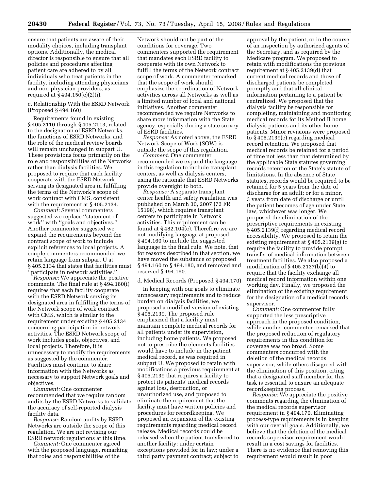ensure that patients are aware of their modality choices, including transplant options. Additionally, the medical director is responsible to ensure that all policies and procedures affecting patient care are adhered to by all individuals who treat patients in the facility, including attending physicians and non-physician providers, as required at § 494.150(c)(2)(i).

### c. Relationship With the ESRD Network (Proposed § 494.160)

Requirements found in existing § 405.2110 through § 405.2113, related to the designation of ESRD Networks, the functions of ESRD Networks, and the role of the medical review boards will remain unchanged in subpart U. These provisions focus primarily on the role and responsibilities of the Networks rather than dialysis facilities. We proposed to require that each facility cooperate with the ESRD Network serving its designated area in fulfilling the terms of the Network's scope of work contract with CMS, consistent with the requirement at § 405.2134.

*Comment:* Several commenters suggested we replace ''statement of work'' with ''goals and objectives.'' Another commenter suggested we expand the requirements beyond the contract scope of work to include explicit references to local projects. A couple commenters recommended we retain language from subpart U at § 405.2134 that states that facilities must ''participate in network activities.''

*Response:* We appreciate the positive comments. The final rule at § 494.180(i) requires that each facility cooperate with the ESRD Network serving its designated area in fulfilling the terms of the Network scope of work contract with CMS, which is similar to the requirement under existing § 405.2134 concerning participation in network activities. The ESRD Network scope of work includes goals, objectives, and local projects. Therefore, it is unnecessary to modify the requirements as suggested by the commenter. Facilities must continue to share information with the Networks as necessary to support Network goals and objectives.

*Comment:* One commenter recommended that we require random audits by the ESRD Networks to validate the accuracy of self-reported dialysis facility data.

*Response:* Random audits by ESRD Networks are outside the scope of this regulation. We are not revising our ESRD network regulations at this time.

*Comment:* One commenter agreed with the proposed language, remarking that roles and responsibilities of the

Network should not be part of the conditions for coverage. Two commenters supported the requirement that mandates each ESRD facility to cooperate with its own Network to fulfill the terms of the Network contract scope of work. A commenter remarked that the scope of work should emphasize the coordination of Network activities across all Networks as well as a limited number of local and national initiatives. Another commenter recommended we require Networks to share more information with the State agency, especially during a state survey of ESRD facilities.

*Response:* As noted above, the ESRD Network Scope of Work (SOW) is outside the scope of this regulation.

*Comment:* One commenter recommended we expand the language in this regulation to include transplant centers, as well as dialysis centers, using the rationale that ESRD Networks provide oversight to both.

*Response:* A separate transplant center health and safety regulation was published on March 30, 2007 (72 FR 15198), which requires transplant centers to participate in Network activities. This requirement can be found at § 482.104(c). Therefore we are not modifying language at proposed § 494.160 to include the suggested language in the final rule. We note, that for reasons described in that section, we have moved the substance of proposed § 494.160 to § 494.180, and removed and reserved § 494.160.

#### d. Medical Records (Proposed § 494.170)

In keeping with our goals to eliminate unnecessary requirements and to reduce burden on dialysis facilities, we proposed a modified version of existing § 405.2139. The proposed rule emphasized that a facility must maintain complete medical records for all patients under its supervision, including home patients. We proposed not to prescribe the elements facilities would have to include in the patient medical record, as was required in subpart U. We proposed to retain with modifications a previous requirement at § 405.2139 that requires a facility to protect its patients' medical records against loss, destruction, or unauthorized use, and proposed to eliminate the requirement that the facility must have written policies and procedures for recordkeeping. We proposed an expansion of the existing requirements regarding medical record release. Medical records could be released when the patient transferred to another facility; under certain exceptions provided for in law; under a third party payment contract; subject to

approval by the patient, or in the course of an inspection by authorized agents of the Secretary, and as required by the Medicare program. We proposed to retain with modifications the previous requirement at § 405.2139(d) that current medical records and those of discharged patients be completed promptly and that all clinical information pertaining to a patient be centralized. We proposed that the dialysis facility be responsible for completing, maintaining and monitoring medical records for its Method II home dialysis patients and its other home patients. Minor revisions were proposed to § 405.2139(e) regarding medical record retention. We proposed that medical records be retained for a period of time not less than that determined by the applicable State statutes governing records retention or the State's statute of limitations. In the absence of State statutes, records would be required to be retained for 5 years from the date of discharge for an adult; or for a minor, 3 years from date of discharge or until the patient becomes of age under State law, whichever was longer. We proposed the elimination of the prescriptive requirements in existing § 405.2139(f) regarding medical record accessibility. We proposed to retain the existing requirement at § 405.2139(g) to require the facility to provide prompt transfer of medical information between treatment facilities. We also proposed a modification of § 405.2137(b)(4) to require that the facility exchange all medical record information within one working day. Finally, we proposed the elimination of the existing requirement for the designation of a medical records supervisor.

*Comment:* One commenter fully supported the less prescriptive approach in the proposed condition, while another commenter remarked that the proposed reduction of regulatory requirements in this condition for coverage was too broad. Some commenters concurred with the deletion of the medical records supervisor, while others disagreed with the elimination of this position, citing that a designated staff member for this task is essential to ensure an adequate recordkeeping process.

*Response:* We appreciate the positive comments regarding the elimination of the medical records supervisor requirement in § 494.170. Eliminating process-type requirements is in keeping with our overall goals. Additionally, we believe that the deletion of the medical records supervisor requirement would result in a cost savings for facilities. There is no evidence that removing this requirement would result in poor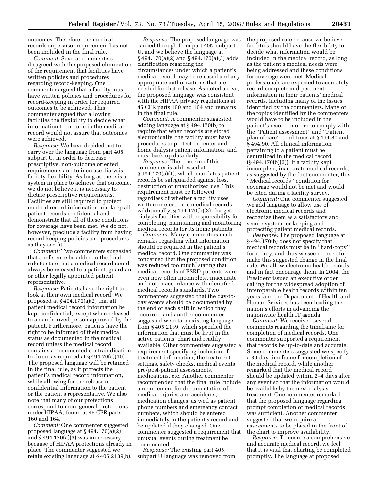outcomes. Therefore, the medical records supervisor requirement has not been included in the final rule.

*Comment:* Several commenters disagreed with the proposed elimination of the requirement that facilities have written policies and procedures regarding record-keeping. One commenter argued that a facility must have written policies and procedures for record-keeping in order for required outcomes to be achieved. This commenter argued that allowing facilities the flexibility to decide what information to include in the medical record would not assure that outcomes were achieved.

*Response:* We have decided not to carry over the language from part 405, subpart U, in order to decrease prescriptive, non-outcome oriented requirements and to increase dialysis facility flexibility. As long as there is a system in place to achieve that outcome, we do not believe it is necessary to dictate prescriptive requirements. Facilities are still required to protect medical record information and keep all patient records confidential and demonstrate that all of these conditions for coverage have been met. We do not, however, preclude a facility from having record-keeping policies and procedures as they see fit.

*Comment:* Two commenters suggested that a reference be added to the final rule to state that a medical record could always be released to a patient, guardian or other legally appointed patient representative.

*Response:* Patients have the right to look at their own medical record. We proposed at § 494.170(a)(2) that all patient medical record information be kept confidential, except when released to an authorized person approved by the patient. Furthermore, patients have the right to be informed of their medical status as documented in the medical record unless the medical record contains a documented contraindication to do so, as required at  $\S 494.70(a)(10)$ . The proposed language will be retained in the final rule, as it protects the patient's medical record information, while allowing for the release of confidential information to the patient or the patient's representative. We also note that many of our protections correspond to more general protections under HIPAA, found at 45 CFR parts 160 and 164.

*Comment:* One commenter suggested proposed language at § 494.170(a)(2) and  $\S 494.170(a)(3)$  was unnecessary because of HIPAA protections already in place. The commenter suggested we retain existing language at § 405.2139(b).

*Response:* The proposed language was carried through from part 405, subpart U, and we believe the language at § 494.170(a)(2) and § 494.170(a)(3) adds clarification regarding the circumstances under which a patient's medical record may be released and any appropriate authorizations that are needed for that release. As noted above, the proposed language was consistent with the HIPAA privacy regulations at 45 CFR parts 160 and 164 and remains in the final rule.

*Comment:* A commenter suggested adding language at § 494.170(b) to require that when records are stored electronically, the facility must have procedures to protect in-center and home dialysis patient information, and must back up data daily.

*Response:* The concern of this commenter is addressed at § 494.170(a)(1), which mandates patient records be safeguarded against loss, destruction or unauthorized use. This requirement must be followed regardless of whether a facility uses written or electronic medical records. Additionally, § 494.170(b)(3) charges dialysis facilities with responsibility for completing, maintaining and monitoring medical records for its home patients.

*Comment:* Many commenters made remarks regarding what information should be required in the patient's medical record. One commenter was concerned that the proposed condition was reduced too much, stating that medical records of ESRD patients were even now often incomplete, inaccurate and not in accordance with identified medical records standards. Two commenters suggested that the day-today events should be documented by the end of each shift in which they occurred, and another commenter suggested we retain existing language from § 405.2139, which specified the information that must be kept in the active patients' chart and readily available. Other commenters suggested a requirement specifying inclusion of treatment information, the treatment settings, safety checks, medical events, pre/post-patient assessments, medications, etc. Another commenter recommended that the final rule include a requirement for documentation of medical injuries and accidents, medication changes, as well as patient phone numbers and emergency contact numbers, which should be entered immediately in the patient's record and be updated if they changed. One commenter suggested a requirement that unusual events during treatment be documented.

*Response:* The existing part 405, subpart U language was removed from the proposed rule because we believe facilities should have the flexibility to decide what information would be included in the medical record, as long as the patient's medical needs were being addressed and these conditions for coverage were met. Medical professionals are expected to accurately record complete and pertinent information in their patients' medical records, including many of the issues identified by the commenters. Many of the topics identified by the commenters would have to be included in the patient's record in order to comply with the ''Patient assessment'' and ''Patient plan of care'' conditions at § 494.80 and § 494.90. All clinical information pertaining to a patient must be centralized in the medical record (§ 494.170(b)(2)). If a facility kept incomplete, inaccurate medical records, as suggested by the first commenter, this ''Medical records'' condition for coverage would not be met and would be cited during a facility survey.

*Comment:* One commenter suggested we add language to allow use of electronic medical records and recognize them as a satisfactory and secure system for keeping and protecting patient medical records.

*Response:* The proposed language at § 494.170(b) does not specify that medical records must be in ''hard-copy'' form only, and thus we see no need to make this suggested change in the final rule. We allow electronic health records, and in fact encourage them. In 2004, the President issued an executive order calling for the widespread adoption of interoperable health records within ten years, and the Department of Health and Human Services has been leading the nation's efforts in advancing the nationwide health IT agenda.

*Comment:* We received several comments regarding the timeframe for completion of medical records. One commenter supported a requirement that records be up-to-date and accurate. Some commenters suggested we specify a 30-day timeframe for completion of the medical record, while another remarked that the medical record should be updated within 2–4 days after any event so that the information would be available by the next dialysis treatment. One commenter remarked that the proposed language regarding prompt completion of medical records was sufficient. Another commenter suggested that we require all assessments to be placed in the front of the chart to improve availability.

*Response:* To ensure a comprehensive and accurate medical record, we feel that it is vital that charting be completed promptly. The language at proposed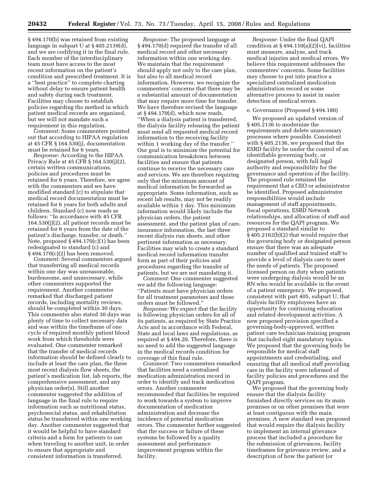§ 494.170(b) was retained from existing language in subpart U at § 405.2139(d), and we are codifying it in the final rule. Each member of the interdisciplinary team must have access to the most recent information on the patient's condition and prescribed treatment. It is a ''best practice'' to complete charting without delay to ensure patient health and safety during each treatment. Facilities may choose to establish policies regarding the method in which patient medical records are organized, but we will not mandate such a requirement in this regulation.

*Comment:* Some commenters pointed out that according to HIPAA regulation at 45 CFR § 164.530(j), documentation must be retained for 6 years.

*Response:* According to the HIPAA Privacy Rule at 45 CFR § 164.530(j)(2), certain written communications, policies and procedures must be retained for 6 years. Therefore, we agree with the commenters and we have modified standard (c) to stipulate that medical record documentation must be retained for 6 years for both adults and children. Standard (c) now reads as follows: ''In accordance with 45 CFR 164.530(j)(2), all patient records must be retained for 6 years from the date of the patient's discharge, transfer, or death.'' Note, proposed  $\S 494.170(c)(1)$  has been redesignated to standard (c) and  $§$  494.170(c)(2) has been removed.

*Comment:* Several commenters argued that transferring all medical records within one day was unreasonable, burdensome, and unnecessary, while other commenters supported the requirement. Another commenter remarked that discharged patient records, including mortality reviews, should be completed within 30 days. This commenter also stated 30 days was plenty of time to collect necessary data and was within the timeframe of one cycle of required monthly patient blood work from which thresholds were evaluated. One commenter remarked that the transfer of medical records information should be defined clearly to include at least the care plan, the three most recent dialysis flow sheets, the patient's medication list, lab reports, the comprehensive assessment, and any physician order(s). Still another commenter suggested the addition of language in the final rule to require information such as nutritional status, psychosocial status, and rehabilitation status be transferred within one working day. Another commenter suggested that it would be helpful to have standard criteria and a form for patients to use when traveling to another unit, in order to ensure that appropriate and consistent information is transferred.

*Response:* The proposed language at § 494.170(d) required the transfer of all medical record and other necessary information within one working day. We maintain that the requirement should apply not only to the care plan, but also to all medical record information. However, we recognize the commenters' concerns that there may be a substantial amount of documentation that may require more time for transfer. We have therefore revised the language at § 494.170(d), which now reads, ''When a dialysis patient is transferred, the dialysis facility releasing the patient must send all requested medical record information to the receiving facility within 1 working day of the transfer.'' Our goal is to minimize the potential for communication breakdown between facilities and ensure that patients continue to receive the necessary care and services. We are therefore requiring only that the minimum amount of medical information be forwarded as appropriate. Some information, such as recent lab results, may not be readily available within 1 day. This minimum information would likely include the physician orders, the patient assessment, and the patient plan of care, insurance information, the last three recent dialysis run sheets, and other pertinent information as necessary. Facilities may wish to create a standard medical record information transfer form as part of their policies and procedures regarding the transfer of patients, but we are not mandating it.

*Comment:* One commenter suggested we add the following language: ''Patients must have physician orders for all treatment parameters and these orders must be followed.''

*Response:* We expect that the facility is following physician orders for all of its patients, as required by State Practice Acts and in accordance with Federal, State and local laws and regulations, as required at § 494.20. Therefore, there is no need to add the suggested language in the medical records condition for coverage of this final rule.

*Comment:* Two commenters remarked that facilities need a centralized medication administration record in order to identify and track medication errors. Another commenter recommended that facilities be required to work towards a system to improve documentation of medication administration and decrease the incidence of potential medication errors. The commenter further suggested that the success or failure of these systems be followed by a quality assessment and performance improvement program within the facility.

*Response:* Under the final QAPI condition at  $\S 494.110(a)(2)(vi)$ , facilities must measure, analyze, and track medical injuries and medical errors. We believe this requirement addresses the commenters' concerns. Some facilities may choose to put into practice a specialized centralized medication administration record or some alternative process to assist in easier detection of medical errors.

#### e. Governance (Proposed § 494.180)

We proposed an updated version of § 405.2136 to modernize the requirements and delete unnecessary processes where possible. Consistent with § 405.2136, we proposed that the ESRD facility be under the control of an identifiable governing body, or designated person, with full legal authority and responsibility for the governance and operation of the facility. The proposed rule retained the requirement that a CEO or administrator be identified. Proposed administrator responsibilities would include management of staff appointments, fiscal operations, ESRD Network relationships, and allocation of staff and resources for the QAPI program. We proposed a standard similar to  $\S$  405.2162(b)(2) that would require that the governing body or designated person ensure that there was an adequate number of qualified and trained staff to provide a level of dialysis care to meet the needs of patients. The proposed licensed person on duty when patients were undergoing dialysis would be an RN who would be available in the event of a patient emergency. We proposed, consistent with part 405, subpart U, that dialysis facility employees have an opportunity for continuing education and related development activities. A new proposed provision specified a governing-body-approved, written patient care technician-training program that included eight mandatory topics. We proposed that the governing body be responsible for medical staff appointments and credentialing, and ensuring that all medical staff providing care in the facility were informed of facility policies and procedures and the QAPI program.

We proposed that the governing body ensure that the dialysis facility furnished directly services on its main premises or on other premises that were at least contiguous with the main premises. A new standard was proposed that would require the dialysis facility to implement an internal grievance process that included a procedure for the submission of grievances, facility timeframes for grievance review, and a description of how the patient (or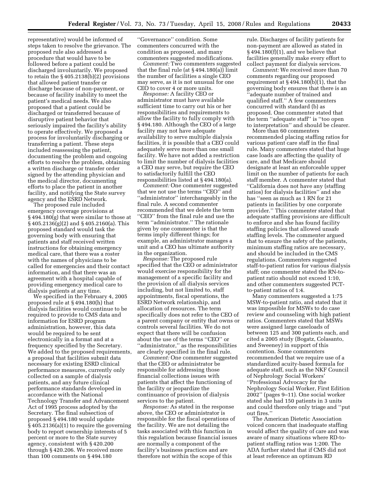representative) would be informed of steps taken to resolve the grievance. The proposed rule also addressed a procedure that would have to be followed before a patient could be discharged involuntarily. We proposed to retain the § 405.2138(b)(2) provisions that allowed patient transfer or discharge because of non-payment, or because of facility inability to meet the patient's medical needs. We also proposed that a patient could be discharged or transferred because of disruptive patient behavior that seriously impaired the facility's ability to operate effectively. We proposed a process for involuntarily discharging or transferring a patient. These steps included reassessing the patient, documenting the problem and ongoing efforts to resolve the problem, obtaining a written discharge or transfer order signed by the attending physician and the medical director, documenting efforts to place the patient in another facility, and notifying the State survey agency and the ESRD Network.

The proposed rule included emergency coverage provisions at § 494.180(g) that were similar to those at § 405.2136(g)(2) and § 405.2160(a). This proposed standard would task the governing body with ensuring that patients and staff received written instructions for obtaining emergency medical care, that there was a roster with the names of physicians to be called for emergencies and their contact information, and that there was an agreement with a hospital capable of providing emergency medical care to dialysis patients at any time.

We specified in the February 4, 2005 proposed rule at § 494.180(h) that dialysis facilities would continue to be required to provide to CMS data and information for ESRD program administration, however, this data would be required to be sent electronically in a format and at a frequency specified by the Secretary. We added to the proposed requirements, a proposal that facilities submit data necessary for existing ESRD clinical performance measures, currently only collected on a sample of dialysis patients, and any future clinical performance standards developed in accordance with the National Technology Transfer and Advancement Act of 1995 process adopted by the Secretary. The final subsection of proposed § 494.180 would update § 405.2136(a)(1) to require the governing body to report ownership interests of 5 percent or more to the State survey agency, consistent with § 420.200 through § 420.206. We received more than 100 comments on § 494.180

''Governance'' condition. Some commenters concurred with the condition as proposed, and many commenters suggested modifications.

*Comment:* Two commenters suggested that the final rule (at  $\S$  494.180(a)) limit the number of facilities a single CEO may serve, as it is not unusual for one CEO to cover 4 or more units.

*Response:* A facility CEO or administrator must have available sufficient time to carry out his or her responsibilities and requirements to allow the facility to fully comply with § 494.180. Although the CEO of a large facility may not have adequate availability to serve multiple dialysis facilities, it is possible that a CEO could adequately serve more than one small facility. We have not added a restriction to limit the number of dialysis facilities a CEO may serve, but require the CEO to satisfactorily fulfill the CEO responsibilities listed at § 494.180(a).

*Comment:* One commenter suggested that we not use the terms ''CEO'' and ''administrator'' interchangeably in the final rule. A second commenter recommended that we delete the term ''CEO'' from the final rule and use the term ''administrator.'' The rationale given by one commenter is that the terms imply different things; for example, an administrator manages a unit and a CEO has ultimate authority in the organization.

*Response:* The proposed rule specified that the CEO or administrator would exercise responsibility for the management of a specific facility and the provision of all dialysis services including, but not limited to, staff appointments, fiscal operations, the ESRD Network relationship, and allocation of resources. The term specifically does not refer to the CEO of a parent company or entity that owns or controls several facilities. We do not expect that there will be confusion about the use of the terms ''CEO'' or ''administrator,'' as the responsibilities are clearly specified in the final rule.

*Comment:* One commenter suggested that the CEO or administrator be responsible for addressing those financial collections issues with patients that affect the functioning of the facility or jeopardize the continuance of provision of dialysis services to the patient.

*Response:* As stated in the response above, the CEO or administrator is responsible for the fiscal operations of the facility. We are not detailing the tasks associated with this function in this regulation because financial issues are normally a component of the facility's business practices and are therefore not within the scope of this

rule. Discharges of facility patients for non-payment are allowed as stated in  $§ 494.180(f)(1)$ , and we believe that facilities generally make every effort to collect payment for dialysis services.

*Comment:* We received more than 70 comments regarding our proposed requirement at  $\S 494.180(b)(1)$ , that the governing body ensures that there is an ''adequate number of trained and qualified staff.'' A few commenters concurred with standard (b) as proposed. One commenter stated that the term ''adequate staff'' is ''too open to interpretation'' and should be clearer.

More than 60 commenters recommended placing staffing ratios for various patient care staff in the final rule. Many commenters stated that huge case loads are affecting the quality of care, and that Medicare should designate at least an enforceable upper limit on the number of patients for each staff member. A commenter stated that ''California does not have any (staffing ratios) for dialysis facilities'' and she has ''seen as much as 1 RN for 21 patients in facilities by one corporate provider.'' This commenter stated that adequate staffing provisions are difficult to enforce and she has found facility staffing policies that allowed unsafe staffing levels. The commenter argued that to ensure the safety of the patients, minimum staffing ratios are necessary, and should be included in the CMS regulations. Commenters suggested staff-to-patient ratios for various dialysis staff; one commenter stated the RN-topatient ratio should not exceed 1:10, and other commenters suggested PCTto-patient ratios of 1:4.

Many commenters suggested a 1:75 MSW-to-patient ratio, and stated that it was impossible for MSWs to do case review and counseling with high patient ratios. Commenters stated that MSWs were assigned large caseloads of between 125 and 300 patients each, and cited a 2005 study (Bogatz, Colasanto, and Sweeney) in support of this contention. Some commenters recommended that we require use of a standardized acuity-based formula for adequate staff, such as the NKF Council of Nephrology Social Workers' ''Professional Advocacy for the Nephrology Social Worker, First Edition 2002'' (pages 9–11). One social worker stated she had 150 patients in 3 units and could therefore only triage and ''put out fires.''

The American Dietetic Association voiced concern that inadequate staffing would affect the quality of care and was aware of many situations where RD-topatient staffing ratios was 1:200. The ADA further stated that if CMS did not at least reference an optimum RD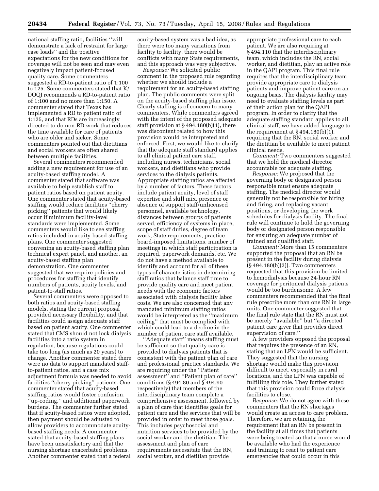national staffing ratio, facilities ''will demonstrate a lack of restraint for large case loads'' and the positive expectations for the new conditions for coverage will not be seen and may even negatively impact patient-focused quality care. Some commenters suggested a RD-to-patient ratio of 1:100 to 125. Some commenters stated that K/ DOQI recommends a RD-to-patient ratio of 1:100 and no more than 1:150. A commenter stated that Texas has implemented a RD to patient ratio of 1:125, and that RDs are increasingly directed to do non-RD work that reduces the time available for care of patients who are older and sicker. Some commenters pointed out that dietitians and social workers are often shared between multiple facilities.

Several commenters recommended adding a new requirement for use of an acuity-based staffing model. A commenter stated that software was available to help establish staff to patient ratios based on patient acuity. One commenter stated that acuity-based staffing would reduce facilities ''cherry picking'' patients that would likely occur if minimum facility-level standards were implemented. Some commenters would like to see staffing ratios included in acuity-based staffing plans. One commenter suggested convening an acuity-based staffing plan technical expert panel, and another, an acuity-based staffing plan demonstration. One commenter suggested that we require policies and procedures for staffing that identify numbers of patients, acuity levels, and patient-to-staff ratios.

Several commenters were opposed to both ratios and acuity-based staffing models, stating the current proposal provided necessary flexibility, and that facilities could assign adequate staff based on patient acuity. One commenter stated that CMS should not lock dialysis facilities into a ratio system in regulation, because regulations could take too long (as much as 20 years) to change. Another commenter stated there were no data to support mandated staffto-patient ratios, and a case mix adjustment formula was needed to avoid facilities ''cherry picking'' patients. One commenter stated that acuity-based staffing ratios would foster confusion, ''up-coding,'' and additional paperwork burdens. The commenter further stated that if acuity-based ratios were adopted, then payment should be adjusted to allow providers to accommodate acuitybased staffing needs. A commenter stated that acuity-based staffing plans have been unsatisfactory and that the nursing shortage exacerbated problems. Another commenter stated that a federal

acuity-based system was a bad idea, as there were too many variations from facility to facility, there would be conflicts with many State requirements, and this approach was very subjective.

*Response:* We solicited public comment in the proposed rule regarding whether we should include a requirement for an acuity-based staffing plan. The public comments were split on the acuity-based staffing plan issue. Clearly staffing is of concern to many commenters. While commenters agreed with the intent of the proposed adequate staff provision at § 494.180(b)(1), there was discontent related to how this provision would be interpreted and enforced. First, we would like to clarify that the adequate staff standard applies to all clinical patient care staff, including nurses, technicians, social workers, and dietitians who provide services to the dialysis patients. Appropriate staffing ratios are affected by a number of factors. These factors include patient acuity, level of staff expertise and skill mix, presence or absence of support staff/unlicensed personnel, available technology, distances between groups of patients served, efficiency of systems in place, scope of staff duties, degree of team work, State requirements, practice board-imposed limitations, number of meetings in which staff participation is required, paperwork demands, etc. We do not have a method available to identify and account for all of these types of characteristics in determining staff ratios that balance staff time to provide quality care and meet patient needs with the economic factors associated with dialysis facility labor costs. We are also concerned that any mandated minimum staffing ratios would be interpreted as the ''maximum ceiling'' that must be complied with which could lead to a decline in the number of patient care staff available.

'Adequate staff'' means staffing must be sufficient so that quality care is provided to dialysis patients that is consistent with the patient plan of care and professional practice standards. We are requiring under the ''Patient assessment'' and ''Patient plan of care'' conditions (§ 494.80 and § 494.90 respectively) that members of the interdisciplinary team complete a comprehensive assessment, followed by a plan of care that identifies goals for patient care and the services that will be provided in order to meet those goals. This includes psychosocial and nutrition services to be provided by the social worker and the dietitian. The assessment and plan of care requirements necessitate that the RN, social worker, and dietitian provide

appropriate professional care to each patient. We are also requiring at § 494.110 that the interdisciplinary team, which includes the RN, social worker, and dietitian, play an active role in the QAPI program. This final rule requires that the interdisciplinary team provide appropriate care to dialysis patients and improve patient care on an ongoing basis. The dialysis facility may need to evaluate staffing levels as part of their action plan for the QAPI program. In order to clarify that the adequate staffing standard applies to all clinical staff, we have added language to the requirement at  $\S 494.180(b)(1)$ , requiring that the RN, social worker and the dietitian be available to meet patient clinical needs.

*Comment:* Two commenters suggested that we hold the medical director accountable for adequate staffing.

*Response:* We proposed that the governing body or designated person responsible must ensure adequate staffing. The medical director would generally not be responsible for hiring and firing, and replacing vacant positions, or developing the work schedules for dialysis facility. The final rule will continue to hold the governing body or designated person responsible for ensuring an adequate number of trained and qualified staff.

*Comment:* More than 15 commenters supported the proposal that an RN be present in the facility during dialysis (§ 494.180(b)(2)). Two commenters requested that this provision be limited to hemodialysis because 24-hour RN coverage for peritoneal dialysis patients would be too burdensome. A few commenters recommended that the final rule prescribe more than one RN in large units. One commenter suggested that the final rule state that the RN must not be merely ''available'' but ''a directed patient care giver that provides direct supervision of care.''

A few providers opposed the proposal that requires the presence of an RN, stating that an LPN would be sufficient. They suggested that the nursing shortage would make this provision difficult to meet, especially in rural locations, and the LPN was capable of fulfilling this role. They further stated that this provision could force dialysis facilities to close.

*Response:* We do not agree with these commenters that the RN shortages would create an access to care problem. Therefore, we are retaining the requirement that an RN be present in the facility at all times that patients were being treated so that a nurse would be available who had the experience and training to react to patient care emergencies that could occur in this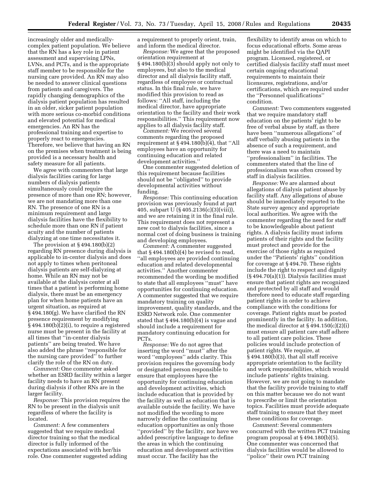increasingly older and medicallycomplex patient population. We believe that the RN has a key role in patient assessment and supervising LPNs, LVNs, and PCTs, and is the appropriate staff member to be responsible for the nursing care provided. An RN may also be needed to answer clinical questions from patients and caregivers. The rapidly changing demographics of the dialysis patient population has resulted in an older, sicker patient population with more serious co-morbid conditions and elevated potential for medical emergencies. An RN has the professional training and expertise to properly react to emergencies. Therefore, we believe that having an RN on the premises when treatment is being provided is a necessary health and safety measure for all patients.

We agree with commenters that large dialysis facilities caring for large numbers of dialysis patients simultaneously could require the presence of more than one RN; however, we are not mandating more than one RN. The presence of one RN is a minimum requirement and large dialysis facilities have the flexibility to schedule more than one RN if patient acuity and the number of patients dialyzing at one time necessitates it.

The provision at § 494.180(b)(2) regarding RN presence during dialysis is applicable to in-center dialysis and does not apply to times when peritoneal dialysis patients are self-dialyzing at home. While an RN may not be available at the dialysis center at all times that a patient is performing home dialysis, there must be an emergency plan for when home patients have an urgent situation, as required at § 494.180(g). We have clarified the RN presence requirement by modifying § 494.180(b)(2)(i), to require a registered nurse must be present in the facility at all times that ''in-center dialysis patients'' are being treated. We have also added the phrase ''responsible for the nursing care provided'' to further clarify the role of the RN on duty.

*Comment:* One commenter asked whether an ESRD facility within a larger facility needs to have an RN present during dialysis if other RNs are in the larger facility.

*Response:* This provision requires the RN to be present in the dialysis unit regardless of where the facility is located.

*Comment:* A few commenters suggested that we require medical director training so that the medical director is fully informed of the expectations associated with her/his role. One commenter suggested adding a requirement to properly orient, train, and inform the medical director.

*Response:* We agree that the proposed orientation requirement at § 494.180(b)(3) should apply not only to employees, but also to the medical director and all dialysis facility staff, regardless of employee or contractual status. In this final rule, we have modified this provision to read as follows: ''All staff, including the medical director, have appropriate orientation to the facility and their work responsibilities.'' This requirement now applies to all dialysis facility staff.

*Comment:* We received several comments regarding the proposed requirement at § 494.180(b)(4), that ''All employees have an opportunity for continuing education and related development activities.''

One commenter suggested deletion of this requirement because facilities should not be ''obligated'' to provide developmental activities without funding.

*Response:* This continuing education provision was previously found at part 405, subpart  $U($ § 405.2136(c)(3)(viii)), and we are retaining it in the final rule. This requirement does not represent a new cost to dialysis facilities, since a normal cost of doing business is training and developing employees.

*Comment:* A commenter suggested that  $\S 494.180(b)(4)$  be revised to read, ''all employees are provided continuing education and related developmental activities.'' Another commenter recommended the wording be modified to state that all employees ''must'' have opportunities for continuing education. A commenter suggested that we require mandatory training on quality improvement, quality standards, and the ESRD Network role. One commenter stated that § 494.180(b)(4) is vague and should include a requirement for mandatory continuing education for PCTs.

*Response:* We do not agree that inserting the word ''must'' after the word ''employees'' adds clarity. This provision requires the governing body or designated person responsible to ensure that employees have the opportunity for continuing education and development activities, which include education that is provided by the facility as well as education that is available outside the facility. We have not modified the wording to more narrowly define the continuing education opportunities as only those ''provided'' by the facility, nor have we added prescriptive language to define the areas in which the continuing education and development activities must occur. The facility has the

flexibility to identify areas on which to focus educational efforts. Some areas might be identified via the QAPI program. Licensed, registered, or certified dialysis facility staff must meet certain ongoing educational requirements to maintain their licensures, registrations, and/or certifications, which are required under the ''Personnel qualifications'' condition.

*Comment:* Two commenters suggested that we require mandatory staff education on the patients' right to be free of verbal abuse by staff, as there have been ''numerous allegations'' of staff verbally abusing patients in the absence of such a requirement, and there was a need to maintain ''professionalism'' in facilities. The commenters stated that the line of professionalism was often crossed by staff in dialysis facilities.

*Response:* We are alarmed about allegations of dialysis patient abuse by facility staff. Any allegations of abuse should be immediately reported to the State survey agency and appropriate local authorities. We agree with the commenter regarding the need for staff to be knowledgeable about patient rights. A dialysis facility must inform patients of their rights and the facility must protect and provide for the exercise of those rights as required under the ''Patients' rights'' condition for coverage at § 494.70. These rights include the right to respect and dignity (§ 494.70(a)(1)). Dialysis facilities must ensure that patient rights are recognized and protected by all staff and would therefore need to educate staff regarding patient rights in order to achieve compliance with the conditions for coverage. Patient rights must be posted prominently in the facility. In addition, the medical director at  $\S 494.150(c)(2)(i)$ must ensure all patient care staff adhere to all patient care policies. These policies would include protection of patient rights. We require, at § 494.180(b)(3), that all staff receive appropriate orientation to the facility and work responsibilities, which would include patients' rights training. However, we are not going to mandate that the facility provide training to staff on this matter because we do not want to prescribe or limit the orientation topics. Facilities must provide adequate staff training to ensure that they meet these conditions for coverage.

*Comment:* Several commenters concurred with the written PCT training program proposal at § 494.180(b)(5). One commenter was concerned that dialysis facilities would be allowed to ''police'' their own PCT training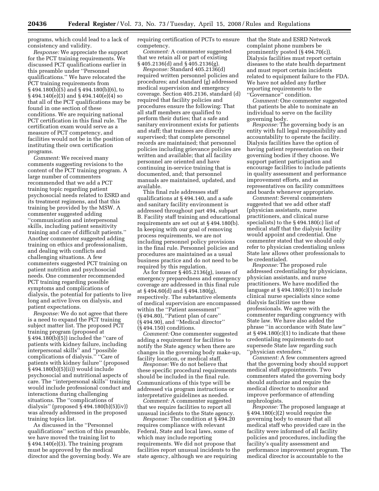programs, which could lead to a lack of consistency and validity.

*Response:* We appreciate the support for the PCT training requirements. We discussed PCT qualifications earlier in this preamble under ''Personnel qualifications.'' We have relocated the PCT training requirements from § 494.180(b)(5) and § 494.180(b)(6), to § 494.140(e)(3) and § 494.140(e)(4) so that all of the PCT qualifications may be found in one section of these conditions. We are requiring national PCT certification in this final rule. The certification exam would serve as a measure of PCT competency, and facilities would not be in the position of instituting their own certification programs.

*Comment:* We received many comments suggesting revisions to the content of the PCT training program. A large number of commenters recommended that we add a PCT training topic regarding patient psychosocial needs related to ESRD and its treatment regimens, and that this training be provided by the MSW. A commenter suggested adding ''communication and interpersonal skills, including patient sensitivity training and care of difficult patients.'' Another commenter suggested adding training on ethics and professionalism, and dealing with conflicts and challenging situations. A few commenters suggested PCT training on patient nutrition and psychosocial needs. One commenter recommended PCT training regarding possible symptoms and complications of dialysis, the potential for patients to live long and active lives on dialysis, and patient expectations.

*Response:* We do not agree that there is a need to expand the PCT training subject matter list. The proposed PCT training program (proposed at § 494.180(b)(5)) included the ''care of patients with kidney failure, including interpersonal skills'' and ''possible complications of dialysis.'' ''Care of patients with kidney failure'' (proposed § 494.180(b)(5)(ii)) would include psychosocial and nutritional aspects of care. The ''interpersonal skills'' training would include professional conduct and interactions during challenging situations. The ''complications of dialysis" (proposed  $\S 494.180(b)(5)(iv)$ ) was already addressed in the proposed training topics list.

As discussed in the ''Personnel qualifications'' section of this preamble, we have moved the training list to § 494.140(e)(3). The training program must be approved by the medical director and the governing body. We are requiring certification of PCTs to ensure competency.

*Comment:* A commenter suggested that we retain all or part of existing § 405.2136(d) and § 405.2136(g).

*Response:* Standard 405.2136(d) required written personnel policies and procedures; and standard (g) addressed medical supervision and emergency coverage. Section 405.2136, standard (d) required that facility policies and procedures ensure the following: That all staff members are qualified to perform their duties; that a safe and sanitary environment exists for patients and staff; that trainees are directly supervised; that complete personnel records are maintained; that personnel policies including grievance policies are written and available; that all facility personnel are oriented and have continuing in-service training that is documented, and; that personnel manuals are maintained, updated, and available.

This final rule addresses staff qualifications at § 494.140, and a safe and sanitary facility environment is addressed throughout part 494, subpart B. Facility staff training and educational requirements are set out at § 494.180(b). In keeping with our goal of removing process requirements, we are not including personnel policy provisions in the final rule. Personnel policies and procedures are maintained as a usual business practice and do not need to be required by this regulation.

As for former § 405.2136(g), issues of emergency preparedness and emergency coverage are addressed in this final rule at § 494.60(d) and § 494.180(g), respectively. The substantive elements of medical supervision are encompassed within the ''Patient assessment'' (§ 494.80), ''Patient plan of care'' (§ 494.90), and ''Medical director'' (§ 494.150) conditions.

*Comment:* One commenter suggested adding a requirement for facilities to notify the State agency when there are changes in the governing body make-up, facility location, or medical staff.

*Response:* We do not believe that these specific procedural requirements should be included in the final rule. Communications of this type will be addressed via program instructions or interpretative guidelines as needed.

*Comment:* A commenter suggested that we require facilities to report all unusual incidents to the State agency.

*Response:* The condition at §494.20 requires compliance with relevant Federal, State and local laws, some of which may include reporting requirements. We did not propose that facilities report unusual incidents to the state agency, although we are requiring

that the State and ESRD Network complaint phone numbers be prominently posted (§ 494.70(c)). Dialysis facilities must report certain diseases to the state health department and must report certain incidents related to equipment failure to the FDA. We have not added any further reporting requirements to the ''Governance'' condition.

*Comment:* One commenter suggested that patients be able to nominate an individual to serve on the facility governing body.

*Response:* The governing body is an entity with full legal responsibility and accountability to operate the facility. Dialysis facilities have the option of having patient representation on their governing bodies if they choose. We support patient participation and encourage facilities to include patients in quality assessment and performance improvement efforts, and as representatives on facility committees and boards whenever appropriate.

*Comment:* Several commenters suggested that we add other staff (physician assistants, nurse practitioners, and clinical nurse specialists) to the § 494.180(c) list of medical staff that the dialysis facility would appoint and credential. One commenter stated that we should only refer to physician credentialing unless State law allows other professionals to be credentialed.

*Response:* The proposed rule addressed credentialing for physicians, physician assistants, and nurse practitioners. We have modified the language at  $§$  494.180(c)(1) to include clinical nurse specialists since some dialysis facilities use these professionals. We agree with the commenter regarding congruency with State law. We have also added the phrase ''in accordance with State law'' at  $\S 494.180(c)(1)$  to indicate that these credentialing requirements do not supersede State law regarding such ''physician extenders.''

*Comment:* A few commenters agreed that the governing body should support medical staff appointments. Two commenters stated the governing body should authorize and require the medical director to monitor and improve performance of attending nephrologists.

*Response:* The proposed language at § 494.180(c)(2) would require the governing body to ensure that all medical staff who provided care in the facility were informed of all facility policies and procedures, including the facility's quality assessment and performance improvement program. The medical director is accountable to the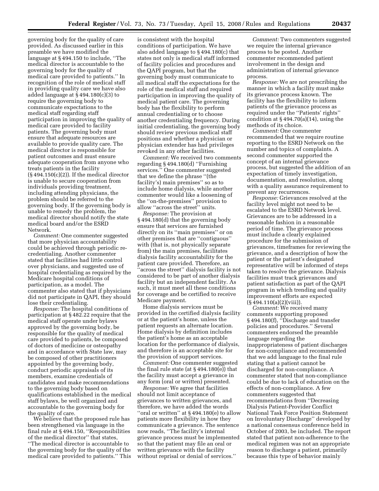governing body for the quality of care provided. As discussed earlier in this preamble we have modified the language at § 494.150 to include, ''The medical director is accountable to the governing body for the quality of medical care provided to patients.'' In recognition of the role of medical staff in providing quality care we have also added language at § 494.180(c)(3) to require the governing body to communicate expectations to the medical staff regarding staff participation in improving the quality of medical care provided to facility patients. The governing body must ensure that adequate resources are available to provide quality care. The medical director is responsible for patient outcomes and must ensure adequate cooperation from anyone who treats patients in the facility  $(\S 494.150(c)(2))$ . If the medical director is unable to secure cooperation from individuals providing treatment, including attending physicians, the problem should be referred to the governing body. If the governing body is unable to remedy the problem, the medical director should notify the state medical board and/or the ESRD Network.

*Comment:* One commenter suggested that more physician accountability could be achieved through periodic recredentialing. Another commenter stated that facilities had little control over physicians, and suggested use of hospital credentialing as required by the Medicare hospital conditions of participation, as a model. The commenter also stated that if physicians did not participate in QAPI, they should lose their credentialing.

*Response:* The hospital conditions of participation at § 482.22 require that the medical staff operate under bylaws approved by the governing body, be responsible for the quality of medical care provided to patients, be composed of doctors of medicine or osteopathy and in accordance with State law, may be composed of other practitioners appointed by the governing body, conduct periodic appraisals of its members, examine credentials of candidates and make recommendations to the governing body based on qualifications established in the medical staff bylaws, be well organized and accountable to the governing body for the quality of care.

We believe that the proposed rule has been strengthened via language in the final rule at § 494.150, ''Responsibilities of the medical director'' that states, ''The medical director is accountable to the governing body for the quality of the medical care provided to patients.'' This

is consistent with the hospital conditions of participation. We have also added language to § 494.180(c) that states not only is medical staff informed of facility policies and procedures and the QAPI program, but that the governing body must communicate to all medical staff the expectations for the role of the medical staff and required participation in improving the quality of medical patient care. The governing body has the flexibility to perform annual credentialing or to choose another credentialing frequency. During initial credentialing, the governing body should review previous medical staff positions and whether a physician or physician extender has had privileges revoked in any other facilities.

*Comment:* We received two comments regarding § 494.180(d) ''Furnishing services.'' One commenter suggested that we define the phrase ''(the facility's) main premises'' so as to include home dialysis, while another commenter would like a loosening of the ''on-the-premises'' provision to allow ''across the street'' units.

*Response:* The provision at § 494.180(d) that the governing body ensure that services are furnished directly on its ''main premises'' or on other premises that are ''contiguous'' with (that is, not physically separate from) the main premises, facilitates dialysis facility accountability for the patient care provided. Therefore, an ''across the street'' dialysis facility is not considered to be part of another dialysis facility but an independent facility. As such, it must meet all these conditions for coverage and be certified to receive Medicare payment.

Home dialysis services must be provided in the certified dialysis facility or at the patient's home, unless the patient requests an alternate location. Home dialysis by definition includes the patient's home as an acceptable location for the performance of dialysis, and therefore is an acceptable site for the provision of support services.

*Comment:* One commenter suggested the final rule state (at § 494.180(e)) that the facility must accept a grievance in any form (oral or written) presented.

*Response:* We agree that facilities should not limit acceptance of grievances to written grievances, and therefore, we have added the words ''oral or written'' at § 494.180(e) to allow patients more flexibility in how they communicate a grievance. The sentence now reads, ''The facility's internal grievance process must be implemented so that the patient may file an oral or written grievance with the facility without reprisal or denial of services.''

*Comment:* Two commenters suggested we require the internal grievance process to be posted. Another commenter recommended patient involvement in the design and administration of internal grievance process.

*Response:* We are not prescribing the manner in which a facility must make its grievance process known. The facility has the flexibility to inform patients of the grievance process as required under the ''Patients' rights'' condition at  $\S 494.70(a)(14)$ , using the methods of its choice.

*Comment:* One commenter recommended that we require routine reporting to the ESRD Network on the number and topics of complaints. A second commenter supported the concept of an internal grievance process, but suggested the addition of an expectation of timely investigation, documentation, and resolution, along with a quality assurance requirement to prevent any recurrences.

*Response:* Grievances resolved at the facility level might not need to be escalated to the ESRD Network level. Grievances are to be addressed in a reasonable fashion in a reasonable period of time. The grievance process must include a clearly explained procedure for the submission of grievances, timeframes for reviewing the grievance, and a description of how the patient or the patient's designated representative will be informed of steps taken to resolve the grievance. Dialysis facilities must track grievances and patient satisfaction as part of the QAPI program in which trending and quality improvement efforts are expected  $(\S 494.110(a)(2)(viii)).$ 

*Comment:* We received many comments supporting proposed § 494.180(f), ''Discharge and transfer policies and procedures.'' Several commenters endorsed the preamble language regarding the inappropriateness of patient discharges for non-compliance and recommended that we add language to the final rule stating that a patient cannot be discharged for non-compliance. A commenter stated that non-compliance could be due to lack of education on the effects of non-compliance. A few commenters suggested that recommendations from ''Decreasing Dialysis Patient-Provider Conflict National Task Force Position Statement on Involuntary Discharge'' developed by a national consensus conference held in October of 2003, be included. The report stated that patient non-adherence to the medical regimen was not an appropriate reason to discharge a patient, primarily because this type of behavior mainly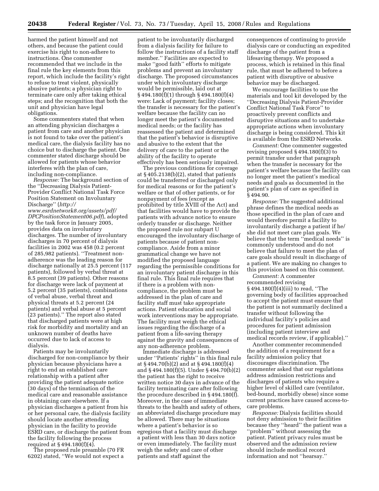harmed the patient himself and not others, and because the patient could exercise his right to non-adhere to instructions. One commenter recommended that we include in the final rule the key elements from this report, which include the facility's right to refuse to treat violent, physically abusive patients; a physician right to terminate care only after taking ethical steps; and the recognition that both the unit and physician have legal obligations.

Some commenters stated that when an attending physician discharges a patient from care and another physician is not found to take over the patient's medical care, the dialysis facility has no choice but to discharge the patient. One commenter stated discharge should be allowed for patients whose behavior interferes with the plan of care, including non-compliance.

*Response:* The background section of the ''Decreasing Dialysis Patient-Provider Conflict National Task Force Position Statement on Involuntary Discharge'' (*http://* 

*[www.esrdnetwork8.org/assets/pdf/](http://www.esrdnetwork8.org/assets/pdf/DPCPositionStatement06.pdf)  DPCPositionStatement06.pdf*), adopted by the task force in January 2005, provides data on involuntary discharges. The number of involuntary discharges in 70 percent of dialysis facilities in 2002 was 458 (0.2 percent of 285,982 patients). ''Treatment nonadherence was the leading reason for discharge nationally at 25.5 percent (117 patients), followed by verbal threat at 8.5 percent (39 patients). Other reasons for discharge were lack of payment at 5.2 percent (35 patients), combinations of verbal abuse, verbal threat and physical threats at 5.2 percent (24 patients) and verbal abuse at 5 percent (23 patients).'' The report also stated that discharged patients were at high risk for morbidity and mortality and an unknown number of deaths have occurred due to lack of access to dialysis.

Patients may be involuntarily discharged for non-compliance by their physician because physicians have a right to end an established care relationship with a patient after providing the patient adequate notice (30 days) of the termination of the medical care and reasonable assistance in obtaining care elsewhere. If a physician discharges a patient from his or her personal care, the dialysis facility should locate another attending physician in the facility to provide ESRD care, or discharge the patient from the facility following the process required at § 494.180(f)(4).

The proposed rule preamble (70 FR 6202) stated, ''We would not expect a

patient to be involuntarily discharged from a dialysis facility for failure to follow the instructions of a facility staff member.'' Facilities are expected to make ''good faith'' efforts to mitigate problems and prevent an involuntary discharge. The proposed circumstances under which involuntary discharge would be permissible, laid out at § 494.180(f)(1) through § 494.180(f)(4) were: Lack of payment; facility closes; the transfer is necessary for the patient's welfare because the facility can no longer meet the patient's documented medical needs; or the facility has reassessed the patient and determined that the patient's behavior is disruptive and abusive to the extent that the delivery of care to the patient or the ability of the facility to operate effectively has been seriously impaired.

The previous conditions for coverage at § 405.2138(b)(2), stated that patients could be transferred or discharged only for medical reasons or for the patient's welfare or that of other patients, or for nonpayment of fees (except as prohibited by title XVIII of the Act) and that facilities would have to provide the patients with advance notice to ensure orderly transfer or discharge. Neither the proposed rule nor subpart U encouraged the involuntary discharge of patients because of patient noncompliance. Aside from a minor grammatical change we have not modified the proposed language regarding the permissible conditions for an involuntary patient discharge in this final rule. This final rule requires that if there is a problem with noncompliance, the problem must be addressed in the plan of care and facility staff must take appropriate actions. Patient education and social work interventions may be appropriate. The facility must weigh the ethical issues regarding the discharge of a patient from a life-saving therapy against the gravity and consequences of any non-adherence problem.

Immediate discharge is addressed under ''Patients' rights'' in this final rule at § 494.70(b)(2) and at § 494.180(f)(4) and § 494.180(f)(5). Under § 494.70(b)(2) the patient has the right to receive written notice 30 days in advance of the facility terminating care after following the procedure described in § 494.180(f). Moreover, in the case of immediate threats to the health and safety of others, an abbreviated discharge procedure may be allowed. There may be situations where a patient's behavior is so egregious that a facility must discharge a patient with less than 30 days notice or even immediately. The facility must weigh the safety and care of other patients and staff against the

consequences of continuing to provide dialysis care or conducting an expedited discharge of the patient from a lifesaving therapy. We proposed a process, which is retained in this final rule, that must be adhered to before a patient with disruptive or abusive behavior may be discharged.

We encourage facilities to use the materials and tool kit developed by the ''Decreasing Dialysis Patient-Provider Conflict National Task Force'' to proactively prevent conflicts and disruptive situations and to undertake appropriate actions when involuntary discharge is being considered. This kit is available from the ESRD Networks.

*Comment:* One commenter suggested revising proposed § 494.180(f)(3) to permit transfer under that paragraph when the transfer is necessary for the patient's welfare because the facility can no longer meet the patient's medical needs and goals as documented in the patient's plan of care as specified in § 494.90.

*Response:* The suggested additional phrase defines the medical needs as those specified in the plan of care and would therefore permit a facility to involuntarily discharge a patient if he/ she did not meet care plan goals. We believe that the term ''medical needs'' is commonly understood and do not believe that failure to meet the plan of care goals should result in discharge of a patient. We are making no changes to this provision based on this comment.

*Comment:* A commenter recommended revising § 494.180(f)(4)(iii) to read, ''The governing body of facilities approached to accept the patient must ensure that the patient is not summarily declined a transfer without following the individual facility's policies and procedures for patient admission (including patient interview and medical records review, if applicable).''

Another commenter recommended the addition of a requirement for a facility admission policy that discourages discrimination. The commenter asked that our regulations address admission restrictions and discharges of patients who require a higher level of skilled care (ventilator, bed-bound, morbidly obese) since some current practices have caused access-tocare problems.

*Response:* Dialysis facilities should not deny admission to their facilities because they ''heard'' the patient was a ''problem'' without assessing the patient. Patient privacy rules must be observed and the admission review should include medical record information and not ''hearsay.''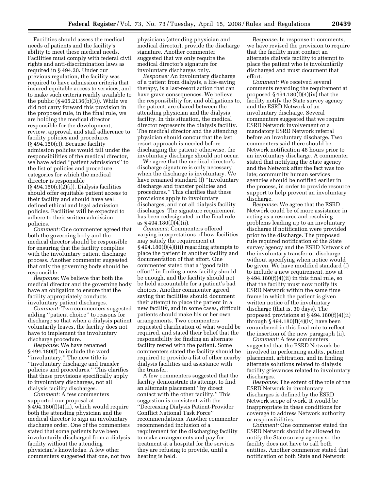Facilities should assess the medical needs of patients and the facility's ability to meet these medical needs. Facilities must comply with federal civil rights and anti-discrimination laws as required in § 494.20. Under our previous regulation, the facility was required to have admission criteria that insured equitable access to services, and to make such criteria readily available to the public (§ 405.2136(b)(3)). While we did not carry forward this provision in the proposed rule, in the final rule, we are holding the medical director responsible for the development, review, approval, and staff adherence to facility policies and procedures (§ 494.150(c)). Because facility admission policies would fall under the responsibilities of the medical director, we have added ''patient admissions'' to the list of policies and procedure categories for which the medical director is responsible  $(\S 494.150(c)(2)(i))$ . Dialysis facilities should offer equitable patient access to their facility and should have well defined ethical and legal admission policies. Facilities will be expected to adhere to their written admission policies.

*Comment:* One commenter agreed that both the governing body and the medical director should be responsible for ensuring that the facility complies with the involuntary patient discharge process. Another commenter suggested that only the governing body should be responsible.

*Response:* We believe that both the medical director and the governing body have an obligation to ensure that the facility appropriately conducts involuntary patient discharges.

*Comment:* Two commenters suggested adding ''patient choice'' to reasons for discharge so that when a dialysis patient voluntarily leaves, the facility does not have to implement the involuntary discharge procedure.

*Response:* We have renamed § 494.180(f) to include the word ''involuntary.'' The new title is ''Involuntary discharge and transfer policies and procedures.'' This clarifies that these provisions specifically apply to involuntary discharges, not all dialysis facility discharges.

*Comment:* A few commenters supported our proposal at § 494.180(f)(4)(ii), which would require both the attending physician and the medical director to sign an involuntary discharge order. One of the commenters stated that some patients have been involuntarily discharged from a dialysis facility without the attending physician's knowledge. A few other commenters suggested that one, not two

physicians (attending physician and medical director), provide the discharge signature. Another commenter suggested that we only require the medical director's signature for involuntary discharges only.

*Response:* An involuntary discharge of a patient from dialysis, a life-saving therapy, is a last-resort action that can have grave consequences. We believe the responsibility for, and obligations to, the patient, are shared between the attending physician and the dialysis facility. In this situation, the medical director represents the dialysis facility. The medical director and the attending physician should concur that the last resort approach is needed before discharging the patient; otherwise, the involuntary discharge should not occur.

We agree that the medical director's discharge signature is only necessary when the discharge is involuntary. We have renamed standard (f) ''Involuntary discharge and transfer policies and procedures.'' This clarifies that these provisions apply to involuntary discharges, and not all dialysis facility discharges. The signature requirement has been redesignated in the final rule as  $§$  494.180 $(f)(4)(ii)$ .

*Comment:* Commenters offered varying interpretations of how facilities may satisfy the requirement at § 494.180(f)(4)(iii) regarding attempts to place the patient in another facility and documentation of that effort. One commenter stated that a ''good faith effort'' in finding a new facility should be enough, and the facility should not be held accountable for a patient's bad choices. Another commenter agreed, saying that facilities should document their attempt to place the patient in a new facility, and in some cases, difficult patients should make his or her own arrangements. Two commenters requested clarification of what would be required, and stated their belief that the responsibility for finding an alternate facility rested with the patient. Some commenters stated the facility should be required to provide a list of other nearby dialysis facilities and assistance with the transfer.

A few commenters suggested that the facility demonstrate its attempt to find an alternate placement ''by direct contact with the other facility.'' This suggestion is consistent with the ''Decreasing Dialysis Patient-Provider Conflict National Task Force'' recommendations. Another commenter recommended inclusion of a requirement for the discharging facility to make arrangements and pay for treatment at a hospital for the services they are refusing to provide, until a hearing is held.

*Response:* In response to comments, we have revised the provision to require that the facility must contact an alternate dialysis facility to attempt to place the patient who is involuntarily discharged and must document that effort.

*Comment:* We received several comments regarding the requirement at proposed  $§$  494.180(f)(4)(iv) that the facility notify the State survey agency and the ESRD Network of an involuntary discharge. Several commenters suggested that we require ESRD Network involvement or a mandatory ESRD Network referral before an involuntary discharge. Two commenters said there should be Network notification 48 hours prior to an involuntary discharge. A commenter stated that notifying the State agency and the Network after the fact was too late; community human services agencies should be notified earlier in the process, in order to provide resource support to help prevent an involuntary discharge.

*Response:* We agree that the ESRD Network could be of more assistance in acting as a resource and resolving problems leading up to an involuntary discharge if notification were provided prior to the discharge. The proposed rule required notification of the State survey agency and the ESRD Network of the involuntary transfer or discharge without specifying when notice would be given. We have modified standard (f) to include a new requirement, now at  $\S 494.180(f)(4)(ii)$  in this final rule, so that the facility must now notify its ESRD Network within the same time frame in which the patient is given written notice of the involuntary discharge (that is, 30 days). The proposed provisions at § 494.180(f)(4)(ii) through  $\S 494.180(f)(4)(iv)$  have been renumbered in this final rule to reflect the insertion of the new paragraph (ii).

*Comment:* A few commenters suggested that the ESRD Network be involved in performing audits, patient placement, arbitration, and in finding alternate solutions related to dialysis facility grievances related to involuntary discharges.

*Response:* The extent of the role of the ESRD Network in involuntary discharges is defined by the ESRD Network scope of work. It would be inappropriate in these conditions for coverage to address Network authority or responsibilities.

*Comment:* One commenter stated the ESRD Network should be allowed to notify the State survey agency so the facility does not have to call both entities. Another commenter stated that notification of both State and Network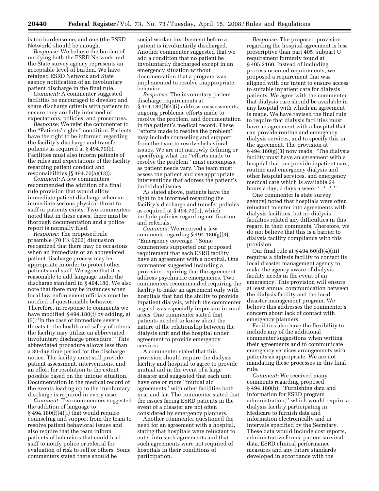is too burdensome, and one (the ESRD Network) should be enough.

*Response:* We believe the burden of notifying both the ESRD Network and the State survey agency represents an acceptable level of burden. We have retained ESRD Network and State agency notification of an involuntary patient discharge in the final rule.

*Comment:* A commenter suggested facilities be encouraged to develop and share discharge criteria with patients to ensure they are fully informed of expectations, policies, and procedures.

*Response:* We refer the commenter to the ''Patients' rights'' condition. Patients have the right to be informed regarding the facility's discharge and transfer policies as required at § 494.70(b). Facilities must also inform patients of the rules and expectations of the facility regarding patient conduct and responsibilities  $(\S 494.70(a)(13))$ .

*Comment:* A few commenters recommended the addition of a final rule provision that would allow immediate patient discharge when an immediate serious physical threat to staff or patients exists. Two commenters noted that in these cases, there must be thorough documentation and a police report is normally filed.

*Response:* The proposed rule preamble (70 FR 6202) discussion recognized that there may be occasions when an immediate or an abbreviated patient discharge process may be appropriate in order to protect other patients and staff. We agree that it is reasonable to add language under the discharge standard in § 494.180. We also note that there may be instances when local law enforcement officials must be notified of questionable behavior. Therefore, in response to comments we have modified § 494.180(f) by adding, at (5) ''In the case of immediate severe threats to the health and safety of others, the facility may utilize an abbreviated involuntary discharge procedure.'' This abbreviated procedure allows less than a 30-day time period for the discharge notice. The facility must still provide patient assessment, interventions, and an effort for resolution to the extent possible based on the unique situation. Documentation in the medical record of the events leading up to the involuntary discharge is required in every case.

*Comment:* Two commenters suggested the addition of language to  $§ 494.180(f)(4)(i)$  that would require counseling and support from the team to resolve patient behavioral issues and also require that the team inform patients of behaviors that could lead staff to notify police or referral for evaluation of risk to self or others. Some commenters stated there should be

social worker involvement before a patient is involuntarily discharged. Another commenter suggested that we add a condition that no patient be involuntarily discharged except in an emergency situation without documentation that a program was implemented to resolve inappropriate behavior.

*Response:* The involuntary patient discharge requirements at § 494.180(f)(4)(i) address reassessments, ongoing problems, efforts made to resolve the problem, and documentation in the patient's medical record. These ''efforts made to resolve the problem'' may include counseling and support from the team to resolve behavioral issues. We are not narrowly defining or specifying what the ''efforts made to resolve the problem'' must encompass, as patient needs vary. The team must assess the patient and use appropriate interventions that address the patient's individual issues.

As stated above, patients have the right to be informed regarding the facility's discharge and transfer policies as required at § 494.70(b), which include policies regarding notification and referrals.

*Comment:* We received a few comments regarding  $\S$  494.180(g)(3), ''Emergency coverage.'' Some commenters supported our proposed requirement that each ESRD facility have an agreement with a hospital. One commenter suggested including a provision requiring that the agreement address psychiatric emergencies. Two commenters recommended requiring the facility to make an agreement only with hospitals that had the ability to provide inpatient dialysis, which the commenter argued was especially important in rural areas. One commenter stated that patients needed to know about the nature of the relationship between the dialysis unit and the hospital under agreement to provide emergency services.

A commenter stated that this provision should require the dialysis facility and hospital to agree to provide mutual aid in the event of a large disaster and suggested that each unit have one or more ''mutual aid agreements'' with other facilities both near and far. The commenter stated that the issues facing ESRD patients in the event of a disaster are not often considered by emergency planners.

Another commenter questioned the need for an agreement with a hospital, stating that hospitals were reluctant to enter into such agreements and that such agreements were not required of hospitals in their conditions of participation.

*Response:* The proposed provision regarding the hospital agreement is less prescriptive than part 405, subpart U requirement formerly found at § 405.2160. Instead of including process-oriented requirements, we proposed a requirement that was aligned with our intent to ensure access to suitable inpatient care for dialysis patients. We agree with the commenter that dialysis care should be available in any hospital with which an agreement is made. We have revised the final rule to require that dialysis facilities must have an agreement with a hospital that can provide routine and emergency dialysis services, and to specify this in the agreement. The provision at  $§ 494.180(g)(3)$  now reads, "The dialysis" facility must have an agreement with a hospital that can provide inpatient care, routine and emergency dialysis and other hospital services, and emergency medical care which is available 24 hours a day, 7 days a week \* \* \*.''

One commenter (a state survey agency) noted that hospitals were often reluctant to enter into agreements with dialysis facilities, but no dialysis facilities related any difficulties in this regard in their comments. Therefore, we do not believe that this is a barrier to dialysis facility compliance with this provision.

Our final rule at  $§$  494.60(d)(4)(iii) requires a dialysis facility to contact its local disaster management agency to make the agency aware of dialysis facility needs in the event of an emergency. This provision will ensure at least annual communication between the dialysis facility and the local disaster management program. We believe this addresses the commenter's concern about lack of contact with emergency planners.

Facilities also have the flexibility to include any of the additional commenter suggestions when writing their agreements and to communicate emergency services arrangements with patients as appropriate. We are not mandating these processes in this final rule.

*Comment:* We received many comments regarding proposed § 494.180(h), ''Furnishing data and information for ESRD program administration,'' which would require a dialysis facility participating in Medicare to furnish data and information electronically and in intervals specified by the Secretary. These data would include cost reports, administrative forms, patient survival data, ESRD clinical performance measures and any future standards developed in accordance with the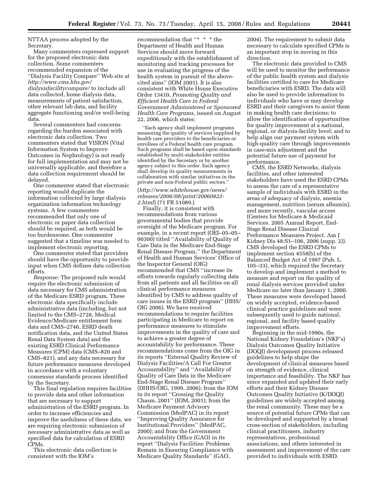NTTAA process adopted by the Secretary.

Many commenters expressed support for the proposed electronic data collection. Some commenters recommended expansion of the ''Dialysis Facility Compare'' Web site at *[http://www.cms.hhs.gov/](http://www.cms.hhs.gov/dialysisfacilitycompare/)  dialysisfacilitycompare/* to include all data collected, home dialysis data, measurements of patient satisfaction, other relevant lab data, and facility aggregate functioning and/or well-being data.

Several commenters had concerns regarding the burden associated with electronic data collection. Two commenters stated that VISION (Vital Information System to Improve Outcomes in Nephrology) is not ready for full implementation and may not be universally applicable, and therefore a data collection requirement should be delayed.

One commenter stated that electronic reporting would duplicate the information collected by large dialysis organization information technology systems. A few commenters recommended that only one of electronic or paper data collection should be required, as both would be too burdensome. One commenter suggested that a timeline was needed to implement electronic reporting.

One commenter stated that providers should have the opportunity to provide input when CMS defines data collection efforts.

*Response:* The proposed rule would require the electronic submission of data necessary for CMS administration of the Medicare ESRD program. These electronic data specifically include administrative data (including, but not limited to the CMS–2728, Medical Evidence/Medicare entitlement form data and CMS–2746, ESRD death notification data, and the United States Renal Data System data) and the existing ESRD Clinical Performance Measures (CPM) data (CMS–820 and CMS–821), and any data necessary for future performance measures developed in accordance with a voluntary consensus standards process identified by the Secretary.

This final regulation requires facilities to provide data and other information that are necessary to support administration of the ESRD program. In order to increase efficiencies and improve the usefulness of these data, we are requiring electronic submission of necessary administrative data as well as specified data for calculation of ESRD CPMs.

This electronic data collection is consistent with the IOM's

recommendation that ''\* \* \* the Department of Health and Human Services should move forward expeditiously with the establishment of monitoring and tracking processes for use in evaluating the progress of the health system in pursuit of the abovecited aims'' (IOM 2001). It is also consistent with White House Executive Order 13410, *Promoting Quality and Efficient Health Care in Federal Government Administered or Sponsored Health Care Programs,* issued on August 22, 2006, which states:

''Each agency shall implement programs measuring the quality of services supplied by health care providers to the beneficiaries or enrollees of a Federal health care program. Such programs shall be based upon standards established by multi-stakeholder entities identified by the Secretary or by another agency subject to this order. Each agency shall develop its quality measurements in collaboration with similar initiatives in the private and non-Federal public sectors.''

# (*[http://www.whitehouse.gov/news/](http://www.whitehouse.gov/news/releases/2006/08/print/20060822-2.html)  releases/2006/08/print/20060822- 2.html*) (71 FR 51089.)

Finally, it is consistent with recommendations from various governmental bodies that provide oversight of the Medicare program. For example, in a recent report (OEI–05–05– 00300) titled ''Availability of Quality of Care Data in the Medicare End-Stage Renal Disease Program,'' the Department of Health and Human Services' Office of the Inspector General (OIG) recommended that CMS ''increase its efforts towards regularly collecting data from all patients and all facilities on all clinical performance measures identified by CMS to address quality of care issues in the ESRD program'' (HHS/ OIG 2006). We have received recommendations to require facilities participating in Medicare to report on performance measures to stimulate improvements in the quality of care and to achieve a greater degree of accountability for performance. These recommendations come from the OIG in its reports ''External Quality Review of Dialysis Facilities/A Call For Greater Accountability'' and ''Availability of Quality of Care Data in the Medicare End-Stage Renal Disease Program'' (DHHS/OIG, 1999, 2006); from the IOM in its report ''Crossing the Quality Chasm, 2001'' (IOM, 2001); from the Medicare Payment Advisory Commission (MedPAC) in its report ''Improving Quality Assurance for Institutional Providers'' (MedPAC, 2000); and from the Government Accountability Office (GAO) in its report ''Dialysis Facilities: Problems Remain in Ensuring Compliance with Medicare Quality Standards'' (GAO,

2004). The requirement to submit data necessary to calculate specified CPMs is an important step in moving in this direction.

The electronic data provided to CMS will be used to monitor the performance of the public health system and dialysis facilities certified to care for Medicare beneficiaries with ESRD. The data will also be used to provide information to individuals who have or may develop ESRD and their caregivers to assist them in making health care decisions; to allow the identification of opportunities for quality improvement at a national, regional, or dialysis-facility level; and to help align our payment system with high-quality care through improvements in case-mix adjustment and the potential future use of payment for performance.

CMS, the ESRD Networks, dialysis facilities, and other interested stakeholders have used the ESRD CPMs to assess the care of a representative sample of individuals with ESRD in the areas of adequacy of dialysis, anemia management, nutrition (serum albumin), and more recently, vascular access (Centers for Medicare & Medicaid Services. 2005 Annual Report, End-Stage Renal Disease Clinical Performance Measures Project. Am J Kidney Dis 48:S1–106, 2006 (supp. 2)). CMS developed the ESRD CPMs to implement section 4558(b) of the Balanced Budget Act of 1997 (Pub. L. 105–33), which required the Secretary to develop and implement a method to measure and report on the quality of renal dialysis services provided under Medicare no later than January 1, 2000. These measures were developed based on widely accepted, evidence-based clinical practice guidelines and were subsequently used to guide national, regional, and facility based quality improvement efforts.

Beginning in the mid-1990s, the National Kidney Foundation's (NKF's) Dialysis Outcomes Quality Initiative (DOQI) development process released guidelines to help shape the development of clinical measures based on strength of evidence, clinical importance and feasibility. The NKF has since expanded and updated their early efforts and their Kidney Disease Outcomes Quality Initiative (K/DOQI) guidelines are widely accepted among the renal community. These may be a source of potential future CPMs that can be developed and supported by a broad cross-section of stakeholders, including clinical practitioners, industry representatives, professional associations, and others interested in assessment and improvement of the care provided to individuals with ESRD.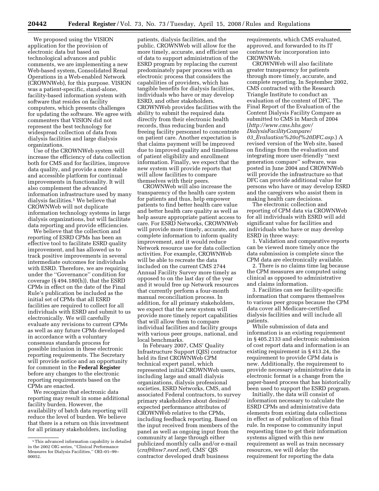We proposed using the VISION application for the provision of electronic data but based on technological advances and public comments, we are implementing a new Web-based system, Consolidated Renal Operations in a Web-enabled Network (CROWNWeb), for this purpose. VISION was a patient-specific, stand-alone, facility-based information system with software that resides on facility computers, which presents challenges for updating the software. We agree with commenters that VISION did not represent the best technology for widespread collection of data from dialysis facilities and large dialysis organizations.

Use of the CROWNWeb system will increase the efficiency of data collection both for CMS and for facilities, improve data quality, and provide a more stable and accessible platform for continual improvements in functionality. It will also complement the advanced information infrastructure used by many dialysis facilities.1 We believe that CROWNWeb will not duplicate information technology systems in large dialysis organizations, but will facilitate data reporting and provide efficiencies.

We believe that the collection and reporting of ESRD CPMs has been an effective tool to facilitate ESRD quality improvement, and has allowed us to track positive improvements in several intermediate outcomes for individuals with ESRD. Therefore, we are requiring under the ''Governance'' condition for coverage (§ 494.180(h)), that the ESRD CPMs in effect on the date of the Final Rule's publication be included as the initial set of CPMs that all ESRD facilities are required to collect for all individuals with ESRD and submit to us electronically. We will carefully evaluate any revisions to current CPMs as well as any future CPMs developed in accordance with a voluntary consensus standards process for possible inclusion in these electronic reporting requirements. The Secretary will provide notice and an opportunity for comment in the **Federal Register**  before any changes to the electronic reporting requirements based on the CPMs are enacted.

We recognize that electronic data reporting may result in some additional facility burden. However, the availability of batch data reporting will reduce the level of burden. We believe that there is a return on this investment for all primary stakeholders, including

patients, dialysis facilities, and the public. CROWNWeb will allow for the more timely, accurate, and efficient use of data to support administration of the ESRD program by replacing the current predominately paper process with an electronic process that considers the capabilities of providers, which has tangible benefits for dialysis facilities, individuals who have or may develop ESRD, and other stakeholders. CROWNWeb provides facilities with the ability to submit the required data directly from their electronic health records, thus reducing burden and freeing facility personnel to concentrate on patient care. Another expectation is that claims payment will be improved due to improved quality and timeliness of patient eligibility and enrollment information. Finally, we expect that the new system will provide reports that will allow facilities to compare themselves with their peers.

CROWNWeb will also increase the transparency of the health care system for patients and thus, help empower patients to find better health care value and better health care quality as well as help assure appropriate patient access to care. For ESRD Networks, CROWNWeb will provide more timely, accurate, and complete information to inform quality improvement, and it would reduce Network resource use for data collection activities. For example, CROWNWeb will be able to recreate the data included on the current CMS 2744 Annual Facility Survey more timely as opposed to on the last day of the year and it would free up Network resources that currently perform a four-month manual reconciliation process. In addition, for all primary stakeholders, we expect that the new system will provide more timely report capabilities that will allow them to compare individual facilities and facility groups with various peer groups, national, and local benchmarks.

In February 2007, CMS' Quality Infrastructure Support (QIS) contractor held its first CROWNWeb CPM technical expert panel, which represented initial CROWNWeb users, including large and small dialysis organizations, dialysis professional societies, ESRD Networks, CMS, and associated Federal contractors, to survey primary stakeholders about desired/ expected performance attributes of CROWNWeb relative to the CPMs, including feedback reporting. Based on the input received from members of the panel as well as ongoing input from the community at large through either publicized monthly calls and/or e-mail (*[craft@nw7.esrd.net](mailto:craft@nw7.esrd.net)*), CMS' QIS contractor developed draft business

requirements, which CMS evaluated, approved, and forwarded to its IT contractor for incorporation into CROWNWeb.

CROWNWeb will also facilitate greater transparency for patients through more timely, accurate, and complete reporting. In September 2002, CMS contracted with the Research Triangle Institute to conduct an evaluation of the content of DFC. The Final Report of the Evaluation of the Content Dialysis Facility Compare as submitted to CMS in March of 2004 (*http://www.cms.hhs.gov/ DialysisFacilityCompare/ 03*\_*[Evaluation%20of%20DFC.asp.](http://www.cms.hhs.gov/DialysisFacilityCompare/03_Evaluation%20of%20DFC.asp)*) A revised version of the Web site, based on findings from the evaluation and integrating more user-friendly ''next generation compare'' software, was posted in June 2004 and CROWNWeb will provide the infrastructure so that DFC can provide additional value for

persons who have or may develop ESRD and the caregivers who assist them in making health care decisions. The electronic collection and

reporting of CPM data via CROWNWeb for all individuals with ESRD will add significant value for facilities and individuals who have or may develop ESRD in three ways:

1. Validation and comparative reports can be viewed more timely once the data submission is complete since the CPM data are electronically available.

2. There is no claims time lag because the CPM measures are computed using clinical as opposed to administrative and claims information.

3. Facilities can see facility-specific information that compares themselves to various peer groups because the CPM data cover all Medicare-certified dialysis facilities and will include all patients.

While submission of data and information is an existing requirement in § 405.2133 and electronic submission of cost report data and information is an existing requirement in § 413.24, the requirement to provide CPM data is new. Additionally, the requirement to provide necessary administrative data in electronic format is a change from the paper-based process that has historically been used to support the ESRD program.

Initially, the data will consist of information necessary to calculate the ESRD CPMs and administrative data elements from existing data collections in effect as of publication of this final rule. In response to community input requesting time to get their information systems aligned with this new requirement as well as train necessary resources, we will delay the requirement for reporting the data

<sup>1</sup>This advanced information capability is detailed in the 2002 OIG series, ''Clinical Performance Measures for Dialysis Facilities,'' OEI–01–99– 00052.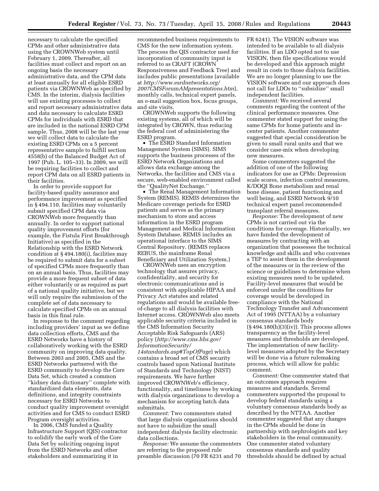necessary to calculate the specified CPMs and other administrative data using the CROWNWeb system until February 1, 2009. Thereafter, all facilities must collect and report on an ongoing basis the necessary administrative data, and the CPM data at least annually for all eligible ESRD patients via CROWNWeb as specified by CMS. In the interim, dialysis facilities will use existing processes to collect and report necessary administrative data and data necessary to calculate ESRD CPMs for individuals with ESRD that are included in the national ESRD CPM sample. Thus, 2008 will be the last year we will collect data to calculate the existing ESRD CPMs on a 5 percent representative sample to fulfill section 4558(b) of the Balanced Budget Act of 1997 (Pub. L. 105–33). In 2009, we will be requiring facilities to collect and report CPM data on all ESRD patients in their facilities.

In order to provide support for facility-based quality assurance and performance improvement as specified in § 494.110, facilities may voluntarily submit specified CPM data via CROWNWeb more frequently than annually. In order to support national quality improvement efforts (for example, the Fistula First Breakthrough Initiative) as specified in the Relationship with the ESRD Network condition at § 494.180(i), facilities may be required to submit data for a subset of specified CPMs more frequently than on an annual basis. Thus, facilities may provide a more frequent subset of data either voluntarily or as required as part of a national quality initiative, but we will only require the submission of the complete set of data necessary to calculate specified CPMs on an annual basis in this final rule.

In response to the comment regarding including providers' input as we define data collection efforts, CMS and the ESRD Networks have a history of collaboratively working with the ESRD community on improving data quality. Between 2003 and 2005, CMS and the ESRD Networks partnered with the ESRD community to develop the Core Data Set, which created a common ''kidney data dictionary'' complete with standardized data elements, data definitions, and integrity constraints necessary for ESRD Networks to conduct quality improvement oversight activities and for CMS to conduct ESRD Program oversight activities.

In 2006, CMS funded a Quality Infrastructure Support (QIS) contractor to solidify the early work of the Core Data Set by soliciting ongoing input from the ESRD Networks and other stakeholders and summarizing it in

recommended business requirements to CMS for the new information system. The process the QIS contractor used for incorporation of community input is referred to as CRAFT (CROWN Responsiveness and Feedback Tree) and includes public presentations (available at *http://www.esrdnetworks.org/ [2007CMSForumAMpresentations.htm](http://www.esrdnetworks.org/2007CMSForumAMpresentations.htm)*), monthly calls, technical expert panels, an e-mail suggestion box, focus groups, and site visits.

CROWNWeb supports the following existing systems, all of which will be integrated by CROWN, thus reducing the federal cost of administering the ESRD program.

• The ESRD Standard Information Management System (SIMS). SIMS supports the business processes of the ESRD Network Organizations and allows data exchange among the Networks, the facilities and CMS via a secure, web-enabled environment called the ''QualityNet Exchange.''

• The Renal Management Information System (REMIS). REMIS determines the Medicare coverage periods for ESRD patients and serves as the primary mechanism to store and access information in the ESRD program Management and Medical Information System Database. REMIS includes an operational interface to the SIMS Central Repository. (REMIS replaces REBUS, the mainframe Renal Beneficiary and Utilization System.)

CROWNWeb uses an encryption technology that assures privacy, confidentiality, and security for electronic communications and is consistent with applicable HIPAA and Privacy Act statutes and related regulations and would be available freeof-charge to all dialysis facilities with Internet access. CROWNWeb also meets applicable security criteria included in the CMS Information Security Acceptable Risk Safeguards (ARS) policy (*http://www.cms.hhs.gov/ InformationSecurity/* 

*[14standards.asp#TopOfPage](http://www.cms.hhs.gov/InformationSecurity/14standards.asp#TopOfPage)*) which contains a broad set of CMS security controls based upon National Institute of Standards and Technology (NIST) requirements. We have further improved CROWNWeb's efficiency, functionality, and timeliness by working with dialysis organizations to develop a mechanism for accepting batch data submittals.

*Comment:* Two commenters stated that large dialysis organizations should not have to subsidize the small independent dialysis facility electronic data collections.

*Response:* We assume the commenters are referring to the proposed rule preamble discussion (70 FR 6231 and 70 FR 6241). The VISION software was intended to be available to all dialysis facilities. If an LDO opted not to use VISION, then file specifications would be developed and this approach might result in costs to those dialysis facilities. We are no longer planning to use the VISION software and our approach does not call for LDOs to ''subsidize'' small independent facilities.

*Comment:* We received several comments regarding the content of the clinical performance measures. One commenter stated support for using the same CPMs for home patients and incenter patients. Another commenter suggested that special consideration be given to small rural units and that we consider case-mix when developing new measures.

Some commenters suggested the addition of one of the following indicators for use as CPMs: Depression scale scores, infection control measures, K/DOQI Bone metabolism and renal bone disease, patient functioning and well being, and ESRD Network 9/10 technical expert panel recommended transplant referral measures.

*Response:* The development of new CPMs is not carried out via the conditions for coverage. Historically, we have funded the development of measures by contracting with an organization that possesses the technical knowledge and skills and who convenes a TEP to assist them in the development of the measures or in the review of the science or guidelines to determine when existing measures need to be updated. Facility-level measures that would be enforced under the conditions for coverage would be developed in compliance with the National Technology Transfer and Advancement Act of 1995 (NTTAA) by a voluntary consensus standards body  $(\S 494.180(h)(3)(iv))$ . This process allows transparency as the facility-level measures and thresholds are developed. The implementation of new facilitylevel measures adopted by the Secretary will be done via a future rulemaking process, which will allow for public comment.

*Comment:* One commenter stated that an outcomes approach requires measures and standards. Several commenters supported the proposal to develop federal standards using a voluntary consensus standards body as described by the NTTAA. Another commenter suggested that any changes in the CPMs should be done in partnership with nephrologists and key stakeholders in the renal community. One commenter stated voluntary consensus standards and quality thresholds should be defined by actual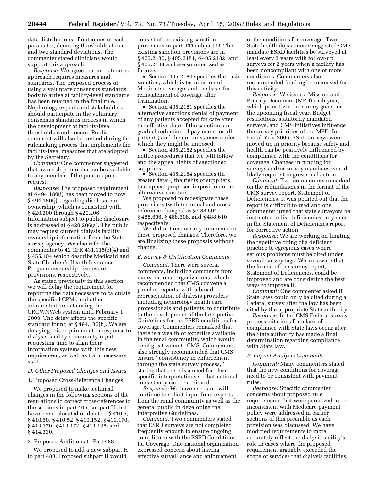data distributions of outcomes of each parameter, denoting thresholds at one and two standard deviations. The commenter stated clinicians would support this approach.

*Response:* We agree that an outcomes approach requires measures and standards. The proposed process of using a voluntary consensus standards body to arrive at facility-level standards has been retained in the final rule. Nephrology experts and stakeholders should participate in the voluntary consensus standards process in which the development of facility-level thresholds would occur. Public comment will also be invited during the rulemaking process that implements the facility-level measures that are adopted by the Secretary.

*Comment:* One commenter suggested that ownership information be available to any member of the public upon request.

*Response:* The proposed requirement at § 494.180(i) has been moved to now § 494.180(j), regarding disclosure of ownership, which is consistent with § 420.200 through § 420.206. Information subject to public disclosure is addressed at § 420.206(a). The public may request current dialysis facility ownership information from the State survey agency. We also refer the commenter to 42 CFR 431.115(e)(4) and § 455.104 which describe Medicaid and State Children's Health Insurance Program ownership disclosure provisions, respectively.

As stated previously in this section, we will delay the requirement for reporting the data necessary to calculate the specified CPMs and other administrative data using the CROWNWeb system until February 1, 2009. The delay affects the specific standard found at § 494.180(h). We are delaying this requirement in response to dialysis facility community input requesting time to align their information systems with this new requirement, as well as train necessary staff.

#### *D. Other Proposed Changes and Issues*

#### 1. Proposed Cross-Reference Changes

We proposed to make technical changes in the following sections of the regulations to correct cross-references to the sections in part 405, subpart U that have been relocated or deleted: § 410.5, § 410.50, § 410.52, § 410.152, § 410.170, § 413.170, § 413.172, § 413.198, and § 414.330.

2. Proposed Additions to Part 488

We proposed to add a new subpart H to part 488. Proposed subpart H would

consist of the existing sanction provisions in part 405 subpart U. The existing sanction provisions are in § 405.2180, § 405.2181, § 405.2182, and § 405.2184 and are summarized as follows:

• Section 405.2180 specifies the basic sanction, which is termination of Medicare coverage, and the basis for reinstatement of coverage after termination.

• Section 405.2181 specifies the alternative sanctions denial of payment of any patients accepted for care after the effective date of the sanction, and gradual reduction of payments for all patients) and the circumstances under which they might be imposed.

• Section 405.2182 specifies the notice procedures that we will follow and the appeal rights of sanctioned suppliers.

• Section 405.2184 specifies (in greater detail) the rights of suppliers that appeal proposed imposition of an alternative sanction.

We proposed to redesignate these provisions (with technical and crossreference changes) as § 488.604, § 488.606, § 488.608, and § 488.610 respectively.

We did not receive any comments on these proposed changes. Therefore, we are finalizing these proposals without change.

### *E. Survey & Certification Comments*

*Comment:* There were several comments, including comments from many national organizations, which recommended that CMS convene a panel of experts, with a broad representation of dialysis providers including nephrology health care professionals and patients, to contribute to the development of the Interpretive Guidelines for the ESRD conditions for coverage. Commenters remarked that there is a wealth of expertise available in the renal community, which would be of great value to CMS. Commenters also strongly recommended that CMS ensure ''consistency in enforcement through the state survey process,'' stating that there is a need for clear, specific interpretations so that national consistency can be achieved.

*Response:* We have used and will continue to solicit input from experts from the renal community as well as the general public in developing the Interpretive Guidelines.

*Comment:* Two commenters stated that ESRD surveys are not completed frequently enough to ensure ongoing compliance with the ESRD Conditions for Coverage. One national organization expressed concern about having effective surveillance and enforcement

of the conditions for coverage. Two State health departments suggested CMS mandate ESRD facilities be surveyed at least every 3 years with follow-up surveys for 2 years when a facility has been noncompliant with one or more conditions. Commenters also recommended funding be increased for this activity.

*Response:* We issue a Mission and Priority Document (MPD) each year, which prioritizes the survey goals for the upcoming fiscal year. Budget restrictions, statutorily mandated surveys, and CMS initiatives influence the survey priorities of the MPD. In Fiscal Year 2006, ESRD surveys were moved up in priority because safety and health can be positively influenced by compliance with the conditions for coverage. Changes in funding for surveys and/or survey mandates would likely require Congressional action.

*Comment:* Two commenters remarked on the redundancies in the format of the CMS survey report, Statement of Deficiencies. It was pointed out that the report is difficult to read and one commenter urged that state surveyors be instructed to list deficiencies only once in the Statement of Deficiencies report for corrective action.

*Response:* We are working on limiting the repetitive citing of a deficient practice to egregious cases where serious problems must be cited under several survey tags. We are aware that the format of the survey report, Statement of Deficiencies, could be improved and are considering the best ways to improve it.

*Comment:* One commenter asked if State laws could only be cited during a Federal survey after the law has been cited by the appropriate State authority.

*Response:* In the CMS Federal survey process, citations for a lack of compliance with State laws occur after the State authority has made a final determination regarding compliance with State law.

#### *F. Impact Analysis Comments*

*Comment:* Many commenters stated that the new conditions for coverage need to be consistent with payment rules.

*Response:* Specific commenter concerns about proposed rule requirements that were perceived to be inconsistent with Medicare payment policy were addressed in earlier sections of this preamble as each provision was discussed. We have modified requirements to more accurately reflect the dialysis facility's role in cases where the proposed requirement arguably exceeded the scope of services that dialysis facilities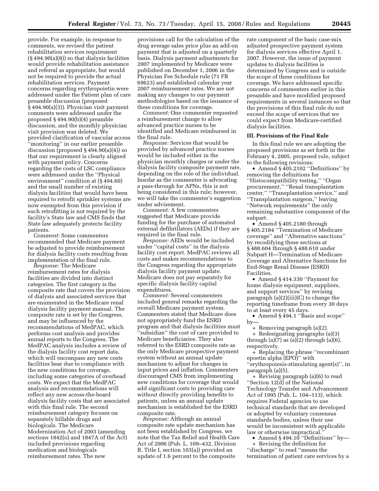provide. For example, in response to comments, we revised the patient rehabilitation services requirement (§ 494.90(a)(8)) so that dialysis facilities would provide rehabilitation assistance and referral as appropriate, but would not be required to provide the actual rehabilitation services. Payment concerns regarding erythropoietin were addressed under the Patient plan of care preamble discussion (proposed § 494.90(a)(3)). Physician visit payment comments were addressed under the proposed § 494.90(b)(4) preamble discussion, and the monthly physician visit provision was deleted. We provided clarification of vascular access ''monitoring'' in our earlier preamble discussion (proposed § 494.90(a)(4)) so that our requirement is clearly aligned with payment policy. Concerns regarding the costs of LSC compliance were addressed under the ''Physical environment'' condition at (§ 494.60) and the small number of existing dialysis facilities that would have been required to retrofit sprinkler systems are now exempted from this provision if such retrofitting is not required by the facility's State law and CMS finds that State law adequately protects facility patients.

*Comment:* Some commenters recommended that Medicare payment be adjusted to provide reimbursement for dialysis facility costs resulting from implementation of the final rule.

*Response:* The Medicare reimbursement rates for dialysis facilities are divided into distinct categories. The first category is the composite rate that covers the provision of dialysis and associated services that are enumerated in the Medicare renal dialysis facility payment manual. The composite rate is set by the Congress, and may be influenced by the recommendations of MedPAC, which performs cost analysis and provides annual reports to the Congress. The MedPAC analysis includes a review of the dialysis facility cost report data, which will encompass any new costs facilities bear due to compliance with the new conditions for coverage, including some categories of overhead costs. We expect that the MedPAC analysis and recommendations will reflect any new across-the-board dialysis facility costs that are associated with this final rule. The second reimbursement category focuses on separately billable drugs and biologicals. The Medicare Modernization Act of 2003 (amending sections 1842(o) and 1847A of the Act) included provisions regarding medication and biologicals reimbursement rates. The new

provisions call for the calculation of the drug average sales price plus an add-on payment that is adjusted on a quarterly basis. Dialysis payment adjustments for 2007 implemented by Medicare were published on December 1, 2006 in the Physician Fee Schedule rule (71 FR 69623) and established calendar year 2007 reimbursement rates. We are not making any changes to our payment methodologies based on the issuance of these conditions for coverage.

*Comment:* One commenter requested a reimbursement change to allow advanced practice nurses to be identified and Medicare reimbursed in the final rule.

*Response:* Services that would be provided by advanced practice nurses would be included either in the physician monthly charges or under the dialysis facility composite payment rate, depending on the role of the individual. Insofar as the commenter is advocating a pass-through for APNs, this is not being considered in this rule; however, we will take the commenter's suggestion under advisement.

*Comment:* A few commenters suggested that Medicare provide funding for the purchase of automated external defibrillators (AEDs) if they are required in the final rule.

*Response:* AEDs would be included under ''capital costs'' in the dialysis facility cost report. MedPAC reviews all costs and makes recommendations to the Congress regarding the appropriate dialysis facility payment update. Medicare does not pay separately for specific dialysis facility capital expenditures.

*Comment:* Several commenters included general remarks regarding the overall Medicare payment system. Commenters stated that Medicare does not appropriately fund the ESRD program and that dialysis facilities must ''subsidize'' the cost of care provided to Medicare beneficiaries. They also referred to the ESRD composite rate as the only Medicare prospective payment system without an annual update mechanism to adjust for changes in input prices and inflation. Commenters discouraged CMS from implementing new conditions for coverage that would add significant costs to providing care without directly providing benefits to patients, unless an annual update mechanism is established for the ESRD composite rate.

*Response:* Although an annual composite rate update mechanism has not been established by Congress, we note that the Tax Relief and Health Care Act of 2006 (Pub. L. 109–432, Division B, Title I, section 103(a)) provided an update of 1.6 percent to the composite

rate component of the basic case-mix adjusted prospective payment system for dialysis services effective April 1, 2007. However, the issue of payment updates to dialysis facilities is determined by Congress and is outside the scope of these conditions for coverage. We have addressed specific concerns of commenters earlier in this preamble and have modified proposed requirements in several instances so that the provisions of this final rule do not exceed the scope of services that we could expect from Medicare-certified dialysis facilities.

#### **III. Provisions of the Final Rule**

In this final rule we are adopting the proposed provisions as set forth in the February 4, 2005, proposed rule, subject to the following revisions:

• Amend § 405.2102 "Definitions" by removing the definitions for ''Histocompatibility testing,'' ''Organ procurement,'' ''Renal transplantation center,'' ''Transplantation service,'' and ''Transplantation surgeon,'' leaving ''Network requirements'' the only remaining substantive component of the subpart.

• Amend §405.2180 through § 405.2184 ''Termination of Medicare coverage'' and ''Alternative sanctions'' by recodifying these sections at § 488.604 through § 488.610 under Subpart H—Termination of Medicare Coverage and Alternative Sanctions for End-Stage Renal Disease (ESRD) Facilities.

• Amend § 414.330 ''Payment for home dialysis equipment, suppliers, and support services'' by revising paragraph (a)(2)(iii)(C) to change the reporting timeframe from every 30 days to at least every 45 days.

• Amend §494.1 "Basis and scope" by—

+ Removing paragraph (a)(2).

+ Redesignating paragraphs (a)(3) through  $(a)(7)$  as  $(a)(2)$  through  $(a)(6)$ , respectively.

+ Replacing the phrase ''recombinant epoetin alpha (EPO)'' with ''erythropoiesis-stimulating agent(s)'', in

paragraph (a)(5). + Revising paragraph (a)(6) to read ''Section 12(d) of the National Technology Transfer and Advancement Act of 1995 (Pub. L. 104–113), which requires Federal agencies to use technical standards that are developed or adopted by voluntary consensus standards bodies, unless their use would be inconsistent with applicable

law or otherwise impractical.'' • Amend §494.10 "Definitions" by—

+ Revising the definition for ''discharge'' to read ''means the termination of patient care services by a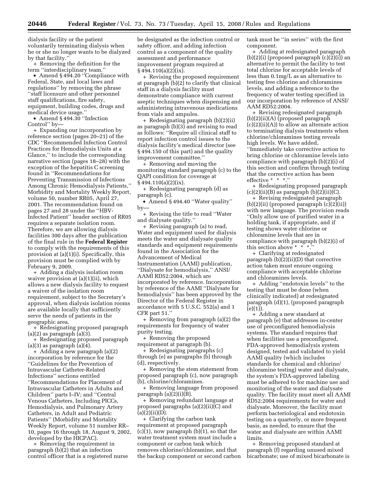dialysis facility or the patient voluntarily terminating dialysis when he or she no longer wants to be dialyzed by that facility.''

+ Removing the definition for the term ''interdisciplinary team.''

• Amend §494.20 "Compliance with Federal, State, and local laws and regulations'' by removing the phrase ''staff licensure and other personnel staff qualifications, fire safety, equipment, building codes, drugs and medical device usage.''

• Amend § 494.30 ''Infection Control'' by—

+ Expanding our incorporation by reference section (pages 20–21) of the CDC ''Recommended Infection Control Practices for Hemodialysis Units at a Glance,'' to include the corresponding narrative section (pages 18–28) with the exception of the hepatitis C screening found in ''Recommendations for Preventing Transmission of Infections Among Chronic Hemodialysis Patients,'' Morbidity and Mortality Weekly Report, volume 50, number RR05, April 27, 2001. The recommendation found on pages 27 and 28 under the ''HBV-Infected Patient'' header section of RR05 requires a separate isolation room. Therefore, we are allowing dialysis facilities 300 days after the publication of the final rule in the **Federal Register**  to comply with the requirements of this provision at (a)(1)(i). Specifically, this provision must be complied with by February 9, 2009.

+ Adding a dialysis isolation room waiver provision at (a)(1)(ii), which allows a new dialysis facility to request a waiver of the isolation room requirement, subject to the Secretary's approval, when dialysis isolation rooms are available locally that sufficiently serve the needs of patients in the geographic area.

+ Redesignating proposed paragraph  $(a)(2)$  as paragraph  $(a)(3)$ .

+ Redesignating proposed paragraph  $(a)(3)$  as paragraph  $(a)(4)$ .

+ Adding a new paragraph (a)(2) incorporation by reference for the ''Guidelines for the Prevention of Intravascular Catheter-Related Infections'' sections entitled ''Recommendations for Placement of Intravascular Catheters in Adults and Children'' parts I–IV; and ''Central Venous Catheters, Including PICCs, Hemodialysis, and Pulmonary Artery Catheters, in Adult and Pediatric Patients'' (Morbidity and Mortality Weekly Report, volume 51 number RR– 10, pages 16 through 18, August 9, 2002, developed by the HICPAC).

+ Removing the requirement in paragraph (b)(2) that an infection control officer that is a registered nurse

be designated as the infection control or safety officer, and adding infection control as a component of the quality assessment and performance improvement program required at  $§ 494.110(a)(2)(ix).$ 

+ Revising the proposed requirement at paragraph (b)(2) to clarify that clinical staff in a dialysis facility must demonstrate compliance with current aseptic techniques when dispensing and administering intravenous medications from vials and ampules.

+ Redesignating paragraph (b)(2)(ii) as paragraph (b)(3) and revising to read as follows: ''Require all clinical staff to report infection control issues to the dialysis facility's medical director (see § 494.150 of this part) and the quality improvement committee.''

+ Removing and moving the monitoring standard paragraph (c) to the QAPI condition for coverage at § 494.110(a)(2)(ix).

+ Redesignating paragraph (d) as paragraph (c).

• Amend § 494.40 ''Water quality'' by—

+ Revising the title to read ''Water and dialysate quality.''

+ Revising paragraph (a) to read, Water and equipment used for dialysis meets the water and dialysate quality standards and equipment requirements found in the Association for the Advancement of Medical Instrumentation (AAMI) publication, ''Dialysate for hemodialysis,'' ANSI/ AAMI RD52:2004, which are incorporated by reference. Incorporation by reference of the AAMI ''Dialysate for hemodialysis'' has been approved by the Director of the Federal Register in accordance with 5 U.S.C. 552(a) and 1 CFR part 51.''

+ Removing from paragraph (a)(2) the requirements for frequency of water purity testing.

+ Removing the proposed requirement at paragraph (b).

+ Redesignating paragraphs (c) through (e) as paragraphs (b) through (d), respectively.

+ Removing the stem statement from proposed paragraph (c), now paragraph (b), chlorine/chloramines.

+ Removing language from proposed paragraph (a)(2)(i)(B).

+ Removing redundant language at proposed paragraphs (a)(2)(ii)(C) and  $(a)(2)(ii)(D)$ .

+ Clarifying the carbon tank requirement at proposed paragraph  $(c)(1)$ , now paragraph  $(b)(1)$ , so that the water treatment system must include a component or carbon tank which removes chlorine/chloramine, and that the backup component or second carbon tank must be ''in series'' with the first component.

+ Adding at redesignated paragraph  $(b)(2)(i)$  (proposed paragraph  $(c)(2)(i)$ ) an alternative to permit the facility to test total chlorine for acceptable levels of less than 0.1mg/L as an alternative to testing free chlorine and chloramines levels, and adding a reference to the frequency of water testing specified in our incorporation by reference of ANSI/ AAM RD52:2004.

+ Revising redesignated paragraph (b)(2)(ii)(A) (proposed paragraph (c)(2)(ii)(A)) to allow an alternate action to terminating dialysis treatments when chlorine/chloramines testing reveals high levels. We have added, ''Immediately take corrective action to bring chlorine or chloramine levels into compliance with paragraph (b)(2)(i) of this section and confirm through testing that the corrective action has been effective \* \* \*.''

+ Redesignating proposed paragraph  $(c)(2)(ii)(B)$  as paragraph  $(b)(2)(ii)(C)$ .

+ Revising redesignated paragraph (b)(2)(ii) (proposed paragraph (c)(2)(ii)) with new language. The provision reads ''Only allow use of purified water in a holding tank, if appropriate, and if testing shows water chlorine or chloramine levels that are in compliance with paragraph (b)(2)(i) of this section above \* \* \*.''

+ Clarifying at redesignated paragraph (b)(2)(ii)(D) that corrective action taken must ensure ongoing compliance with acceptable chlorine and chloramines levels.

+ Adding ''endotoxin levels'' to the testing that must be done (when clinically indicated) at redesignated paragraph (d)(1), (proposed paragraph (e)(1)).

+ Adding a new standard at paragraph (e) that addresses in-center use of preconfigured hemodialysis systems. The standard requires that when facilities use a preconfigured, FDA-approved hemodialysis system designed, tested and validated to yield AAMI quality (which includes standards for chemical and chlorine/ chloramine testing) water and dialysate, the system's FDA-approved labeling must be adhered to for machine use and monitoring of the water and dialysate quality. The facility must meet all AAMI RD52:2004 requirements for water and dialysate. Moreover, the facility must perform bacteriological and endotoxin testing on a quarterly, or more frequent basis, as needed, to ensure that the water and dialysate are within AAMI limits.

+ Removing proposed standard at paragraph (f) regarding unused mixed bicarbonate; use of mixed bicarbonate is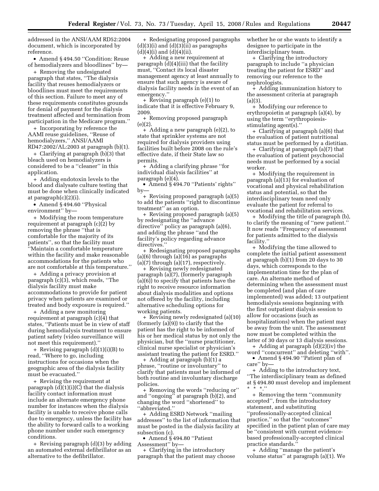addressed in the ANSI/AAM RD52:2004 document, which is incorporated by reference.

• Amend §494.50 "Condition: Reuse of hemodialyzers and bloodlines'' by—

+ Removing the undesignated paragraph that states, ''The dialysis facility that reuses hemodialyzers or bloodlines must meet the requirements of this section. Failure to meet any of these requirements constitutes grounds for denial of payment for the dialysis treatment affected and termination from participation in the Medicare program.''

+ Incorporating by reference the AAMI reuse guidelines, ''Reuse of hemodialyzers,'' ANSI/AAMI RD47:2002/AL:2003 at paragraph (b)(1).

+ Clarifying at paragraph (b)(3) that bleach used on hemodialyzers is considered to be a ''cleaner'' in this application.

+ Adding endotoxin levels to the blood and dialysate culture testing that must be done when clinically indicated at paragraph(c)(2)(i).

• Amend § 494.60 "Physical environment'' by—

+ Modifying the room temperature requirement at paragraph (c)(2) by removing the phrase ''that is comfortable for the majority of its patients'', so that the facility must ''Maintain a comfortable temperature within the facility and make reasonable accommodations for the patients who are not comfortable at this temperature.''

+ Adding a privacy provision at paragraph (c)(3), which reads, ''The dialysis facility must make accommodations to provide for patient privacy when patients are examined or treated and body exposure is required.''

+ Adding a new monitoring requirement at paragraph (c)(4) that states, ''Patients must be in view of staff during hemodialysis treatment to ensure patient safety (video surveillance will not meet this requirement).''

+ Revising paragraph (d)(1)(i)(B) to read, ''Where to go, including instructions for occasions when the geographic area of the dialysis facility must be evacuated.''

+ Revising the requirement at paragraph  $(d)(1)(i)(C)$  that the dialysis facility contact information must include an alternate emergency phone number for instances when the dialysis facility is unable to receive phone calls due to emergency, unless the facility has the ability to forward calls to a working phone number under such emergency conditions.

+ Revising paragraph (d)(3) by adding an automated external defibrillator as an alternative to the defibrillator.

+ Redesignating proposed paragraphs (d)(3)(i) and (d)(3)(ii) as paragraphs  $(d)(4)(i)$  and  $(d)(4)(ii)$ .

+ Adding a new requirement at paragraph (d)(4)(iii) that the facility must, ''Contact its local disaster management agency at least annually to ensure that such agency is aware of dialysis facility needs in the event of an emergency.''

+ Revising paragraph (e)(1) to indicate that it is effective February 9, 2009.

+ Removing proposed paragraph (e)(2).

+ Adding a new paragraph (e)(2), to state that sprinkler systems are not required for dialysis providers using facilities built before 2008 on the rule's effective date, if their State law so permits.

+ Adding a clarifying phrase ''for individual dialysis facilities'' at paragraph (e)(4).

• Amend §494.70 "Patients' rights" by—

+ Revising proposed paragraph (a)(5) to add the patients ''right to discontinue treatment'' as an option.

+ Revising proposed paragraph (a)(5) by redesignating the ''advance directive'' policy as paragraph (a)(6), and adding the phrase ''and the facility's policy regarding advance directives.''

+ Redesignating proposed paragraphs  $(a)(6)$  through  $(a)(16)$  as paragraphs  $(a)(7)$  through  $(a)(17)$ , respectively.

+ Revising newly redesignated paragraph (a)(7), (formerly paragraph (a)(6)) to specify that patients have the right to receive resource information about dialysis modalities and options not offered by the facility, including alternative scheduling options for working patients.

+ Revising newly redesignated (a)(10) (formerly (a)(9)) to clarify that the patient has the right to be informed of his or her medical status by not only the physician, but the ''nurse practitioner, clinical nurse specialist or physician's assistant treating the patient for ESRD.''

+ Adding at paragraph (b)(1) a phrase, ''routine or involuntary'' to clarify that patients must be informed of both routine and involuntary discharge policies.

+ Removing the words ''reducing or'' and ''ongoing'' at paragraph (b)(2), and changing the word ''shortened'' to ''abbreviated.''

+ Adding ESRD Network ''mailing addresses'' to the list of information that must be posted in the dialysis facility at subsection (c).

• Amend § 494.80 ''Patient Assessment'' by—

+ Clarifying in the introductory paragraph that the patient may choose whether he or she wants to identify a designee to participate in the interdisciplinary team.

+ Clarifying the introductory paragraph to include ''a physician treating the patient for ESRD'' and removing our reference to the nephrologists.

+ Adding immunization history to the assessment criteria at paragraph  $(a)(3)$ 

+ Modifying our reference to erythropoietin at paragraph (a)(4), by using the term ''erythropoiesisstimulating agent(s).''

+ Clarifying at paragraph (a)(6) that the evaluation of patient nutritional status must be performed by a dietitian.

+ Clarifying at paragraph (a)(7) that the evaluation of patient psychosocial needs must be performed by a social worker.

+ Modifying the requirement in paragraph (a)(13) for evaluation of vocational and physical rehabilitation status and potential, so that the interdisciplinary team need only evaluate the patient for referral to vocational and rehabilitation services.

+ Modifying the title of paragraph (b), to clarify the meaning of ''new patient.'' It now reads ''Frequency of assessment for patients admitted to the dialysis facility.''

+ Modifying the time allowed to complete the initial patient assessment at paragraph (b)(1) from 20 days to 30 days, which corresponds to the implementation time for the plan of care. An alternate method of determining when the assessment must be completed (and plan of care implemented) was added; 13 outpatient hemodialysis sessions beginning with the first outpatient dialysis session to allow for occasions (such as hospitalizations) when the patient may be away from the unit. The assessment now must be completed within the latter of 30 days or 13 dialysis sessions.

+ Adding at paragraph (d)(2)(iv) the

word ''concurrent'' and deleting ''with''. • Amend §494.90 "Patient plan of care'' by—

+ Adding to the introductory text, ''The interdisciplinary team as defined at § 494.80 must develop and implement  $*$  \* \*

+ Removing the term ''community accepted'', from the introductory statement, and substituting ''professionally-accepted clinical practice,'' so that the ''outcomes'' specified in the patient plan of care may be ''consistent with current evidencebased professionally-accepted clinical practice standards.''

+ Adding ''manage the patient's volume status'' at paragraph (a)(1). We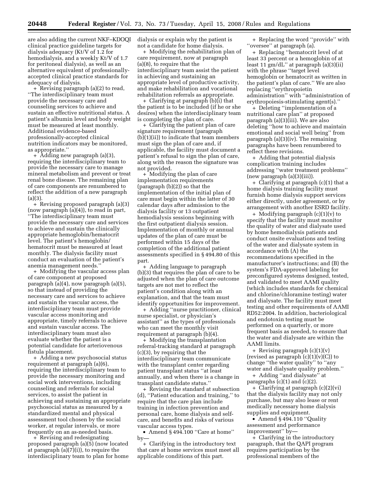are also adding the current NKF–KDOQI clinical practice guideline targets for dialysis adequacy (Kt/V of 1.2 for hemodialysis, and a weekly Kt/V of 1.7 for peritoneal dialysis), as well as an alternative equivalent of professionallyaccepted clinical practice standards for adequacy of dialysis.

+ Revising paragraph (a)(2) to read, ''The interdisciplinary team must provide the necessary care and counseling services to achieve and sustain an effective nutritional status. A patient's albumin level and body weight must be measured at least monthly. Additional evidence-based professionally-accepted clinical nutrition indicators may be monitored, as appropriate.''

+ Adding new paragraph (a)(3), requiring the interdisciplinary team to provide the necessary care to manage mineral metabolism and prevent or treat renal bone disease. The remaining plan of care components are renumbered to reflect the addition of a new paragraph  $(a)(3)$ 

+ Revising proposed paragraph (a)(3) (now paragraph (a)(4)), to read in part, ''The interdisciplinary team must provide the necessary care and services to achieve and sustain the clinically appropriate hemoglobin/hematocrit level. The patient's hemoglobin/ hematocrit must be measured at least monthly. The dialysis facility must conduct an evaluation of the patient's anemia management needs.''

+ Modifying the vascular access plan of care component at proposed paragraph (a)(4), now paragraph (a)(5), so that instead of providing the necessary care and services to achieve and sustain the vascular access, the interdisciplinary team must provide vascular access monitoring and appropriate, timely referrals to achieve and sustain vascular access. The interdisciplinary team must also evaluate whether the patient is a potential candidate for arteriovenous fistula placement.

+ Adding a new psychosocial status requirement at paragraph (a)(6), requiring the interdisciplinary team to provide the necessary monitoring and social work interventions, including counseling and referrals for social services, to assist the patient in achieving and sustaining an appropriate psychosocial status as measured by a standardized mental and physical assessment tool chosen by the social worker, at regular intervals, or more frequently on an as-needed basis.

+ Revising and redesignating proposed paragraph (a)(5) (now located at paragraph (a)(7)(i)), to require the interdisciplinary team to plan for home dialysis or explain why the patient is not a candidate for home dialysis.

+ Modifying the rehabilitation plan of care requirement, now at paragraph (a)(8), to require that the interdisciplinary team assist the patient in achieving and sustaining an appropriate level of productive activity, and make rehabilitation and vocational rehabilitation referrals as appropriate.

+ Clarifying at paragraph (b)(i) that the patient is to be included (if he or she desires) when the interdisciplinary team is completing the plan of care.

+ Clarifying the patient plan of care signature requirement (paragraph (b)(1)(ii)) to indicate that team members must sign the plan of care and, if applicable, the facility must document a patient's refusal to sign the plan of care, along with the reason the signature was not provided.

+ Modifying the plan of care implementation requirements (paragraph (b)(2)) so that the implementation of the initial plan of care must begin within the latter of 30 calendar days after admission to the dialysis facility or 13 outpatient hemodialysis sessions beginning with the first outpatient dialysis session. Implementation of monthly or annual updates of the plan of care must be performed within 15 days of the completion of the additional patient assessments specified in § 494.80 of this part.

+ Adding language to paragraph (b)(3) that requires the plan of care to be adjusted when the plan of care outcome targets are not met to reflect the patient's condition along with an explanation, and that the team must identify opportunities for improvement.

+ Adding ''nurse practitioner, clinical nurse specialist, or physician's assistant'' as the types of professionals who can meet the monthly visit requirement at paragraph (b)(4).

+ Modifying the transplantation referral-tracking standard at paragraph (c)(3), by requiring that the interdisciplinary team communicate with the transplant center regarding patient transplant status ''at least annually, and when there is a change in transplant candidate status.''

+ Revising the standard at subsection (d), ''Patient education and training,'' to require that the care plan include training in infection prevention and personal care, home dialysis and selfcare, and benefits and risks of various vascular access types.

• Amend §494.100 "Care at home" by—

+ Clarifying in the introductory text that care at home services must meet all applicable conditions of this part.

+ Replacing the word ''provide'' with ''oversee'' at paragraph (a).

+ Replacing ''hematocrit level of at least 33 percent or a hemoglobin of at least 11 gm/dL'' at paragraph (a)(3)(ii) with the phrase ''target level hemoglobin or hematocrit as written in the patient's plan of care.'' We are also replacing ''erythropoietin administration'' with ''administration of erythropoiesis-stimulating agent(s).''

+ Deleting ''implementation of a nutritional care plan'' at proposed paragraph (a)(3)(iii). We are also deleting ''how to achieve and maintain emotional and social well being'' from paragraph (a)(3)(iv). The remaining paragraphs have been renumbered to reflect these revisions.

+ Adding that potential dialysis complication training includes addressing ''water treatment problems'' (new paragraph (a)(3)(iii)).

+ Clarifying at paragraph (c)(1) that a home dialysis training facility must furnish home dialysis support services either directly, under agreement, or by arrangement with another ESRD facility.

+ Modifying paragraph (c)(1)(v) to specify that the facility must monitor the quality of water and dialysate used by home hemodialysis patients and conduct onsite evaluations and testing of the water and dialysate system in accordance with (A) the recommendations specified in the manufacturer's instructions; and (B) the system's FDA-approved labeling for preconfigured systems designed, tested, and validated to meet AAMI quality (which includes standards for chemical and chlorine/chloramine testing) water and dialysate. The facility must meet testing and other requirements of AAMI RD52:2004. In addition, bacteriological and endotoxin testing must be performed on a quarterly, or more frequent basis as needed, to ensure that the water and dialysate are within the AAMI limits.

+ Revising paragraph (c)(1)(v) (revised as paragraph  $(c)(1)(v)(C)$ ) to change ''the water quality'' to ''any water and dialysate quality problem.''

+ Adding ''and dialysate'' at paragraphs (c)(1) and (c)(2).

+ Clarifying at paragraph (c)(2)(vi) that the dialysis facility may not only purchase, but may also lease or rent medically necessary home dialysis supplies and equipment.

• Amend § 494.110 "Quality assessment and performance improvement'' by—

+ Clarifying in the introductory paragraph, that the QAPI program requires participation by the professional members of the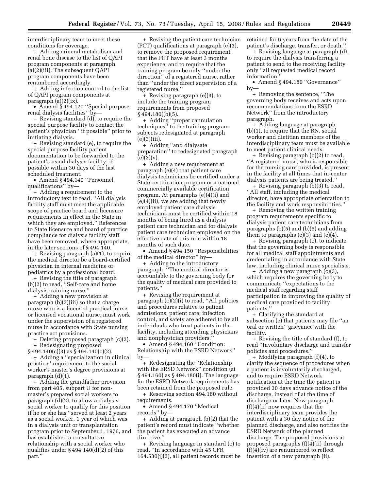interdisciplinary team to meet these conditions for coverage.

+ Adding mineral metabolism and renal bone disease to the list of QAPI program components at paragraph (a)(2)(iii). The subsequent QAPI program components have been renumbered accordingly.

+ Adding infection control to the list of QAPI program components at paragraph (a)(2)(ix).

• Amend § 494.120 ''Special purpose renal dialysis facilities'' by—

+ Revising standard (d), to require the special purpose facility to contact the patient's physician ''if possible'' prior to initiating dialysis.

+ Revising standard (e), to require the special purpose facility patient documentation to be forwarded to the patient's usual dialysis facility, if possible within 30 days of the last scheduled treatment.

• Amend § 494.140 ''Personnel qualifications'' by—

+ Adding a requirement to the introductory text to read, ''All dialysis facility staff must meet the applicable scope of practice board and licensure requirements in effect in the State in which they are employed.'' References to State licensure and board of practice compliance for dialysis facility staff have been removed, where appropriate, in the later sections of § 494.140.

+ Revising paragraph (a)(1), to require the medical director be a board-certified physician in internal medicine or pediatrics by a professional board.

+ Revising the title of paragraph (b)(2) to read, ''Self-care and home dialysis training nurse.''

+ Adding a new provision at paragraph (b)(3)(iii) so that a charge nurse who is a licensed practical nurse or licensed vocational nurse, must work under the supervision of a registered nurse in accordance with State nursing practice act provisions.

+ Deleting proposed paragraph (c)(2). + Redesignating proposed

 $\S$ 494.140(c)(3) as  $\S$ 494.140(c)(2).

+ Adding a ''specialization in clinical practice'' requirement to the social worker's master's degree provisions at paragraph (d)(1).

+ Adding the grandfather provision from part 405, subpart U for nonmaster's prepared social workers to paragraph (d)(2), to allow a dialysis social worker to qualify for this position if he or she has ''served at least 2 years as a social worker, 1 year of which was in a dialysis unit or transplantation program prior to September 1, 1976, and has established a consultative relationship with a social worker who qualifies under  $\S 494.140(d)(2)$  of this part.''

+ Revising the patient care technician (PCT) qualifications at paragraph (e)(3), to remove the proposed requirement that the PCT have at least 3 months experience, and to require that the training program be only ''under the direction'' of a registered nurse, rather than ''under the direct supervision of a registered nurse.''

+ Revising paragraph (e)(3), to include the training program requirements from proposed  $§ 494.180([b][5].$ 

+ Adding ''proper cannulation techniques'' to the training program subjects redesignated at paragraph (e)(3)(iii).

+ Adding ''and dialysate preparation'' to redesignated paragraph  $(e)(3)(v)$ .

+ Adding a new requirement at paragraph (e)(4) that patient care dialysis technicians be certified under a State certification program or a national commercially available certification program. At paragraphs (e)(4)(i) and (e)(4)(ii), we are adding that newly employed patient care dialysis technicians must be certified within 18 months of being hired as a dialysis patient care technician and for dialysis patient care technician employed on the effective date of this rule within 18 months of such date.

• Amend § 494.150 ''Responsibilities of the medical director'' by—

+ Adding to the introductory paragraph, ''The medical director is accountable to the governing body for the quality of medical care provided to patients.''

+ Revising the requirement at paragraph  $(c)(2)(i)$  to read, "All policies and procedures relative to patient admissions, patient care, infection control, and safety are adhered to by all individuals who treat patients in the facility, including attending physicians and nonphysician providers.''

• Amend § 494.160 ''Condition: Relationship with the ESRD Network'' by—

+ Redesignating the ''Relationship with the ERSD Network'' condition (at § 494.160) as § 494.180(i). The language for the ESRD Network requirements has been retained from the proposed rule.

+ Reserving section 494.160 without requirements.

• Amend § 494.170 ''Medical records'' by—

+ Adding at paragraph (b)(2) that the patient's record must indicate ''whether the patient has executed an advance directive.''

+ Revising language in standard (c) to read, ''In accordance with 45 CFR 164.530(j)(2), all patient records must be retained for 6 years from the date of the patient's discharge, transfer, or death.''

+ Revising language at paragraph (d), to require the dialysis transferring a patient to send to the receiving facility only ''all requested medical record information.''

• Amend § 494.180 ''Governance'' by—

+ Removing the sentence, ''The governing body receives and acts upon recommendations from the ESRD Network'' from the introductory paragraph.

+ Adding language at paragraph (b)(1), to require that the RN, social worker and dietitian members of the interdisciplinary team must be available to meet patient clinical needs.

+ Revising paragraph (b)(2) to read, ''A registered nurse, who is responsible for the nursing care provided, is present in the facility at all times that in-center dialysis patients are being treated.''

+ Revising paragraph (b)(3) to read, ''All staff, including the medical director, have appropriate orientation to the facility and work responsibilities.''

+ Removing the written training program requirements specific to dialysis patient care technicians from paragraphs (b)(5) and (b)(6) and adding them to paragraphs  $(e)(3)$  and  $(e)(4)$ .

+ Revising paragraph (c), to indicate that the governing body is responsible for all medical staff appointments and credentialing in accordance with State law, including clinical nurse specialists.

+ Adding a new paragraph (c)(3), which requires the governing body to communicate ''expectations to the medical staff regarding staff participation in improving the quality of medical care provided to facility patients.''

+ Clarifying the standard at subsection (e) that patients may file ''an oral or written'' grievance with the facility.

+ Revising the title of standard (f), to read ''Involuntary discharge and transfer policies and procedures.''

+ Modifying paragraph (f)(4), to clarify the sequence of procedures when a patient is involuntarily discharged, and to require ESRD Network notification at the time the patient is provided 30 days advance notice of the discharge, instead of at the time of discharge or later. New paragraph (f)(4)(ii) now requires that the interdisciplinary team provides the patient with a 30 day notice of the planned discharge, and also notifies the ESRD Network of the planned discharge. The proposed provisions at proposed paragraphs (f)(4)(ii) through (f)(4)(iv) are renumbered to reflect insertion of a new paragraph (ii).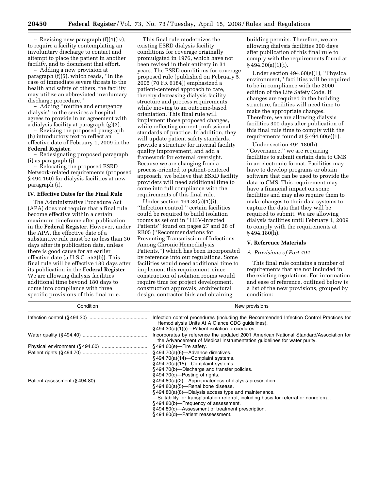+ Revising new paragraph (f)(4)(iv), to require a facility contemplating an involuntary discharge to contact and attempt to place the patient in another facility, and to document that effort.

+ Adding a new provision at paragraph (f)(5), which reads, ''In the case of immediate severe threats to the health and safety of others, the facility may utilize an abbreviated involuntary discharge procedure.''

+ Adding ''routine and emergency dialysis'' to the services a hospital agrees to provide in an agreement with a dialysis facility at paragraph (g)(3).

+ Revising the proposed paragraph (h) introductory text to reflect an effective date of February 1, 2009 in the **Federal Register**.

+ Redesignating proposed paragraph (i) as paragraph (j).

+ Relocating the proposed ESRD Network-related requirements (proposed § 494.160) for dialysis facilities at new paragraph (i).

#### **IV. Effective Dates for the Final Rule**

The Administrative Procedure Act (APA) does not require that a final rule become effective within a certain maximum timeframe after publication in the **Federal Register**. However, under the APA, the effective date of a substantive rule must be no less than 30 days after its publication date, unless there is good cause for an earlier effective date (5 U.S.C. 553(b)). This final rule will be effective 180 days after its publication in the **Federal Register**. We are allowing dialysis facilities additional time beyond 180 days to come into compliance with three specific provisions of this final rule.

This final rule modernizes the existing ESRD dialysis facility conditions for coverage originally promulgated in 1976, which have not been revised in their entirety in 31 years. The ESRD conditions for coverage proposed rule (published on February 5, 2005 (70 FR 6184)) emphasized a patient-centered approach to care, thereby decreasing dialysis facility structure and process requirements while moving to an outcome-based orientation. This final rule will implement those proposed changes, while reflecting current professional standards of practice. In addition, they will update patient safety standards, provide a structure for internal facility quality improvement, and add a framework for external oversight. Because we are changing from a process-oriented to patient-centered approach, we believe that ESRD facility providers will need additional time to come into full compliance with the requirements of this final rule.

Under section 494.30(a)(1)(i), ''Infection control,'' certain facilities could be required to build isolation rooms as set out in ''HBV-Infected Patients'' found on pages 27 and 28 of RR05 (''Recommendations for Preventing Transmission of Infections Among Chronic Hemodialysis Patients,'') which has been incorporated by reference into our regulations. Some facilities would need additional time to implement this requirement, since construction of isolation rooms would require time for project development, construction approvals, architectural design, contractor bids and obtaining

building permits. Therefore, we are allowing dialysis facilities 300 days after publication of this final rule to comply with the requirements found at § 494.30(a)(1)(i).

Under section 494.60(e)(1), ''Physical environment,'' facilities will be required to be in compliance with the 2000 edition of the Life Safety Code. If changes are required in the building structure, facilities will need time to make the appropriate changes. Therefore, we are allowing dialysis facilities 300 days after publication of this final rule time to comply with the requirements found at § 494.60(e)(1).

Under section 494.180(h), ''Governance,'' we are requiring facilities to submit certain data to CMS in an electronic format. Facilities may have to develop programs or obtain software that can be used to provide the data to CMS. This requirement may have a financial impact on some facilities and may also require them to make changes to their data systems to capture the data that they will be required to submit. We are allowing dialysis facilities until February 1, 2009 to comply with the requirements at  $§$  494.180(h).

#### **V. Reference Materials**

#### *A. Provisions of Part 494*

This final rule contains a number of requirements that are not included in the existing regulations. For information and ease of reference, outlined below is a list of the new provisions, grouped by condition:

| Condition | New provisions                                                                                                                                                                                                                                                                                                                                                                   |
|-----------|----------------------------------------------------------------------------------------------------------------------------------------------------------------------------------------------------------------------------------------------------------------------------------------------------------------------------------------------------------------------------------|
|           | Infection control procedures (including the Recommended Infection Control Practices for<br>Hemodialysis Units At A Glance CDC quidelines).                                                                                                                                                                                                                                       |
|           | §494.30(a)(1)(i)—Patient isolation procedures.<br>Incorporates by reference the updated 2001 American National Standard/Association for<br>the Advancement of Medical Instrumentation quidelines for water purity.                                                                                                                                                               |
|           | $$494.60(e)$ -Fire safety.                                                                                                                                                                                                                                                                                                                                                       |
|           | $§$ 494.70(a)(6)—Advance directives.<br>§494.70(a)(14)-Complaint systems.<br>$§$ 494.70(a)(15)—Complaint systems.<br>§494.70(b)-Discharge and transfer policies.<br>$§$ 494.70(c)—Posting of rights.                                                                                                                                                                             |
|           | §494.80(a)(2)-Appropriateness of dialysis prescription.<br>$§$ 494.80(a)(5)-Renal bone disease.<br>§494.80(a)(8)—Dialysis access type and maintenance.<br>-Suitability for transplantation referral, including basis for referral or nonreferral.<br>§494.80(b)-Frequency of assessment.<br>§494.80(c)-Assessment of treatment prescription.<br>§494.80(d)-Patient reassessment. |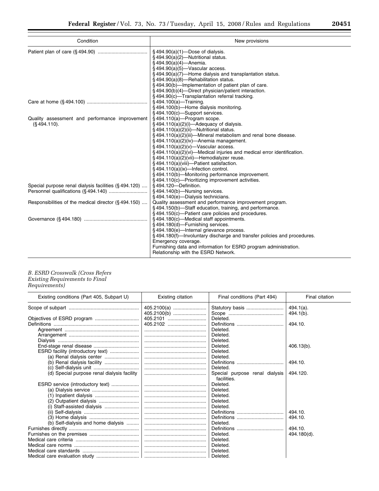| ິ                                                                                |  |  |
|----------------------------------------------------------------------------------|--|--|
| ,我们也不会有什么?""我们的人,我们也不会有什么?""我们的人,我们也不会有什么?""我们的人,我们也不会有什么?""我们的人,我们也不会有什么?""我们的人 |  |  |
|                                                                                  |  |  |
|                                                                                  |  |  |
|                                                                                  |  |  |

| Condition                                                         | New provisions                                                                                                                                                                                                                                                                                                                                                                                                                                                                                                                                                                                      |
|-------------------------------------------------------------------|-----------------------------------------------------------------------------------------------------------------------------------------------------------------------------------------------------------------------------------------------------------------------------------------------------------------------------------------------------------------------------------------------------------------------------------------------------------------------------------------------------------------------------------------------------------------------------------------------------|
|                                                                   | $\S$ 494.90(a)(1)—Dose of dialysis.<br>§494.90(a)(2)-Nutritional status.<br>$$494.90(a)(4)$ -Anemia.<br>$\S$ 494.90(a)(5)-Vascular access.<br>§494.90(a)(7)—Home dialysis and transplantation status.<br>§494.90(a)(8)-Rehabilitation status.<br>§494.90(b)—Implementation of patient plan of care.<br>§ 494.90(b)(4)-Direct physician/patient interaction.<br>§494.90(c)-Transplantation referral tracking.                                                                                                                                                                                        |
|                                                                   | §494.100(a)-Training.<br>§494.100(b)-Home dialysis monitoring.<br>§494.100(c)-Support services.                                                                                                                                                                                                                                                                                                                                                                                                                                                                                                     |
| Quality assessment and performance improvement<br>$(S.494.110)$ . | $§$ 494.110(a)-Program scope.<br>$\S$ 494.110(a)(2)(i)—Adequacy of dialysis.<br>$\S$ 494.110(a)(2)(ii)—Nutritional status.<br>§494.110(a)(2)(iii)—Mineral metabolism and renal bone disease.<br>$\S$ 494.110(a)(2)(iv)—Anemia management.<br>$\S$ 494.110(a)(2)(v)—Vascular access.<br>$\S$ 494.110(a)(2)(vi)—Medical injuries and medical error identification.<br>§494.110(a)(2)(vii)-Hemodialyzer reuse.<br>§494.110(a)(viii)-Patient satisfaction.<br>§494.110(a)(ix)-Infection control.<br>§494.110(b)—Monitoring performance improvement.<br>§494.110(c)-Prioritizing improvement activities. |
| Special purpose renal dialysis facilities (§494.120)              | §494.120-Definition.<br>§494.140(b)-Nursing services.<br>§494.140(e)-Dialysis technicians.                                                                                                                                                                                                                                                                                                                                                                                                                                                                                                          |
| Responsibilities of the medical director (§494.150)               | Quality assessment and performance improvement program.<br>§494.150(b)-Staff education, training, and performance.<br>§494.150(c)—Patient care policies and procedures.                                                                                                                                                                                                                                                                                                                                                                                                                             |
|                                                                   | §494.180(c)-Medical staff appointments.<br>§494.180(d)-Furnishing services.<br>§494.180(e)-Internal grievance process.<br>§494.180(f)—Involuntary discharge and transfer policies and procedures.<br>Emergency coverage.<br>Furnishing data and information for ESRD program administration.<br>Relationship with the ESRD Network.                                                                                                                                                                                                                                                                 |

# *B. ESRD Crosswalk (Cross Refers Existing Requirements to Final Requirements)*

| Existing conditions (Part 405, Subpart U)   | Existing citation          | Final conditions (Part 494)                   | Final citation               |
|---------------------------------------------|----------------------------|-----------------------------------------------|------------------------------|
|                                             | 405.2100(a)<br>405.2100(b) | Statutory basis                               | $494.1(a)$ .<br>$494.1(b)$ . |
|                                             | 405.2101                   | Deleted.                                      |                              |
|                                             | 405.2102                   |                                               | 494.10.                      |
|                                             |                            | Deleted.                                      |                              |
|                                             |                            | Deleted.                                      |                              |
|                                             |                            | Deleted.                                      |                              |
|                                             |                            | Deleted.                                      | $406.13(b)$ .                |
| ESRD facility (introductory text)           |                            | Deleted.                                      |                              |
|                                             |                            | Deleted.                                      |                              |
| (b) Renal dialysis facility                 |                            | Definitions                                   | 494.10.                      |
|                                             |                            | Deleted.                                      |                              |
| (d) Special purpose renal dialysis facility |                            | Special purpose renal dialysis<br>facilities. | 494.120.                     |
| ESRD service (introductory text)            |                            | Deleted.                                      |                              |
|                                             |                            | Deleted.                                      |                              |
|                                             |                            | Deleted.                                      |                              |
|                                             |                            | Deleted.                                      |                              |
| (i) Staff-assisted dialysis                 |                            | Deleted.                                      |                              |
|                                             |                            |                                               | 494.10.                      |
|                                             |                            |                                               | 494.10.                      |
| (b) Self-dialysis and home dialysis         |                            | Deleted.                                      |                              |
|                                             |                            |                                               | 494.10.                      |
|                                             |                            | Deleted.                                      | 494.180(d).                  |
|                                             |                            | Deleted.                                      |                              |
|                                             |                            | Deleted.                                      |                              |
|                                             |                            | Deleted.                                      |                              |
|                                             |                            | Deleted.                                      |                              |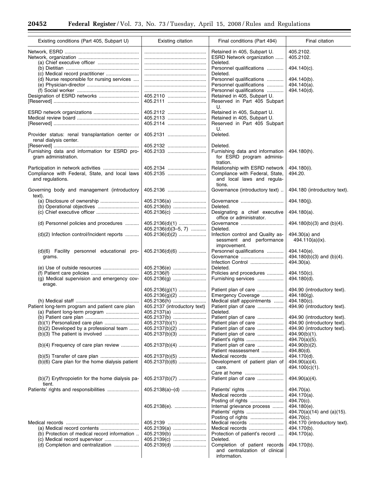▀

| Existing conditions (Part 405, Subpart U)        | Existing citation            | Final conditions (Part 494)                          | Final citation                  |
|--------------------------------------------------|------------------------------|------------------------------------------------------|---------------------------------|
|                                                  |                              | Retained in 405, Subpart U.                          | 405.2102.                       |
|                                                  |                              | ESRD Network organization                            | 405.2102.                       |
|                                                  |                              | Deleted.                                             |                                 |
|                                                  |                              | Personnel qualifications                             | 494.140(c).                     |
|                                                  |                              | Deleted.                                             |                                 |
|                                                  |                              |                                                      |                                 |
| (d) Nurse responsible for nursing services       |                              | Personnel qualifications<br>Personnel qualifications | 494.140(b).<br>494.140(a).      |
|                                                  |                              | Personnel qualifications                             | 494.140(d).                     |
| Designation of ESRD networks                     | 405.2110                     | Retained in 405, Subpart U.                          |                                 |
|                                                  | 405.2111                     | Reserved in Part 405 Subpart                         |                                 |
|                                                  |                              | U.                                                   |                                 |
|                                                  | 405.2112                     | Retained in 405, Subpart U.                          |                                 |
|                                                  | 405.2113                     | Retained in 405, Subpart U.                          |                                 |
|                                                  | 405.2114                     | Reserved in Part 405 Subpart                         |                                 |
|                                                  |                              | U.                                                   |                                 |
| Provider status: renal transplantation center or | 405.2131                     | Deleted.                                             |                                 |
| renal dialysis center.                           |                              |                                                      |                                 |
|                                                  | 405.2132                     | Deleted.                                             |                                 |
| Furnishing data and information for ESRD pro-    | 405.2133                     | Furnishing data and information                      | 494.180(h).                     |
| gram administration.                             |                              | for ESRD program adminis-                            |                                 |
|                                                  |                              | tration.                                             |                                 |
|                                                  | 405.2134                     | Relationship with ESRD network                       | 494.180(i).                     |
| Compliance with Federal, State, and local laws   | 405.2135                     | Compliance with Federal, State,                      | 494.20.                         |
| and regulations.                                 |                              | and local laws and regula-                           |                                 |
|                                                  |                              | tions.                                               |                                 |
| Governing body and management (introductory      | 405.2136                     | Governance (introductory text)                       | 494.180 (introductory text).    |
| text).                                           |                              |                                                      |                                 |
|                                                  | 405.2136(a)                  |                                                      | 494.180(j).                     |
|                                                  | 405.2136(b)                  | Deleted.                                             |                                 |
|                                                  | 405.2136(c)                  | Designating a chief executive                        | 494.180(a).                     |
|                                                  |                              | office or administrator.                             |                                 |
| (d) Personnel policies and procedures            | 405.2136(d)(1)               |                                                      | $494.180(b)(3)$ and (b)(4).     |
|                                                  | 405.2136(d) $(3-5, 7)$       | Deleted.                                             |                                 |
| (d)(2) Infection control/Incident reports        | 405.2136(d)(2)               | Infection control and Quality as-                    | $494.30(a)$ and                 |
|                                                  |                              | sessment and performance<br>improvement.             | 494.110(a)(ix).                 |
| (d)(6) Facility personnel educational pro-       |                              | Personnel qualifications                             | 494.140(e).                     |
| grams.                                           |                              | Governance                                           | 494.180(b)(3) and (b)(4).       |
|                                                  |                              | Infection Control                                    | $494.30(a)$ .                   |
|                                                  | 405.2136(e)                  | Deleted.                                             |                                 |
|                                                  | 405.2136(f)                  | Policies and procedures                              | $494.150(c)$ .                  |
| (g) Medical supervision and emergency cov-       |                              | Furnishing services                                  | 494.180(d).                     |
| erage.                                           |                              |                                                      |                                 |
|                                                  | $405.2136(g)(1)$             | Patient plan of care                                 | 494.90 (introductory text).     |
|                                                  | $405.2136(g)(2)$             | Emergency Coverage                                   | $494.180(q)$ .                  |
|                                                  | 405.2136(h)                  | Medical staff appointments                           | $494.180(c)$ .                  |
| Patient long-term program and patient care plan  | 405.2137 (introductory text) | Patient plan of care                                 | 494.90 (introductory text).     |
| (a) Patient long-term program                    | 405.2137(a)                  | Deleted.                                             |                                 |
|                                                  | 405.2137(b)                  | Patient plan of care                                 | 494.90 (introductory text).     |
|                                                  | $405.2137(b)(1)$             | Patient plan of care                                 | 494.90 (introductory text).     |
| $(b)(2)$ Developed by a professional team        | $405.2137(b)(2)$             | Patient plan of care                                 | 494.90 (introductory text).     |
|                                                  | $405.2137(b)(3)$             | Patient plan of care                                 | $494.90(b)(1)$ .                |
| (b)(4) Frequency of care plan review             | $405.2137(b)(4)$             | Patient plan of care                                 | 494.70(a)(5).<br>494.90(b)(2).  |
|                                                  |                              |                                                      |                                 |
| (b)(5) Transfer of care plan                     | $405.2137(b)(5)$             | Patient reassessment<br>Medical records              | 494.80(d).<br>494.170(d).       |
| (b)(6) Care plan for the home dialysis patient   | $405.2137(b)(6)$             | Development of patient plan of                       | 494.90(a)(4).                   |
|                                                  |                              | care.                                                | 494.100(c)(1).                  |
|                                                  |                              |                                                      |                                 |
| (b)(7) Erythropoietin for the home dialysis pa-  | $405.2137(b)(7)$             | Patient plan of care                                 | $494.90(a)(4)$ .                |
| tient.                                           |                              |                                                      |                                 |
| Patients' rights and responsibilities            | $405.2138(a)$ - (d)          |                                                      | 494.70(a).                      |
|                                                  |                              | Medical records                                      | 494.170(a).                     |
|                                                  |                              |                                                      | 494.70(c).                      |
|                                                  | 405.2138(e).                 | Internal grievance process                           | 494.180(e).                     |
|                                                  |                              | Patients' rights                                     | $494.70(a)(14)$ and $(a)(15)$ . |
|                                                  |                              |                                                      | 494.70(c).                      |
|                                                  | 405.2139                     | Medical records                                      | 494.170 (introductory text).    |
|                                                  | 405.2139(a)                  | Medical records                                      | 494.170(b).                     |
| (b) Protection of medical record information     | 405.2139(b)                  | Protection of patient's record                       | 494.170(a).                     |
|                                                  | 405.2139(c)                  | Deleted.                                             |                                 |
| (d) Completion and centralization                | 405.2139(d)                  | Completion of patient records                        | 494.170(b).                     |
|                                                  |                              | and centralization of clinical                       |                                 |
|                                                  |                              | information.                                         |                                 |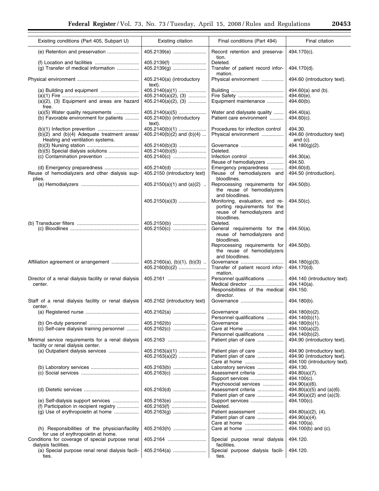2

| Existing conditions (Part 405, Subpart U)                                   | Existing citation                                     | Final conditions (Part 494)                                                                   | Final citation                                              |
|-----------------------------------------------------------------------------|-------------------------------------------------------|-----------------------------------------------------------------------------------------------|-------------------------------------------------------------|
|                                                                             | 405.2139(e)                                           | Record retention and preserva-<br>tion.                                                       | 494.170(c).                                                 |
| (g) Transfer of medical information                                         | 405.2139(f)                                           | Deleted.<br>Transfer of patient record infor-<br>mation.                                      | 494.170(d).                                                 |
|                                                                             | 405.2140(a) (introductory<br>text).                   | Physical environment                                                                          | 494.60 (introductory text).                                 |
|                                                                             | 405.2140(a)(1)                                        |                                                                                               | $494.60(a)$ and (b).                                        |
|                                                                             | $405.2140(a)(2), (3)$                                 |                                                                                               | 494.60(e).                                                  |
| (a)(2), (3) Equipment and areas are hazard<br>free.                         | $405.2140(a)(2), (3)$                                 | Equipment maintenance                                                                         | 494.60(b).                                                  |
| (a)(5) Water quality requirements<br>(b) Favorable environment for patients | 405.2140(a)(5)<br>405.2140(b) (introductory<br>text). | Water and dialysate quality<br>Patient care environment                                       | 494.40(a).<br>$494.60(c)$ .                                 |
| $(b)(2)$ and $(b)(4)$ Adequate treatment areas/                             | 405.2140(b)(1)<br>405.2140(b)(2) and (b)(4)           | Procedures for infection control<br>Physical environment                                      | 494.30.<br>494.60 (introductory text)                       |
| Heating and ventilation systems.                                            |                                                       |                                                                                               | and $(c)$ .                                                 |
|                                                                             | $405.2140(b)(3)$                                      | Governance<br>Deleted.                                                                        | 494.180(g)(2).                                              |
| (b)(5) Special dialysis solutions                                           | $405.2140(b)(5)$<br>405.2140(c)                       | Infection control<br>Reuse of hemodialyzers                                                   | $494.30(a)$ .<br>494.50.                                    |
| (d) Emergency preparedness                                                  |                                                       |                                                                                               |                                                             |
| Reuse of hemodialyzers and other dialysis sup-<br>plies.                    | 405.2140(d)<br>405.2150 (introductory text)           | Emergency preparedness<br>Reuse of hemodialyzers and<br>bloodlines.                           | $494.60(d)$ .<br>494.50 (introduction).                     |
|                                                                             | $405.2150(a)(1)$ and $(a)(2)$                         | Reprocessing requirements for<br>the reuse of hemodialyzers                                   | 494.50(b).                                                  |
|                                                                             | $405.2150(a)(3)$                                      | and bloodlines.<br>Monitoring, evaluation, and re-                                            | $494.50(c)$ .                                               |
|                                                                             |                                                       | porting requirements for the<br>reuse of hemodialyzers and<br>bloodlines.                     |                                                             |
|                                                                             | 405.2150(b)<br>405.2150(c)                            | Deleted.<br>General requirements for the<br>reuse of hemodialyzers and                        | $494.50(a)$ .                                               |
|                                                                             |                                                       | bloodlines.<br>Reprocessing requirements for<br>the reuse of hemodialyzers<br>and bloodlines. | 494.50(b).                                                  |
| Affiliation agreement or arrangement                                        | $405.2160(a)$ , (b)(1), (b)(3)                        | Transfer of patient record infor-                                                             | $494.180(q)(3)$ .<br>494.170(d).                            |
|                                                                             |                                                       | mation.                                                                                       |                                                             |
| Director of a renal dialysis facility or renal dialysis<br>center.          | 405.2161                                              | Personnel qualifications<br>Responsibilities of the medical                                   | 494.140 (introductory text).<br>494.140(a).<br>494.150.     |
|                                                                             |                                                       | director.                                                                                     |                                                             |
| Staff of a renal dialysis facility or renal dialysis<br>center.             | 405.2162 (introductory text)                          | Governance                                                                                    | 494.180(b).                                                 |
|                                                                             | 405.2162(a)                                           | Governance                                                                                    | 494.180(b)(2).                                              |
|                                                                             |                                                       | Personnel qualifications                                                                      | 494.140(b)(1).                                              |
|                                                                             | 405.2162(b)                                           |                                                                                               | 494.180(b)(1).                                              |
| (c) Self-care dialysis training personnel                                   | 405.2162(c)                                           |                                                                                               | 494.100(a)(2).                                              |
| Minimal service requirements for a renal dialysis                           | 405.2163                                              | Personnel qualifications<br>Patient plan of care                                              | 494.140(b)(2).<br>494.90 (introductory text).               |
| facility or renal dialysis center.<br>(a) Outpatient dialysis services      | 405.2163(a)(1)                                        | Patient plan of care                                                                          | 494.90 (introductory text).                                 |
|                                                                             | $405.2163(a)(2)$                                      | Patient plan of care                                                                          | 494.90 (introductory text).<br>494.100 (introductory text). |
|                                                                             | 405.2163(b)                                           | Laboratory services                                                                           | 494.130.                                                    |
|                                                                             | 405.2163(c)                                           | Assessment criteria                                                                           | 494.80(a)(7).                                               |
|                                                                             |                                                       | Support services                                                                              | $494.100(c)$ .                                              |
|                                                                             |                                                       | Psychosocial services                                                                         | $494.90(a)(6)$ .                                            |
|                                                                             | 405.2163(d)                                           | Assessment criteria                                                                           | $494.80(a)(5)$ and $(a)(6)$ .                               |
|                                                                             |                                                       | Patient plan of care                                                                          | $494.90(a)(2)$ and $(a)(3)$ .                               |
| (e) Self-dialysis support services                                          | 405.2163(e)                                           | Support services                                                                              | 494.100(c).                                                 |
| (f) Participation in recipient registry                                     | 405.2163(f)                                           | Deleted.                                                                                      |                                                             |
| (g) Use of erythropoietin at home                                           |                                                       | Patient assessment                                                                            | $494.80(a)(2)$ , (4).                                       |
|                                                                             |                                                       | Patient plan of care                                                                          | $494.90(a)(4)$ .<br>494.100(a).                             |
| (h) Responsibilities of the physician/facility                              | 405.2163(h)                                           |                                                                                               | 494.100(b) and (c).                                         |
| for use of erythropoietin at home.                                          |                                                       |                                                                                               |                                                             |
| Conditions for coverage of special purpose renal<br>dialysis facilities.    | 405.2164                                              | Special purpose renal dialysis<br>facilities.                                                 | 494.120.                                                    |
| (a) Special purpose renal renal dialysis facili-<br>ties.                   | 405.2164(a)                                           | Special purpose dialysis facili-<br>ties.                                                     | 494.120.                                                    |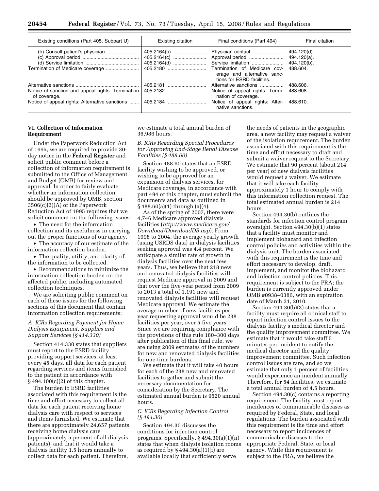| Existing conditions (Part 405, Subpart U)                           | Existing citation | Final conditions (Part 494)                               | Final citation |
|---------------------------------------------------------------------|-------------------|-----------------------------------------------------------|----------------|
|                                                                     | $405.2164(b)$     |                                                           | 494.120(d).    |
|                                                                     |                   |                                                           | 494.120(a).    |
|                                                                     |                   |                                                           | 494.120(b).    |
|                                                                     | 405.2180          | Termination of Medicare cov-                              | 488.604.       |
|                                                                     |                   | erage and alternative sanc-<br>tions for ESRD facilities. |                |
|                                                                     | 405.2181          |                                                           | 488.606.       |
| Notice of sanction and appeal rights: Termination  <br>of coverage. | 405.2182          | Notice of appeal rights: Termi-<br>nation of coverage.    | 488.608.       |
| Notice of appeal rights: Alternative sanctions    405.2184          |                   | Notice of appeal rights: Alter-<br>native sanctions.      | 488.610.       |

# **VI. Collection of Information Requirement**

Under the Paperwork Reduction Act of 1995, we are required to provide 30 day notice in the **Federal Register** and solicit public comment before a collection of information requirement is submitted to the Office of Management and Budget (OMB) for review and approval. In order to fairly evaluate whether an information collection should be approved by OMB, section 3506(c)(2)(A) of the Paperwork Reduction Act of 1995 requires that we solicit comment on the following issues:

• The need for the information collection and its usefulness in carrying out the proper functions of our agency.

• The accuracy of our estimate of the information collection burden.

• The quality, utility, and clarity of the information to be collected.

• Recommendations to minimize the information collection burden on the affected public, including automated collection techniques.

We are soliciting public comment on each of these issues for the following sections of this document that contain information collection requirements:

# *A. ICRs Regarding Payment for Home Dialysis Equipment, Supplies and Support Services (§ 414.330)*

Section 414.330 states that suppliers must report to the ESRD facility providing support services, at least every 45 days, all data for each patient regarding services and items furnished to the patient in accordance with § 494.100(c)(2) of this chapter.

The burden to ESRD facilities associated with this requirement is the time and effort necessary to collect all data for each patient receiving home dialysis care with respect to services and items furnished. We estimate that there are approximately 24,657 patients receiving home dialysis care (approximately 5 percent of all dialysis patients), and that it would take a dialysis facility 1.5 hours annually to collect data for each patient. Therefore,

we estimate a total annual burden of 36,986 hours.

# *B. ICRs Regarding Special Procedures for Approving End-Stage Renal Disease Facilities (§ 488.60)*

Section 488.60 states that an ESRD facility wishing to be approved, or wishing to be approved for an expansion of dialysis services, for Medicare coverage, in accordance with part 494 of this chapter, must submit the documents and data as outlined in  $§ 488.60(a)(1)$  through  $(a)(4)$ .

As of the spring of 2007, there were 4,746 Medicare approved dialysis facilities (*http://www.medicare.gov/ [Download/DownloadDB.asp](http://www.medicare.gov/Download/DownloadDB.asp)*). From 1998 to 2004, the average yearly growth (using USRDS data) in dialysis facilities seeking approval was 4.4 percent. We anticipate a similar rate of growth in dialysis facilities over the next few years. Thus, we believe that 218 new and renovated dialysis facilities will request Medicare approval in 2009 and that over the five-year period from 2009 to 2013 a total of 1,191 new and renovated dialysis facilities will request Medicare approval. We estimate the average number of new facilities per year requesting approval would be 238 facilities per year, over 5 five years. Since we are requiring compliance with the provisions of this rule 180–300 days after publication of this final rule, we are using 2009 estimates of the numbers for new and renovated dialysis facilities for one-time burdens.

We estimate that it will take 40 hours for each of the 238 new and renovated facilities to gather and submit the necessary documentation for consideration by the Secretary. The estimated annual burden is 9520 annual hours.

# *C. ICRs Regarding Infection Control (§ 494.30)*

Section 494.30 discusses the conditions for infection control programs. Specifically, § 494.30(a)(1)(ii) states that when dialysis isolation rooms as required by  $\S 494.30(a)(1)(i)$  are available locally that sufficiently serve

the needs of patients in the geographic area, a new facility may request a waiver of the isolation requirement. The burden associated with this requirement is the time and effort necessary to draft and submit a waiver request to the Secretary. We estimate that 90 percent (about 214 per year) of new dialysis facilities would request a waiver. We estimate that it will take each facility approximately 1 hour to comply with this information collection request. The total estimated annual burden is 214 hours.

Section 494.30(b) outlines the standards for infection control program oversight. Section 494.30(b)(1) states that a facility must monitor and implement biohazard and infection control policies and activities within the dialysis unit. The burden associated with this requirement is the time and effort necessary to develop, draft, implement, and monitor the biohazard and infection control policies. This requirement is subject to the PRA; the burden is currently approved under OMB #0938–0386, with an expiration date of March 31, 2010.

Section 494.30(b)(3) states that a facility must require all clinical staff to report infection control issues to the dialysis facility's medical director and the quality improvement committee. We estimate that it would take staff 5 minutes per incident to notify the medical director and the quality improvement committee. Such infection control issues are rare, and so we estimate that only 1 percent of facilities would experience an incident annually. Therefore, for 54 facilities, we estimate a total annual burden of 4.5 hours.

Section 494.30(c) contains a reporting requirement. The facility must report incidences of communicable diseases as required by Federal, State, and local regulations. The burden associated with this requirement is the time and effort necessary to report incidences of communicable diseases to the appropriate Federal, State, or local agency. While this requirement is subject to the PRA, we believe the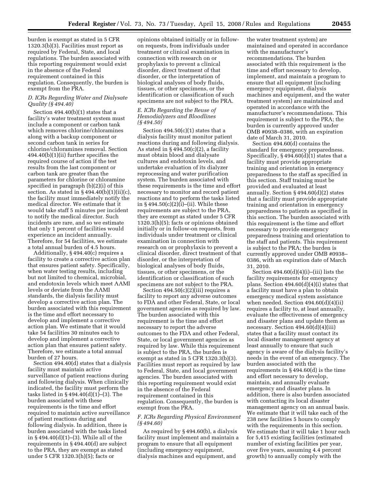burden is exempt as stated in 5 CFR 1320.3(b)(3). Facilities must report as required by Federal, State, and local regulations. The burden associated with this reporting requirement would exist in the absence of the Federal requirement contained in this regulation. Consequently, the burden is exempt from the PRA.

# *D. ICRs Regarding Water and Dialysate Quality (§ 494.40)*

Section 494.40(b)(1) states that a facility's water treatment system must include a component or carbon tank which removes chlorine/chloramines along with a backup component or second carbon tank in series for chlorine/chloramines removal. Section 494.40(b)(1)(ii) further specifies the required course of action if the test results from the last component or carbon tank are greater than the parameters for chlorine or chloramine specified in paragraph (b)(2)(i) of this section. As stated in § 494.40(b)(1)(ii)(c), the facility must immediately notify the medical director. We estimate that it would take staff 5 minutes per incident to notify the medical director. Such incidents are rare, and so we estimate that only 1 percent of facilities would experience an incident annually. Therefore, for 54 facilities, we estimate a total annual burden of 4.5 hours.

Additionally, § 494.40(c) requires a facility to create a corrective action plan that ensures patient safety. Specifically, when water testing results, including but not limited to chemical, microbial, and endotoxin levels which meet AAMI levels or deviate from the AAMI standards, the dialysis facility must develop a corrective action plan. The burden associated with this requirement is the time and effort necessary to develop and implement a corrective action plan. We estimate that it would take 54 facilities 30 minutes each to develop and implement a corrective action plan that ensures patient safety. Therefore, we estimate a total annual burden of 27 hours.

Section 494.40(d) states that a dialysis facility must maintain active surveillance of patient reactions during and following dialysis. When clinically indicated, the facility must perform the tasks listed in § 494.40(d)(1)–(3). The burden associated with these requirements is the time and effort required to maintain active surveillance of patient reactions during and following dialysis. In addition, there is burden associated with the tasks listed in § 494.40(d)(1)–(3). While all of the requirements in § 494.40(d) are subject to the PRA, they are exempt as stated under 5 CFR 1320.3(h)(5); facts or

opinions obtained initially or in followon requests, from individuals under treatment or clinical examination in connection with research on or prophylaxis to prevent a clinical disorder, direct treatment of that disorder, or the interpretation of biological analyses of body fluids, tissues, or other specimens, or the identification or classification of such specimens are not subject to the PRA.

# *E. ICRs Regarding the Reuse of Hemodialyzers and Bloodlines (§ 494.50)*

Section  $494.50(c)(1)$  states that a dialysis facility must monitor patient reactions during and following dialysis. As stated in  $\S$  494.50(c)(2), a facility must obtain blood and dialysate cultures and endotoxin levels, and undertake evaluation of its dialyzer reprocessing and water purification system. The burden associated with these requirements is the time and effort necessary to monitor and record patient reactions and to perform the tasks listed in  $§ 494.50(c)(2)(i)–(ii)$ . While these requirements are subject to the PRA, they are exempt as stated under 5 CFR 1320.3(h)(5); facts or opinions obtained initially or in follow-on requests, from individuals under treatment or clinical examination in connection with research on or prophylaxis to prevent a clinical disorder, direct treatment of that disorder, or the interpretation of biological analyses of body fluids, tissues, or other specimens, or the identification or classification of such specimens are not subject to the PRA.

Section  $494.50(c)(2)(iii)$  requires a facility to report any adverse outcomes to FDA and other Federal, State, or local government agencies as required by law. The burden associated with this requirement is the time and effort necessary to report the adverse outcomes to the FDA and other Federal, State, or local government agencies as required by law. While this requirement is subject to the PRA, the burden is exempt as stated in 5 CFR 1320.3(b)(3). Facilities must report as required by law to Federal, State, and local government agencies. The burden associated with this reporting requirement would exist in the absence of the Federal requirement contained in this regulation. Consequently, the burden is exempt from the PRA.

# *F. ICRs Regarding Physical Environment (§ 494.60)*

As required by § 494.60(b), a dialysis facility must implement and maintain a program to ensure that all equipment (including emergency equipment, dialysis machines and equipment, and

the water treatment system) are maintained and operated in accordance with the manufacturer's recommendations. The burden associated with this requirement is the time and effort necessary to develop, implement, and maintain a program to ensure that all equipment (including emergency equipment, dialysis machines and equipment, and the water treatment system) are maintained and operated in accordance with the manufacturer's recommendations. This requirement is subject to the PRA; the burden is currently approved under OMB #0938–0386, with an expiration date of March 31, 2010.

Section 494.60(d) contains the standard for emergency preparedness. Specifically, § 494.60(d)(1) states that a facility must provide appropriate training and orientation in emergency preparedness to the staff as specified in this section. Staff training must be provided and evaluated at least annually. Section § 494.60(d)(2) states that a facility must provide appropriate training and orientation in emergency preparedness to patients as specified in this section. The burden associated with this requirement is the time and effort necessary to provide emergency preparedness training and orientation to the staff and patients. This requirement is subject to the PRA; the burden is currently approved under OMB #0938– 0386, with an expiration date of March 31, 2010.

Section  $494.60(d)(4)(i)$ –(iii) lists the facility requirements for emergency plans. Section 494.60(d)(4)(i) states that a facility must have a plan to obtain emergency medical system assistance when needed. Section 494.60(d)(4)(ii) requires a facility to, at least annually, evaluate the effectiveness of emergency and disaster plans and update them as necessary. Section  $494.60(d)(4)(iii)$ states that a facility must contact its local disaster management agency at least annually to ensure that such agency is aware of the dialysis facility's needs in the event of an emergency. The burden associated with the requirements in § 494.60(d) is the time and effort necessary to develop, maintain, and annually evaluate emergency and disaster plans. In addition, there is also burden associated with contacting its local disaster management agency on an annual basis. We estimate that it will take each of the 238 new facilities 5 hours to comply with the requirements in this section. We estimate that it will take 1 hour each for 5,415 existing facilities (estimated number of existing facilities per year, over five years, assuming 4.4 percent growth) to annually comply with the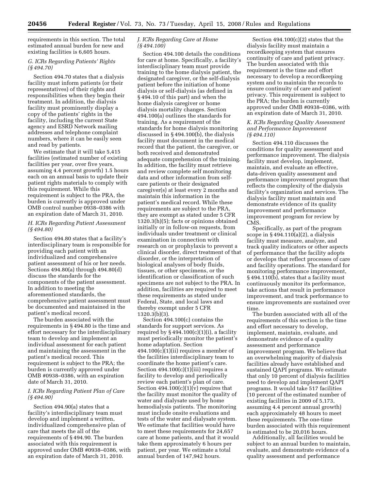requirements in this section. The total estimated annual burden for new and existing facilities is 6,605 hours.

### *G. ICRs Regarding Patients' Rights (§ 494.70)*

Section 494.70 states that a dialysis facility must inform patients (or their representatives) of their rights and responsibilities when they begin their treatment. In addition, the dialysis facility must prominently display a copy of the patients' rights in the facility, including the current State agency and ESRD Network mailing addresses and telephone complaint numbers, where it can be easily seen and read by patients.

We estimate that it will take 5,415 facilities (estimated number of existing facilities per year, over five years, assuming 4.4 percent growth) 1.5 hours each on an annual basis to update their patient rights materials to comply with this requirement. While this requirement is subject to the PRA, the burden is currently is approved under OMB control number 0938–0386 with an expiration date of March 31, 2010.

### *H. ICRs Regarding Patient Assessment (§ 494.80)*

Section 494.80 states that a facility's interdisciplinary team is responsible for providing each patient with an individualized and comprehensive patient assessment of his or her needs. Sections 494.80(a) through 494.80(d) discuss the standards for the components of the patient assessment. In addition to meeting the aforementioned standards, the comprehensive patient assessment must be documented and maintained in the patient's medical record.

The burden associated with the requirements in § 494.80 is the time and effort necessary for the interdisciplinary team to develop and implement an individual assessment for each patient and maintaining the assessment in the patient's medical record. This requirement is subject to the PRA; the burden is currently approved under OMB #0938–0386, with an expiration date of March 31, 2010.

# *I. ICRs Regarding Patient Plan of Care (§ 494.90)*

Section 494.90(a) states that a facility's interdisciplinary team must develop and implement a written, individualized comprehensive plan of care that meets the all of the requirements of § 494.90. The burden associated with this requirement is approved under OMB #0938–0386, with an expiration date of March 31, 2010.

# *J. ICRs Regarding Care at Home (§ 494.100)*

Section 494.100 details the conditions for care at home. Specifically, a facility's interdisciplinary team must provide training to the home dialysis patient, the designated caregiver, or the self-dialysis patient before the initiation of home dialysis or self-dialysis (as defined in § 494.10 of this part) and when the home dialysis caregiver or home dialysis mortality changes. Section 494.100(a) outlines the standards for training. As a requirement of the standards for home dialysis monitoring discussed in § 494.100(b), the dialysis facility must document in the medical record that the patient, the caregiver, or both received and demonstrated adequate comprehension of the training. In addition, the facility must retrieve and review complete self monitoring data and other information from selfcare patients or their designated caregiver(s) at least every 2 months and maintain this information in the patient's medical record. While these requirements are subject to the PRA, they are exempt as stated under 5 CFR 1320.3(h)(5); facts or opinions obtained initially or in follow-on requests, from individuals under treatment or clinical examination in connection with research on or prophylaxis to prevent a clinical disorder, direct treatment of that disorder, or the interpretation of biological analyses of body fluids, tissues, or other specimens, or the identification or classification of such specimens are not subject to the PRA. In addition, facilities are required to meet these requirements as stated under Federal, State, and local laws and thereby exempt under 5 CFR 1320.3(b)(3).

Section 494.100(c) contains the standards for support services. As required by  $\S 494.100(c)(1)(i)$ , a facility must periodically monitor the patient's home adaptation. Section  $494.100(c)(1)(ii)$  requires a member of the facilities interdisciplinary team to coordinate the home patient's care. Section  $494.100(c)(1)(iii)$  requires a facility to develop and periodically review each patient's plan of care. Section  $494.100(c)(1)(v)$  requires that the facility must monitor the quality of water and dialysate used by home hemodialysis patients. The monitoring must include onsite evaluations and tests of the water and dialysate system. We estimate that facilities would have to meet these requirements for 24,657 care at home patients, and that it would take them approximately 6 hours per patient, per year. We estimate a total annual burden of 147,942 hours.

Section  $494.100(c)(2)$  states that the dialysis facility must maintain a recordkeeping system that ensures continuity of care and patient privacy. The burden associated with this requirement is the time and effort necessary to develop a recordkeeping system and to maintain the records to ensure continuity of care and patient privacy. This requirement is subject to the PRA; the burden is currently approved under OMB #0938–0386, with an expiration date of March 31, 2010.

# *K. ICRs Regarding Quality Assessment and Performance Improvement (§ 494.110)*

Section 494.110 discusses the conditions for quality assessment and performance improvement. The dialysis facility must develop, implement, maintain, and evaluate an effective, data-driven quality assessment and performance improvement program that reflects the complexity of the dialysis facility's organization and services. The dialysis facility must maintain and demonstrate evidence of its quality improvement and performance improvement program for review by CMS.

Specifically, as part of the program scope in § 494.110(a)(2), a dialysis facility must measure, analyze, and track quality indicators or other aspects of performance that the facility adopts or develops that reflect processes of care and facility operations. The standard for monitoring performance improvement, § 494.110(b), states that a facility must continuously monitor its performance, take actions that result in performance improvement, and track performance to ensure improvements are sustained over time.

The burden associated with all of the requirements of this section is the time and effort necessary to develop, implement, maintain, evaluate, and demonstrate evidence of a quality assessment and performance improvement program. We believe that an overwhelming majority of dialysis facilities already have established and sustained QAPI programs. We estimate that only 10 percent of dialysis facilities need to develop and implement QAPI programs. It would take 517 facilities (10 percent of the estimated number of existing facilities in 2009 of 5,173, assuming 4.4 percent annual growth) each approximately 48 hours to meet these requirements. The one-time burden associated with this requirement is estimated to be 20,016 hours.

Additionally, all facilities would be subject to an annual burden to maintain, evaluate, and demonstrate evidence of a quality assessment and performance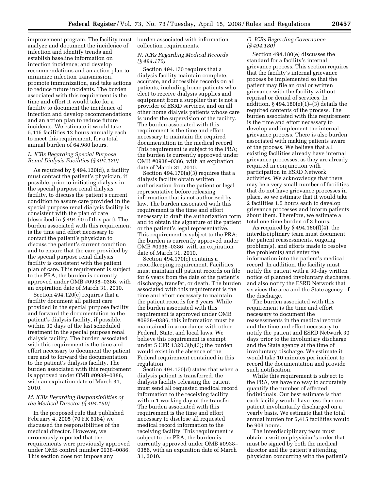improvement program. The facility must burden associated with information analyze and document the incidence of infection and identify trends and establish baseline information on infection incidence; and develop recommendations and an action plan to minimize infection transmission, promote immunization, and take actions to reduce future incidents. The burden associated with this requirement is the time and effort it would take for a facility to document the incidence of infection and develop recommendations and an action plan to reduce future incidents. We estimate it would take 5,415 facilities 12 hours annually each to meet this requirement, for a total annual burden of 64,980 hours.

# *L. ICRs Regarding Special Purpose Renal Dialysis Facilities (§ 494.120)*

As required by § 494.120(d), a facility must contact the patient's physician, if possible, prior to initiating dialysis in the special purpose renal dialysis facility, to discuss the patient's current condition to assure care provided in the special purpose renal dialysis facility is consistent with the plan of care (described in § 494.90 of this part). The burden associated with this requirement is the time and effort necessary to contact the patient's physician to discuss the patient's current condition and to ensure that the care provided by the special purpose renal dialysis facility is consistent with the patient plan of care. This requirement is subject to the PRA; the burden is currently approved under OMB #0938–0386, with an expiration date of March 31, 2010.

Section 494.120(e) requires that a facility document all patient care provided in the special purpose facility and forward the documentation to the patient's dialysis facility, if possible, within 30 days of the last scheduled treatment in the special purpose renal dialysis facility. The burden associated with this requirement is the time and effort necessary to document the patient care and to forward the documentation to the patient's dialysis facility. The burden associated with this requirement is approved under OMB #0938–0386, with an expiration date of March 31, 2010.

### *M. ICRs Regarding Responsibilities of the Medical Director (§ 494.150)*

In the proposed rule that published February 4, 2005 (70 FR 6184) we discussed the responsibilities of the medical director. However, we erroneously reported that the requirements were previously approved under OMB control number 0938–0086. This section does not impose any

collection requirements.

## *N. ICRs Regarding Medical Records (§ 494.170)*

Section 494.170 requires that a dialysis facility maintain complete, accurate, and accessible records on all patients, including home patients who elect to receive dialysis supplies and equipment from a supplier that is not a provider of ESRD services, and on all other home dialysis patients whose care is under the supervision of the facility. The burden associated with this requirement is the time and effort necessary to maintain the required documentation in the medical record. This requirement is subject to the PRA; the burden is currently approved under OMB #0938–0386, with an expiration date of March 31, 2010.

Section 494.170(a)(3) requires that a dialysis facility obtain written authorization from the patient or legal representative before releasing information that is not authorized by law. The burden associated with this requirement is the time and effort necessary to draft the authorization form and to obtain the signature of the patient or the patient's legal representative. This requirement is subject to the PRA; the burden is currently approved under OMB #0938–0386, with an expiration date of March 31, 2010.

Section 494.170(c) contains a recordkeeping requirement. Facilities must maintain all patient records on file for 6 years from the date of the patient's discharge, transfer, or death. The burden associated with this requirement is the time and effort necessary to maintain the patient records for 6 years. While the burden associated with this requirement is approved under OMB #0938–0386, this information must be maintained in accordance with other Federal, State, and local laws. We believe this requirement is exempt under 5 CFR 1320.3(b)(3); the burden would exist in the absence of the Federal requirement contained in this regulation.

Section 494.170(d) states that when a dialysis patient is transferred, the dialysis facility releasing the patient must send all requested medical record information to the receiving facility within 1 working day of the transfer. The burden associated with this requirement is the time and effort necessary to disclose all requested medical record information to the receiving facility. This requirement is subject to the PRA; the burden is currently approved under OMB #0938– 0386, with an expiration date of March 31, 2010.

## *O. ICRs Regarding Governance (§ 494.180)*

Section 494.180(e) discusses the standard for a facility's internal grievance process. This section requires that the facility's internal grievance process be implemented so that the patient may file an oral or written grievance with the facility without reprisal or denial of services. In addition, § 494.180(e)(1)–(3) details the required contents of the process. The burden associated with this requirement is the time and effort necessary to develop and implement the internal grievance process. There is also burden associated with making patients aware of the process. We believe that all existing facilities already have internal grievance processes, as they are already required in conjunction with participation in ESRD Network activities. We acknowledge that there may be a very small number of facilities that do not have grievance processes in place, so we estimate that it would take 2 facilities 1.5 hours each to develop grievance processes and inform patients about them. Therefore, we estimate a total one time burden of 3 hours.

As required by § 494.180(f)(4), the interdisciplinary team must document the patient reassessments, ongoing problem(s), and efforts made to resolve the problem(s) and enter the information into the patient's medical record. In addition, the facility must notify the patient with a 30-day written notice of planned involuntary discharge, and also notify the ESRD Network that services the area and the State agency of the discharge.

The burden associated with this requirement is the time and effort necessary to document the reassessments in the medical records and the time and effort necessary to notify the patient and ESRD Network 30 days prior to the involuntary discharge and the State agency at the time of involuntary discharge. We estimate it would take 10 minutes per incident to record the documentation and provide such notification.

While this requirement is subject to the PRA, we have no way to accurately quantify the number of affected individuals. Our best estimate is that each facility would have less than one patient involuntarily discharged on a yearly basis. We estimate that the total annual burden for 5,415 facilities would be 903 hours.

The interdisciplinary team must obtain a written physician's order that must be signed by both the medical director and the patient's attending physician concurring with the patient's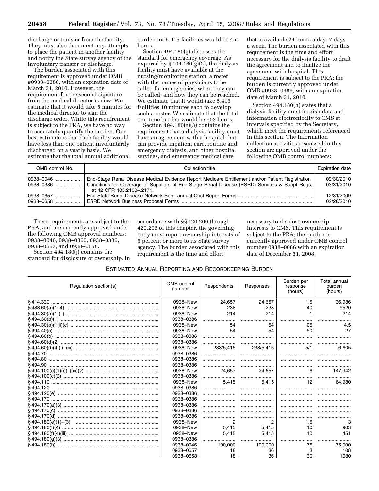discharge or transfer from the facility. They must also document any attempts to place the patient in another facility and notify the State survey agency of the involuntary transfer or discharge.

The burden associated with this requirement is approved under OMB #0938–0386, with an expiration date of March 31, 2010. However, the requirement for the second signature from the medical director is new. We estimate that it would take 5 minutes for the medical director to sign the discharge order. While this requirement is subject to the PRA, we have no way to accurately quantify the burden. Our best estimate is that each facility would have less than one patient involuntarily discharged on a yearly basis. We estimate that the total annual additional

burden for 5,415 facilities would be 451 hours.

Section 494.180(g) discusses the standard for emergency coverage. As required by  $\S 494.180(g)(2)$ , the dialysis facility must have available at the nursing/monitoring station, a roster with the names of physicians to be called for emergencies, when they can be called, and how they can be reached. We estimate that it would take 5,415 facilities 10 minutes each to develop such a roster. We estimate that the total one-time burden would be 903 hours.

Section 494.180(g)(3) contains the requirement that a dialysis facility must have an agreement with a hospital that can provide inpatient care, routine and emergency dialysis, and other hospital services, and emergency medical care

that is available 24 hours a day, 7 days a week. The burden associated with this requirement is the time and effort necessary for the dialysis facility to draft the agreement and to finalize the agreement with hospital. This requirement is subject to the PRA; the burden is currently approved under OMB #0938–0386, with an expiration date of March 31, 2010.

Section 494.180(h) states that a dialysis facility must furnish data and information electronically to CMS at intervals specified by the Secretary, which meet the requirements referenced in this section. The information collection activities discussed in this section are approved under the following OMB control numbers:

| OMB control No.                | Collection title                                                                                                                                                                                                               | <b>Expiration date</b>   |
|--------------------------------|--------------------------------------------------------------------------------------------------------------------------------------------------------------------------------------------------------------------------------|--------------------------|
| $0938 - 0046$                  | End-Stage Renal Disease Medical Evidence Report Medicare Entitlement and/or Patient Registration<br>Conditions for Coverage of Suppliers of End-Stage Renal Disease (ESRD) Services & Suppt Regs.<br>at 42 CFR 405.2100-.2171. | 09/30/2010<br>03/31/2010 |
| $0938 - 0657$<br>$0938 - 0658$ |                                                                                                                                                                                                                                | 12/31/2009<br>02/28/2010 |

These requirements are subject to the PRA, and are currently approved under the following OMB approval numbers: 0938–0046, 0938–0360, 0938–0386, 0938–0657, and 0938–0658.

Section 494.180(j) contains the standard for disclosure of ownership. In

accordance with §§ 420.200 through 420.206 of this chapter, the governing body must report ownership interests of 5 percent or more to its State survey agency. The burden associated with this requirement is the time and effort

necessary to disclose ownership interests to CMS. This requirement is subject to the PRA; the burden is currently approved under OMB control number 0938–0086 with an expiration date of December 31, 2008.

# ESTIMATED ANNUAL REPORTING AND RECORDKEEPING BURDEN

| Regulation section(s) | OMB control<br>number | Respondents | Responses | Burden per<br>response<br>(hours) | <b>Total annual</b><br>burden<br>(hours) |
|-----------------------|-----------------------|-------------|-----------|-----------------------------------|------------------------------------------|
|                       | 0938-New              | 24,657      | 24,657    | 1.5                               | 36,986                                   |
|                       | 0938-New              | 238         | 238       | 40                                | 9520                                     |
|                       | 0938-New              | 214         | 214       |                                   | 214                                      |
|                       | 0938-0386             | .           |           |                                   |                                          |
|                       | 0938-New              | 54          | 54        | .05                               | 4.5                                      |
|                       | 0938-New              | 54          | 54        | .50                               | 27                                       |
|                       | 0938-0386             |             |           |                                   |                                          |
|                       | 0938-0386             |             |           |                                   |                                          |
|                       | 0938-New              | 238/5.415   | 238/5.415 | 5/1                               | 6.605                                    |
|                       | 0938-0386             |             |           |                                   |                                          |
|                       | 0938-0386             |             |           |                                   |                                          |
|                       | 0938-0386             |             |           |                                   |                                          |
|                       | 0938-New              | 24.657      | 24.657    | 6                                 | 147.942                                  |
|                       | 0938-0386             |             |           |                                   |                                          |
|                       | 0938-New              | 5.415       | 5.415     | 12                                | 64.980                                   |
|                       | 0938-0386             |             |           |                                   |                                          |
|                       | 0938-0386             |             |           |                                   |                                          |
|                       | 0938-0386             |             |           |                                   |                                          |
|                       | 0938-0386             |             |           |                                   |                                          |
|                       | 0938-0386             |             |           |                                   |                                          |
|                       | 0938-0386             |             |           |                                   |                                          |
|                       | 0938-New              |             | 2         | 1.5                               | 3                                        |
|                       | 0938-New              | 5.415       | 5,415     | .10                               | 903                                      |
|                       | 0938-New              | 5.415       | 5.415     | .10                               | 451                                      |
|                       | 0938-0386             |             |           |                                   |                                          |
|                       | 0938-0046             | 100.000     | 100.000   | .75                               | 75,000                                   |
|                       | 0938-0657             | 18          | 36        | 3                                 | 108                                      |
|                       | 0938-0658             | 18          | 36        | 30                                | 1080                                     |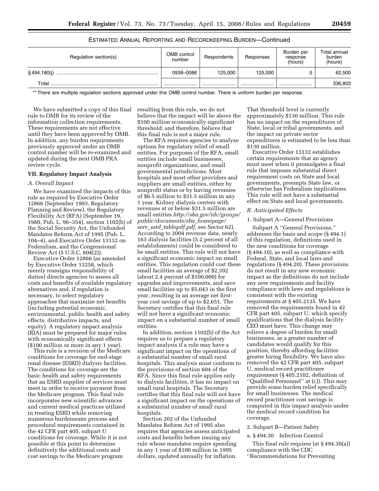# ESTIMATED ANNUAL REPORTING AND RECORDKEEPING BURDEN—Continued

| Regulation section(s) | OMB control<br>number | Respondents | Responses | Burden per<br>response<br>(hours) | Total annual<br>burden<br>(hours) |
|-----------------------|-----------------------|-------------|-----------|-----------------------------------|-----------------------------------|
| $§$ 494.180(j)        | 0938-0086             | 125,000     | 125,000   |                                   | 62,500                            |
| Total                 |                       |             |           |                                   | 336,803                           |

\*\* There are multiple regulation sections approved under this OMB control number. There is uniform burden per response.

We have submitted a copy of this final rule to OMB for its review of the information collection requirements. These requirements are not effective until they have been approved by OMB. In addition, any burden requirements previously approved under an OMB control number will be re-examined and updated during the next OMB PRA review cycle.

#### **VII. Regulatory Impact Analysis**

## *A. Overall Impact*

We have examined the impacts of this rule as required by Executive Order 12866 (September 1993, Regulatory Planning and Review), the Regulatory Flexibility Act (RFA) (September 19, 1980, Pub. L. 96–354), section 1102(b) of the Social Security Act, the Unfunded Mandates Reform Act of 1995 (Pub. L. 104–4), and Executive Order 13132 on Federalism, and the Congressional Review Act (5 U.S.C. 804(2)).

Executive Order 12866 (as amended by Executive Order 13258, which merely reassigns responsibility of duties) directs agencies to assess all costs and benefits of available regulatory alternatives and, if regulation is necessary, to select regulatory approaches that maximize net benefits (including potential economic, environmental, public health and safety effects, distributive impacts, and equity). A regulatory impact analysis (RIA) must be prepared for major rules with economically significant effects (\$100 million or more in any 1 year).

This rule is a revision of the Medicare conditions for coverage for end-stage renal disease (ESRD) dialysis facilities. The conditions for coverage are the basic health and safety requirements that an ESRD supplier of services must meet in order to receive payment from the Medicare program. This final rule incorporates new scientific advances and current medical practices utilized in treating ESRD while removing numerous burdensome process and procedural requirements contained in the 42 CFR part 405, subpart U conditions for coverage. While it is not possible at this point to determine definitively the additional costs and cost savings to the Medicare program

resulting from this rule, we do not believe that the impact will be above the \$100 million economically significant threshold; and therefore, believe that this final rule is not a major rule.

The RFA requires agencies to analyze options for regulatory relief of small entities. For purposes of the RFA, small entities include small businesses, nonprofit organizations, and small governmental jurisdictions. Most hospitals and most other providers and suppliers are small entities, either by nonprofit status or by having revenues of \$6.5 million to \$31.5 million in any 1 year. Kidney dialysis centers with revenues at or below \$31.5 million are small entities *[http://sba.gov/idc/groups/](http://sba.gov/idc/groups/public/documents/sba_homepage/serv_sstd_tablepdf.pdf)  public/documents/sba*\_*homepage/ serv*\_*sstd*\_*tablepdf.pdf,* see Sector 62). According to 2004 revenue data, nearly 163 dialysis facilities (5.2 percent of all establishments) could be considered to be small entities. This rule will not have a significant economic impact on small entities. This regulation could cost these small facilities an average of \$2,392 (about 2.4 percent of \$100,000) for upgrades and improvements, and save small facilities up to \$5,043 in the first year, resulting in an average net firstyear cost savings of up to \$2,651. The Secretary certifies that this final rule will not have a significant economic impact on a substantial number of small entities.

In addition, section 1102(b) of the Act requires us to prepare a regulatory impact analysis if a rule may have a significant impact on the operations of a substantial number of small rural hospitals. This analysis must conform to the provisions of section 604 of the RFA. Since this final rule applies only to dialysis facilities, it has no impact on small rural hospitals. The Secretary certifies that this final rule will not have a significant impact on the operations of a substantial number of small rural hospitals.

Section 202 of the Unfunded Mandates Reform Act of 1995 also requires that agencies assess anticipated costs and benefits before issuing any rule whose mandates require spending in any 1 year of \$100 million in 1995 dollars, updated annually for inflation.

That threshold level is currently approximately \$130 million. This rule has no impact on the expenditures of State, local or tribal governments, and the impact on private sector expenditures is estimated to be less than \$130 million.

Executive Order 13132 establishes certain requirements that an agency must meet when it promulgates a final rule that imposes substantial direct requirement costs on State and local governments, preempts State law, or otherwise has Federalism implications. This rule will not have a substantial effect on State and local governments.

#### *B. Anticipated Effects*

#### 1. Subpart A—General Provisions

Subpart A ''General Provisions,'' addresses the basis and scope (§ 494.1) of this regulation, definitions used in the new conditions for coverage (§ 494.10), as well as compliance with Federal, State, and local laws and regulations (§ 494.20). These provisions do not result in any new economic impact as the definitions do not include any new requirements and facility compliance with laws and regulations is consistent with the existing requirements at § 405.2135. We have removed the requirements found in 42 CFR part 405, subpart U, which specify qualifications that the dialysis facility CEO must have. This change may relieve a degree of burden for small businesses, as a greater number of candidates would qualify for this position, thereby affording facilities greater hiring flexibility. We have also removed the 42 CFR part 405, subpart U, medical record practitioner requirement (§ 405.2102, definition of ''Qualified Personnel'' at (c)). This may provide some burden relief specifically for small businesses. The medical record practitioner cost savings is computed in this impact analysis under the medical record condition for coverage.

## 2. Subpart B—Patient Safety

a. § 494.30 Infection Control

This final rule requires (at § 494.30(a)) compliance with the CDC

''Recommendations for Preventing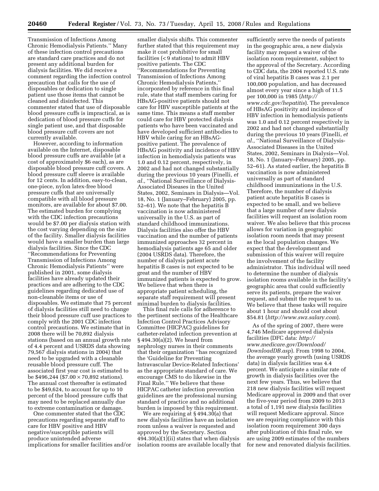Transmission of Infections Among Chronic Hemodialysis Patients.'' Many of these infection control precautions are standard care practices and do not present any additional burden for dialysis facilities. We did receive a comment regarding the infection control precaution that calls for the use of disposables or dedication to single patient use those items that cannot be cleaned and disinfected. This commenter stated that use of disposable blood pressure cuffs is impractical, as is dedication of blood pressure cuffs for single patient use, and that disposable blood pressure cuff covers are not currently available.

However, according to information available on the Internet, disposable blood pressure cuffs are available (at a cost of approximately \$6 each), as are disposable blood pressure cuff covers. A blood pressure cuff sleeve is available for 12 cents. In addition, easy-to-clean, one-piece, nylon latex-free blood pressure cuffs that are universally compatible with all blood pressure monitors, are available for about \$7.00. The estimated burden for complying with the CDC infection precautions would be \$7.00 per dialysis station with the cost varying depending on the size of the facility. Smaller dialysis facilities would have a smaller burden than large dialysis facilities. Since the CDC ''Recommendations for Preventing Transmission of Infections Among Chronic Hemodialysis Patients'' were published in 2001, some dialysis facilities have already updated their practices and are adhering to the CDC guidelines regarding dedicated use of non-cleanable items or use of disposables. We estimate that 75 percent of dialysis facilities still need to change their blood pressure cuff use practices to comply with the 2001 CDC infection control precautions. We estimate that in 2008 there will be 70,892 dialysis stations (based on an annual growth rate of 4.4 percent and USRDS data showing 79,567 dialysis stations in 2004) that need to be upgraded with a cleanable reusable blood pressure cuff. The associated first year cost is estimated to be  $$496,244$  ( $$7.00 \times 70,892$  stations). The annual cost thereafter is estimated to be \$49,624, to account for up to 10 percent of the blood pressure cuffs that may need to be replaced annually due to extreme contamination or damage.

One commenter stated that the CDC precautions regarding separate staff to care for HBV positive and HBV negative/susceptible patients will produce unintended adverse implications for smaller facilities and/or

smaller dialysis shifts. This commenter further stated that this requirement may make it cost prohibitive for small facilities (< 9 stations) to admit HBV positive patients. The CDC ''Recommendations for Preventing Transmission of Infections Among Chronic Hemodialysis Patients,'' incorporated by reference in this final rule, state that staff members caring for HBsAG-positive patients should not care for HBV susceptible patients at the same time. This means a staff member could care for HBV protected dialysis patients who have been vaccinated and have developed sufficient antibodies to HBV while caring for an HBsAGpositive patient. The prevalence of HBsAG positivity and incidence of HBV infection in hemodialysis patients was 1.0 and 0.12 percent, respectively, in 2002 and had not changed substantially during the previous 10 years (Finelli, *et al.,* ''National Surveillance of Dialysis-Associated Diseases in the United States, 2002, Seminars in Dialysis—Vol. 18, No. 1 (January–February) 2005, pp. 52–61). We note that the hepatitis B vaccination is now administered universally in the U.S. as part of standard childhood immunizations. Dialysis facilities also offer the HBV vaccination and the number of patients immunized approaches 32 percent in hemodialysis patients age 65 and older (2004 USRDS data). Therefore, the number of dialysis patient acute hepatitis B cases is not expected to be great and the number of HBV immunized patients is expected to grow. We believe that when there is appropriate patient scheduling, the separate staff requirement will present minimal burden to dialysis facilities.

This final rule calls for adherence to the pertinent sections of the Healthcare Infection Control Practices Advisory Committee (HICPAC) guidelines for catheter-related infection prevention at § 494.30(a)(2). We heard from nephrology nurses in their comments that their organization ''has recognized the 'Guideline for Preventing Intravascular Device-Related Infections' as the appropriate standard of care. We encourage CMS to do likewise in the Final Rule.'' We believe that these HICPAC catheter infection prevention guidelines are the professional nursing standard of practice and no additional burden is imposed by this requirement.

We are requiring at  $\S 494.30(a)$  that new dialysis facilities have an isolation room unless a waiver is requested and approved by the Secretary. Section 494.30(a)(1)(ii) states that when dialysis isolation rooms are available locally that

sufficiently serve the needs of patients in the geographic area, a new dialysis facility may request a waiver of the isolation room requirement, subject to the approval of the Secretary. According to CDC data, the 2004 reported U.S. rate of viral hepatitis B cases was 2.1 per 100,000 population, and has decreased almost every year since a high of 11.5 per 100,000 in 1985 (*http:// [www.cdc.gov/hepatitis](http://www.cdc.gov/hepatitis)*). The prevalence of HBsAG positivity and incidence of HBV infection in hemodialysis patients was 1.0 and 0.12 percent respectively in 2002 and had not changed substantially during the previous 10 years (Finelli, *et al.,* ''National Surveillance of Dialysis-Associated Diseases in the United States, 2002, Seminars in Dialysis—Vol. 18, No. 1 (January–February) 2005, pp. 52–61). As stated earlier, the hepatitis B vaccination is now administered universally as part of standard childhood immunizations in the U.S. Therefore, the number of dialysis patient acute hepatitis B cases is expected to be small, and we believe that a large number of new dialysis facilities will request an isolation room waiver. We also believe that this process allows for variation in geographic isolation room needs that may present as the local population changes. We expect that the development and submission of this waiver will require the involvement of the facility administrator. This individual will need to determine the number of dialysis isolation rooms available in the facility's geographic area that could sufficiently serve its patients, prepare the waiver request, and submit the request to us. We believe that these tasks will require about 1 hour and should cost about \$54.81 (*<http://www.swz.salary.com>*).

As of the spring of 2007, there were 4,746 Medicare approved dialysis facilities (DFC data: *http:// [www.medicare.gov/Download/](http://www.medicare.gov/Download/DownloadDB.asp)  DownloadDB.asp*). From 1998 to 2004, the average yearly growth (using USRDS data) in dialysis facilities was 4.4 percent. We anticipate a similar rate of growth in dialysis facilities over the next few years. Thus, we believe that 218 new dialysis facilities will request Medicare approval in 2009 and that over the five-year period from 2009 to 2013 a total of 1,191 new dialysis facilities will request Medicare approval. Since we are requiring compliance with this isolation room requirement 300 days after publication of this final rule, we are using 2009 estimates of the numbers for new and renovated dialysis facilities.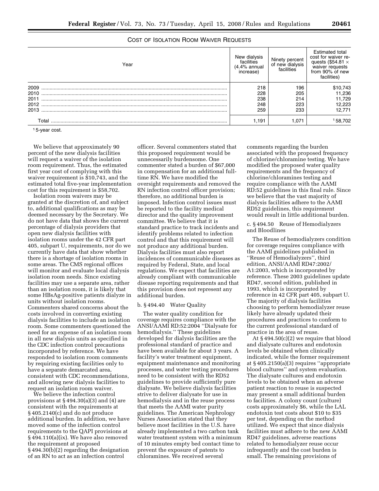| COST OF ISOLATION ROOM WAIVER REQUESTS |
|----------------------------------------|
|----------------------------------------|

| Year  | facilities<br>.4% annual<br>increase) | Ninety percent<br>of new dialysis<br>facilities | Estimated total<br>cost for waiver re-<br>quests (\$54.81 $\times$<br>waiver requests<br>from 90% of new<br>facilities) |
|-------|---------------------------------------|-------------------------------------------------|-------------------------------------------------------------------------------------------------------------------------|
| 2009  | 218                                   | 196                                             | \$10,743                                                                                                                |
| 2010  | 228                                   | 205                                             | 11,236                                                                                                                  |
| 2011  | 238                                   | 214                                             | 11,729                                                                                                                  |
| 2012  | 248                                   | 223                                             | 12.223                                                                                                                  |
| 2013  | 259                                   | 233                                             | 12.771                                                                                                                  |
| ⊺otal | 1,191                                 | 1.071                                           | 58.702                                                                                                                  |

1 5-year cost.

We believe that approximately 90 percent of the new dialysis facilities will request a waiver of the isolation room requirement. Thus, the estimated first year cost of complying with this waiver requirement is \$10,743, and the estimated total five-year implementation cost for this requirement is \$58,702.

Isolation room waivers may be granted at the discretion of, and subject to, additional qualifications as may be deemed necessary by the Secretary. We do not have data that shows the current percentage of dialysis providers that open new dialysis facilities with isolation rooms under the 42 CFR part 405, subpart U, requirements, nor do we currently have data that show whether there is a shortage of isolation rooms in some areas. The CMS regional offices will monitor and evaluate local dialysis isolation room needs. Since existing facilities may use a separate area, rather than an isolation room, it is likely that some HBsAg-positive patients dialyze in units without isolation rooms. Commenters shared concerns about the costs involved in converting existing dialysis facilities to include an isolation room. Some commenters questioned the need for an expense of an isolation room in all new dialysis units as specified in the CDC infection control precautions incorporated by reference. We have responded to isolation room comments by requiring existing facilities only to have a separate demarcated area, consistent with CDC recommendations, and allowing new dialysis facilities to request an isolation room waiver.

We believe the infection control provisions at  $\S 494.30(a)(3)$  and  $(4)$  are consistent with the requirements at § 405.2140(c) and do not produce additional burden. In addition, we have moved some of the infection control requirements to the QAPI provisions at § 494.110(a)(ix). We have also removed the requirement at proposed § 494.30(b)(2) regarding the designation of an RN to act as an infection control

officer. Several commenters stated that this proposed requirement would be unnecessarily burdensome. One commenter stated a burden of \$67,000 in compensation for an additional fulltime RN. We have modified the oversight requirements and removed the RN infection control officer provision; therefore, no additional burden is imposed. Infection control issues must be reported to the facility medical director and the quality improvement committee. We believe that it is standard practice to track incidents and identify problems related to infection control and that this requirement will not produce any additional burden. Dialysis facilities must also report incidences of communicable diseases as required by Federal, State, and local regulations. We expect that facilities are already compliant with communicable disease reporting requirements and that this provision does not represent any additional burden.

#### b. § 494.40 Water Quality

The water quality condition for coverage requires compliance with the ANSI/AAMI RD:52:2004 ''Dialysate for hemodialysis.'' These guidelines developed for dialysis facilities are the professional standard of practice and have been available for about 3 years. A facility's water treatment equipment, equipment maintenance and monitoring processes, and water testing procedures need to be consistent with the RD52 guidelines to provide sufficiently pure dialysate. We believe dialysis facilities strive to deliver dialysate for use in hemodialysis and in the reuse process that meets the AAMI water purity guidelines. The American Nephrology Nurses Association stated that they believe most facilities in the U.S. have already implemented a two carbon tank water treatment system with a minimum of 10 minutes empty bed contact time to prevent the exposure of patents to chloramines. We received several

comments regarding the burden associated with the proposed frequency of chlorine/chloramine testing. We have modified the proposed water quality requirements and the frequency of chlorine/chloramines testing and require compliance with the AAMI RD:52 guidelines in this final rule. Since we believe that the vast majority of dialysis facilities adhere to the AAMI RD52 guidelines, this requirement would result in little additional burden.

# c. § 494.50 Reuse of Hemodialyzers and Bloodlines

The Reuse of hemodialyzers condition for coverage requires compliance with the AAMI guidelines published in ''Reuse of Hemodialyzers'', third edition, ANSI/AAMI RD47:2002/ A1:2003, which is incorporated by reference. These 2003 guidelines update RD47, second edition, published in 1993, which is incorporated by reference in 42 CFR part 405, subpart U. The majority of dialysis facilities choosing to perform hemodialyzer reuse likely have already updated their procedures and practices to conform to the current professional standard of practice in the area of reuse.

At § 494.50(c)(2) we require that blood and dialysate cultures and endotoxin levels be obtained when clinically indicated, while the former requirement at § 405.2150(a)(3) requires ''appropriate blood cultures'' and system evaluation. The dialysate cultures and endotoxin levels to be obtained when an adverse patient reaction to reuse is suspected may present a small additional burden to facilities. A colony count (culture) costs approximately \$6, while the LAL endotoxin test costs about \$10 to \$35 per test, depending on the method utilized. We expect that since dialysis facilities must adhere to the new AAMI RD47 guidelines, adverse reactions related to hemodialyzer reuse occur infrequently and the cost burden is small. The remaining provisions of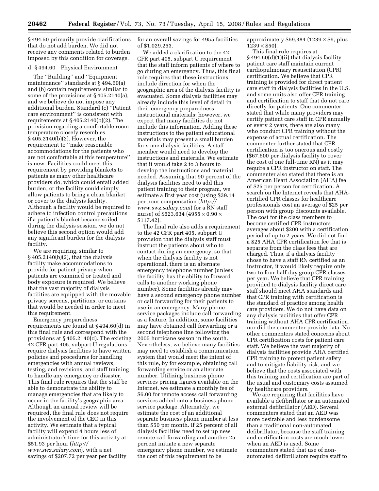§ 494.50 primarily provide clarifications that do not add burden. We did not receive any comments related to burden imposed by this condition for coverage.

# d. § 494.60 Physical Environment

The ''Building'' and ''Equipment maintenance'' standards at § 494.60(a) and (b) contain requirements similar to some of the provisions at § 405.2140(a), and we believe do not impose any additional burden. Standard (c) ''Patient care environment'' is consistent with requirements at § 405.2140(b)(2). The provision regarding a comfortable room temperature closely resembles § 405.2140(b)(2). However, the requirement to ''make reasonable accommodations for the patients who are not comfortable at this temperature'' is new. Facilities could meet this requirement by providing blankets to patients as many other healthcare providers do, which could entail added burden, or the facility could simply allow patients to bring a clean blanket or cover to the dialysis facility. Although a facility would be required to adhere to infection control precautions if a patient's blanket became soiled during the dialysis session, we do not believe this second option would add any significant burden for the dialysis facility.

We are requiring, similar to § 405.2140(b)(2), that the dialysis facility make accommodations to provide for patient privacy when patients are examined or treated and body exposure is required. We believe that the vast majority of dialysis facilities are equipped with the movable privacy screens, partitions, or curtains that would be needed in order to meet this requirement.

Emergency preparedness requirements are found at § 494.60(d) in this final rule and correspond with the provisions at § 405.2140(d). The existing 42 CFR part 405, subpart U regulations require dialysis facilities to have written policies and procedures for handling emergencies with annual reviews, testing, and revisions, and staff training to handle any emergency or disaster. This final rule requires that the staff be able to demonstrate the ability to manage emergencies that are likely to occur in the facility's geographic area. Although an annual review will be required, the final rule does not require the involvement of the CEO in this activity. We estimate that a typical facility will expend 4 hours less of administrator's time for this activity at \$51.93 per hour (*http:// [www.swz.salary.com](http://www.swz.salary.com)*), with a net savings of \$207.72 per year per facility

for an overall savings for 4955 facilities of \$1,029,253.

We added a clarification to the 42 CFR part 405, subpart U requirement that the staff inform patients of where to go during an emergency. Thus, this final rule requires that these instructions include direction for when the geographic area of the dialysis facility is evacuated. Some dialysis facilities may already include this level of detail in their emergency preparedness instructional materials; however, we expect that many facilities do not include this information. Adding these instructions to the patient educational materials may present a small burden for some dialysis facilities. A staff member would need to develop the instructions and materials. We estimate that it would take 2 to 3 hours to develop the instructions and material needed. Assuming that 90 percent of the dialysis facilities need to add this patient training to their program, we estimate a first year cost (using \$39.14 [per hour compensation \(](http://www.swz.salary.com)*http:// www.swz.salary.com*) for a RN staff nurse) of \$523,634 (4955  $\times$  0.90  $\times$  $$117.42$ 

The final rule also adds a requirement to the 42 CFR part 405, subpart U provision that the dialysis staff must instruct the patients about who to contact during an emergency, so that when the dialysis facility is not operational, there is an alternate emergency telephone number (unless the facility has the ability to forward calls to another working phone number). Some facilities already may have a second emergency phone number or call forwarding for their patients to use in an emergency. Many phone service packages include call forwarding as a feature. In addition, some facilities may have obtained call forwarding or a second telephone line following the 2005 hurricane season in the south. Nevertheless, we believe many facilities may need to establish a communication system that would meet the intent of this rule, by for example, obtaining call forwarding service or an alternate number. Utilizing business phone services pricing figures available on the Internet, we estimate a monthly fee of \$6.00 for remote access call forwarding services added onto a business phone service package. Alternately, we estimate the cost of an additional separate business phone number at less than \$50 per month. If 25 percent of all dialysis facilities need to set up new remote call forwarding and another 25 percent initiate a new separate emergency phone number, we estimate the cost of this requirement to be

approximately  $$69,384$  (1239  $\times$  \$6, plus  $1239 \times $50$ ).

This final rule requires at § 494.60(d)(1)(ii) that dialysis facility patient care staff maintain current cardiopulmonary resuscitation (CPR) certification. We believe that CPR training is provided for direct patient care staff in dialysis facilities in the U.S. and some units also offer CPR training and certification to staff that do not care directly for patients. One commenter stated that while many providers may certify patient care staff in CPR annually or every 2 years, there are also many who conduct CPR training without the expense of actual certification. The commenter further stated that CPR certification is too onerous and costly (\$67,600 per dialysis facility to cover the cost of one full-time RN) as it may require a CPR instructor on staff. The commenter also stated that there is an American Heart Association (AHA) fee of \$25 per person for certification. A search on the Internet reveals that AHAcertified CPR classes for healthcare professionals cost an average of \$25 per person with group discounts available. The cost for the class members to become certified CPR instructors averages about \$200 with a certification period of up to 2 years. We did not find a \$25 AHA CPR certification fee that is separate from the class fees that are charged. Thus, if a dialysis facility chose to have a staff RN certified as an instructor, it would likely require only two to four half-day group CPR classes per year. We believe that CPR training provided to dialysis facility direct care staff should meet AHA standards and that CPR training with certification is the standard of practice among health care providers. We do not have data on any dialysis facilities that offer CPR training without AHA CPR certification, nor did the commenter provide data. No other commenters stated concerns about CPR certification costs for patient care staff. We believe the vast majority of dialysis facilities provide AHA certified CPR training to protect patient safety and to mitigate liability risk, and we believe that the costs associated with this training and certification are part of the usual and customary costs assumed by healthcare providers.

We are requiring that facilities have available a defibrillator or an automated external defibrillator (AED). Several commenters stated that an AED was more desirable and less burdensome than a traditional non-automated defibrillator, because the staff training and certification costs are much lower when an AED is used. Some commenters stated that use of nonautomated defibrillators require staff to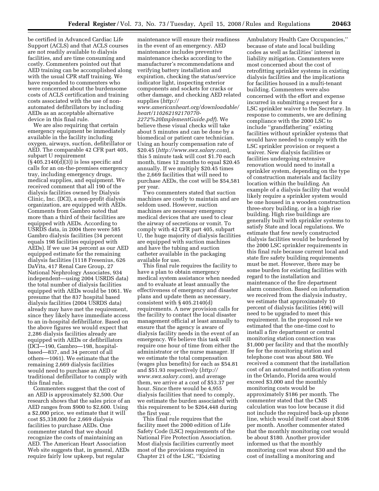be certified in Advanced Cardiac Life Support (ACLS) and that ACLS courses are not readily available to dialysis facilities, and are time consuming and costly. Commenters pointed out that AED training can be accomplished along with the usual CPR staff training. We have responded to commenters who were concerned about the burdensome costs of ACLS certification and training costs associated with the use of nonautomated defibrillators by including AEDs as an acceptable alternative device in this final rule.

We are also requiring that certain emergency equipment be immediately available in the facility including oxygen, airways, suction, defibrillator or AED. The comparable 42 CFR part 405, subpart U requirement  $(\S 405.2140(d)(3))$  is less specific and calls for an on-the-premises emergency tray, including emergency drugs, medical supplies, and equipment. We received comment that all 190 of the dialysis facilities owned by Dialysis Clinic, Inc. (DCI), a non-profit dialysis organization, are equipped with AEDs. Comments from Gambro noted that more than a third of their facilities are equipped with AEDs. According to USRDS data, in 2004 there were 585 Gambro dialysis facilities (34 percent equals 198 facilities equipped with AEDs). If we use 34 percent as our AED equipped estimate for the remaining dialysis facilities (1118 Fresenius, 626 DaVita, 417 Renal Care Group, 27 National Nephrology Associates, 934 independent—using 2004 USRDS data) the total number of dialysis facilities equipped with AEDs would be 1061. We presume that the 837 hospital based dialysis facilities (2004 USRDS data) already may have met the requirement, since they likely have immediate access to an in-hospital defibrillator. Based on the above figures we would expect that 2,286 dialysis facilities already are equipped with AEDs or defibrillators (DCI—190, Gambro—198, hospitalbased—837, and 34 percent of all others—1061). We estimate that the remaining 2,669 dialysis facilities would need to purchase an AED or traditional defibrillator to comply with this final rule.

Commenters suggest that the cost of an AED is approximately \$2,500. Our research shows that the sales price of an AED ranges from \$900 to \$2,600. Using a \$2,000 price, we estimate that it will cost \$5,338,000 for 2,669 dialysis facilities to purchase AEDs. One commenter stated that we should recognize the costs of maintaining an AED. The American Heart Association Web site suggests that, in general, AEDs require fairly low upkeep, but regular

maintenance will ensure their readiness in the event of an emergency. AED maintenance includes preventive maintenance checks according to the manufacturer's recommendations and verifying battery installation and expiration, checking the status/service indicator light, inspecting exterior components and sockets for cracks or other damage, and checking AED related supplies (*http://* 

*[www.americanheart.org/downloadable/](http://www.americanheart.org/downloadable/heart/110262192170770-2272%20ImplementGuide.pdf)  heart/110262192170770-* 

*2272%20ImplementGuide.pdf*). We believe these visual checks will take about 5 minutes and can be done by a biomedical or patient care technician. Using an hourly compensation rate of \$20.45 (*<http://www.swz.salary.com>*), this 5 minute task will cost \$1.70 each month, times 12 months to equal \$20.45 annually. If we multiply \$20.45 times the 2,669 facilities that will need to purchase AEDs, the cost will be \$54,581 per year.

Two commenters stated that suction machines are costly to maintain and are seldom used. However, suction machines are necessary emergency medical devices that are used to clear the airway of secretions or vomit. To comply with 42 CFR part 405, subpart U, the huge majority of dialysis facilities are equipped with suction machines and have the tubing and suction catheter available in the packaging available for use.

This final rule requires the facility to have a plan to obtain emergency medical system assistance when needed and to evaluate at least annually the effectiveness of emergency and disaster plans and update them as necessary, consistent with § 405.2140(d) requirements. A new provision calls for the facility to contact the local disaster management official at least annually to ensure that the agency is aware of dialysis facility needs in the event of an emergency. We believe this task will require one hour of time from either the administrator or the nurse manager. If we estimate the total compensation (wages plus benefits) for each as \$54.81 [and \\$51.93 respectively \(](http://www.swz.salary.com)*http:// www.swz.salary.com*), and average them, we arrive at a cost of \$53.37 per hour. Since there would be 4,955 dialysis facilities that need to comply, we estimate the burden associated with this requirement to be \$264,448 during the first year.

This final rule requires that the facility meet the 2000 edition of Life Safety Code (LSC) requirements of the National Fire Protection Association. Most dialysis facilities currently meet most of the provisions required in Chapter 21 of the LSC, ''Existing

Ambulatory Health Care Occupancies,'' because of state and local building codes as well as facilities' interest in liability mitigation. Commenters were most concerned about the cost of retrofitting sprinkler systems in existing dialysis facilities and the implications for facilities housed in a multi-tenant building. Commenters were also concerned with the effort and expense incurred in submitting a request for a LSC sprinkler waiver to the Secretary. In response to comments, we are defining compliance with the 2000 LSC to include ''grandfathering'' existing facilities without sprinkler systems that would have needed to comply with the LSC sprinkler provision or request a waiver. New dialysis facilities or facilities undergoing extensive renovation would need to install a sprinkler system, depending on the type of construction materials and facility location within the building. An example of a dialysis facility that would likely require a sprinkler system would be one housed in a wooden construction three-story building, or in a high rise building. High rise buildings are generally built with sprinkler systems to satisfy State and local regulations. We estimate that few newly constructed dialysis facilities would be burdened by the 2000 LSC sprinkler requirements in this final rule because current local and state fire safety building requirements must be met. However, there may be some burden for existing facilities with regard to the installation and maintenance of the fire department alarm connection. Based on information we received from the dialysis industry, we estimate that approximately 10 percent of dialysis facilities (496) will need to be upgraded to meet this requirement. In the proposed rule we estimated that the one-time cost to install a fire department or central monitoring station connection was \$1,000 per facility and that the monthly fee for the monitoring station and telephone cost was about \$80. We received a comment that the installation cost of an automated notification system in the Orlando, Florida area would exceed \$3,000 and the monthly monitoring costs would be approximately \$186 per month. The commenter stated that the CMS calculation was too low because it did not include the required back-up phone line, which would itself cost about \$106 per month. Another commenter stated that the monthly monitoring cost would be about \$180. Another provider informed us that the monthly monitoring cost was about \$30 and the cost of installing a monitoring and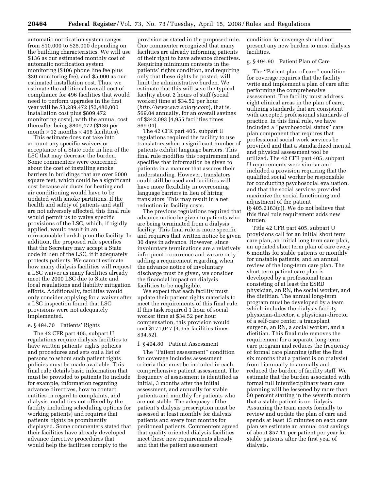automatic notification system ranges from \$10,000 to \$25,000 depending on the building characteristics. We will use \$136 as our estimated monthly cost of automatic notification system monitoring (\$106 phone line fee plus \$30 monitoring fee), and \$5,000 as our estimated installation cost. Thus, we estimate the additional overall cost of compliance for 496 facilities that would need to perform upgrades in the first year will be \$3,289,472 (\$2,480,000 installation cost plus \$809,472 monitoring costs), with the annual cost thereafter being \$809,472 (\$136 per month  $\times$  12 months  $\times$  496 facilities).

This estimate does not take into account any specific waivers or acceptance of a State code in lieu of the LSC that may decrease the burden. Some commenters were concerned about the cost of installing smoke barriers in buildings that are over 5000 square feet, which could be a significant cost because air ducts for heating and air conditioning would have to be updated with smoke partitions. If the health and safety of patients and staff are not adversely affected, this final rule would permit us to waive specific provisions of the LSC, which, if rigidly applied, would result in an unreasonable hardship on the facility. In addition, the proposed rule specifies that the Secretary may accept a State code in lieu of the LSC, if it adequately protects patients. We cannot estimate how many dialysis facilities will request a LSC waiver as many facilities already meet the 2000 LSC due to State and local regulations and liability mitigation efforts. Additionally, facilities would only consider applying for a waiver after a LSC inspection found that LSC provisions were not adequately implemented.

# e. § 494.70 Patients' Rights

The 42 CFR part 405, subpart U regulations require dialysis facilities to have written patients' rights policies and procedures and sets out a list of persons to whom such patient rights policies must be made available. This final rule details basic information that must be provided to patients (to include for example, information regarding advance directives, how to contact entities in regard to complaints, and dialysis modalities not offered by the facility including scheduling options for working patients) and requires that patients' rights be prominently displayed. Some commenters stated that their facilities have already developed advance directive procedures that would help the facilities comply to the

provision as stated in the proposed rule. One commenter recognized that many facilities are already informing patients of their right to have advance directives. Requiring minimum contents in the patients' rights condition, and requiring only that these rights be posted, will limit the administrative burden. We estimate that this will save the typical facility about 2 hours of staff (social worker) time at \$34.52 per hour (*<http://www.swz.salary.com>*), that is, \$69.04 annually, for an overall savings of \$342,093 (4,955 facilities times \$69.04).

The 42 CFR part 405, subpart U regulations required the facility to use translators when a significant number of patients exhibit language barriers. This final rule modifies this requirement and specifies that information be given to patients in a manner that assures their understanding. However, translators could still be used and facilities will have more flexibility in overcoming language barriers in lieu of hiring translators. This may result in a net reduction in facility costs.

The previous regulations required that advance notice be given to patients who are being terminated from a dialysis facility. This final rule is more specific and requires that written notice be given 30 days in advance. However, since involuntary terminations are a relatively infrequent occurrence and we are only adding a requirement regarding when the advance notice of involuntary discharge must be given, we consider the financial impact on dialysis facilities to be negligible.

We expect that each facility must update their patient rights materials to meet the requirements of this final rule. If this task required 1 hour of social worker time at \$34.52 per hour compensation, this provision would cost \$171,047 (4,955 facilities times \$34.52).

# f. § 494.80 Patient Assessment

The ''Patient assessment'' condition for coverage includes assessment criteria that must be included in each comprehensive patient assessment. The frequency of assessment is identified as initial, 3 months after the initial assessment, and annually for stable patients and monthly for patients who are not stable. The adequacy of the patient's dialysis prescription must be assessed at least monthly for dialysis patients and every four months for peritoneal patients. Commenters agreed that quality oriented dialysis facilities meet these new requirements already and that the patient assessment

condition for coverage should not present any new burden to most dialysis facilities.

### g. § 494.90 Patient Plan of Care

The ''Patient plan of care'' condition for coverage requires that the facility write and implement a plan of care after performing the comprehensive assessment. The facility must address eight clinical areas in the plan of care, utilizing standards that are consistent with accepted professional standards of practice. In this final rule, we have included a ''psychosocial status'' care plan component that requires that professional social work services be provided and that a standardized mental and physical assessment tool be utilized. The 42 CFR part 405, subpart U requirements were similar and included a provision requiring that the qualified social worker be responsible for conducting psychosocial evaluation, and that the social services provided maximize the social functioning and adjustment of the patient (§ 405.2163(c)). We do not believe that this final rule requirement adds new burden.

Title 42 CFR part 405, subpart U provisions call for an initial short term care plan, an initial long term care plan, an updated short term plan of care every 6 months for stable patients or monthly for unstable patients, and an annual review of the long-term care plan. The short term patient care plan is developed by a professional team consisting of at least the ESRD physician, an RN, the social worker, and the dietitian. The annual long-term program must be developed by a team which includes the dialysis facility physician-director, a physician-director of a self-care center, a transplant surgeon, an RN, a social worker, and a dietitian. This final rule removes the requirement for a separate long-term care program and reduces the frequency of formal care planning (after the first six months that a patient is on dialysis) from biannually to annually and reduced the burden of facility staff. We estimate that the burden associated with formal full interdisciplinary team care planning will be lessened by more than 50 percent starting in the seventh month that a stable patient is on dialysis. Assuming the team meets formally to review and update the plan of care and spends at least 15 minutes on each care plan we estimate an annual cost savings of about \$57.11 per patient per year for stable patients after the first year of dialysis.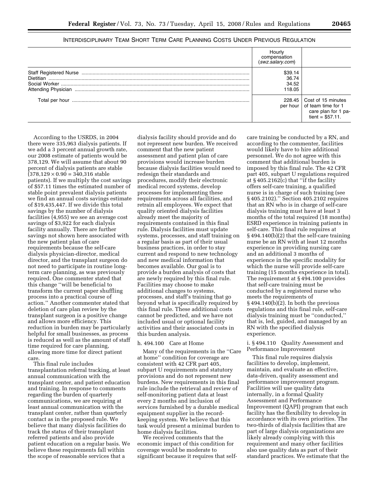|                     | compensation<br>(swz.salary.com)    |                                                                                                |
|---------------------|-------------------------------------|------------------------------------------------------------------------------------------------|
| Attending Physician | \$39.14<br>36.74<br>34.52<br>118.05 |                                                                                                |
|                     | per hour                            | 228.45   Cost of 15 minutes<br>of team time for 1<br>care plan for 1 pa-<br>tient = $$57.11$ . |

# INTERDISCIPLINARY TEAM SHORT TERM CARE PLANNING COSTS UNDER PREVIOUS REGULATION

According to the USRDS, in 2004 there were 335,963 dialysis patients. If we add a 3 percent annual growth rate, our 2008 estimate of patients would be 378,129. We will assume that about 90 percent of dialysis patients are stable  $(378,129 \times 0.90 = 340,316$  stable patients). If we multiply the cost savings of \$57.11 times the estimated number of stable point prevalent dialysis patients we find an annual costs savings estimate of \$19,435,447. If we divide this total savings by the number of dialysis facilities (4,955) we see an average cost savings of \$3,922 for each dialysis facility annually. There are further savings not shown here associated with the new patient plan of care requirements because the self-care dialysis physician-director, medical director, and the transplant surgeon do not need to participate in routine longterm care planning, as was previously required. One commenter stated that this change ''will be beneficial to transform the current paper shuffling process into a practical course of action.'' Another commenter stated that deletion of care plan review by the transplant surgeon is a positive change and allows more efficiency. This reduction in burden may be particularly helpful for small businesses, as process is reduced as well as the amount of staff time required for care planning, allowing more time for direct patient care.

This final rule includes transplantation referral tracking, at least annual communication with the transplant center, and patient education and training. In response to comments regarding the burden of quarterly communications, we are requiring at least annual communication with the transplant center, rather than quarterly contact as in the proposed rule. We believe that many dialysis facilities do track the status of their transplant referred patients and also provide patient education on a regular basis. We believe these requirements fall within the scope of reasonable services that a

dialysis facility should provide and do not represent new burden. We received comment that the new patient assessment and patient plan of care provisions would increase burden because dialysis facilities would need to redesign their standards and procedures, modify their electronic medical record systems, develop processes for implementing these requirements across all facilities, and retrain all employees. We expect that quality oriented dialysis facilities already meet the majority of requirements contained in this final rule. Dialysis facilities must update systems, processes, and staff training on a regular basis as part of their usual business practices, in order to stay current and respond to new technology and new medical information that becomes available. Our goal is to provide a burden analysis of costs that are newly required by this final rule. Facilities may choose to make additional changes to systems, processes, and staff's training that go beyond what is specifically required by this final rule. These additional costs cannot be predicted, and we have not included usual or optional facility activities and their associated costs in this burden analysis.

# h. 494.100 Care at Home

Many of the requirements in the ''Care at home'' condition for coverage are consistent with 42 CFR part 405, subpart U requirements and statutory provisions and do not represent new burdens. New requirements in this final rule include the retrieval and review of self-monitoring patient data at least every 2 months and inclusion of services furnished by a durable medical equipment supplier in the recordkeeping system. We believe that this task would present a minimal burden to home dialysis facilities.

We received comments that the economic impact of this condition for coverage would be moderate to significant because it requires that self-

care training be conducted by a RN, and according to the commenter, facilities would likely have to hire additional personnel. We do not agree with this comment that additional burden is imposed by this final rule. The 42 CFR part 405, subpart U regulations required at  $§$  405.2162 $(c)$  that "if the facility offers self-care training, a qualified nurse is in charge of such training (see § 405.2102)." Section 405.2102 requires that an RN who is in charge of self-care dialysis training must have at least 3 months of the total required (18 months) ESRD experience in training patients in self-care. This final rule requires at § 494.140(b)(2) that the self-care training nurse be an RN with at least 12 months experience in providing nursing care and an additional 3 months of experience in the specific modality for which the nurse will provide self-care training (15 months experience in total). The requirement at § 494.100 provides that self-care training must be conducted by a registered nurse who meets the requirements of § 494.140(b)(2). In both the previous regulations and this final rule, self-care dialysis training must be ''conducted,'' that is, led, guided, and managed by an RN with the specified dialysis experience.

i. § 494.110 Quality Assessment and Performance Improvement

This final rule requires dialysis facilities to develop, implement, maintain, and evaluate an effective, data-driven, quality assessment and performance improvement program. Facilities will use quality data internally, in a formal Quality Assessment and Performance Improvement (QAPI) program that each facility has the flexibility to develop in accordance with its own priorities. The two-thirds of dialysis facilities that are part of large dialysis organizations are likely already complying with this requirement and many other facilities also use quality data as part of their standard practices. We estimate that the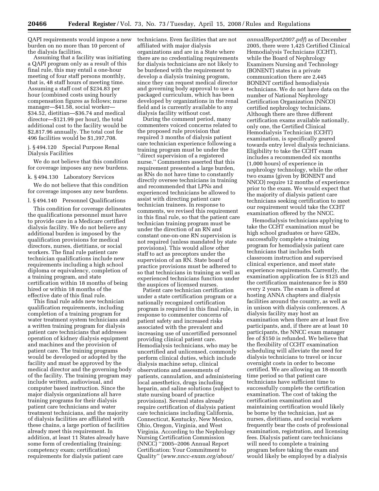QAPI requirements would impose a new burden on no more than 10 percent of the dialysis facilities.

Assuming that a facility was initiating a QAPI program only as a result of this final rule, this may entail a one-hour meeting of four staff persons monthly, that is, 48 staff hours of meeting time. Assuming a staff cost of \$234.83 per hour (combined costs using hourly compensation figures as follows; nurse manager—\$41.58, social worker— \$34.52, dietitian—\$36.74 and medical director—\$121.99 per hour), the total additional cost to the facility would be \$2,817.96 annually. The total cost for 496 facilities would be \$1,397,708.

j. § 494.120 Special Purpose Renal Dialysis Facilities

We do not believe that this condition for coverage imposes any new burdens.

#### k. § 494.130 Laboratory Services

We do not believe that this condition for coverage imposes any new burdens.

#### l. § 494.140 Personnel Qualifications

This condition for coverage delineates the qualifications personnel must have to provide care in a Medicare certified dialysis facility. We do not believe any additional burden is imposed by the qualification provisions for medical directors, nurses, dietitians, or social workers. The final rule patient care technician qualifications include new requirements including a high school diploma or equivalency, completion of a training program, and state certification within 18 months of being hired or within 18 months of the effective date of this final rule.

This final rule adds new technician qualification requirements, including completion of a training program for water treatment system technicians and a written training program for dialysis patient care technicians that addresses operation of kidney dialysis equipment and machines and the provision of patient care. The training programs would be developed or adopted by the facility and must be approved by the medical director and the governing body of the facility. The training program may include written, audiovisual, and computer based instruction. Since the major dialysis organizations all have training programs for their dialysis patient care technicians and water treatment technicians, and the majority of dialysis facilities are affiliated with these chains, a large portion of facilities already meet this requirement. In addition, at least 11 States already have some form of credentialing (training; competency exam; certification) requirements for dialysis patient care

technicians. Even facilities that are not affiliated with major dialysis organizations and are in a State where there are no credentialing requirements for dialysis technicians are not likely to be burdened with the requirement to develop a dialysis training program, since they can request medical director and governing body approval to use a packaged curriculum, which has been developed by organizations in the renal field and is currently available to any dialysis facility without cost.

During the comment period, many commenters voiced concerns related to the proposed rule provision that required 3 months of dialysis patient care technician experience following a training program must be under the ''direct supervision of a registered nurse.'' Commenters asserted that this requirement presented a large burden, as RNs do not have time to constantly directly oversee technicians in training and recommended that LPNs and experienced technicians be allowed to assist with directing patient care technician trainees. In response to comments, we revised this requirement in this final rule, so that the patient care technician training program must be under the direction of an RN and constant one-on-one RN supervision is not required (unless mandated by state provisions). This would allow other staff to act as preceptors under the supervision of an RN. State board of practice provisions must be adhered to so that technicians in training as well as experienced technicians function under the auspices of licensed nurses.

Patient care technician certification under a state certification program or a nationally recognized certification program is required in this final rule, in response to commenter concerns of patient safety and increased risks associated with the prevalent and increasing use of uncertified personnel providing clinical patient care. Hemodialysis technicians, who may be uncertified and unlicensed, commonly perform clinical duties, which include dialysis machine setup, clinical observations and assessments of patients, cannulation, and administering local anesthetics, drugs including heparin, and saline solutions (subject to state nursing board of practice provisions). Several states already require certification of dialysis patient care technicians including California, Connecticut, Kentucky, New Mexico, Ohio, Oregon, Virginia, and West Virginia. According to the Nephrology Nursing Certification Commission (NNCC) ''2005–2006 Annual Report Certification: Your Commitment to Quality'' (*[www.nncc-exam.org/about/](http://www.nncc-exam.org/about/annualReport2007.pdf)* 

*[annualReport2007.pdf](http://www.nncc-exam.org/about/annualReport2007.pdf)*) as of December 2005, there were 1,425 Certified Clinical Hemodialysis Technicians (CCHT), while the Board of Nephrology Examiners Nursing and Technology (BONENT) states in a private communication there are 2,445 BONENT certified hemodialysis technicians. We do not have data on the number of National Nephrology Certification Organization (NNCO) certified nephrology technicians. Although there are three different certification exams available nationally, only one, the Certified Clinical Hemodialysis Technician (CCHT) examination, is specifically geared towards entry level dialysis technicians. Eligibility to take the CCHT exam includes a recommended six months (1,000 hours) of experience in nephrology technology, while the other two exams (given by BONENT and NNCO) require 12 months of experience prior to the exam. We would expect that the majority of dialysis patient care technicians seeking certification to meet our requirement would take the CCHT examination offered by the NNCC.

Hemodialysis technicians applying to take the CCHT examination must be high school graduates or have GEDs, successfully complete a training program for hemodialysis patient care technicians that includes both classroom instruction and supervised clinical experience, and meet state experience requirements. Currently, the examination application fee is \$125 and the certification maintenance fee is \$50 every 2 years. The exam is offered at hosting ANNA chapters and dialysis facilities around the country, as well as in unison with dialysis conferences. A dialysis facility may host an examination when there are at least five participants, and, if there are at least 10 participants, the NNCC exam manager fee of \$150 is refunded. We believe that the flexibility of CCHT examination scheduling will alleviate the need for dialysis technicians to travel or incur overnight costs in order to become certified. We are allowing an 18-month time period so that patient care technicians have sufficient time to successfully complete the certification examination. The cost of taking the certification examination and maintaining certification would likely be borne by the technician, just as nurses, dietitians, and social workers frequently bear the costs of professional examination, registration, and licensing fees. Dialysis patient care technicians will need to complete a training program before taking the exam and would likely be employed by a dialysis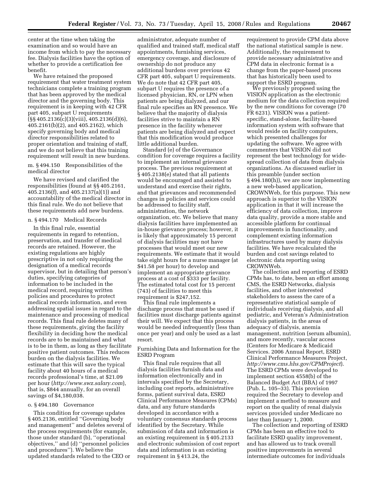center at the time when taking the examination and so would have an income from which to pay the necessary fee. Dialysis facilities have the option of whether to provide a certification fee benefit.

We have retained the proposed requirement that water treatment system technicians complete a training program that has been approved by the medical director and the governing body. This requirement is in keeping with 42 CFR part 405, subpart U requirements (§§ 405.2136(c)(3)(viii), 405.2136(d)(6), 405.2161(b)(2), and 405.2162), which specify governing body and medical director responsibilities related to proper orientation and training of staff, and we do not believe that this training requirement will result in new burdens.

m. § 494.150 Responsibilities of the medical director

We have revised and clarified the responsibilities (found at §§ 405.2161, 405.2136(f), and 405.2137(a)(1)) and accountability of the medical director in this final rule. We do not believe that these requirements add new burdens.

#### n. § 494.170 Medical Records

In this final rule, essential requirements in regard to retention, preservation, and transfer of medical records are retained. However, the existing regulations are highly prescriptive in not only requiring the designation of a medical records supervisor, but in detailing that person's duties, specifying categories of information to be included in the medical record, requiring written policies and procedures to protect medical records information, and even addressing spatial issues in regard to the maintenance and processing of medical records. This final rule deletes many of these requirements, giving the facility flexibility in deciding how the medical records are to be maintained and what is to be in them, as long as they facilitate positive patient outcomes. This reduces burden on the dialysis facilities. We estimate that this will save the typical facility about 40 hours of a medical records professional's time, at \$21.09 per hour (*<http://www.swz.salary.com>*), that is, \$844 annually, for an overall savings of \$4,180,038.

# o. § 494.180 Governance

This condition for coverage updates § 405.2136, entitled ''Governing body and management'' and deletes several of the process requirements (for example, those under standard (b), ''operational objectives,'' and (d) ''personnel policies and procedures''). We believe the updated standards related to the CEO or

administrator, adequate number of qualified and trained staff, medical staff appointments, furnishing services, emergency coverage, and disclosure of ownership do not produce any additional burdens over previous 42 CFR part 405, subpart U requirements. We do note that 42 CFR part 405, subpart U requires the presence of a licensed physician, RN, or LPN when patients are being dialyzed, and our final rule specifies an RN presence. We believe that the majority of dialysis facilities strive to maintain a RN presence in the facility whenever patients are being dialyzed and expect that this modification would produce little additional burden.

Standard (e) of the Governance condition for coverage requires a facility to implement an internal grievance process. The previous requirement at § 405.2138(e) stated that all patients would be encouraged and assisted to understand and exercise their rights, and that grievances and recommended changes in policies and services could be addressed to facility staff, administration, the network organization, etc. We believe that many dialysis facilities have implemented an in-house grievance process; however, it is likely that approximately 15 percent of dialysis facilities may not have processes that would meet our new requirements. We estimate that it would take eight hours for a nurse manager (at \$41.58 per hour) to develop and implement an appropriate grievance process at a cost of \$333 per facility. The estimated total cost for 15 percent (743) of facilities to meet this requirement is \$247,152.

This final rule implements a discharge process that must be used if facilities must discharge patients against their will. We expect that this process would be needed infrequently (less than once per year) and only be used as a last resort.

Furnishing Data and Information for the ESRD Program

This final rule requires that all dialysis facilities furnish data and information electronically and in intervals specified by the Secretary, including cost reports, administrative forms, patient survival data, ESRD Clinical Performance Measures (CPMs) data, and any future standards developed in accordance with a voluntary consensus standards process identified by the Secretary. While submission of data and information is an existing requirement in § 405.2133 and electronic submission of cost report data and information is an existing requirement in § 413.24, the

requirement to provide CPM data above the national statistical sample is new. Additionally, the requirement to provide necessary administrative and CPM data in electronic format is a change from the paper-based process that has historically been used to support the ESRD program.

We previously proposed using the VISION application as the electronic medium for the data collection required by the new conditions for coverage (70 FR 6231). VISION was a patientspecific, stand-alone, facility-based information system with software that would reside on facility computers, which presented challenges for updating the software. We agree with commenters that VISION did not represent the best technology for widespread collection of data from dialysis organizations. As discussed earlier in this preamble (under section § 494.180(h)), we are now implementing a new web-based application, CROWNWeb, for this purpose. This new approach is superior to the VISION application in that it will increase the efficiency of data collection, improve data quality, provide a more stable and accessible platform for continual improvements in functionality, and complement existing information infrastructures used by many dialysis facilities. We have recalculated the burden and cost savings related to electronic data reporting using CROWNWeb.

The collection and reporting of ESRD CPMs has, to date, been an effort among CMS, the ESRD Networks, dialysis facilities, and other interested stakeholders to assess the care of a representative statistical sample of individuals receiving dialysis, and all pediatric, and Veteran's Administration dialysis patients, in the areas of adequacy of dialysis, anemia management, nutrition (serum albumin), and more recently, vascular access (Centers for Medicare & Medicaid Services. 2006 Annual Report, ESRD Clinical Performance Measures Project, *<http://www.cms.hhs.gov/CPMProject>*). The ESRD CPMs were developed to implement section 4558(b) of the Balanced Budget Act (BBA) of 1997 (Pub. L. 105–33). This provision required the Secretary to develop and implement a method to measure and report on the quality of renal dialysis services provided under Medicare no later than January 1, 2000.

The collection and reporting of ESRD CPMs has been an effective tool to facilitate ESRD quality improvement, and has allowed us to track overall positive improvements in several intermediate outcomes for individuals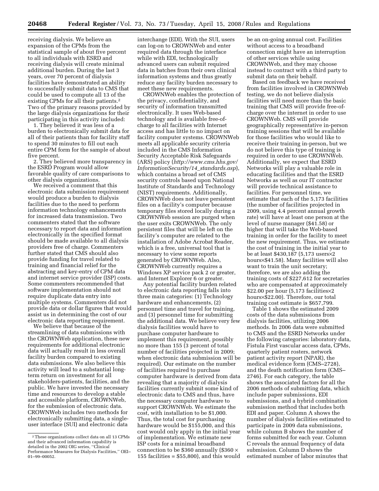receiving dialysis. We believe an expansion of the CPMs from the statistical sample of about five percent to all individuals with ESRD and receiving dialysis will create minimal additional burden. During the last 3 years, over 70 percent of dialysis facilities have demonstrated an ability to successfully submit data to CMS that could be used to compute all 13 of the existing CPMs for all their patients.2 Two of the primary reasons provided by the large dialysis organizations for their participating in this activity included:

1. They believed it was less of a burden to electronically submit data for all of their patients than for facility staff to spend 30 minutes to fill out each entire CPM form for the sample of about five percent.

2. They believed more transparency in the ESRD Program would allow favorable quality of care comparisons to other dialysis organizations.

We received a comment that this electronic data submission requirement would produce a burden to dialysis facilities due to the need to perform information technology enhancements for increased data transmission. Two commenters stated that the software necessary to report data and information electronically in the specified format should be made available to all dialysis providers free of charge. Commenters further stated that CMS should also provide funding for travel related to training and financial relief for the abstracting and key-entry of CPM data and internet service provider (ISP) costs. Some commenters recommended that software implementation should not require duplicate data entry into multiple systems. Commenters did not provide data or dollar figures that would assist us in determining the cost of our electronic data reporting requirement.

We believe that because of the streamlining of data submissions with the CROWNWeb application, these new requirements for additional electronic data will actually result in less overall facility burden compared to existing data submissions. We also believe this activity will lead to a substantial longterm return on investment for all stakeholders-patients, facilities, and the public. We have invested the necessary time and resources to develop a stable and accessible platform, CROWNWeb, for the submission of electronic data. CROWNWeb includes two methods for electronically submitting data, a singleuser interface (SUI) and electronic data

interchange (EDI). With the SUI, users can log-on to CROWNWeb and enter required data through the interface while with EDI, technologically advanced users can submit required data in batches from their own clinical information systems and thus greatly reduce any facility burden necessary to meet these new requirements.

CROWNWeb enables the protection of the privacy, confidentiality, and security of information transmitted electronically. It uses Web-based technology and is available free-ofcharge to all facilities with Internet access and has little to no impact on facility computer systems. CROWNWeb meets all applicable security criteria included in the CMS Information Security Acceptable Risk Safeguards (ARS) policy (*[http://www.cms.hhs.gov/](http://www.cms.hhs.gov/InformationSecurity/14_standards.asp)  InformationSecurity/14*\_*standards.asp*), which contains a broad set of CMS security controls based upon National Institute of Standards and Technology (NIST) requirements. Additionally, CROWNWeb does not leave persistent files on a facility's computer because temporary files stored locally during a CROWNWeb session are purged when the user exits CROWNWeb. The only persistent files that will be left on the facility's computer are related to the installation of Adobe Acrobat Reader, which is a free, universal tool that is necessary to view some reports generated by CROWNWeb. Also, CROWNWeb currently requires a Windows XP service pack 2 or greater, and Internet Explorer 6 or greater.

Any potential facility burden related to electronic data reporting falls into three main categories: (1) Technology hardware and enhancements, (2) personnel time and travel for training, and (3) personnel time for submitting the additional data. We believe very few dialysis facilities would have to purchase computer hardware to implement this requirement, possibly no more than 155 (3 percent of total number of facilities projected in 2009; when electronic data submission will be required). Our estimate on the number of facilities required to purchase computer hardware is derived from data revealing that a majority of dialysis facilities currently submit some kind of electronic data to CMS and thus, have the necessary computer hardware to support CROWNWeb. We estimate the cost, with installation to be \$1,000. Thus, the total cost for purchasing hardware would be \$155,000, and this cost would only apply in the initial year of implementation. We estimate new ISP costs for a minimal broadband connection to be \$360 annually (\$360  $\times$ 155 facilities =  $$55,800$ , and this would

be an on-going annual cost. Facilities without access to a broadband connection might have an interruption of other services while using CROWNWeb, and they may choose instead to contract with a third party to submit data on their behalf.

Based on feedback we have received from facilities involved in CROWNWeb testing, we do not believe dialysis facilities will need more than the basic training that CMS will provide free-ofcharge over the internet in order to use CROWNWeb. CMS will provide geographically representative in-person training sessions that will be available for those facilities who would like to receive their training in-person, but we do not believe this type of training is required in order to use CROWNWeb. Additionally, we expect that ESRD Networks will play a valuable role in educating facilities and that the ESRD Networks as well as our IT contractor will provide technical assistance to facilities. For personnel time, we estimate that each of the 5,173 facilities (the number of facilities projected in 2009, using 4.4 percent annual growth rate) will have at least one person at the level of nurse manager (\$41.58) or higher that will take the Web-based training in order for the facility to meet the new requirement. Thus, we estimate the cost of training in the initial year to be at least \$430,187 (5,173 users×2 hours×\$41.58). Many facilities will also want to train the unit secretary; therefore, we are also adding the training costs of \$227,612 for secretaries who are compensated at approximately \$22.00 per hour (5,173 facilities×2 hours×\$22.00). Therefore, our total training cost estimate is \$657,799.

Table 1 shows the estimated 2009 costs of the data submissions from dialysis facilities, utilizing 2006 methods. In 2006 data were submitted to CMS and the ESRD Networks under the following categories: laboratory data, Fistula First vascular access data, CPMs, quarterly patient rosters, network patient activity report (NPAR), the medical evidence form (CMS–2728), and the death notification form (CMS– 2746). For each category, the table shows the associated factors for all the 2006 methods of submitting data, which include paper submissions, EDI submissions, and a hybrid combination submission method that includes both EDI and paper. Column A shows the number of dialysis facilities estimated to participate in 2009 data submissions, while column B shows the number of forms submitted for each year. Column C reveals the annual frequency of data submission. Column D shows the estimated number of labor minutes that

<sup>2</sup>These organizations collect data on all 13 CPMs and their advanced information capability is detailed in the 2002 OIG series, ''Clinical Performance Measures for Dialysis Facilities,'' OEI– 01–99–00052.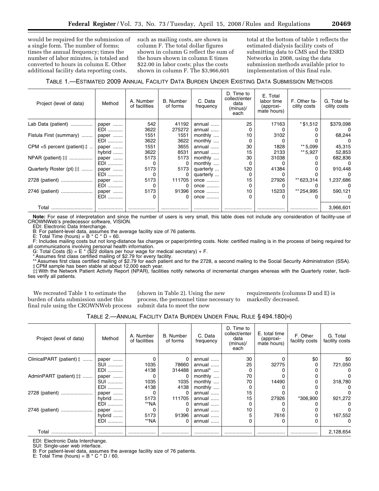would be required for the submission of a single form. The number of forms; times the annual frequency; times the number of labor minutes, is totaled and converted to hours in column E. Other additional facility data reporting costs,

such as mailing costs, are shown in column F. The total dollar figures shown in column G reflect the sum of the hours shown in column E times \$22.00 in labor costs; plus the costs shown in column F. The \$3,966,601

total at the bottom of table 1 reflects the estimated dialysis facility costs of submitting data to CMS and the ESRD Networks in 2008, using the data submission methods available prior to implementation of this final rule.

# TABLE 1.—ESTIMATED 2009 ANNUAL FACILITY DATA BURDEN UNDER EXISTING DATA SUBMISSION METHODS

| Project (level of data)             | Method | A. Number<br>of facilities | <b>B.</b> Number<br>of forms | C. Data<br>frequency | D. Time to<br>collect/enter<br>data<br>(minus)/<br>each | E. Total<br>labor time<br>(approxi-<br>mate hours) | F. Other fa-<br>cility costs | G. Total fa-<br>cility costs |
|-------------------------------------|--------|----------------------------|------------------------------|----------------------|---------------------------------------------------------|----------------------------------------------------|------------------------------|------------------------------|
| Lab Data (patient)                  | paper  | 542                        | 41192                        | annual               | 25                                                      | 17163                                              | $*$ \$1,512                  | \$379,098                    |
|                                     | EDI    | 3622                       | 275272                       | annual               |                                                         |                                                    |                              |                              |
| Fistula First (summary)             | paper  | 1551                       | 1551                         | monthly              | 10                                                      | 3102                                               |                              | 68,244                       |
|                                     | EDI    | 3622                       | 3622                         | monthly              |                                                         |                                                    |                              |                              |
| CPM <5 percent (patient) $\ddagger$ | paper  | 1551                       | 3655                         | annual               | 30                                                      | 1828                                               | ** 5.099                     | 45,315                       |
|                                     | hybrid | 3622                       | 8531                         | annual               | 15                                                      | 2133                                               | ** 5,927                     | 52,853                       |
| NPAR (patient) ##                   | paper  | 5173                       | 5173                         | monthly              | 30                                                      | 31038                                              |                              | 682,836                      |
|                                     | EDI    | 0                          |                              | monthly              |                                                         |                                                    |                              |                              |
| Quarterly Roster (pt) ##            | paper  | 5173                       | 5173                         | quarterly            | 120                                                     | 41384                                              |                              | 910,448                      |
|                                     | EDI    |                            |                              | quarterly            |                                                         |                                                    |                              |                              |
| 2728 (patient)                      | paper  | 5173                       | 111705                       | once                 | 15                                                      | 27926                                              | ** 623,314                   | 1,237,686                    |
|                                     | EDI    | 0                          |                              | once                 |                                                         |                                                    |                              |                              |
| 2746 (patient)                      | paper  | 5173                       | 91396                        | once                 | 10                                                      | 15233                                              | ** 254,995                   | 590,121                      |
|                                     | EDI    |                            |                              | once $\ldots$        |                                                         |                                                    |                              | 0                            |
| Total                               |        |                            |                              |                      |                                                         |                                                    |                              | 3,966,601                    |

**Note:** For ease of interpretation and since the number of users is very small, this table does not include any consideration of facility-use of CROWNWeb's predecessor software, VISION.

EDI: Electronic Data Interchange.

B: For patient-level data, assumes the average facility size of 76 patients.

E: Total Time (hours) =  $B * C * D * 60$ .

F: Includes mailing costs but not long-distance fax charges or paper/printing costs. Note: certified mailing is in the process of being required for all communications involving personal health information.

G: Total Costs  $(\$) = E^*$  (\$22 dollars per hour wage for medical secretary) + F.

\* Assumes first class certified mailing of \$2.79 for every facility.

\*\* Assumes first class certified mailing of \$2.79 for each patient and for the 2728, a second mailing to the Social Security Administration (SSA).

‡ CPM sample has been stable at about 12,000 each year.

‡‡ With the Network Patient Activity Report (NPAR), facilities notify networks of incremental changes whereas with the Quarterly roster, facilities verify all patients.

We recreated Table 1 to estimate the burden of data submission under this final rule using the CROWNWeb process

(shown in Table 2). Using the new process, the personnel time necessary to submit data to meet the new

requirements (columns D and E) is markedly decreased.

TABLE 2.—ANNUAL FACILITY DATA BURDEN UNDER FINAL RULE § 494.180(H)

| Project (level of data)           | Method     | A. Number<br>of facilities | <b>B.</b> Number<br>of forms | C. Data<br>frequency | D. Time to<br>collect/enter<br>data<br>(minus)/<br>each | E. total time<br>(approxi-<br>mate hours) | F. Other<br>facility costs | G. Total<br>facility costs |
|-----------------------------------|------------|----------------------------|------------------------------|----------------------|---------------------------------------------------------|-------------------------------------------|----------------------------|----------------------------|
| ClinicalPART (patient) $\ddagger$ | paper      | 0                          |                              | annual               | 30                                                      |                                           | \$0                        | \$0                        |
|                                   | <b>SUI</b> | 1035                       | 78660                        | annual               | 25                                                      | 32775                                     |                            | 721,050                    |
|                                   | EDI        | 4138                       | 314488                       | annual $*$           |                                                         |                                           |                            |                            |
| AdminPART (patient) ##            | paper      | O                          |                              | monthly              | 70                                                      |                                           |                            | 0                          |
|                                   | <b>SUI</b> | 1035                       | 1035                         | monthly              | 70                                                      | 14490                                     |                            | 318,780                    |
|                                   | EDI        | 4138                       | 4138                         | monthly              |                                                         |                                           |                            |                            |
| 2728 (patient)                    | paper      | 0                          |                              | annual               | 15                                                      |                                           |                            | 0                          |
|                                   | hybrid     | 5173                       | 111705                       | annual               | 15                                                      | 27926                                     | *306,900                   | 921,272                    |
|                                   | EDI        | **NA                       |                              | annual               |                                                         |                                           |                            |                            |
| 2746 (patient)                    | paper      | 0                          |                              | annual               | 10                                                      |                                           |                            | $\Omega$                   |
|                                   | hybrid     | 5173                       | 91396                        | annual               | 5                                                       | 7616                                      |                            | 167,552                    |
|                                   | EDI        | **NA                       |                              | annual               |                                                         |                                           |                            | 0                          |
| Total                             |            |                            |                              |                      |                                                         |                                           |                            | 2,128,654                  |

EDI: Electronic Data Interchange.

SUI: Single-user web interface.

B: For patient-level data, assumes the average facility size of 76 patients.

E: Total Time (hours) =  $B * C * D / 60$ .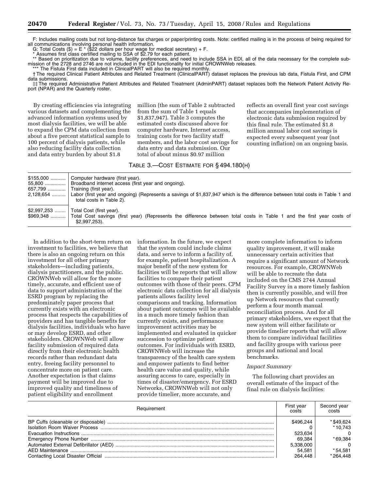F: Includes mailing costs but not long-distance fax charges or paper/printing costs. Note: certified mailing is in the process of being required for all communications involving personal health information.

G: Total Costs  $(\$) = E^*$  (\$22 dollars per hour wage for medical secretary) + F. \* Assumes first class certified mailing to SSA of \$2.79 for each patient.

\*\* Based on prioritization due to volume, facility preferences, and need to include SSA in EDI, all of the data necessary for the complete submission of the 2728 and 2746 are not included in the EDI functionality for initial CROWNWeb releases. \* The Fistula First data included in ClinicalPART will also be required monthly

† The required Clinical Patient Attributes and Related Treatment (ClinicalPART) dataset replaces the previous lab data, Fistula First, and CPM data submissions.

‡‡ The required Administrative Patient Attributes and Related Treatment (AdminPART) dataset replaces both the Network Patient Activity Report (NPAR) and the Quarterly roster.

By creating efficiencies via integrating various datasets and complementing the advanced information systems used by most dialysis facilities, we will be able to expand the CPM data collection from about a five percent statistical sample to 100 percent of dialysis patients, while also reducing facility data collection and data entry burden by about \$1.8

million (the sum of Table 2 subtracted from the sum of Table 1 equals \$1,837,947). Table 3 computes the estimated costs discussed above for computer hardware, Internet access, training costs for two facility staff members, and the labor cost savings for data entry and data submission. Our total of about minus \$0.97 million

reflects an overall first year cost savings that accompanies implementation of electronic data submission required by this final rule. The estimated \$1.8 million annual labor cost savings is expected every subsequent year (not counting inflation) on an ongoing basis.

# TABLE 3.—COST ESTIMATE FOR § 494.180(H)

| $$155,000$   | Computer hardware (first year).<br>55,800    Broadband internet access (first year and ongoing).<br>657,799    Training (first year).<br>2,128,654  Labor (first year and ongoing) (Represents a savings of \$1,837,947 which is the difference between total costs in Table 1 and<br>total costs in Table 2). |
|--------------|----------------------------------------------------------------------------------------------------------------------------------------------------------------------------------------------------------------------------------------------------------------------------------------------------------------|
| $$2,997,253$ | Total Cost (first year).<br>\$969,348  Total Cost savings (first year) (Represents the difference between total costs in Table 1 and the first year costs of<br>\$2,997,253).                                                                                                                                  |

In addition to the short-term return on investment to facilities, we believe that there is also an ongoing return on this investment for all other primary stakeholders—including patients, dialysis practitioners, and the public. CROWNWeb will allow for the more timely, accurate, and efficient use of data to support administration of the ESRD program by replacing the predominately paper process that currently exists with an electronic process that respects the capabilities of providers and has tangible benefits for dialysis facilities, individuals who have or may develop ESRD, and other stakeholders. CROWNWeb will allow facility submission of required data directly from their electronic health records rather than redundant data entry, freeing facility personnel to concentrate more on patient care. Another expectation is that claims payment will be improved due to improved quality and timeliness of patient eligibility and enrollment

information. In the future, we expect that the system could include claims data, and serve to inform a facility of, for example, patient hospitalization. A major benefit of the new system for facilities will be reports that will allow facilities to compare their patient outcomes with those of their peers. CPM electronic data collection for all dialysis patients allows facility level comparisons and tracking. Information about patient outcomes will be available in a much more timely fashion than currently exists, and performance improvement activities may be implemented and evaluated in quicker succession to optimize patient outcomes. For individuals with ESRD, CROWNWeb will increase the transparency of the health care system and empower patients to find better health care value and quality, while assuring access to care, especially in times of disaster/emergency. For ESRD Networks, CROWNWeb will not only provide timelier, more accurate, and

more complete information to inform quality improvement, it will make unnecessary certain activities that require a significant amount of Network resources. For example, CROWNWeb will be able to recreate the data included on the CMS 2744 Annual Facility Survey in a more timely fashion then is currently possible, and will free up Network resources that currently perform a four month manual reconciliation process. And for all primary stakeholders, we expect that the new system will either facilitate or provide timelier reports that will allow them to compare individual facilities and facility groups with various peer groups and national and local benchmarks.

# *Impact Summary*

The following chart provides an overall estimate of the impact of the final rule on dialysis facilities:

| Requirement | First year<br>costs | Second year<br>costs |
|-------------|---------------------|----------------------|
|             | \$496,244           | * \$49.624           |
|             |                     | $*10.743$            |
|             | 523.634             | $\Omega$             |
|             | 69.384              | *69.384              |
|             | 5,338,000           | $\overline{0}$       |
|             | 54.581              | * 54.581             |
|             | 264.448             | *264.448             |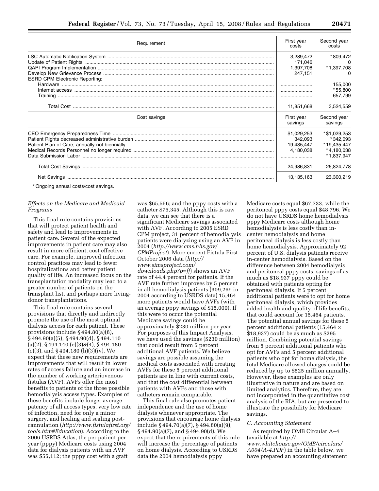| Requirement                           | First year<br>costs   | Second year<br>costs   |
|---------------------------------------|-----------------------|------------------------|
|                                       | 3,289,472             | *809,472               |
|                                       | 171,046               | 0                      |
|                                       | 1,397,708             | $*1,397,708$           |
|                                       | 247,151               |                        |
| <b>ESRD CPM Electronic Reporting:</b> |                       |                        |
|                                       |                       | 155,000                |
|                                       |                       | * 55,800               |
|                                       |                       | 657,799                |
|                                       | 11,851,668            | 3,524,559              |
| Cost savings                          | First year<br>savings | Second year<br>savings |
|                                       | \$1,029,253           | *\$1,029,253           |
|                                       | 342,093               | *342,093               |
|                                       | 19,435,447            | *19,435,447            |
|                                       | 4,180,038             | *4,180,038             |
|                                       |                       | $*1,837,947$           |
|                                       | 24,986,831            | 26,824,778             |
|                                       | 13,135,163            | 23,300,219             |
|                                       |                       |                        |

\* Ongoing annual costs/cost savings.

# *Effects on the Medicare and Medicaid Programs*

This final rule contains provisions that will protect patient health and safety and lead to improvements in patient care. Several of the expected improvements in patient care may also result in more efficient, cost effective care. For example, improved infection control practices may lead to fewer hospitalizations and better patient quality of life. An increased focus on the transplantation modality may lead to a greater number of patients on the transplant list, and perhaps more livingdonor transplantations.

This final rule contains several provisions that directly and indirectly promote the use of the most optimal dialysis access for each patient. These provisions include § 494.80(a)(8), § 494.90(a)(5), § 494.90(d), § 494.110 (a)(2), § 494.140 (e)(3)&(4), § 494.180 (c)(3), and § 494.180 (h)(3)(iv). We expect that these new requirements are improvements that will result in lower rates of access failure and an increase in the number of working arteriovenous fistulas (AVF). AVFs offer the most benefits to patients of the three possible hemodialysis access types. Examples of these benefits include longer average patency of all access types, very low rate of infection, need for only a minor surgery, and healing and sealing postcannulation (*[http://www.fistulafirst.org/](http://www.fistulafirst.org/tools.htm#Education)  tools.htm#Education*). According to the 2006 USRDS Atlas, the per patient per year (pppy) Medicare costs using 2004 data for dialysis patients with an AVF was \$55,112; the pppy cost with a graft

was \$65,556; and the pppy costs with a catheter \$75,345. Although this is raw data, we can see that there is a significant Medicare savings associated with AVF. According to 2005 ESRD CPM project, 31 percent of hemodialysis patients were dialyzing using an AVF in 2004 (*[http://www.cms.hhs.gov/](http://www.cms.hhs.gov/CPMProject)  CPMProject*). More current Fistula First October 2006 data (*http:// [www.simsproject.com/](http://www.simsproject.com/downloads.php?p=ff)  downloads.php?p=ff*) shows an AVF rate of 44.4 percent for patients. If the AVF rate further improves by 5 percent in all hemodialysis patients (309,269 in 2004 according to USRDS data) 15,464 more patients would have AVFs (with an average pppy savings of \$15,000). If this were to occur the potential Medicare savings could be approximately \$230 million per year. For purposes of this Impact Analysis, we have used the savings (\$230 million) that could result from 5 percent additional AVF patients. We believe savings are possible assuming the medical costs associated with creating AVFs for these 5 percent additional patients are in line with current costs, and that the cost differential between patients with AVFs and those with catheters remain comparable.

This final rule also promotes patient independence and the use of home dialysis whenever appropriate. The provisions that encourage home dialysis include § 494.70(a)(7), § 494.80(a)(9), § 494.90(a)(7), and § 494.90(d). We expect that the requirements of this rule will increase the percentage of patients on home dialysis. According to USRDS data the 2004 hemodialysis pppy

Medicare costs equal \$67,733, while the peritoneal pppy costs equal \$48,796. We do not have USRDS home hemodialysis pppy Medicare costs although home hemodialysis is less costly than incenter hemodialysis and home peritoneal dialysis is less costly than home hemodialysis. Approximately 92 percent of U.S. dialysis patients receive in-center hemodialysis. Based on the difference between 2004 hemodialysis and peritoneal pppy costs, savings of as much as \$18,937 pppy could be obtained with patients opting for peritoneal dialysis. If 5 percent additional patients were to opt for home peritoneal dialysis, which provides added health and quality of life benefits, that could account for 15,464 patients. The potential annual savings for these 5 percent additional patients (15,464 × \$18,937) could be as much as \$295 million. Combining potential savings from 5 percent additional patients who opt for AVFs and 5 percent additional patients who opt for home dialysis, the total Medicare allowed charges could be reduced by up to \$525 million annually. However, these examples are only illustrative in nature and are based on limited analytics. Therefore, they are not incorporated in the quantitative cost analysis of the RIA, but are presented to illustrate the possibility for Medicare savings.

### *C. Accounting Statement*

As required by OMB Circular A–4 (available at *http:// [www.whitehouse.gov/OMB/circulars/](http://www.whitehouse.gov/OMB/circulars/A004/A-4.PDF)  A004/A-4.PDF*) in the table below, we have prepared an accounting statement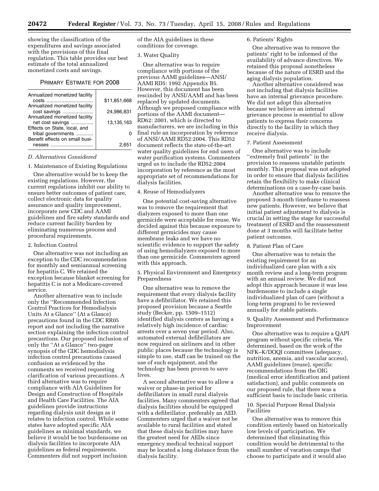showing the classification of the expenditures and savings associated with the provisions of this final regulation. This table provides our best estimate of the total annualized monetized costs and savings.

## PRIMARY ESTIMATE FOR 2008

| Annualized monetized facility                        |              |
|------------------------------------------------------|--------------|
|                                                      | \$11,851,668 |
| Annualized monetized facility<br>cost savings        | 24.986.831   |
| Annualized monetized facility                        |              |
| net cost savings                                     | 13,135,163   |
| Effects on State, local, and                         |              |
| tribal governments<br>Benefit effects on small busi- |              |
| nesses                                               | 2.651        |
|                                                      |              |

#### *D. Alternatives Considered*

#### 1. Maintenance of Existing Regulations

One alternative would be to keep the existing regulations. However, the current regulations inhibit our ability to ensure better outcomes of patient care, collect electronic data for quality assurance and quality improvement, incorporate new CDC and AAMI guidelines and fire safety standards and reduce current facility burden by eliminating numerous process and procedural requirements.

#### 2. Infection Control

One alternative was not including an exception to the CDC recommendation for monthly and semiannual screening for hepatitis C. We retained the exception because blanket screening for hepatitis C is not a Medicare-covered service.

Another alternative was to include only the ''Recommended Infection Control Practices for Hemodialysis Units At a Glance'' (At a Glance) precautions found in the CDC RR05 report and not including the narrative section explaining the infection control precautions. Our proposed inclusion of only the ''At a Glance'' two-pager synopsis of the CDC hemodialysis infection control precautions caused confusion as evidenced by the comments we received requesting clarification of various precautions. A third alternative was to require compliance with AIA Guidelines for Design and Construction of Hospitals and Health Care Facilities. The AIA guidelines provide instructions regarding dialysis unit design as it relates to infection control. While some states have adopted specific AIA guidelines as minimal standards, we believe it would be too burdensome on dialysis facilities to incorporate AIA guidelines as federal requirements. Commenters did not support inclusion

of the AIA guidelines in these conditions for coverage.

## 3. Water Quality

One alternative was to require compliance with portions of the previous AAMI guidelines—ANSI/ AAMI RD5: 1992 Appendix B5. However, this document has been rescinded by ANSI/AAMI and has been replaced by updated documents. Although we proposed compliance with portions of the AAMI document— RD62: 2001, which is directed to manufacturers, we are including in this final rule an incorporation by reference of ANSI/AAMI RD52:2004. This RD52 document reflects the state-of-the-art water quality guidelines for end users of water purification systems. Commenters urged us to include the RD52:2004 incorporation by reference as the most appropriate set of recommendations for dialysis facilities.

#### 4. Reuse of Hemodialyzers

One potential cost-saving alternative was to remove the requirement that dialyzers exposed to more than one germicide were acceptable for reuse. We decided against this because exposure to different germicides may cause membrane leaks and we have no scientific evidence to support the safety of using hemodialyzers exposed to more than one germicide. Commenters agreed with this approach.

5. Physical Environment and Emergency Preparedness

One alternative was to remove the requirement that every dialysis facility have a defibrillator. We retained this proposed provision because a Seattle study (Becker, pp. 1509–1512) identified dialysis centers as having a relatively high incidence of cardiac arrests over a seven year period. Also, automated external defibrillators are now required on airliners and in other public places because the technology is simple to use, staff can be trained on the use of such equipment, and the technology has been proven to save lives.

A second alternative was to allow a waiver or phase-in period for defibrillators in small rural dialysis facilities. Many commenters agreed that dialysis facilities should be equipped with a defibrillator, preferably an AED. Commenters urged that a waiver not be available to rural facilities and stated that these dialysis facilities may have the greatest need for AEDs since emergency medical technical support may be located a long distance from the dialysis facility.

#### 6. Patients' Rights

One alternative was to remove the patients' right to be informed of the availability of advance directives. We retained this proposal nonetheless because of the nature of ESRD and the aging dialysis population.

Another alternative considered was not including that dialysis facilities have an internal grievance procedure. We did not adopt this alternative because we believe an internal grievance process is essential to allow patients to express their concerns directly to the facility in which they receive dialysis.

#### 7. Patient Assessment

One alternative was to include "extremely frail patients" in the provision to reassess unstable patients monthly. This proposal was not adopted in order to ensure that dialysis facilities retain the flexibility to make clinical determinations on a case-by-case basis.

Another alternative was to remove the proposed 3-month timeframe to reassess new patients. However, we believe that initial patient adjustment to dialysis is crucial in setting the stage for successful treatment of ESRD and the reassessment done at 3 months will facilitate better patient outcomes.

# 8. Patient Plan of Care

One alternative was to retain the existing requirement for an individualized care plan with a six month review and a long-term program with an annual review. We did not adopt this approach because it was less burdensome to include a single individualized plan of care (without a long-term program) to be reviewed annually for stable patients.

9. Quality Assessment and Performance Improvement

One alternative was to require a QAPI program without specific criteria. We determined, based on the work of the NFK–K/DOQI committees (adequacy, nutrition, anemia, and vascular access), AAMI guidelines (reuse), specific recommendations from the OIG (medical error identification and patient satisfaction), and public comments on our proposed rule, that there was a sufficient basis to include basic criteria.

# 10. Special Purpose Renal Dialysis Facilities

One alternative was to remove this condition entirely based on historically low levels of participation. We determined that eliminating this condition would be detrimental to the small number of vacation camps that choose to participate and it would also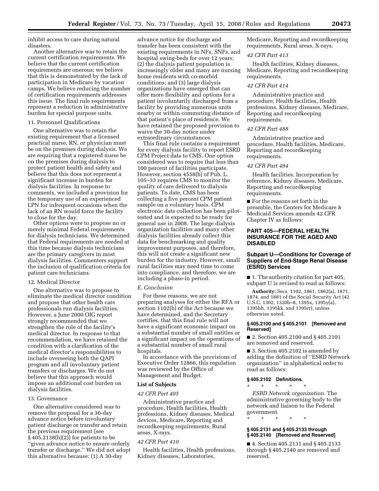inhibit access to care during natural disasters.

Another alternative was to retain the current certification requirements. We believe that the current certification requirements are onerous; we believe that this is demonstrated by the lack of participation in Medicare by vacation camps. We believe reducing the number of certification requirements addresses this issue. The final rule requirements represent a reduction in administrative burden for special purpose units.

## 11. Personnel Qualifications

One alternative was to retain the existing requirement that a licensed practical nurse, RN, or physician must be on the premises during dialysis. We are requiring that a registered nurse be on the premises during dialysis to protect patient health and safety and believe that this does not represent a significant increase in burden for dialysis facilities. In response to comments, we included a provision for the temporary use of an experienced LPN for infrequent occasions when the lack of an RN would force the facility to close for the day.

Other options were to propose no or merely minimal Federal requirements for dialysis technicians. We determined that Federal requirements are needed at this time because dialysis technicians are the primary caregivers in most dialysis facilities. Commenters support the inclusion of qualification criteria for patient care technicians.

## 12. Medical Director

One alternative was to propose to eliminate the medical director condition and propose that other health care professionals run dialysis facilities. However, a June 2000 OIG report strongly recommended that we strengthen the role of the facility's medical director. In response to that recommendation, we have retained the condition with a clarification of the medical director's responsibilities to include overseeing both the QAPI program and all involuntary patient transfers or discharges. We do not believe that this approach would impose an additional cost burden on dialysis facilities.

## 13. Governance

One alternative considered was to remove the proposal for a 30-day advance notice before involuntary patient discharge or transfer and retain the previous requirement (see § 405.2138(b)(2)) for patients to be ''given advance notice to ensure orderly transfer or discharge.'' We did not adopt this alternative because: (1) A 30-day

advance notice for discharge and transfer has been consistent with the existing requirements in NFs, SNFs, and hospital swing-beds for over 12 years; (2) the dialysis patient population is increasingly older and many are nursing home residents with co-morbid conditions; and (3) large dialysis organizations have emerged that can offer more flexibility and options for a patient involuntarily discharged from a facility by providing numerous units nearby or within commuting distance of that patient's place of residence. We have retained the proposed provision to waive the 30-day notice under extraordinary circumstances.

This final rule contains a requirement for every dialysis facility to report ESRD CPM Project data to CMS. One option considered was to require that less than 100 percent of facilities participate. However, section 4558(b) of Pub. L. 105–33 requires CMS to monitor the quality of care delivered to dialysis patients. To date, CMS has been collecting a five percent CPM patient sample on a voluntary basis. CPM electronic data collection has been pilottested and is expected to be ready for general use in 2008. The large dialysis organization facilities and many other dialysis facilities already collect this data for benchmarking and quality improvement purposes, and therefore, this will not create a significant new burden for the industry. However, small rural facilities may need time to come into compliance, and therefore, we are including a phase-in period.

#### *E. Conclusion*

For these reasons, we are not preparing analyses for either the RFA or section 1102(b) of the Act because we have determined, and the Secretary certifies, that this final rule will not have a significant economic impact on a substantial number of small entities or a significant impact on the operations of a substantial number of small rural hospitals.

In accordance with the provisions of Executive Order 12866, this regulation was reviewed by the Office of Management and Budget.

#### **List of Subjects**

#### *42 CFR Part 405*

Administrative practice and procedure, Health facilities, Health professions, Kidney diseases, Medical devices, Medicare, Reporting and recordkeeping requirements, Rural areas, X-rays.

#### *42 CFR Part 410*

Health facilities, Health professions, Kidney diseases, Laboratories,

Medicare, Reporting and recordkeeping requirements, Rural areas, X-rays.

## *42 CFR Part 413*

Health facilities, Kidney diseases, Medicare, Reporting and recordkeeping requirements.

## *42 CFR Part 414*

Administrative practice and procedure, Health facilities, Health professions, Kidney diseases, Medicare, Reporting and recordkeeping requirements.

# *42 CFR Part 488*

Administrative practice and procedure, Health facilities, Medicare, Reporting and recordkeeping requirements.

### *42 CFR Part 494*

Health facilities, Incorporation by reference, Kidney diseases, Medicare, Reporting and recordkeeping requirements.

■ For the reasons set forth in the preamble, the Centers for Medicare & Medicaid Services amends 42 CFR Chapter IV as follows:

# **PART 405—FEDERAL HEALTH INSURANCE FOR THE AGED AND DISABLED**

# **Subpart U—Conditions for Coverage of Suppliers of End-Stage Renal Disease (ESRD) Services**

■ 1. The authority citation for part 405, subpart U is revised to read as follows:

**Authority:** Secs. 1102, 1861, 1862(a), 1871, 1874, and 1881 of the Social Security Act (42 U.S.C. 1302, 1320b–8, 1395x, 1395y(a), 1395hh, 1395kk, and 1395rr), unless otherwise noted.

### **§ 405.2100 and § 405.2101 [Removed and Reserved]**

■ 2. Section 405.2100 and § 405.2101 are removed and reserved.

■ 3. Section 405.2102 is amended by adding the definition of ''ESRD Network organization'' in alphabetical order to read as follows:

#### **§ 405.2102 Definitions.**

\* \* \* \* \*

\* \* \* \* \* *ESRD Network organization.* The administrative governing body to the network and liaison to the Federal government.

**§ 405.2131 and § 405.2133 through § 405.2140 [Removed and Reserved]** 

■ 4. Section 405.2131 and § 405.2133 through § 405.2140 are removed and reserved.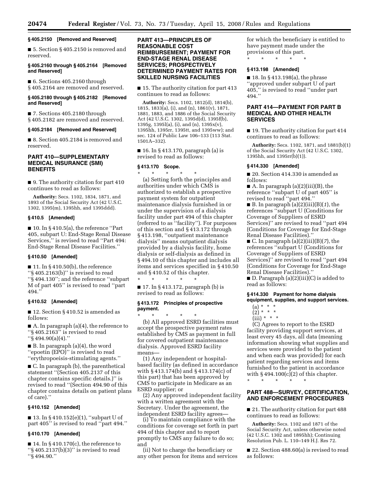## **§ 405.2150 [Removed and Reserved]**

■ 5. Section § 405.2150 is removed and reserved.

#### **§ 405.2160 through § 405.2164 [Removed and Reserved]**

■ 6. Sections 405.2160 through § 405.2164 are removed and reserved.

### **§ 405.2180 through § 405.2182 [Removed and Reserved]**

■ 7. Sections 405.2180 through § 405.2182 are removed and reserved.

#### **§ 405.2184 [Removed and Reserved]**

■ 8. Section 405.2184 is removed and reserved.

# **PART 410—SUPPLEMENTARY MEDICAL INSURANCE (SMI) BENEFITS**

■ 9. The authority citation for part 410 continues to read as follows:

**Authority:** Secs. 1102, 1834, 1871, and 1893 of the Social Security Act (42 U.S.C. 1302, 1395(m), 1395hh, and 1395ddd).

### **§ 410.5 [Amended]**

■ 10. In § 410.5(a), the reference "Part 405, subpart U: End-Stage Renal Disease Services,'' is revised to read ''Part 494: End-Stage Renal Disease Facilities.''

### **§ 410.50 [Amended]**

 $\blacksquare$  11. In § 410.50(b), the reference ''§ 405.2163(b)'' is revised to read ''§ 494.130''; and the reference ''subpart M of part 405'' is revised to read ''part 494.''

#### **§ 410.52 [Amended]**

■ 12. Section § 410.52 is amended as follows:

■ A. In paragraph (a)(4), the reference to ''§ 405.2163'' is revised to read ''§ 494.90(a)(4).''

■ B. In paragraph (a)(4), the word "epoetin (EPO)" is revised to read ''erythropoeisis-stimulating agents.''

■ C. In paragraph (b), the parenthetical statement ''(Section 405.2137 of this chapter contains specific details.)'' is revised to read ''(Section 494.90 of this chapter contains details on patient plans of care).''

#### **§ 410.152 [Amended]**

■ 13. In § 410.152(e)(1), "subpart U of part 405'' is revised to read ''part 494.''

# **§ 410.170 [Amended]**

■ 14. In § 410.170(c), the reference to ''§ 405.2137(b)(3)'' is revised to read ''§ 494.90.''

# **PART 413—PRINCIPLES OF REASONABLE COST REIMBURSEMENT; PAYMENT FOR END-STAGE RENAL DISEASE SERVICES; PROSPECTIVELY DETERMINED PAYMENT RATES FOR SKILLED NURSING FACILITIES**

■ 15. The authority citation for part 413 continues to read as follows:

**Authority:** Secs. 1102, 1812(d), 1814(b), 1815, 1833(a), (i), and (n), 1861(v), 1871, 1881, 1883, and 1886 of the Social Security Act (42 U.S.C. 1302, 1395d(d), 1395f(b), 1395g, 1395l(a), (i), and (n), 1395x(v), 1395hh, 1395rr, 1395tt, and 1395ww); and sec. 124 of Public Law 106–133 (113 Stat. 1501A–332).

 $\blacksquare$  16. In § 413.170, paragraph (a) is revised to read as follows:

# **§ 413.170 Scope.**

\* \* \* \* \* (a) Setting forth the principles and authorities under which CMS is authorized to establish a prospective payment system for outpatient maintenance dialysis furnished in or under the supervision of a dialysis facility under part 494 of this chapter (referred to as ''facility''). For purposes of this section and § 413.172 through § 413.198, ''outpatient maintenance dialysis'' means outpatient dialysis provided by a dialysis facility, home dialysis or self-dialysis as defined in § 494.10 of this chapter and includes all items and services specified in § 410.50 and § 410.52 of this chapter.

\* \* \* \* \*  $\blacksquare$  17. In § 413.172, paragraph (b) is revised to read as follows:

## **§ 413.172 Principles of prospective payment.**

\* \* \* \* \* (b) All approved ESRD facilities must accept the prospective payment rates established by CMS as payment in full for covered outpatient maintenance dialysis. Approved ESRD facility means—

(1) Any independent or hospitalbased facility (as defined in accordance with § 413.174(b) and § 413.174(c) of this part) that has been approved by CMS to participate in Medicare as an ESRD supplier; or

(2) Any approved independent facility with a written agreement with the Secretary. Under the agreement, the independent ESRD facility agrees—

(i) To maintain compliance with the conditions for coverage set forth in part 494 of this chapter and to report promptly to CMS any failure to do so; and

(ii) Not to charge the beneficiary or any other person for items and services for which the beneficiary is entitled to have payment made under the provisions of this part.

\* \* \* \* \*

#### **§ 413.198 [Amended]**

■ 18. In § 413.198(a), the phrase ''approved under subpart U of part 405,'' is revised to read ''under part 494.''

# **PART 414—PAYMENT FOR PART B MEDICAL AND OTHER HEALTH SERVICES**

■ 19. The authority citation for part 414 continues to read as follows:

**Authority:** Secs. 1102, 1871, and 1881(b)(1) of the Social Security Act (42 U.S.C. 1302, 1395hh, and 1395rr(b)(1)).

### **§ 414.330 [Amended]**

■ 20. Section 414.330 is amended as follows:

■ A. In paragraph (a)(2)(iii)(B), the reference ''subpart U of part 405'' is revised to read ''part 494.''

■ B. In paragraph (a)(2)(iii)(B)(*1*), the references ''subpart U (Conditions for Coverage of Suppliers of ESRD Services)'' are revised to read ''part 494 (Conditions for Coverage for End-Stage Renal Disease Facilities).''

■ C. In paragraph (a)(2)(iii)(B)(*7*), the references ''subpart U (Conditions for Coverage of Suppliers of ESRD Services)'' are revised to read ''part 494 (Conditions for Coverage for End-Stage Renal Disease Facilities).''

■ D. Paragraph (a)(2)(iii)(C) is added to read as follows:

### **§ 414.330 Payment for home dialysis equipment, supplies, and support services.**

- (a) \* \* \*
- $(2) * * * *$
- $(iii) * * * *$

(C) Agrees to report to the ESRD facility providing support services, at least every 45 days, all data (meaning information showing what supplies and services were provided to the patient and when each was provided) for each patient regarding services and items furnished to the patient in accordance with  $§$  494.100(c)(2) of this chapter.

# \* \* \* \* \*

# **PART 488—SURVEY, CERTIFICATION, AND ENFORCEMENT PROCEDURES**

■ 21. The authority citation for part 488 continues to read as follows:

**Authority:** Secs. 1102 and 1871 of the Social Security Act, unless otherwise noted (42 U.S.C. 1302 and 1895hh); Continuing Resolution Pub. L. 110–149 H.J. Res 72.

■ 22. Section 488.60(a) is revised to read as follows: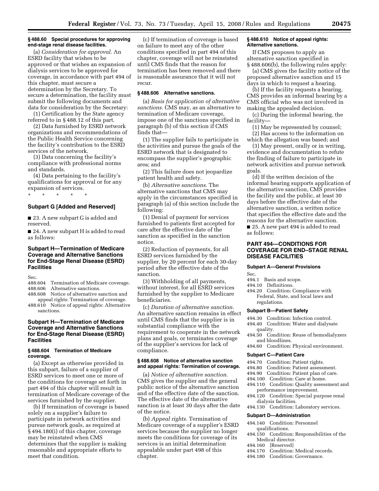#### **§ 488.60 Special procedures for approving end-stage renal disease facilities.**

(a) *Consideration for approval.* An ESRD facility that wishes to be approved or that wishes an expansion of dialysis services to be approved for coverage, in accordance with part 494 of this chapter, must secure a determination by the Secretary. To secure a determination, the facility must submit the following documents and data for consideration by the Secretary:

(1) Certification by the State agency referred to in § 488.12 of this part.

(2) Data furnished by ESRD network organizations and recommendations of the Public Health Service concerning the facility's contribution to the ESRD services of the network.

(3) Data concerning the facility's compliance with professional norms and standards.

(4) Data pertaining to the facility's qualifications for approval or for any expansion of services.

\* \* \* \* \*

## **Subpart G [Added and Reserved]**

■ 23. A new subpart G is added and reserved.

■ 24. A new subpart H is added to read as follows:

# **Subpart H—Termination of Medicare Coverage and Alternative Sanctions for End-Stage Renal Disease (ESRD) Facilities**

- Sec.<br>488.604 Termination of Medicare coverage.
- 488.606 Alternative sanctions.
- 488.608 Notice of alternative sanction and
- appeal rights: Termination of coverage. 488.610 Notice of appeal rights: Alternative sanctions.

# **Subpart H—Termination of Medicare Coverage and Alternative Sanctions for End-Stage Renal Disease (ESRD) Facilities**

## **§ 488.604 Termination of Medicare coverage.**

(a) Except as otherwise provided in this subpart, failure of a supplier of ESRD services to meet one or more of the conditions for coverage set forth in part 494 of this chapter will result in termination of Medicare coverage of the services furnished by the supplier.

(b) If termination of coverage is based solely on a supplier's failure to participate in network activities and pursue network goals, as required at § 494.180(i) of this chapter, coverage may be reinstated when CMS determines that the supplier is making reasonable and appropriate efforts to meet that condition.

(c) If termination of coverage is based on failure to meet any of the other conditions specified in part 494 of this chapter, coverage will not be reinstated until CMS finds that the reason for termination has been removed and there is reasonable assurance that it will not recur.

# **§ 488.606 Alternative sanctions.**

(a) *Basis for application of alternative sanctions.* CMS may, as an alternative to termination of Medicare coverage, impose one of the sanctions specified in paragraph (b) of this section if CMS finds that—

(1) The supplier fails to participate in the activities and pursue the goals of the ESRD network that is designated to encompass the supplier's geographic area; and

(2) This failure does not jeopardize patient health and safety.

(b) *Alternative sanctions.* The alternative sanctions that CMS may apply in the circumstances specified in paragraph (a) of this section include the following:

(1) Denial of payment for services furnished to patients first accepted for care after the effective date of the sanction as specified in the sanction notice.

(2) Reduction of payments, for all ESRD services furnished by the supplier, by 20 percent for each 30-day period after the effective date of the sanction.

(3) Withholding of all payments, without interest, for all ESRD services furnished by the supplier to Medicare beneficiaries.

(c) *Duration of alternative sanction.*  An alternative sanction remains in effect until CMS finds that the supplier is in substantial compliance with the requirement to cooperate in the network plans and goals, or terminates coverage of the supplier's services for lack of compliance.

#### **§ 488.608 Notice of alternative sanction and appeal rights: Termination of coverage.**

(a) *Notice of alternative sanction.*  CMS gives the supplier and the general public notice of the alternative sanction and of the effective date of the sanction. The effective date of the alternative sanction is at least 30 days after the date of the notice.

(b) *Appeal rights.* Termination of Medicare coverage of a supplier's ESRD services because the supplier no longer meets the conditions for coverage of its services is an initial determination appealable under part 498 of this chapter.

#### **§ 488.610 Notice of appeal rights: Alternative sanctions.**

If CMS proposes to apply an alternative sanction specified in § 488.606(b), the following rules apply:

(a) CMS gives the facility notice of the proposed alternative sanction and 15 days in which to request a hearing.

(b) If the facility requests a hearing, CMS provides an informal hearing by a CMS official who was not involved in making the appealed decision.

(c) During the informal hearing, the facility—

(1) May be represented by counsel; (2) Has access to the information on which the allegation was based; and

(3) May present, orally or in writing, evidence and documentation to refute the finding of failure to participate in network activities and pursue network goals.

(d) If the written decision of the informal hearing supports application of the alternative sanction, CMS provides the facility and the public, at least 30 days before the effective date of the alternative sanction, a written notice that specifies the effective date and the reasons for the alternative sanction. ■ 25. A new part 494 is added to read

as follows:

# **PART 494—CONDITIONS FOR COVERAGE FOR END–STAGE RENAL DISEASE FACILITIES**

#### **Subpart A—General Provisions**

Sec.

- 494.1 Basis and scope.
- 494.10 Definitions.
- 494.20 Condition: Compliance with Federal, State, and local laws and regulations.

# **Subpart B—Patient Safety**

- 494.30 Condition: Infection control.
- 494.40 Condition: Water and dialysate quality.
- 494.50 Condition: Reuse of hemodialyzers and bloodlines.
- 494.60 Condition: Physical environment.

# **Subpart C—Patient Care**

- 494.70 Condition: Patient rights.
- 494.80 Condition: Patient assessment.
- 494.90 Condition: Patient plan of care.
- 494.100 Condition: Care at home.
- 494.110 Condition: Quality assessment and performance improvement.
- 494.120 Condition: Special purpose renal dialysis facilities.
- 494.130 Condition: Laboratory services.

# **Subpart D—Administration**

- 494.140 Condition: Personnel qualifications.
- 494.150 Condition: Responsibilities of the Medical director.
- 494.160 [Reserved]<br>494.170 Condition:
- Condition: Medical records.
- 494.180 Condition: Governance.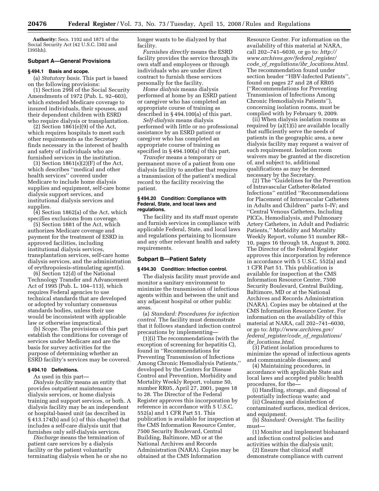**Authority:** Secs. 1102 and 1871 of the Social Security Act (42 U.S.C. l302 and l395hh).

#### **Subpart A—General Provisions**

#### **§ 494.1 Basis and scope.**

(a) *Statutory basis.* This part is based on the following provisions:

(1) Section 299I of the Social Security Amendments of 1972 (Pub. L. 92–603), which extended Medicare coverage to insured individuals, their spouses, and their dependent children with ESRD who require dialysis or transplantation.

(2) Section 1861(e)(9) of the Act, which requires hospitals to meet such other requirements as the Secretary finds necessary in the interest of health and safety of individuals who are furnished services in the institution.

(3) Section 1861(s)(2)(F) of the Act, which describes ''medical and other health services'' covered under Medicare to include home dialysis supplies and equipment, self-care home dialysis support services, and institutional dialysis services and supplies.

(4) Section 1862(a) of the Act, which specifies exclusions from coverage.

(5) Section 1881 of the Act, which authorizes Medicare coverage and payment for the treatment of ESRD in approved facilities, including institutional dialysis services, transplantation services, self-care home dialysis services, and the administration of erythropoiesis-stimulating agent(s).

(6) Section 12(d) of the National Technology Transfer and Advancement Act of 1995 (Pub. L. 104–113), which requires Federal agencies to use technical standards that are developed or adopted by voluntary consensus standards bodies, unless their use would be inconsistent with applicable law or otherwise impractical.

(b) *Scope.* The provisions of this part establish the conditions for coverage of services under Medicare and are the basis for survey activities for the purpose of determining whether an ESRD facility's services may be covered.

#### **§ 494.10 Definitions.**

As used in this part—

*Dialysis facility* means an entity that provides outpatient maintenance dialysis services, or home dialysis training and support services, or both. A dialysis facility may be an independent or hospital-based unit (as described in § 413.174(b) and (c) of this chapter) that includes a self-care dialysis unit that furnishes only self-dialysis services.

*Discharge* means the termination of patient care services by a dialysis facility or the patient voluntarily terminating dialysis when he or she no longer wants to be dialyzed by that facility.

*Furnishes directly* means the ESRD facility provides the service through its own staff and employees or through individuals who are under direct contract to furnish these services personally for the facility.

*Home dialysis* means dialysis performed at home by an ESRD patient or caregiver who has completed an appropriate course of training as described in § 494.100(a) of this part.

*Self-dialysis* means dialysis performed with little or no professional assistance by an ESRD patient or caregiver who has completed an appropriate course of training as specified in § 494.100(a) of this part.

*Transfer* means a temporary or permanent move of a patient from one dialysis facility to another that requires a transmission of the patient's medical record to the facility receiving the patient.

#### **§ 494.20 Condition: Compliance with Federal, State, and local laws and regulations.**

The facility and its staff must operate and furnish services in compliance with applicable Federal, State, and local laws and regulations pertaining to licensure and any other relevant health and safety requirements.

# **Subpart B—Patient Safety**

#### **§ 494.30 Condition: Infection control.**

The dialysis facility must provide and monitor a sanitary environment to minimize the transmission of infectious agents within and between the unit and any adjacent hospital or other public areas.

(a) *Standard: Procedures for infection control.* The facility must demonstrate that it follows standard infection control precautions by implementing—

(1)(i) The recommendations (with the exception of screening for hepatitis C), found in ''Recommendations for Preventing Transmission of Infections Among Chronic Hemodialysis Patients,'' developed by the Centers for Disease Control and Prevention, Morbidity and Mortality Weekly Report, volume 50, number RR05, April 27, 2001, pages 18 to 28. The Director of the Federal Register approves this incorporation by reference in accordance with 5 U.S.C. 552(a) and 1 CFR Part 51. This publication is available for inspection at the CMS Information Resource Center, 7500 Security Boulevard, Central Building, Baltimore, MD or at the National Archives and Records Administration (NARA). Copies may be obtained at the CMS Information

Resource Center. For information on the availability of this material at NARA, [call 202–741–6030, or go to:](http://www.archives.gov/federal_register/code_of_regulations/ibr_locations.html) *http:// www.archives.gov/federal*\_*register/ code*\_*of*\_*regulations/ibr*\_*locations.html*. The recommendation found under section header ''HBV-Infected Patients'', found on pages 27 and 28 of RR05 (''Recommendations for Preventing Transmission of Infections Among Chronic Hemodialysis Patients''), concerning isolation rooms, must be complied with by February 9, 2009.

(ii) When dialysis isolation rooms as required by (a)(1)(i) are available locally that sufficiently serve the needs of patients in the geographic area, a new dialysis facility may request a waiver of such requirement. Isolation room waivers may be granted at the discretion of, and subject to, additional qualifications as may be deemed necessary by the Secretary.

(2) The ''Guidelines for the Prevention of Intravascular Catheter-Related Infections'' entitled ''Recommendations for Placement of Intravascular Catheters in Adults and Children'' parts I–IV; and ''Central Venous Catheters, Including PICCs, Hemodialysis, and Pulmonary Artery Catheters, in Adult and Pediatric Patients,'' Morbidity and Mortality Weekly Report, volume 51 number RR– 10, pages 16 through 18, August 9, 2002. The Director of the Federal Register approves this incorporation by reference in accordance with 5 U.S.C. 552(a) and 1 CFR Part 51. This publication is available for inspection at the CMS Information Resource Center, 7500 Security Boulevard, Central Building, Baltimore, MD or at the National Archives and Records Administration (NARA). Copies may be obtained at the CMS Information Resource Center. For information on the availability of this material at NARA, call 202–741–6030, or go to: *[http://www.archives.gov/](http://www.archives.gov/federal_register/code_of_regulations/ibr_locations.html)  federal*\_*register/code*\_*of*\_*regulations/ ibr*\_*locations.html*.

(3) Patient isolation procedures to minimize the spread of infectious agents and communicable diseases; and

(4) Maintaining procedures, in accordance with applicable State and local laws and accepted public health procedures, for the—

(i) Handling, storage, and disposal of potentially infectious waste; and

(ii) Cleaning and disinfection of contaminated surfaces, medical devices, and equipment.

(b) *Standard: Oversight.* The facility must—

(1) Monitor and implement biohazard and infection control policies and activities within the dialysis unit;

(2) Ensure that clinical staff demonstrate compliance with current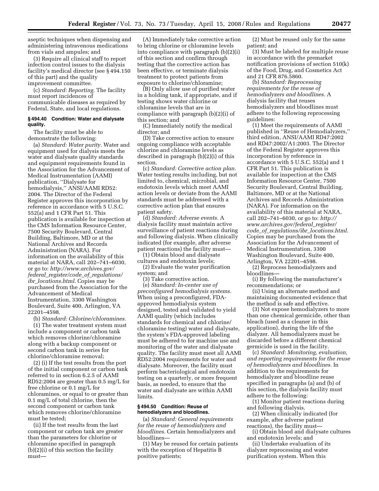aseptic techniques when dispensing and administering intravenous medications from vials and ampules; and

(3) Require all clinical staff to report infection control issues to the dialysis facility's medical director (see § 494.150 of this part) and the quality improvement committee.

(c) *Standard: Reporting.* The facility must report incidences of communicable diseases as required by Federal, State, and local regulations.

## **§ 494.40 Condition: Water and dialysate quality.**

The facility must be able to demonstrate the following:

(a) *Standard: Water purity.* Water and equipment used for dialysis meets the water and dialysate quality standards and equipment requirements found in the Association for the Advancement of Medical Instrumentation (AAMI) publication, ''Dialysate for hemodialysis,'' ANSI/AAMI RD52: 2004. The Director of the Federal Register approves this incorporation by reference in accordance with 5 U.S.C. 552(a) and 1 CFR Part 51. This publication is available for inspection at the CMS Information Resource Center, 7500 Security Boulevard, Central Building, Baltimore, MD or at the National Archives and Records Administration (NARA). For information on the availability of this material at NARA, call 202–741–6030, or go to: *[http://www.archives.gov/](http://www.archives.gov/federal_register/code_of_regulations/ibr_locations.html)  federal*\_*register/code*\_*of*\_*regulations/ ibr*\_*locations.html*. Copies may be purchased from the Association for the Advancement of Medical Instrumentation, 3300 Washington Boulevard, Suite 400, Arlington, VA 22201–4598.

(b) *Standard: Chlorine/chloramines.*  (1) The water treatment system must include a component or carbon tank which removes chlorine/chloramine along with a backup component or second carbon tank in series for chlorine/chloramine removal;

(2) (i) If the test results from the port of the initial component or carbon tank referred to in section 6.2.5 of AAMI RD52:2004 are greater than 0.5 mg/L for free chlorine or 0.1 mg/L for chloramines, or equal to or greater than 0.1 mg/L of total chlorine, then the second component or carbon tank which removes chlorine/chloramine must be tested;

(ii) If the test results from the last component or carbon tank are greater than the parameters for chlorine or chloramine specified in paragraph (b)(2)(i) of this section the facility must—

(A) Immediately take corrective action to bring chlorine or chloramine levels into compliance with paragraph (b)(2)(i) of this section and confirm through testing that the corrective action has been effective, or terminate dialysis treatment to protect patients from exposure to chlorine/chloramine;

(B) Only allow use of purified water in a holding tank, if appropriate, and if testing shows water chlorine or chloramine levels that are in compliance with paragraph (b)(2)(i) of this section; and

(C) Immediately notify the medical director; and

(D) Take corrective action to ensure ongoing compliance with acceptable chlorine and chloramine levels as described in paragraph (b)(2)(i) of this section.

(c) *Standard: Corrective action plan.*  Water testing results including, but not limited to, chemical, microbial, and endotoxin levels which meet AAMI action levels or deviate from the AAMI standards must be addressed with a corrective action plan that ensures patient safety.

(d) *Standard: Adverse events.* A dialysis facility must maintain active surveillance of patient reactions during and following dialysis. When clinically indicated (for example, after adverse patient reactions) the facility must—

(1) Obtain blood and dialysate cultures and endotoxin levels;

(2) Evaluate the water purification system; and

(3) Take corrective action.

(e) *Standard: In-center use of preconfigured hemodialysis systems.*  When using a preconfigured, FDAapproved hemodialysis system designed, tested and validated to yield AAMI quality (which includes standards for chemical and chlorine/ chloramine testing) water and dialysate, the system's FDA-approved labeling must be adhered to for machine use and monitoring of the water and dialysate quality. The facility must meet all AAMI RD52:2004 requirements for water and dialysate. Moreover, the facility must perform bacteriological and endotoxin testing on a quarterly, or more frequent basis, as needed, to ensure that the water and dialysate are within AAMI limits.

## **§ 494.50 Condition: Reuse of hemodialyzers and bloodlines.**

(a) *Standard: General requirements for the reuse of hemodialyzers and bloodlines.* Certain hemodialyzers and bloodlines—

(1) May be reused for certain patients with the exception of Hepatitis B positive patients;

(2) Must be reused only for the same patient; and

(3) Must be labeled for multiple reuse in accordance with the premarket notification provisions of section 510(k) of the Food, Drug, and Cosmetics Act and 21 CFR 876.5860.

(b) *Standard: Reprocessing requirements for the reuse of hemodialyzers and bloodlines.* A dialysis facility that reuses hemodialyzers and bloodlines must adhere to the following reprocessing guidelines:

(1) Meet the requirements of AAMI published in ''Reuse of Hemodialyzers,'' third edition, ANSI/AAMI RD47:2002 and RD47:2002/A1:2003. The Director of the Federal Register approves this incorporation by reference in accordance with 5 U.S.C. 552(a) and 1 CFR Part 51. This publication is available for inspection at the CMS Information Resource Center, 7500 Security Boulevard, Central Building, Baltimore, MD or at the National Archives and Records Administration (NARA). For information on the availability of this material at NARA, [call 202–741–6030, or go to:](http://www.archives.gov/federal_register/code_of_regulations/ibr_locations.html) *http:// www.archives.gov/federal*\_*register/ code*\_*of*\_*regulations/ibr*\_*locations.html*. Copies may be purchased from the Association for the Advancement of Medical Instrumentation, 3300 Washington Boulevard, Suite 400, Arlington, VA 22201–4598.

(2) Reprocess hemodialyzers and bloodlines—

(i) By following the manufacturer's recommendations; or

(ii) Using an alternate method and maintaining documented evidence that the method is safe and effective.

(3) Not expose hemodialyzers to more than one chemical germicide, other than bleach (used as a cleaner in this application), during the life of the dialyzer. All hemodialyzers must be discarded before a different chemical germicide is used in the facility.

(c) *Standard: Monitoring, evaluation, and reporting requirements for the reuse of hemodialyzers and bloodlines.* In addition to the requirements for hemodialyzer and bloodline reuse specified in paragraphs (a) and (b) of this section, the dialysis facility must adhere to the following:

(1) Monitor patient reactions during and following dialysis.

(2) When clinically indicated (for example, after adverse patient reactions), the facility must—

(i) Obtain blood and dialysate cultures and endotoxin levels; and

(ii) Undertake evaluation of its dialyzer reprocessing and water purification system. When this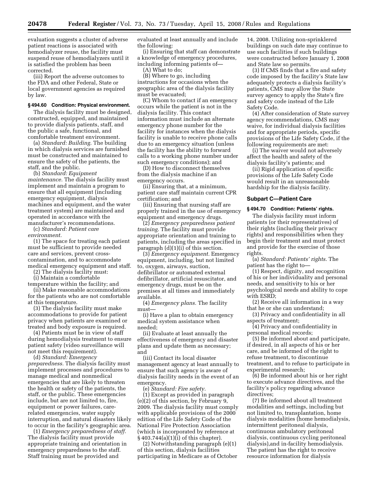evaluation suggests a cluster of adverse patient reactions is associated with hemodialyzer reuse, the facility must suspend reuse of hemodialyzers until it is satisfied the problem has been corrected.

(iii) Report the adverse outcomes to the FDA and other Federal, State or local government agencies as required by law.

# **§ 494.60 Condition: Physical environment.**

The dialysis facility must be designed, constructed, equipped, and maintained to provide dialysis patients, staff, and the public a safe, functional, and comfortable treatment environment.

(a) *Standard: Building.* The building in which dialysis services are furnished must be constructed and maintained to ensure the safety of the patients, the staff, and the public.

(b) *Standard: Equipment maintenance.* The dialysis facility must implement and maintain a program to ensure that all equipment (including emergency equipment, dialysis machines and equipment, and the water treatment system) are maintained and operated in accordance with the manufacturer's recommendations.

(c) *Standard: Patient care environment.* 

(1) The space for treating each patient must be sufficient to provide needed care and services, prevent crosscontamination, and to accommodate medical emergency equipment and staff.

(2) The dialysis facility must: (i) Maintain a comfortable

temperature within the facility; and

(ii) Make reasonable accommodations for the patients who are not comfortable at this temperature.

(3) The dialysis facility must make accommodations to provide for patient privacy when patients are examined or treated and body exposure is required.

(4) Patients must be in view of staff during hemodialysis treatment to ensure patient safety (video surveillance will not meet this requirement).

(d) *Standard: Emergency* 

*preparedness.* The dialysis facility must implement processes and procedures to manage medical and nonmedical emergencies that are likely to threaten the health or safety of the patients, the staff, or the public. These emergencies include, but are not limited to, fire, equipment or power failures, carerelated emergencies, water supply interruption, and natural disasters likely to occur in the facility's geographic area.

(1) *Emergency preparedness of staff.*  The dialysis facility must provide appropriate training and orientation in emergency preparedness to the staff. Staff training must be provided and

evaluated at least annually and include the following:

(i) Ensuring that staff can demonstrate a knowledge of emergency procedures, including informing patients of—

(A) What to do;

(B) Where to go, including instructions for occasions when the geographic area of the dialysis facility must be evacuated;

(C) Whom to contact if an emergency occurs while the patient is not in the dialysis facility. This contact information must include an alternate emergency phone number for the facility for instances when the dialysis facility is unable to receive phone calls due to an emergency situation (unless the facility has the ability to forward calls to a working phone number under such emergency conditions); and

(D) How to disconnect themselves from the dialysis machine if an emergency occurs.

(ii) Ensuring that, at a minimum, patient care staff maintain current CPR certification; and

(iii) Ensuring that nursing staff are properly trained in the use of emergency equipment and emergency drugs.

(2) *Emergency preparedness patient training.* The facility must provide appropriate orientation and training to patients, including the areas specified in paragraph (d)(1)(i) of this section.

(3) *Emergency equipment.* Emergency equipment, including, but not limited to, oxygen, airways, suction, defibrillator or automated external defibrillator, artificial resuscitator, and emergency drugs, must be on the premises at all times and immediately available.

(4) *Emergency plans.* The facility must—

(i) Have a plan to obtain emergency medical system assistance when needed;

(ii) Evaluate at least annually the effectiveness of emergency and disaster plans and update them as necessary; and

(iii) Contact its local disaster management agency at least annually to ensure that such agency is aware of dialysis facility needs in the event of an emergency.

(e) *Standard: Fire safety.* 

(1) Except as provided in paragraph (e)(2) of this section, by February 9, 2009. The dialysis facility must comply with applicable provisions of the 2000 edition of the Life Safety Code of the National Fire Protection Association (which is incorporated by reference at § 403.744(a)(1)(i) of this chapter).

(2) Notwithstanding paragraph (e)(1) of this section, dialysis facilities participating in Medicare as of October

14, 2008. Utilizing non-sprinklered buildings on such date may continue to use such facilities if such buildings were constructed before January 1, 2008 and State law so permits.

(3) If CMS finds that a fire and safety code imposed by the facility's State law adequately protects a dialysis facility's patients, CMS may allow the State survey agency to apply the State's fire and safety code instead of the Life Safety Code.

(4) After consideration of State survey agency recommendations, CMS may waive, for individual dialysis facilities and for appropriate periods, specific provisions of the Life Safety Code, if the following requirements are met:

(i) The waiver would not adversely affect the health and safety of the dialysis facility's patients; and

(ii) Rigid application of specific provisions of the Life Safety Code would result in an unreasonable hardship for the dialysis facility.

## **Subpart C—Patient Care**

#### **§ 494.70 Condition: Patients' rights.**

The dialysis facility must inform patients (or their representatives) of their rights (including their privacy rights) and responsibilities when they begin their treatment and must protect and provide for the exercise of those rights.

(a) *Standard: Patients' rights*. The patient has the right to—

(1) Respect, dignity, and recognition of his or her individuality and personal needs, and sensitivity to his or her psychological needs and ability to cope with ESRD;

(2) Receive all information in a way that he or she can understand;

(3) Privacy and confidentiality in all aspects of treatment;

(4) Privacy and confidentiality in personal medical records;

(5) Be informed about and participate, if desired, in all aspects of his or her care, and be informed of the right to refuse treatment, to discontinue treatment, and to refuse to participate in experimental research;

(6) Be informed about his or her right to execute advance directives, and the facility's policy regarding advance directives;

(7) Be informed about all treatment modalities and settings, including but not limited to, transplantation, home dialysis modalities (home hemodialysis, intermittent peritoneal dialysis, continuous ambulatory peritoneal dialysis, continuous cycling peritoneal dialysis),and in-facility hemodialysis. The patient has the right to receive resource information for dialysis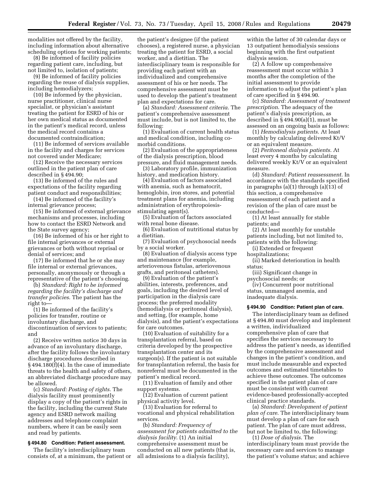modalities not offered by the facility, including information about alternative scheduling options for working patients;

(8) Be informed of facility policies regarding patient care, including, but not limited to, isolation of patients;

(9) Be informed of facility policies regarding the reuse of dialysis supplies, including hemodialyzers;

(10) Be informed by the physician, nurse practitioner, clinical nurse specialist, or physician's assistant treating the patient for ESRD of his or her own medical status as documented in the patient's medical record, unless the medical record contains a documented contraindication;

(11) Be informed of services available in the facility and charges for services not covered under Medicare;

(12) Receive the necessary services outlined in the patient plan of care described in § 494.90;

(13) Be informed of the rules and expectations of the facility regarding patient conduct and responsibilities;

(14) Be informed of the facility's internal grievance process;

(15) Be informed of external grievance mechanisms and processes, including how to contact the ESRD Network and the State survey agency;

(16) Be informed of his or her right to file internal grievances or external grievances or both without reprisal or denial of services; and

(17) Be informed that he or she may file internal or external grievances, personally, anonymously or through a representative of the patient's choosing.

(b) *Standard: Right to be informed regarding the facility's discharge and transfer policies*. The patient has the right to—

(1) Be informed of the facility's policies for transfer, routine or involuntary discharge, and discontinuation of services to patients; and

(2) Receive written notice 30 days in advance of an involuntary discharge, after the facility follows the involuntary discharge procedures described in  $§$  494.180(f)(4). In the case of immediate threats to the health and safety of others, an abbreviated discharge procedure may be allowed.

(c) *Standard: Posting of rights*. The dialysis facility must prominently display a copy of the patient's rights in the facility, including the current State agency and ESRD network mailing addresses and telephone complaint numbers, where it can be easily seen and read by patients.

# **§ 494.80 Condition: Patient assessment.**

The facility's interdisciplinary team consists of, at a minimum, the patient or

the patient's designee (if the patient chooses), a registered nurse, a physician treating the patient for ESRD, a social worker, and a dietitian. The interdisciplinary team is responsible for providing each patient with an individualized and comprehensive assessment of his or her needs. The comprehensive assessment must be used to develop the patient's treatment plan and expectations for care.

(a) *Standard: Assessment criteria*. The patient's comprehensive assessment must include, but is not limited to, the following:

(1) Evaluation of current health status and medical condition, including comorbid conditions.

(2) Evaluation of the appropriateness of the dialysis prescription, blood pressure, and fluid management needs.

(3) Laboratory profile, immunization history, and medication history.

(4) Evaluation of factors associated with anemia, such as hematocrit, hemoglobin, iron stores, and potential treatment plans for anemia, including administration of erythropoiesisstimulating agent(s).

(5) Evaluation of factors associated with renal bone disease.

(6) Evaluation of nutritional status by a dietitian.

(7) Evaluation of psychosocial needs by a social worker.

(8) Evaluation of dialysis access type and maintenance (for example, arteriovenous fistulas, arteriovenous grafts, and peritoneal catheters).

(9) Evaluation of the patient's abilities, interests, preferences, and goals, including the desired level of participation in the dialysis care process; the preferred modality (hemodialysis or peritoneal dialysis), and setting, (for example, home dialysis), and the patient's expectations for care outcomes.

(10) Evaluation of suitability for a transplantation referral, based on criteria developed by the prospective transplantation center and its surgeon(s). If the patient is not suitable for transplantation referral, the basis for nonreferral must be documented in the patient's medical record.

(11) Evaluation of family and other support systems.

(12) Evaluation of current patient physical activity level.

(13) Evaluation for referral to vocational and physical rehabilitation services.

(b) *Standard: Frequency of assessment for patients admitted to the dialysis facility*. (1) An initial comprehensive assessment must be conducted on all new patients (that is, all admissions to a dialysis facility),

within the latter of 30 calendar days or 13 outpatient hemodialysis sessions beginning with the first outpatient dialysis session.

(2) A follow up comprehensive reassessment must occur within 3 months after the completion of the initial assessment to provide information to adjust the patient's plan of care specified in § 494.90.

(c) *Standard: Assessment of treatment prescription*. The adequacy of the patient's dialysis prescription, as described in  $\S 494.90(a)(1)$ , must be assessed on an ongoing basis as follows:

(1) *Hemodialysis patients*. At least monthly by calculating delivered Kt/V or an equivalent measure.

(2) *Peritoneal dialysis patients*. At least every 4 months by calculating delivered weekly Kt/V or an equivalent measure.

(d) *Standard: Patient reassessment*. In accordance with the standards specified in paragraphs (a)(1) through (a)(13) of this section, a comprehensive reassessment of each patient and a revision of the plan of care must be conducted—

(1) At least annually for stable patients; and

(2) At least monthly for unstable patients including, but not limited to, patients with the following:

(i) Extended or frequent

hospitalizations;

(ii) Marked deterioration in health status;

(iii) Significant change in psychosocial needs; or

(iv) Concurrent poor nutritional status, unmanaged anemia, and inadequate dialysis.

## **§ 494.90 Condition: Patient plan of care.**

The interdisciplinary team as defined at § 494.80 must develop and implement a written, individualized comprehensive plan of care that specifies the services necessary to address the patient's needs, as identified by the comprehensive assessment and changes in the patient's condition, and must include measurable and expected outcomes and estimated timetables to achieve these outcomes. The outcomes specified in the patient plan of care must be consistent with current evidence-based professionally-accepted clinical practice standards.

(a) *Standard: Development of patient plan of care*. The interdisciplinary team must develop a plan of care for each patient. The plan of care must address, but not be limited to, the following:

(1) *Dose of dialysis*. The interdisciplinary team must provide the necessary care and services to manage the patient's volume status; and achieve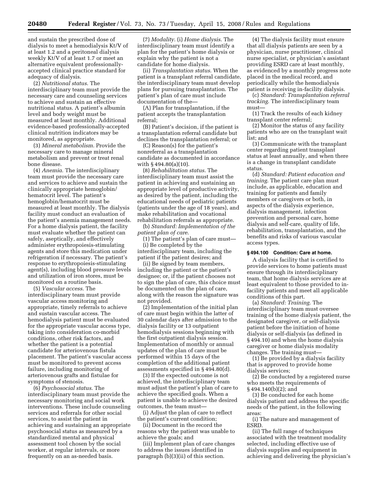and sustain the prescribed dose of dialysis to meet a hemodialysis Kt/V of at least 1.2 and a peritoneal dialysis weekly Kt/V of at least 1.7 or meet an alternative equivalent professionallyaccepted clinical practice standard for adequacy of dialysis.

(2) *Nutritional status*. The interdisciplinary team must provide the necessary care and counseling services to achieve and sustain an effective nutritional status. A patient's albumin level and body weight must be measured at least monthly. Additional evidence-based professionally-accepted clinical nutrition indicators may be monitored, as appropriate.

(3) *Mineral metabolism*. Provide the necessary care to manage mineral metabolism and prevent or treat renal bone disease.

(4) *Anemia*. The interdisciplinary team must provide the necessary care and services to achieve and sustain the clinically appropriate hemoglobin/ hematocrit level. The patient's hemoglobin/hematocrit must be measured at least monthly. The dialysis facility must conduct an evaluation of the patient's anemia management needs. For a home dialysis patient, the facility must evaluate whether the patient can safely, aseptically, and effectively administer erythropoiesis-stimulating agents and store this medication under refrigeration if necessary. The patient's response to erythropoiesis-stimulating agent(s), including blood pressure levels and utilization of iron stores, must be monitored on a routine basis.

(5) *Vascular access*. The interdisciplinary team must provide vascular access monitoring and appropriate, timely referrals to achieve and sustain vascular access. The hemodialysis patient must be evaluated for the appropriate vascular access type, taking into consideration co-morbid conditions, other risk factors, and whether the patient is a potential candidate for arteriovenous fistula placement. The patient's vascular access must be monitored to prevent access failure, including monitoring of arteriovenous grafts and fistulae for symptoms of stenosis.

(6) *Psychosocial status*. The interdisciplinary team must provide the necessary monitoring and social work interventions. These include counseling services and referrals for other social services, to assist the patient in achieving and sustaining an appropriate psychosocial status as measured by a standardized mental and physical assessment tool chosen by the social worker, at regular intervals, or more frequently on an as-needed basis.

(7) *Modality*. (i) *Home dialysis*. The interdisciplinary team must identify a plan for the patient's home dialysis or explain why the patient is not a candidate for home dialysis.

(ii) *Transplantation status*. When the patient is a transplant referral candidate, the interdisciplinary team must develop plans for pursuing transplantation. The patient's plan of care must include documentation of the—

(A) Plan for transplantation, if the patient accepts the transplantation referral;

(B) Patient's decision, if the patient is a transplantation referral candidate but declines the transplantation referral; or

(C) Reason(s) for the patient's nonreferral as a transplantation candidate as documented in accordance with § 494.80(a)(10).

(8) *Rehabilitation status*. The interdisciplinary team must assist the patient in achieving and sustaining an appropriate level of productive activity, as desired by the patient, including the educational needs of pediatric patients (patients under the age of 18 years), and make rehabilitation and vocational rehabilitation referrals as appropriate.

(b) *Standard: Implementation of the patient plan of care*.

(1) The patient's plan of care must— (i) Be completed by the

interdisciplinary team, including the patient if the patient desires; and

(ii) Be signed by team members, including the patient or the patient's designee; or, if the patient chooses not to sign the plan of care, this choice must be documented on the plan of care, along with the reason the signature was not provided.

(2) Implementation of the initial plan of care must begin within the latter of 30 calendar days after admission to the dialysis facility or 13 outpatient hemodialysis sessions beginning with the first outpatient dialysis session. Implementation of monthly or annual updates of the plan of care must be performed within 15 days of the completion of the additional patient assessments specified in § 494.80(d).

(3) If the expected outcome is not achieved, the interdisciplinary team must adjust the patient's plan of care to achieve the specified goals. When a patient is unable to achieve the desired outcomes, the team must—

(i) Adjust the plan of care to reflect the patient's current condition;

(ii) Document in the record the reasons why the patient was unable to achieve the goals; and

(iii) Implement plan of care changes to address the issues identified in paragraph (b)(3)(ii) of this section.

(4) The dialysis facility must ensure that all dialysis patients are seen by a physician, nurse practitioner, clinical nurse specialist, or physician's assistant providing ESRD care at least monthly, as evidenced by a monthly progress note placed in the medical record, and periodically while the hemodialysis patient is receiving in-facility dialysis.

(c) *Standard: Transplantation referral tracking*. The interdisciplinary team must—

(1) Track the results of each kidney transplant center referral;

(2) Monitor the status of any facility patients who are on the transplant wait list; and

(3) Communicate with the transplant center regarding patient transplant status at least annually, and when there is a change in transplant candidate status.

(d) *Standard: Patient education and training*. The patient care plan must include, as applicable, education and training for patients and family members or caregivers or both, in aspects of the dialysis experience, dialysis management, infection prevention and personal care, home dialysis and self-care, quality of life, rehabilitation, transplantation, and the benefits and risks of various vascular access types.

## **§ 494.100 Condition: Care at home.**

A dialysis facility that is certified to provide services to home patients must ensure through its interdisciplinary team, that home dialysis services are at least equivalent to those provided to infacility patients and meet all applicable conditions of this part.

(a) *Standard: Training.* The interdisciplinary team must oversee training of the home dialysis patient, the designated caregiver, or self-dialysis patient before the initiation of home dialysis or self-dialysis (as defined in § 494.10) and when the home dialysis caregiver or home dialysis modality changes. The training must—

(1) Be provided by a dialysis facility that is approved to provide home dialysis services;

(2) Be conducted by a registered nurse who meets the requirements of § 494.140(b)(2); and

(3) Be conducted for each home dialysis patient and address the specific needs of the patient, in the following areas:

(i) The nature and management of **ESRD.** 

(ii) The full range of techniques associated with the treatment modality selected, including effective use of dialysis supplies and equipment in achieving and delivering the physician's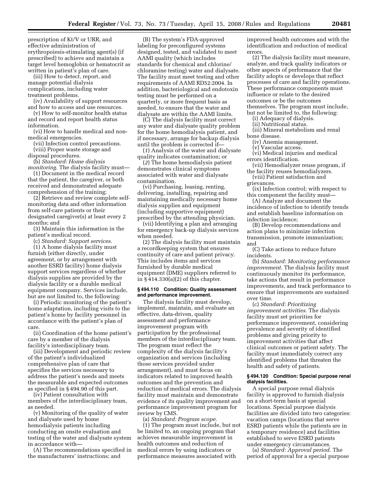prescription of Kt/V or URR, and effective administration of erythropoiesis-stimulating agent(s) (if prescribed) to achieve and maintain a target level hemoglobin or hematocrit as written in patient's plan of care.

(iii) How to detect, report, and manage potential dialysis complications, including water treatment problems.

(iv) Availability of support resources and how to access and use resources.

(v) How to self-monitor health status and record and report health status information.

(vi) How to handle medical and nonmedical emergencies.

(vii) Infection control precautions. (viii) Proper waste storage and

disposal procedures.

(b) *Standard: Home dialysis monitoring.* The dialysis facility must—

(1) Document in the medical record that the patient, the caregiver, or both received and demonstrated adequate comprehension of the training;

(2) Retrieve and review complete selfmonitoring data and other information from self-care patients or their designated caregiver(s) at least every 2 months; and

(3) Maintain this information in the patient's medical record.

(c) *Standard: Support services.* 

(1) A home dialysis facility must furnish (either directly, under agreement, or by arrangement with another ESRD facility) home dialysis support services regardless of whether dialysis supplies are provided by the dialysis facility or a durable medical equipment company. Services include, but are not limited to, the following:

(i) Periodic monitoring of the patient's home adaptation, including visits to the patient's home by facility personnel in accordance with the patient's plan of care.

(ii) Coordination of the home patient's care by a member of the dialysis facility's interdisciplinary team.

(iii) Development and periodic review of the patient's individualized comprehensive plan of care that specifies the services necessary to address the patient's needs and meets the measurable and expected outcomes as specified in § 494.90 of this part.

(iv) Patient consultation with members of the interdisciplinary team, as needed.

(v) Monitoring of the quality of water and dialysate used by home hemodialysis patients including conducting an onsite evaluation and testing of the water and dialysate system in accordance with—

(A) The recommendations specified in the manufacturers' instructions; and

(B) The system's FDA-approved labeling for preconfigured systems designed, tested, and validated to meet AAMI quality (which includes standards for chemical and chlorine/ chloramine testing) water and dialysate. The facility must meet testing and other requirements of AAMI RD52:2004. In addition, bacteriological and endotoxin testing must be performed on a quarterly, or more frequent basis as needed, to ensure that the water and dialysate are within the AAMI limits.

(C) The dialysis facility must correct any water and dialysate quality problem for the home hemodialysis patient, and if necessary, arrange for backup dialysis until the problem is corrected if—

(*1*) Analysis of the water and dialysate quality indicates contamination; or

(*2*) The home hemodialysis patient demonstrates clinical symptoms associated with water and dialysate contamination.

(vi) Purchasing, leasing, renting, delivering, installing, repairing and maintaining medically necessary home dialysis supplies and equipment (including supportive equipment) prescribed by the attending physician.

(vii) Identifying a plan and arranging for emergency back-up dialysis services when needed.

(2) The dialysis facility must maintain a recordkeeping system that ensures continuity of care and patient privacy. This includes items and services furnished by durable medical equipment (DME) suppliers referred to in § 414.330(a)(2) of this chapter.

### **§ 494.110 Condition: Quality assessment and performance improvement.**

The dialysis facility must develop, implement, maintain, and evaluate an effective, data-driven, quality assessment and performance improvement program with participation by the professional members of the interdisciplinary team. The program must reflect the complexity of the dialysis facility's organization and services (including those services provided under arrangement), and must focus on indicators related to improved health outcomes and the prevention and reduction of medical errors. The dialysis facility must maintain and demonstrate evidence of its quality improvement and performance improvement program for review by CMS.

(a) *Standard: Program scope.*  (1) The program must include, but not be limited to, an ongoing program that achieves measurable improvement in health outcomes and reduction of medical errors by using indicators or performance measures associated with

improved health outcomes and with the identification and reduction of medical errors.

(2) The dialysis facility must measure, analyze, and track quality indicators or other aspects of performance that the facility adopts or develops that reflect processes of care and facility operations. These performance components must influence or relate to the desired outcomes or be the outcomes themselves. The program must include, but not be limited to, the following:

(i) Adequacy of dialysis.

(ii) Nutritional status.

(iii) Mineral metabolism and renal bone disease.

(iv) Anemia management.

(v) Vascular access.

(vi) Medical injuries and medical errors identification.

(vii) Hemodialyzer reuse program, if the facility reuses hemodialyzers.

(viii) Patient satisfaction and grievances.

(ix) Infection control; with respect to this component the facility must—

(A) Analyze and document the incidence of infection to identify trends and establish baseline information on infection incidence;

(B) Develop recommendations and action plans to minimize infection transmission, promote immunization; and

(C) Take actions to reduce future incidents.

(b) *Standard: Monitoring performance improvement.* The dialysis facility must continuously monitor its performance, take actions that result in performance improvements, and track performance to ensure that improvements are sustained over time.

(c) *Standard: Prioritizing improvement activities.* The dialysis facility must set priorities for performance improvement, considering prevalence and severity of identified problems and giving priority to improvement activities that affect clinical outcomes or patient safety. The facility must immediately correct any identified problems that threaten the health and safety of patients.

## **§ 494.120 Condition: Special purpose renal dialysis facilities.**

A special purpose renal dialysis facility is approved to furnish dialysis on a short-term basis at special locations. Special purpose dialysis facilities are divided into two categories: vacation camps (locations that serve ESRD patients while the patients are in a temporary residence) and facilities established to serve ESRD patients under emergency circumstances.

(a) *Standard: Approval period.* The period of approval for a special purpose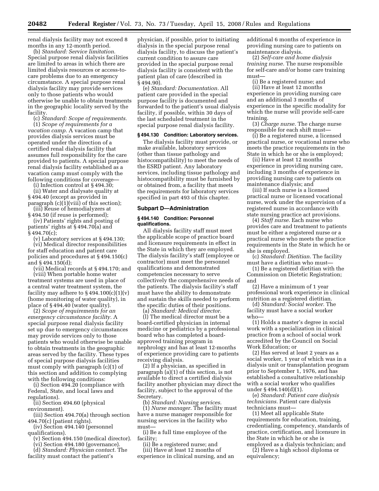renal dialysis facility may not exceed 8 months in any 12-month period.

(b) *Standard: Service limitation.*  Special purpose renal dialysis facilities are limited to areas in which there are limited dialysis resources or access-tocare problems due to an emergency circumstance. A special purpose renal dialysis facility may provide services only to those patients who would otherwise be unable to obtain treatments in the geographic locality served by the facility.

(c) *Standard: Scope of requirements.*  (1) *Scope of requirements for a* 

*vacation camp.* A vacation camp that provides dialysis services must be operated under the direction of a certified renal dialysis facility that assumes full responsibility for the care provided to patients. A special purpose renal dialysis facility established as a vacation camp must comply with the following conditions for coverage—

(i) Infection control at § 494.30;

(ii) Water and dialysate quality at § 494.40 (except as provided in paragraph  $(c)(1)(viii)$  of this section);

(iii) Reuse of hemodialyzers at § 494.50 (if reuse is performed);

(iv) Patients' rights and posting of patients' rights at § 494.70(a) and  $§$  494.70(c);

(v) Laboratory services at § 494.130;

(vi) Medical director responsibilities for staff education and patient care policies and procedures at § 494.150(c) and § 494.150(d);

(vii) Medical records at § 494.170; and (viii) When portable home water treatment systems are used in place of a central water treatment system, the facility may adhere to  $\S 494.100(c)(1)(v)$ (home monitoring of water quality), in place of § 494.40 (water quality).

(2) *Scope of requirements for an emergency circumstance facility.* A special purpose renal dialysis facility set up due to emergency circumstances may provide services only to those patients who would otherwise be unable to obtain treatments in the geographic areas served by the facility. These types of special purpose dialysis facilities must comply with paragraph (c)(1) of this section and addition to complying with the following conditions:

(i) Section 494.20 (compliance with Federal, State, and local laws and regulations).

(ii) Section 494.60 (physical environment).

(iii) Section 494.70(a) through section 494.70(c) (patient rights).

(iv) Section 494.140 (personnel qualifications).

(v) Section 494.150 (medical director).

(vi) Section 494.180 (governance).

(d) *Standard: Physician contact.* The facility must contact the patient's

physician, if possible, prior to initiating dialysis in the special purpose renal dialysis facility, to discuss the patient's current condition to assure care provided in the special purpose renal dialysis facility is consistent with the patient plan of care (described in § 494.90).

(e) *Standard: Documentation.* All patient care provided in the special purpose facility is documented and forwarded to the patient's usual dialysis facility, if possible, within 30 days of the last scheduled treatment in the special purpose renal dialysis facility.

#### **§ 494.130 Condition: Laboratory services.**

The dialysis facility must provide, or make available, laboratory services (other than tissue pathology and histocompatibility) to meet the needs of the ESRD patient. Any laboratory services, including tissue pathology and histocompatibility must be furnished by or obtained from, a facility that meets the requirements for laboratory services specified in part 493 of this chapter.

#### **Subpart D—Administration**

## **§ 494.140 Condition: Personnel qualifications.**

All dialysis facility staff must meet the applicable scope of practice board and licensure requirements in effect in the State in which they are employed. The dialysis facility's staff (employee or contractor) must meet the personnel qualifications and demonstrated competencies necessary to serve collectively the comprehensive needs of the patients. The dialysis facility's staff must have the ability to demonstrate and sustain the skills needed to perform the specific duties of their positions.

(a) *Standard: Medical director.*  (l) The medical director must be a board-certified physician in internal medicine or pediatrics by a professional board who has completed a boardapproved training program in

nephrology and has at least 12-months of experience providing care to patients receiving dialysis.

(2) If a physician, as specified in paragraph (a)(1) of this section, is not available to direct a certified dialysis facility another physician may direct the facility, subject to the approval of the Secretary.

(b) *Standard: Nursing services.* 

(1) *Nurse manager.* The facility must have a nurse manager responsible for nursing services in the facility who must—

(i) Be a full time employee of the facility;

(ii) Be a registered nurse; and

(iii) Have at least 12 months of experience in clinical nursing, and an additional 6 months of experience in providing nursing care to patients on maintenance dialysis.

(2) *Self-care and home dialysis training nurse.* The nurse responsible for self-care and/or home care training must—

(i) Be a registered nurse; and (ii) Have at least 12 months experience in providing nursing care and an additional 3 months of experience in the specific modality for which the nurse will provide self-care training.

(3) *Charge nurse.* The charge nurse responsible for each shift must—

(i) Be a registered nurse, a licensed practical nurse, or vocational nurse who meets the practice requirements in the State in which he or she is employed;

(ii) Have at least 12 months experience in providing nursing care, including 3 months of experience in providing nursing care to patients on maintenance dialysis; and

(iii) If such nurse is a licensed practical nurse or licensed vocational nurse, work under the supervision of a registered nurse in accordance with state nursing practice act provisions.

(4) *Staff nurse.* Each nurse who provides care and treatment to patients must be either a registered nurse or a practical nurse who meets the practice requirements in the State in which he or she is employed.

(c) *Standard: Dietitian.* The facility must have a dietitian who must—

(1) Be a registered dietitian with the Commission on Dietetic Registration; and

(2) Have a minimum of 1 year professional work experience in clinical nutrition as a registered dietitian.

(d) *Standard: Social worker.* The facility must have a social worker who—

(1) Holds a master's degree in social work with a specialization in clinical practice from a school of social work accredited by the Council on Social Work Education; or

(2) Has served at least 2 years as a social worker, 1 year of which was in a dialysis unit or transplantation program prior to September 1, 1976, and has established a consultative relationship with a social worker who qualifies under § 494.140(d)(1).

(e) *Standard: Patient care dialysis technicians.* Patient care dialysis technicians must—

(1) Meet all applicable State requirements for education, training, credentialing, competency, standards of practice, certification, and licensure in the State in which he or she is

employed as a dialysis technician; and (2) Have a high school diploma or equivalency;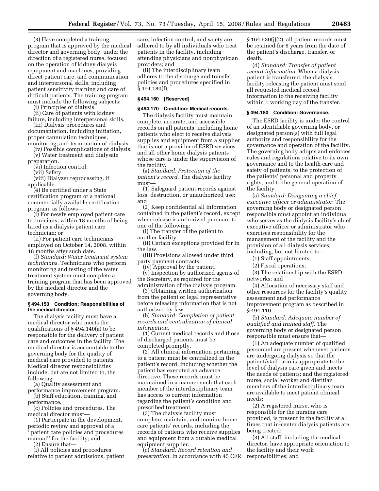(3) Have completed a training program that is approved by the medical director and governing body, under the direction of a registered nurse, focused on the operation of kidney dialysis equipment and machines, providing direct patient care, and communication and interpersonal skills, including patient sensitivity training and care of difficult patients. The training program must include the following subjects:

(i) Principles of dialysis.

(ii) Care of patients with kidney failure, including interpersonal skills.

(iii) Dialysis procedures and documentation, including initiation, proper cannulation techniques, monitoring, and termination of dialysis.

(iv) Possible complications of dialysis. (v) Water treatment and dialysate

preparation.

(vi) Infection control.

(vii) Safety.

(viii) Dialyzer reprocessing, if applicable.

(4) Be certified under a State certification program or a national commercially available certification program, as follows—

(i) For newly employed patient care technicians, within 18 months of being hired as a dialysis patient care technician; or

(ii) For patient care technicians employed on October 14, 2008, within 18 months after such date.

(f) *Standard: Water treatment system technicians.* Technicians who perform monitoring and testing of the water treatment system must complete a training program that has been approved by the medical director and the governing body.

## **§ 494.150 Condition: Responsibilities of the medical director.**

The dialysis facility must have a medical director who meets the qualifications of § 494.140(a) to be responsible for the delivery of patient care and outcomes in the facility. The medical director is accountable to the governing body for the quality of medical care provided to patients. Medical director responsibilities include, but are not limited to, the following:

(a) Quality assessment and

performance improvement program. (b) Staff education, training, and

performance. (c) Policies and procedures. The

medical director must— (1) Participate in the development, periodic review and approval of a 'patient care policies and procedures

manual'' for the facility; and (2) Ensure that—

(i) All policies and procedures relative to patient admissions, patient

care, infection control, and safety are adhered to by all individuals who treat patients in the facility, including attending physicians and nonphysician providers; and

(ii) The interdisciplinary team adheres to the discharge and transfer policies and procedures specified in § 494.180(f).

## **§ 494.160 [Reserved]**

#### **§ 494.170 Condition: Medical records.**

The dialysis facility must maintain complete, accurate, and accessible records on all patients, including home patients who elect to receive dialysis supplies and equipment from a supplier that is not a provider of ESRD services and all other home dialysis patients whose care is under the supervision of the facility.

(a) *Standard: Protection of the patient's record.* The dialysis facility must—

(1) Safeguard patient records against loss, destruction, or unauthorized use; and

(2) Keep confidential all information contained in the patient's record, except when release is authorized pursuant to one of the following:

(i) The transfer of the patient to another facility.

(ii) Certain exceptions provided for in the law.

(iii) Provisions allowed under third party payment contracts.

(iv) Approval by the patient.

(v) Inspection by authorized agents of the Secretary, as required for the administration of the dialysis program.

(3) Obtaining written authorization from the patient or legal representative before releasing information that is not authorized by law.

(b) *Standard: Completion of patient records and centralization of clinical information.* 

(1) Current medical records and those of discharged patients must be completed promptly.

(2) All clinical information pertaining to a patient must be centralized in the patient's record, including whether the patient has executed an advance directive. These records must be maintained in a manner such that each member of the interdisciplinary team has access to current information regarding the patient's condition and prescribed treatment.

(3) The dialysis facility must complete, maintain, and monitor home care patients' records, including the records of patients who receive supplies and equipment from a durable medical equipment supplier.

(c) *Standard: Record retention and preservation.* In accordance with 45 CFR § 164.530(j)(2), all patient records must be retained for 6 years from the date of the patient's discharge, transfer, or death.

(d) *Standard: Transfer of patient record information.* When a dialysis patient is transferred, the dialysis facility releasing the patient must send all requested medical record information to the receiving facility within 1 working day of the transfer.

# **§ 494.180 Condition: Governance.**

The ESRD facility is under the control of an identifiable governing body, or designated person(s) with full legal authority and responsibility for the governance and operation of the facility. The governing body adopts and enforces rules and regulations relative to its own governance and to the health care and safety of patients, to the protection of the patients' personal and property rights, and to the general operation of the facility.

(a) *Standard: Designating a chief executive officer or administrator.* The governing body or designated person responsible must appoint an individual who serves as the dialysis facility's chief executive officer or administrator who exercises responsibility for the management of the facility and the provision of all dialysis services, including, but not limited to—

(1) Staff appointments;

(2) Fiscal operations;

(3) The relationship with the ESRD networks; and

(4) Allocation of necessary staff and other resources for the facility's quality assessment and performance improvement program as described in § 494.110.

(b) *Standard: Adequate number of qualified and trained staff.* The governing body or designated person responsible must ensure that—

(1) An adequate number of qualified personnel are present whenever patients are undergoing dialysis so that the patient/staff ratio is appropriate to the level of dialysis care given and meets the needs of patients; and the registered nurse, social worker and dietitian members of the interdisciplinary team are available to meet patient clinical needs;

(2) A registered nurse, who is responsible for the nursing care provided, is present in the facility at all times that in-center dialysis patients are being treated;

(3) All staff, including the medical director, have appropriate orientation to the facility and their work responsibilities; and